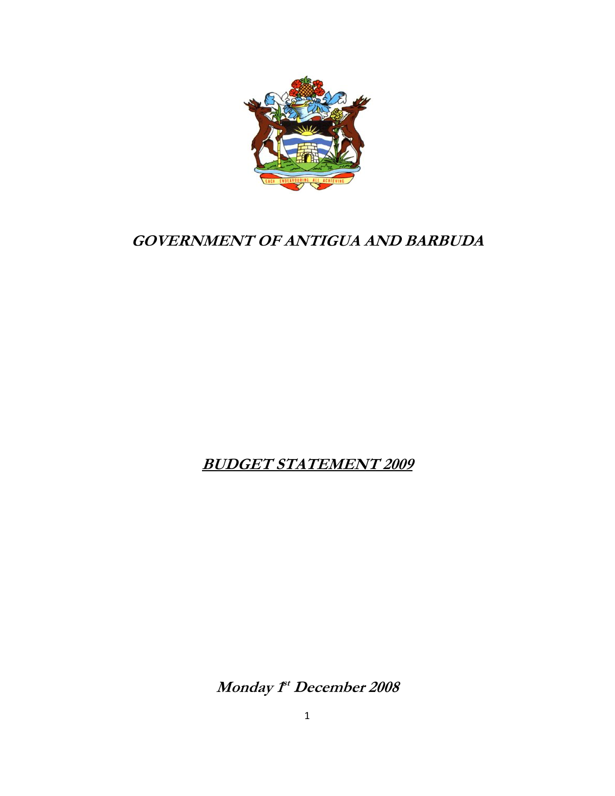

# **GOVERNMENT OF ANTIGUA AND BARBUDA**

# **BUDGET STATEMENT 2009**

**Monday 1st December 2008**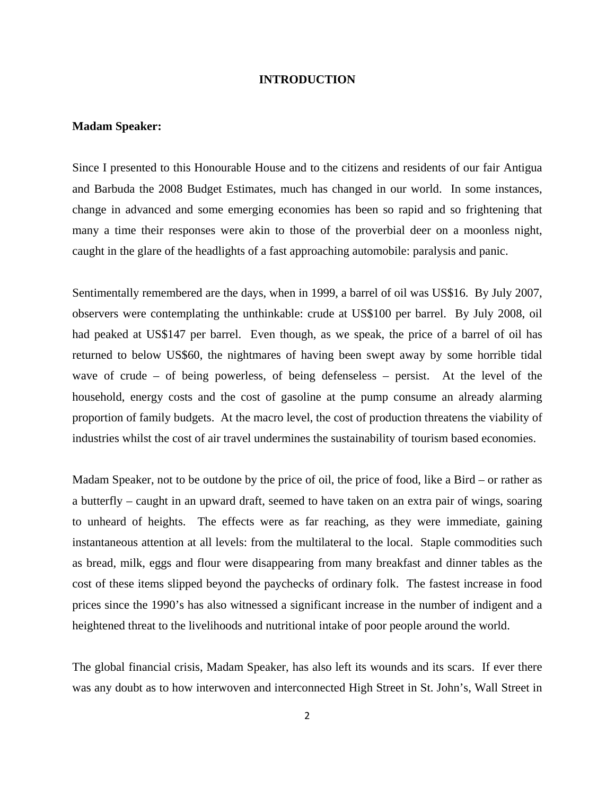## **INTRODUCTION**

#### **Madam Speaker:**

Since I presented to this Honourable House and to the citizens and residents of our fair Antigua and Barbuda the 2008 Budget Estimates, much has changed in our world. In some instances, change in advanced and some emerging economies has been so rapid and so frightening that many a time their responses were akin to those of the proverbial deer on a moonless night, caught in the glare of the headlights of a fast approaching automobile: paralysis and panic.

Sentimentally remembered are the days, when in 1999, a barrel of oil was US\$16. By July 2007, observers were contemplating the unthinkable: crude at US\$100 per barrel. By July 2008, oil had peaked at US\$147 per barrel. Even though, as we speak, the price of a barrel of oil has returned to below US\$60, the nightmares of having been swept away by some horrible tidal wave of crude – of being powerless, of being defenseless – persist. At the level of the household, energy costs and the cost of gasoline at the pump consume an already alarming proportion of family budgets. At the macro level, the cost of production threatens the viability of industries whilst the cost of air travel undermines the sustainability of tourism based economies.

Madam Speaker, not to be outdone by the price of oil, the price of food, like a Bird – or rather as a butterfly – caught in an upward draft, seemed to have taken on an extra pair of wings, soaring to unheard of heights. The effects were as far reaching, as they were immediate, gaining instantaneous attention at all levels: from the multilateral to the local. Staple commodities such as bread, milk, eggs and flour were disappearing from many breakfast and dinner tables as the cost of these items slipped beyond the paychecks of ordinary folk. The fastest increase in food prices since the 1990's has also witnessed a significant increase in the number of indigent and a heightened threat to the livelihoods and nutritional intake of poor people around the world.

The global financial crisis, Madam Speaker, has also left its wounds and its scars. If ever there was any doubt as to how interwoven and interconnected High Street in St. John's, Wall Street in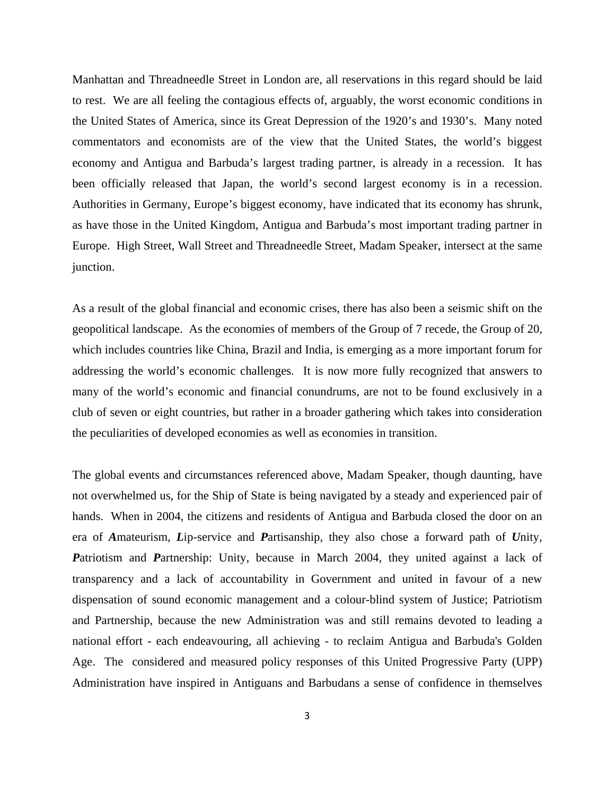Manhattan and Threadneedle Street in London are, all reservations in this regard should be laid to rest. We are all feeling the contagious effects of, arguably, the worst economic conditions in the United States of America, since its Great Depression of the 1920's and 1930's. Many noted commentators and economists are of the view that the United States, the world's biggest economy and Antigua and Barbuda's largest trading partner, is already in a recession. It has been officially released that Japan, the world's second largest economy is in a recession. Authorities in Germany, Europe's biggest economy, have indicated that its economy has shrunk, as have those in the United Kingdom, Antigua and Barbuda's most important trading partner in Europe. High Street, Wall Street and Threadneedle Street, Madam Speaker, intersect at the same junction.

As a result of the global financial and economic crises, there has also been a seismic shift on the geopolitical landscape. As the economies of members of the Group of 7 recede, the Group of 20, which includes countries like China, Brazil and India, is emerging as a more important forum for addressing the world's economic challenges. It is now more fully recognized that answers to many of the world's economic and financial conundrums, are not to be found exclusively in a club of seven or eight countries, but rather in a broader gathering which takes into consideration the peculiarities of developed economies as well as economies in transition.

The global events and circumstances referenced above, Madam Speaker, though daunting, have not overwhelmed us, for the Ship of State is being navigated by a steady and experienced pair of hands. When in 2004, the citizens and residents of Antigua and Barbuda closed the door on an era of *A*mateurism, *L*ip-service and *P*artisanship, they also chose a forward path of *U*nity, *P*atriotism and *P*artnership: Unity, because in March 2004, they united against a lack of transparency and a lack of accountability in Government and united in favour of a new dispensation of sound economic management and a colour-blind system of Justice; Patriotism and Partnership, because the new Administration was and still remains devoted to leading a national effort - each endeavouring, all achieving - to reclaim Antigua and Barbuda's Golden Age. The considered and measured policy responses of this United Progressive Party (UPP) Administration have inspired in Antiguans and Barbudans a sense of confidence in themselves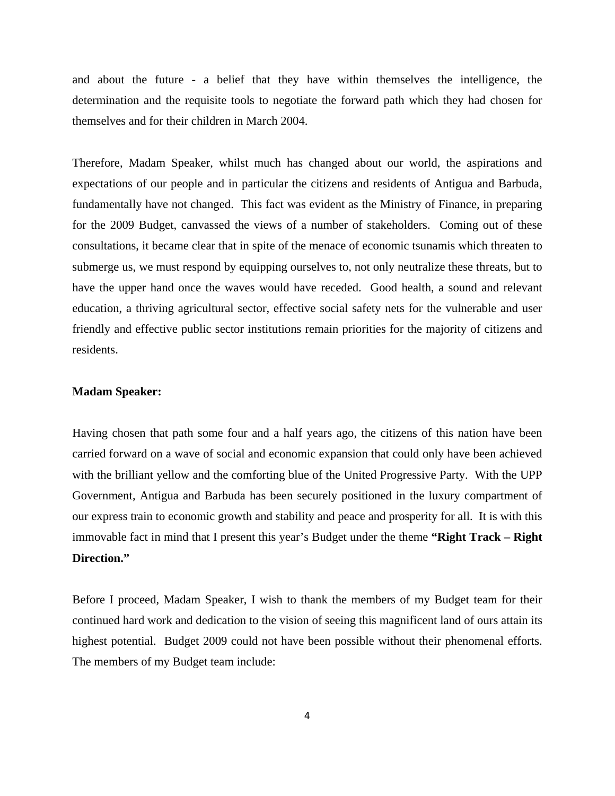and about the future - a belief that they have within themselves the intelligence, the determination and the requisite tools to negotiate the forward path which they had chosen for themselves and for their children in March 2004.

Therefore, Madam Speaker, whilst much has changed about our world, the aspirations and expectations of our people and in particular the citizens and residents of Antigua and Barbuda, fundamentally have not changed. This fact was evident as the Ministry of Finance, in preparing for the 2009 Budget, canvassed the views of a number of stakeholders. Coming out of these consultations, it became clear that in spite of the menace of economic tsunamis which threaten to submerge us, we must respond by equipping ourselves to, not only neutralize these threats, but to have the upper hand once the waves would have receded. Good health, a sound and relevant education, a thriving agricultural sector, effective social safety nets for the vulnerable and user friendly and effective public sector institutions remain priorities for the majority of citizens and residents.

# **Madam Speaker:**

Having chosen that path some four and a half years ago, the citizens of this nation have been carried forward on a wave of social and economic expansion that could only have been achieved with the brilliant yellow and the comforting blue of the United Progressive Party. With the UPP Government, Antigua and Barbuda has been securely positioned in the luxury compartment of our express train to economic growth and stability and peace and prosperity for all. It is with this immovable fact in mind that I present this year's Budget under the theme **"Right Track – Right Direction."** 

Before I proceed, Madam Speaker, I wish to thank the members of my Budget team for their continued hard work and dedication to the vision of seeing this magnificent land of ours attain its highest potential. Budget 2009 could not have been possible without their phenomenal efforts. The members of my Budget team include: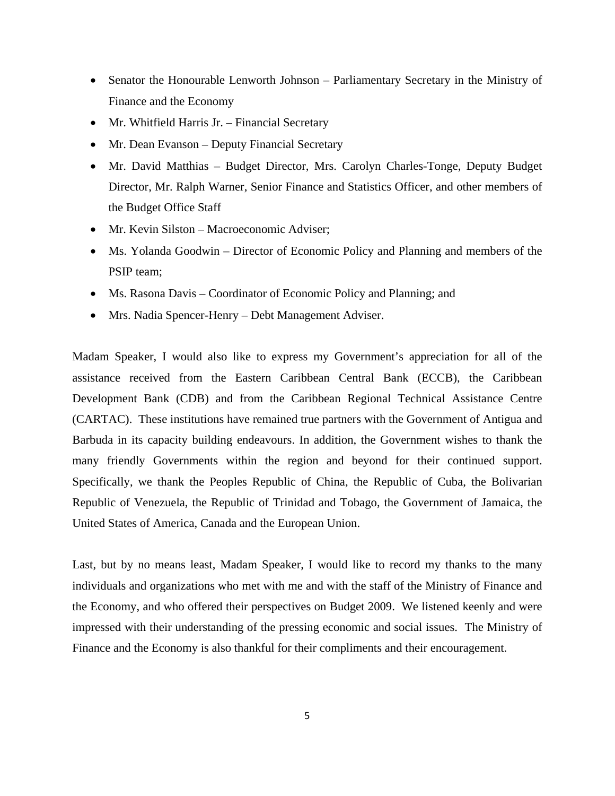- Senator the Honourable Lenworth Johnson Parliamentary Secretary in the Ministry of Finance and the Economy
- Mr. Whitfield Harris Jr. Financial Secretary
- Mr. Dean Evanson Deputy Financial Secretary
- Mr. David Matthias Budget Director, Mrs. Carolyn Charles-Tonge, Deputy Budget Director, Mr. Ralph Warner, Senior Finance and Statistics Officer, and other members of the Budget Office Staff
- Mr. Kevin Silston Macroeconomic Adviser;
- Ms. Yolanda Goodwin Director of Economic Policy and Planning and members of the PSIP team;
- Ms. Rasona Davis Coordinator of Economic Policy and Planning; and
- Mrs. Nadia Spencer-Henry Debt Management Adviser.

Madam Speaker, I would also like to express my Government's appreciation for all of the assistance received from the Eastern Caribbean Central Bank (ECCB), the Caribbean Development Bank (CDB) and from the Caribbean Regional Technical Assistance Centre (CARTAC). These institutions have remained true partners with the Government of Antigua and Barbuda in its capacity building endeavours. In addition, the Government wishes to thank the many friendly Governments within the region and beyond for their continued support. Specifically, we thank the Peoples Republic of China, the Republic of Cuba, the Bolivarian Republic of Venezuela, the Republic of Trinidad and Tobago, the Government of Jamaica, the United States of America, Canada and the European Union.

Last, but by no means least, Madam Speaker, I would like to record my thanks to the many individuals and organizations who met with me and with the staff of the Ministry of Finance and the Economy, and who offered their perspectives on Budget 2009. We listened keenly and were impressed with their understanding of the pressing economic and social issues. The Ministry of Finance and the Economy is also thankful for their compliments and their encouragement.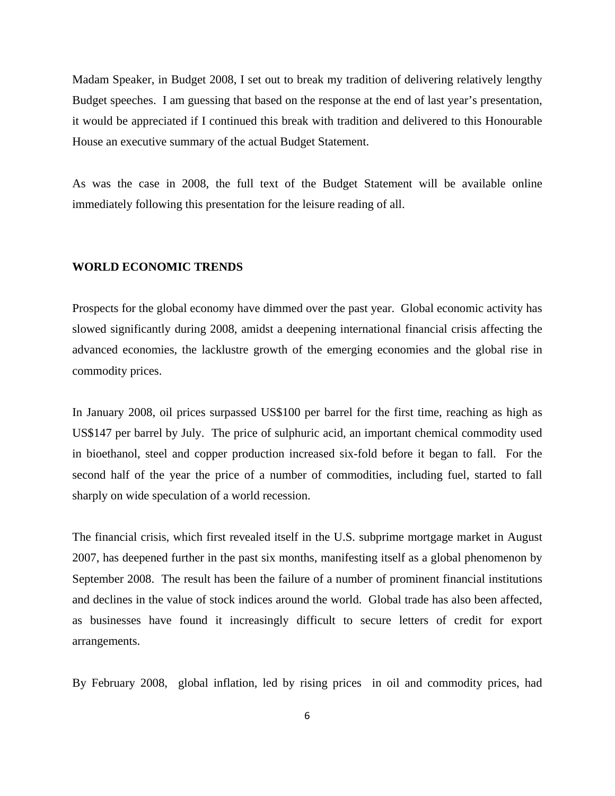Madam Speaker, in Budget 2008, I set out to break my tradition of delivering relatively lengthy Budget speeches. I am guessing that based on the response at the end of last year's presentation, it would be appreciated if I continued this break with tradition and delivered to this Honourable House an executive summary of the actual Budget Statement.

As was the case in 2008, the full text of the Budget Statement will be available online immediately following this presentation for the leisure reading of all.

#### **WORLD ECONOMIC TRENDS**

Prospects for the global economy have dimmed over the past year. Global economic activity has slowed significantly during 2008, amidst a deepening international financial crisis affecting the advanced economies, the lacklustre growth of the emerging economies and the global rise in commodity prices.

In January 2008, oil prices surpassed US\$100 per barrel for the first time, reaching as high as US\$147 per barrel by July. The price of sulphuric acid, an important chemical commodity used in bioethanol, steel and copper production increased six-fold before it began to fall. For the second half of the year the price of a number of commodities, including fuel, started to fall sharply on wide speculation of a world recession.

The financial crisis, which first revealed itself in the U.S. subprime mortgage market in August 2007, has deepened further in the past six months, manifesting itself as a global phenomenon by September 2008. The result has been the failure of a number of prominent financial institutions and declines in the value of stock indices around the world. Global trade has also been affected, as businesses have found it increasingly difficult to secure letters of credit for export arrangements.

By February 2008, global inflation, led by rising prices in oil and commodity prices, had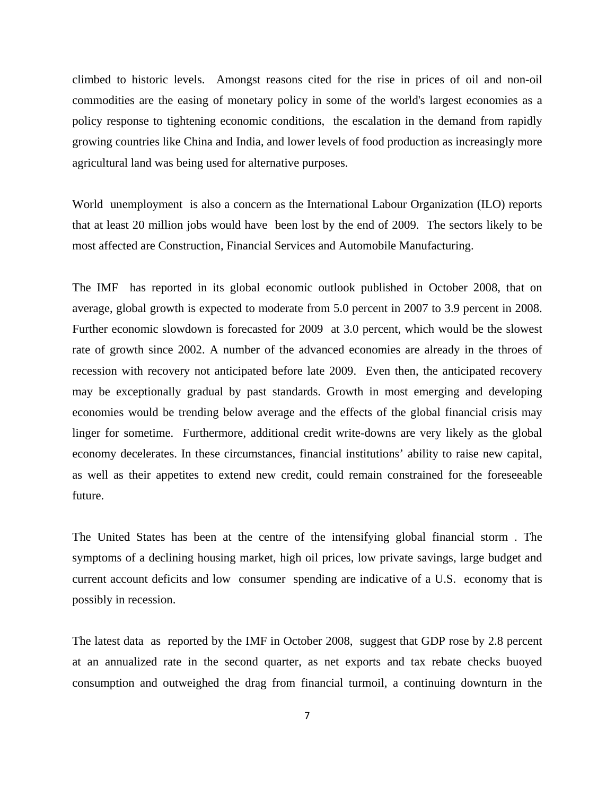climbed to historic levels. Amongst reasons cited for the rise in prices of oil and non-oil commodities are the easing of monetary policy in some of the world's largest economies as a policy response to tightening economic conditions, the escalation in the demand from rapidly growing countries like China and India, and lower levels of food production as increasingly more agricultural land was being used for alternative purposes.

World unemployment is also a concern as the International Labour Organization (ILO) reports that at least 20 million jobs would have been lost by the end of 2009. The sectors likely to be most affected are Construction, Financial Services and Automobile Manufacturing.

The IMF has reported in its global economic outlook published in October 2008, that on average, global growth is expected to moderate from 5.0 percent in 2007 to 3.9 percent in 2008. Further economic slowdown is forecasted for 2009 at 3.0 percent, which would be the slowest rate of growth since 2002. A number of the advanced economies are already in the throes of recession with recovery not anticipated before late 2009. Even then, the anticipated recovery may be exceptionally gradual by past standards. Growth in most emerging and developing economies would be trending below average and the effects of the global financial crisis may linger for sometime. Furthermore, additional credit write-downs are very likely as the global economy decelerates. In these circumstances, financial institutions' ability to raise new capital, as well as their appetites to extend new credit, could remain constrained for the foreseeable future.

The United States has been at the centre of the intensifying global financial storm . The symptoms of a declining housing market, high oil prices, low private savings, large budget and current account deficits and low consumer spending are indicative of a U.S. economy that is possibly in recession.

The latest data as reported by the IMF in October 2008, suggest that GDP rose by 2.8 percent at an annualized rate in the second quarter, as net exports and tax rebate checks buoyed consumption and outweighed the drag from financial turmoil, a continuing downturn in the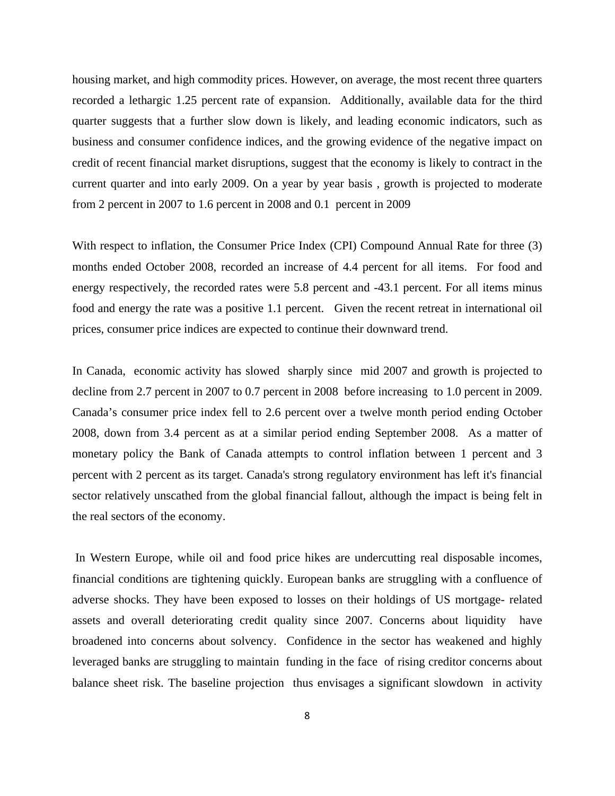housing market, and high commodity prices. However, on average, the most recent three quarters recorded a lethargic 1.25 percent rate of expansion. Additionally, available data for the third quarter suggests that a further slow down is likely, and leading economic indicators, such as business and consumer confidence indices, and the growing evidence of the negative impact on credit of recent financial market disruptions, suggest that the economy is likely to contract in the current quarter and into early 2009. On a year by year basis , growth is projected to moderate from 2 percent in 2007 to 1.6 percent in 2008 and 0.1 percent in 2009

With respect to inflation, the Consumer Price Index (CPI) Compound Annual Rate for three (3) months ended October 2008, recorded an increase of 4.4 percent for all items. For food and energy respectively, the recorded rates were 5.8 percent and -43.1 percent. For all items minus food and energy the rate was a positive 1.1 percent. Given the recent retreat in international oil prices, consumer price indices are expected to continue their downward trend.

In Canada, economic activity has slowed sharply since mid 2007 and growth is projected to decline from 2.7 percent in 2007 to 0.7 percent in 2008 before increasing to 1.0 percent in 2009. Canada's consumer price index fell to 2.6 percent over a twelve month period ending October 2008, down from 3.4 percent as at a similar period ending September 2008. As a matter of monetary policy the Bank of Canada attempts to control inflation between 1 percent and 3 percent with 2 percent as its target. Canada's strong regulatory environment has left it's financial sector relatively unscathed from the global financial fallout, although the impact is being felt in the real sectors of the economy.

 In Western Europe, while oil and food price hikes are undercutting real disposable incomes, financial conditions are tightening quickly. European banks are struggling with a confluence of adverse shocks. They have been exposed to losses on their holdings of US mortgage- related assets and overall deteriorating credit quality since 2007. Concerns about liquidity have broadened into concerns about solvency. Confidence in the sector has weakened and highly leveraged banks are struggling to maintain funding in the face of rising creditor concerns about balance sheet risk. The baseline projection thus envisages a significant slowdown in activity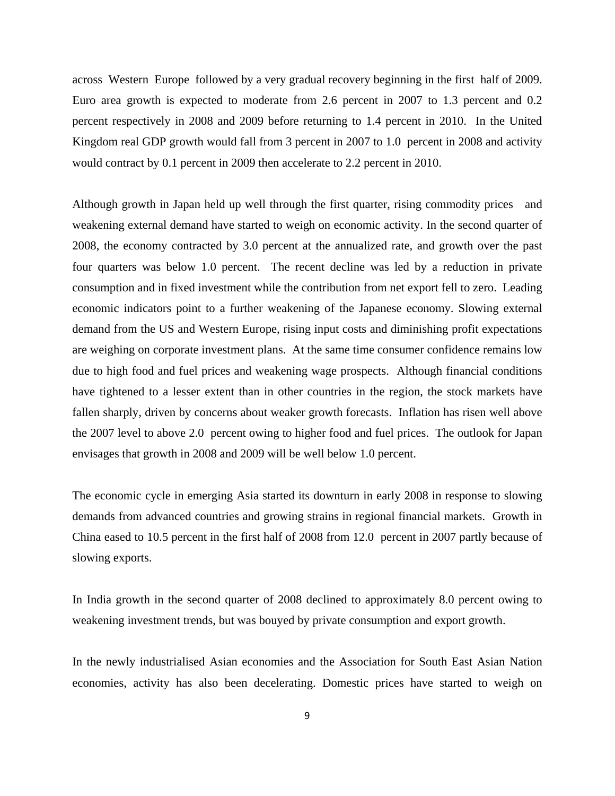across Western Europe followed by a very gradual recovery beginning in the first half of 2009. Euro area growth is expected to moderate from 2.6 percent in 2007 to 1.3 percent and 0.2 percent respectively in 2008 and 2009 before returning to 1.4 percent in 2010. In the United Kingdom real GDP growth would fall from 3 percent in 2007 to 1.0 percent in 2008 and activity would contract by 0.1 percent in 2009 then accelerate to 2.2 percent in 2010.

Although growth in Japan held up well through the first quarter, rising commodity prices and weakening external demand have started to weigh on economic activity. In the second quarter of 2008, the economy contracted by 3.0 percent at the annualized rate, and growth over the past four quarters was below 1.0 percent. The recent decline was led by a reduction in private consumption and in fixed investment while the contribution from net export fell to zero. Leading economic indicators point to a further weakening of the Japanese economy. Slowing external demand from the US and Western Europe, rising input costs and diminishing profit expectations are weighing on corporate investment plans. At the same time consumer confidence remains low due to high food and fuel prices and weakening wage prospects. Although financial conditions have tightened to a lesser extent than in other countries in the region, the stock markets have fallen sharply, driven by concerns about weaker growth forecasts. Inflation has risen well above the 2007 level to above 2.0 percent owing to higher food and fuel prices. The outlook for Japan envisages that growth in 2008 and 2009 will be well below 1.0 percent.

The economic cycle in emerging Asia started its downturn in early 2008 in response to slowing demands from advanced countries and growing strains in regional financial markets. Growth in China eased to 10.5 percent in the first half of 2008 from 12.0 percent in 2007 partly because of slowing exports.

In India growth in the second quarter of 2008 declined to approximately 8.0 percent owing to weakening investment trends, but was bouyed by private consumption and export growth.

In the newly industrialised Asian economies and the Association for South East Asian Nation economies, activity has also been decelerating. Domestic prices have started to weigh on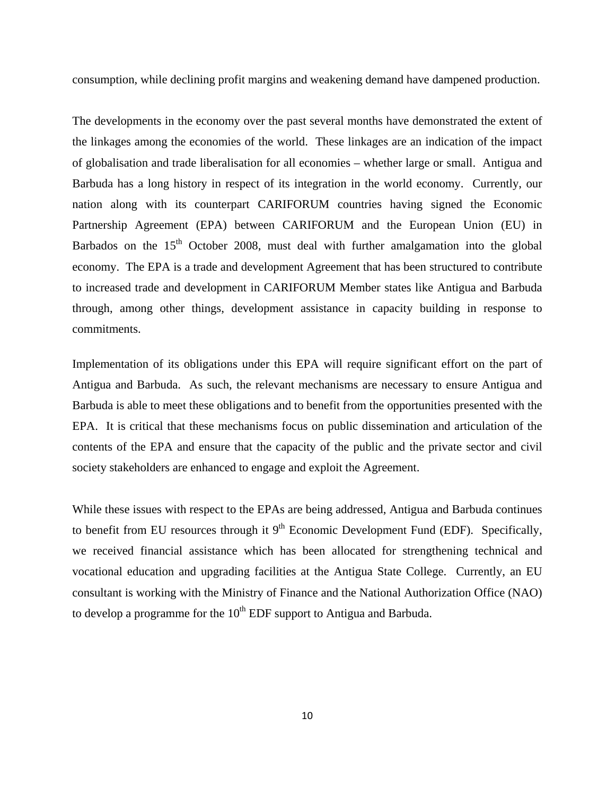consumption, while declining profit margins and weakening demand have dampened production.

The developments in the economy over the past several months have demonstrated the extent of the linkages among the economies of the world. These linkages are an indication of the impact of globalisation and trade liberalisation for all economies – whether large or small. Antigua and Barbuda has a long history in respect of its integration in the world economy. Currently, our nation along with its counterpart CARIFORUM countries having signed the Economic Partnership Agreement (EPA) between CARIFORUM and the European Union (EU) in Barbados on the  $15<sup>th</sup>$  October 2008, must deal with further amalgamation into the global economy. The EPA is a trade and development Agreement that has been structured to contribute to increased trade and development in CARIFORUM Member states like Antigua and Barbuda through, among other things, development assistance in capacity building in response to commitments.

Implementation of its obligations under this EPA will require significant effort on the part of Antigua and Barbuda. As such, the relevant mechanisms are necessary to ensure Antigua and Barbuda is able to meet these obligations and to benefit from the opportunities presented with the EPA. It is critical that these mechanisms focus on public dissemination and articulation of the contents of the EPA and ensure that the capacity of the public and the private sector and civil society stakeholders are enhanced to engage and exploit the Agreement.

While these issues with respect to the EPAs are being addressed, Antigua and Barbuda continues to benefit from EU resources through it  $9<sup>th</sup>$  Economic Development Fund (EDF). Specifically, we received financial assistance which has been allocated for strengthening technical and vocational education and upgrading facilities at the Antigua State College. Currently, an EU consultant is working with the Ministry of Finance and the National Authorization Office (NAO) to develop a programme for the  $10^{th}$  EDF support to Antigua and Barbuda.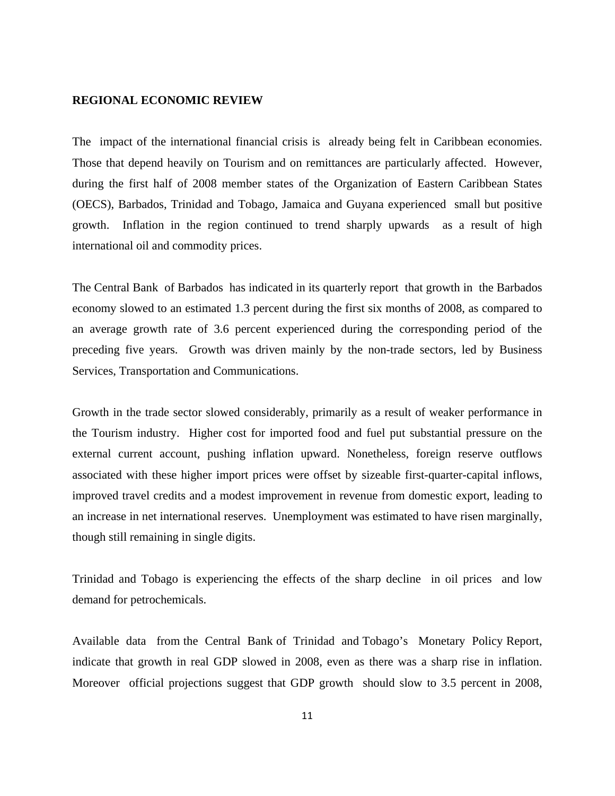### **REGIONAL ECONOMIC REVIEW**

The impact of the international financial crisis is already being felt in Caribbean economies. Those that depend heavily on Tourism and on remittances are particularly affected. However, during the first half of 2008 member states of the Organization of Eastern Caribbean States (OECS), Barbados, Trinidad and Tobago, Jamaica and Guyana experienced small but positive growth. Inflation in the region continued to trend sharply upwards as a result of high international oil and commodity prices.

The Central Bank of Barbados has indicated in its quarterly report that growth in the Barbados economy slowed to an estimated 1.3 percent during the first six months of 2008, as compared to an average growth rate of 3.6 percent experienced during the corresponding period of the preceding five years. Growth was driven mainly by the non-trade sectors, led by Business Services, Transportation and Communications.

Growth in the trade sector slowed considerably, primarily as a result of weaker performance in the Tourism industry. Higher cost for imported food and fuel put substantial pressure on the external current account, pushing inflation upward. Nonetheless, foreign reserve outflows associated with these higher import prices were offset by sizeable first-quarter-capital inflows, improved travel credits and a modest improvement in revenue from domestic export, leading to an increase in net international reserves. Unemployment was estimated to have risen marginally, though still remaining in single digits.

Trinidad and Tobago is experiencing the effects of the sharp decline in oil prices and low demand for petrochemicals.

Available data from the Central Bank of Trinidad and Tobago's Monetary Policy Report, indicate that growth in real GDP slowed in 2008, even as there was a sharp rise in inflation. Moreover official projections suggest that GDP growth should slow to 3.5 percent in 2008,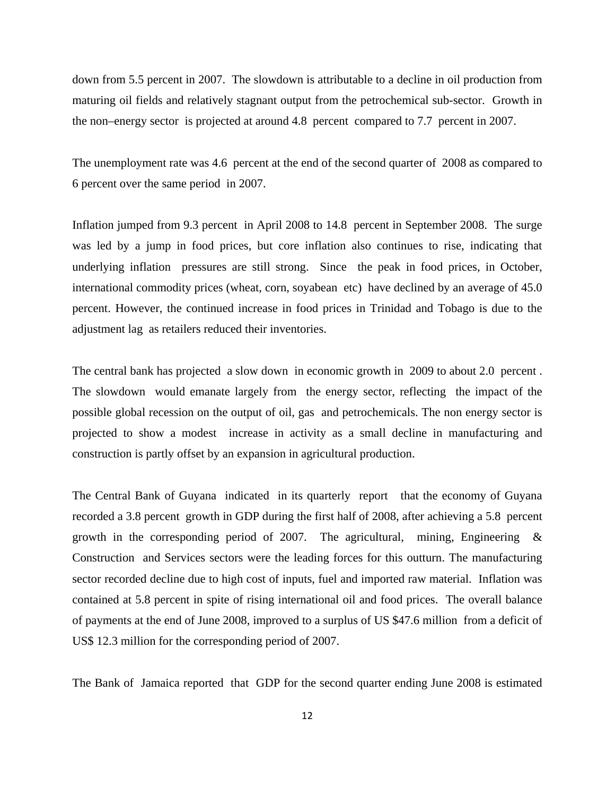down from 5.5 percent in 2007. The slowdown is attributable to a decline in oil production from maturing oil fields and relatively stagnant output from the petrochemical sub-sector. Growth in the non–energy sector is projected at around 4.8 percent compared to 7.7 percent in 2007.

The unemployment rate was 4.6 percent at the end of the second quarter of 2008 as compared to 6 percent over the same period in 2007.

Inflation jumped from 9.3 percent in April 2008 to 14.8 percent in September 2008. The surge was led by a jump in food prices, but core inflation also continues to rise, indicating that underlying inflation pressures are still strong. Since the peak in food prices, in October, international commodity prices (wheat, corn, soyabean etc) have declined by an average of 45.0 percent. However, the continued increase in food prices in Trinidad and Tobago is due to the adjustment lag as retailers reduced their inventories.

The central bank has projected a slow down in economic growth in 2009 to about 2.0 percent . The slowdown would emanate largely from the energy sector, reflecting the impact of the possible global recession on the output of oil, gas and petrochemicals. The non energy sector is projected to show a modest increase in activity as a small decline in manufacturing and construction is partly offset by an expansion in agricultural production.

The Central Bank of Guyana indicated in its quarterly report that the economy of Guyana recorded a 3.8 percent growth in GDP during the first half of 2008, after achieving a 5.8 percent growth in the corresponding period of 2007. The agricultural, mining, Engineering  $\&$ Construction and Services sectors were the leading forces for this outturn. The manufacturing sector recorded decline due to high cost of inputs, fuel and imported raw material. Inflation was contained at 5.8 percent in spite of rising international oil and food prices. The overall balance of payments at the end of June 2008, improved to a surplus of US \$47.6 million from a deficit of US\$ 12.3 million for the corresponding period of 2007.

The Bank of Jamaica reported that GDP for the second quarter ending June 2008 is estimated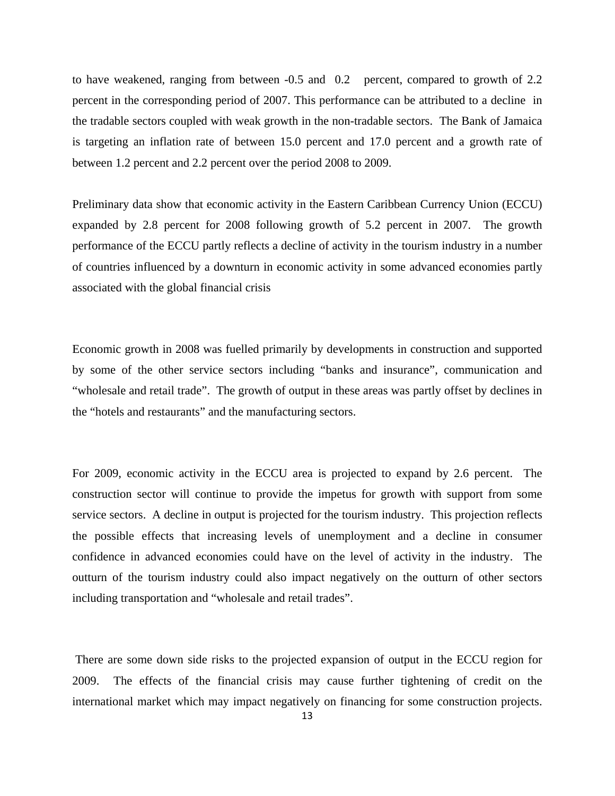to have weakened, ranging from between -0.5 and 0.2 percent, compared to growth of 2.2 percent in the corresponding period of 2007. This performance can be attributed to a decline in the tradable sectors coupled with weak growth in the non-tradable sectors. The Bank of Jamaica is targeting an inflation rate of between 15.0 percent and 17.0 percent and a growth rate of between 1.2 percent and 2.2 percent over the period 2008 to 2009.

Preliminary data show that economic activity in the Eastern Caribbean Currency Union (ECCU) expanded by 2.8 percent for 2008 following growth of 5.2 percent in 2007. The growth performance of the ECCU partly reflects a decline of activity in the tourism industry in a number of countries influenced by a downturn in economic activity in some advanced economies partly associated with the global financial crisis

Economic growth in 2008 was fuelled primarily by developments in construction and supported by some of the other service sectors including "banks and insurance", communication and "wholesale and retail trade". The growth of output in these areas was partly offset by declines in the "hotels and restaurants" and the manufacturing sectors.

For 2009, economic activity in the ECCU area is projected to expand by 2.6 percent. The construction sector will continue to provide the impetus for growth with support from some service sectors. A decline in output is projected for the tourism industry. This projection reflects the possible effects that increasing levels of unemployment and a decline in consumer confidence in advanced economies could have on the level of activity in the industry. The outturn of the tourism industry could also impact negatively on the outturn of other sectors including transportation and "wholesale and retail trades".

 There are some down side risks to the projected expansion of output in the ECCU region for 2009. The effects of the financial crisis may cause further tightening of credit on the international market which may impact negatively on financing for some construction projects.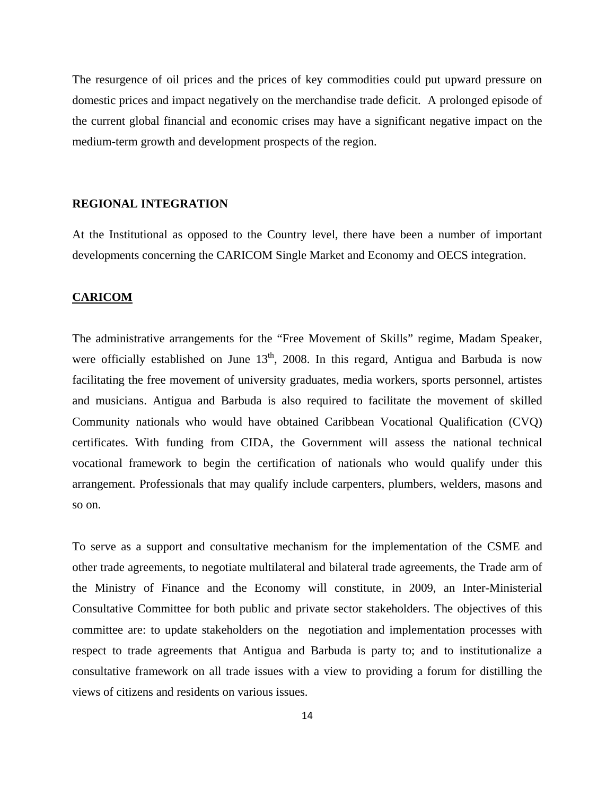The resurgence of oil prices and the prices of key commodities could put upward pressure on domestic prices and impact negatively on the merchandise trade deficit. A prolonged episode of the current global financial and economic crises may have a significant negative impact on the medium-term growth and development prospects of the region.

# **REGIONAL INTEGRATION**

At the Institutional as opposed to the Country level, there have been a number of important developments concerning the CARICOM Single Market and Economy and OECS integration.

#### **CARICOM**

The administrative arrangements for the "Free Movement of Skills" regime, Madam Speaker, were officially established on June  $13<sup>th</sup>$ , 2008. In this regard, Antigua and Barbuda is now facilitating the free movement of university graduates, media workers, sports personnel, artistes and musicians. Antigua and Barbuda is also required to facilitate the movement of skilled Community nationals who would have obtained Caribbean Vocational Qualification (CVQ) certificates. With funding from CIDA, the Government will assess the national technical vocational framework to begin the certification of nationals who would qualify under this arrangement. Professionals that may qualify include carpenters, plumbers, welders, masons and so on.

To serve as a support and consultative mechanism for the implementation of the CSME and other trade agreements, to negotiate multilateral and bilateral trade agreements, the Trade arm of the Ministry of Finance and the Economy will constitute, in 2009, an Inter-Ministerial Consultative Committee for both public and private sector stakeholders. The objectives of this committee are: to update stakeholders on the negotiation and implementation processes with respect to trade agreements that Antigua and Barbuda is party to; and to institutionalize a consultative framework on all trade issues with a view to providing a forum for distilling the views of citizens and residents on various issues.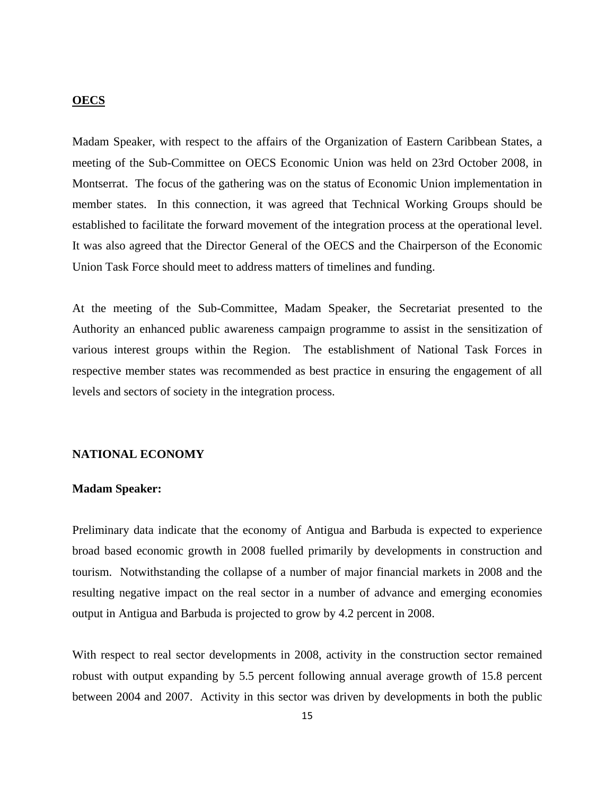#### **OECS**

Madam Speaker, with respect to the affairs of the Organization of Eastern Caribbean States, a meeting of the Sub-Committee on OECS Economic Union was held on 23rd October 2008, in Montserrat. The focus of the gathering was on the status of Economic Union implementation in member states. In this connection, it was agreed that Technical Working Groups should be established to facilitate the forward movement of the integration process at the operational level. It was also agreed that the Director General of the OECS and the Chairperson of the Economic Union Task Force should meet to address matters of timelines and funding.

At the meeting of the Sub-Committee, Madam Speaker, the Secretariat presented to the Authority an enhanced public awareness campaign programme to assist in the sensitization of various interest groups within the Region. The establishment of National Task Forces in respective member states was recommended as best practice in ensuring the engagement of all levels and sectors of society in the integration process.

#### **NATIONAL ECONOMY**

#### **Madam Speaker:**

Preliminary data indicate that the economy of Antigua and Barbuda is expected to experience broad based economic growth in 2008 fuelled primarily by developments in construction and tourism. Notwithstanding the collapse of a number of major financial markets in 2008 and the resulting negative impact on the real sector in a number of advance and emerging economies output in Antigua and Barbuda is projected to grow by 4.2 percent in 2008.

With respect to real sector developments in 2008, activity in the construction sector remained robust with output expanding by 5.5 percent following annual average growth of 15.8 percent between 2004 and 2007. Activity in this sector was driven by developments in both the public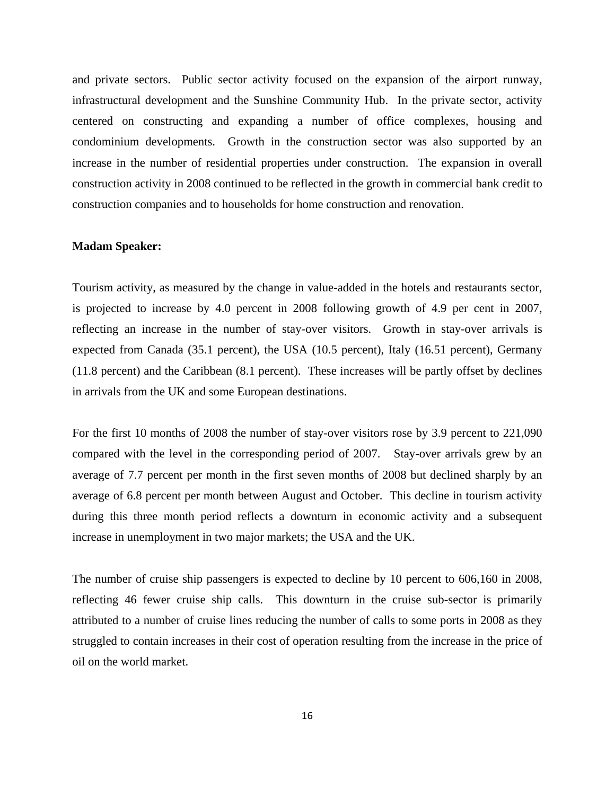and private sectors. Public sector activity focused on the expansion of the airport runway, infrastructural development and the Sunshine Community Hub. In the private sector, activity centered on constructing and expanding a number of office complexes, housing and condominium developments. Growth in the construction sector was also supported by an increase in the number of residential properties under construction. The expansion in overall construction activity in 2008 continued to be reflected in the growth in commercial bank credit to construction companies and to households for home construction and renovation.

# **Madam Speaker:**

Tourism activity, as measured by the change in value-added in the hotels and restaurants sector, is projected to increase by 4.0 percent in 2008 following growth of 4.9 per cent in 2007, reflecting an increase in the number of stay-over visitors. Growth in stay-over arrivals is expected from Canada (35.1 percent), the USA (10.5 percent), Italy (16.51 percent), Germany (11.8 percent) and the Caribbean (8.1 percent). These increases will be partly offset by declines in arrivals from the UK and some European destinations.

For the first 10 months of 2008 the number of stay-over visitors rose by 3.9 percent to 221,090 compared with the level in the corresponding period of 2007. Stay-over arrivals grew by an average of 7.7 percent per month in the first seven months of 2008 but declined sharply by an average of 6.8 percent per month between August and October. This decline in tourism activity during this three month period reflects a downturn in economic activity and a subsequent increase in unemployment in two major markets; the USA and the UK.

The number of cruise ship passengers is expected to decline by 10 percent to 606,160 in 2008, reflecting 46 fewer cruise ship calls. This downturn in the cruise sub-sector is primarily attributed to a number of cruise lines reducing the number of calls to some ports in 2008 as they struggled to contain increases in their cost of operation resulting from the increase in the price of oil on the world market.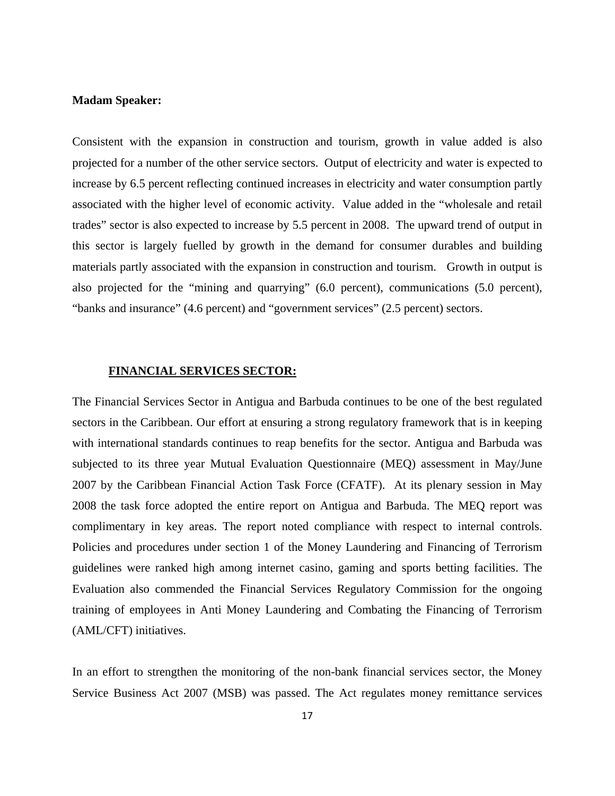### **Madam Speaker:**

Consistent with the expansion in construction and tourism, growth in value added is also projected for a number of the other service sectors. Output of electricity and water is expected to increase by 6.5 percent reflecting continued increases in electricity and water consumption partly associated with the higher level of economic activity. Value added in the "wholesale and retail trades" sector is also expected to increase by 5.5 percent in 2008. The upward trend of output in this sector is largely fuelled by growth in the demand for consumer durables and building materials partly associated with the expansion in construction and tourism. Growth in output is also projected for the "mining and quarrying" (6.0 percent), communications (5.0 percent), "banks and insurance" (4.6 percent) and "government services" (2.5 percent) sectors.

#### **FINANCIAL SERVICES SECTOR:**

The Financial Services Sector in Antigua and Barbuda continues to be one of the best regulated sectors in the Caribbean. Our effort at ensuring a strong regulatory framework that is in keeping with international standards continues to reap benefits for the sector. Antigua and Barbuda was subjected to its three year Mutual Evaluation Questionnaire (MEQ) assessment in May/June 2007 by the Caribbean Financial Action Task Force (CFATF). At its plenary session in May 2008 the task force adopted the entire report on Antigua and Barbuda. The MEQ report was complimentary in key areas. The report noted compliance with respect to internal controls. Policies and procedures under section 1 of the Money Laundering and Financing of Terrorism guidelines were ranked high among internet casino, gaming and sports betting facilities. The Evaluation also commended the Financial Services Regulatory Commission for the ongoing training of employees in Anti Money Laundering and Combating the Financing of Terrorism (AML/CFT) initiatives.

In an effort to strengthen the monitoring of the non-bank financial services sector, the Money Service Business Act 2007 (MSB) was passed. The Act regulates money remittance services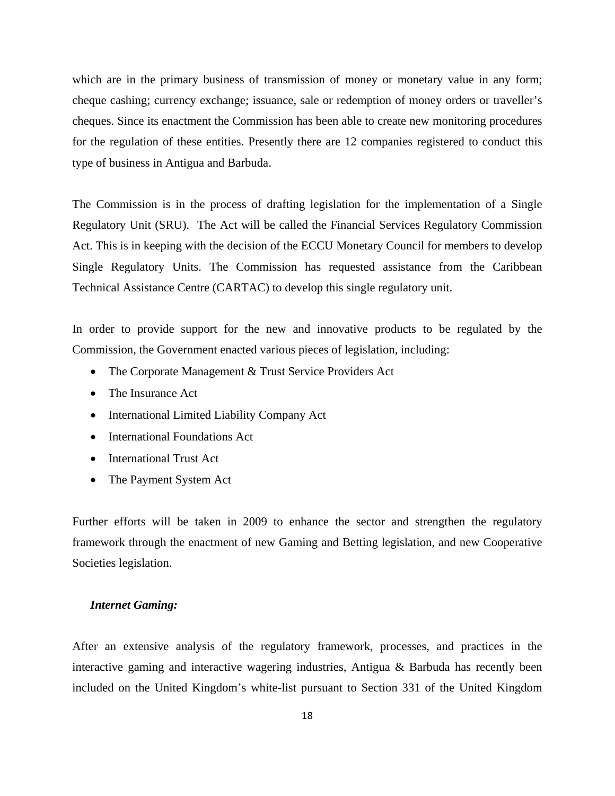which are in the primary business of transmission of money or monetary value in any form; cheque cashing; currency exchange; issuance, sale or redemption of money orders or traveller's cheques. Since its enactment the Commission has been able to create new monitoring procedures for the regulation of these entities. Presently there are 12 companies registered to conduct this type of business in Antigua and Barbuda.

The Commission is in the process of drafting legislation for the implementation of a Single Regulatory Unit (SRU). The Act will be called the Financial Services Regulatory Commission Act. This is in keeping with the decision of the ECCU Monetary Council for members to develop Single Regulatory Units. The Commission has requested assistance from the Caribbean Technical Assistance Centre (CARTAC) to develop this single regulatory unit.

In order to provide support for the new and innovative products to be regulated by the Commission, the Government enacted various pieces of legislation, including:

- The Corporate Management & Trust Service Providers Act
- The Insurance Act
- International Limited Liability Company Act
- International Foundations Act
- International Trust Act
- The Payment System Act

Further efforts will be taken in 2009 to enhance the sector and strengthen the regulatory framework through the enactment of new Gaming and Betting legislation, and new Cooperative Societies legislation.

#### *Internet Gaming:*

After an extensive analysis of the regulatory framework, processes, and practices in the interactive gaming and interactive wagering industries, Antigua & Barbuda has recently been included on the United Kingdom's white-list pursuant to Section 331 of the United Kingdom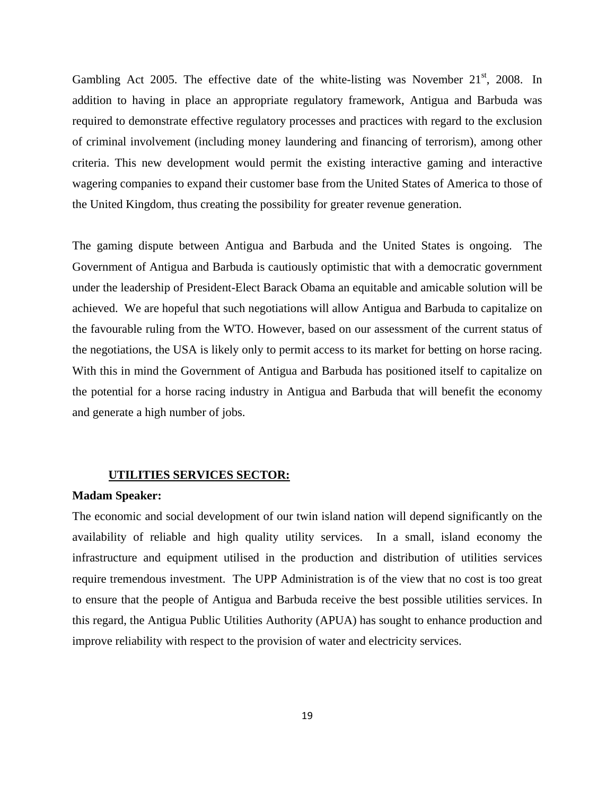Gambling Act 2005. The effective date of the white-listing was November  $21<sup>st</sup>$ , 2008. In addition to having in place an appropriate regulatory framework, Antigua and Barbuda was required to demonstrate effective regulatory processes and practices with regard to the exclusion of criminal involvement (including money laundering and financing of terrorism), among other criteria. This new development would permit the existing interactive gaming and interactive wagering companies to expand their customer base from the United States of America to those of the United Kingdom, thus creating the possibility for greater revenue generation.

The gaming dispute between Antigua and Barbuda and the United States is ongoing. The Government of Antigua and Barbuda is cautiously optimistic that with a democratic government under the leadership of President-Elect Barack Obama an equitable and amicable solution will be achieved. We are hopeful that such negotiations will allow Antigua and Barbuda to capitalize on the favourable ruling from the WTO. However, based on our assessment of the current status of the negotiations, the USA is likely only to permit access to its market for betting on horse racing. With this in mind the Government of Antigua and Barbuda has positioned itself to capitalize on the potential for a horse racing industry in Antigua and Barbuda that will benefit the economy and generate a high number of jobs.

## **UTILITIES SERVICES SECTOR:**

#### **Madam Speaker:**

The economic and social development of our twin island nation will depend significantly on the availability of reliable and high quality utility services. In a small, island economy the infrastructure and equipment utilised in the production and distribution of utilities services require tremendous investment. The UPP Administration is of the view that no cost is too great to ensure that the people of Antigua and Barbuda receive the best possible utilities services. In this regard, the Antigua Public Utilities Authority (APUA) has sought to enhance production and improve reliability with respect to the provision of water and electricity services.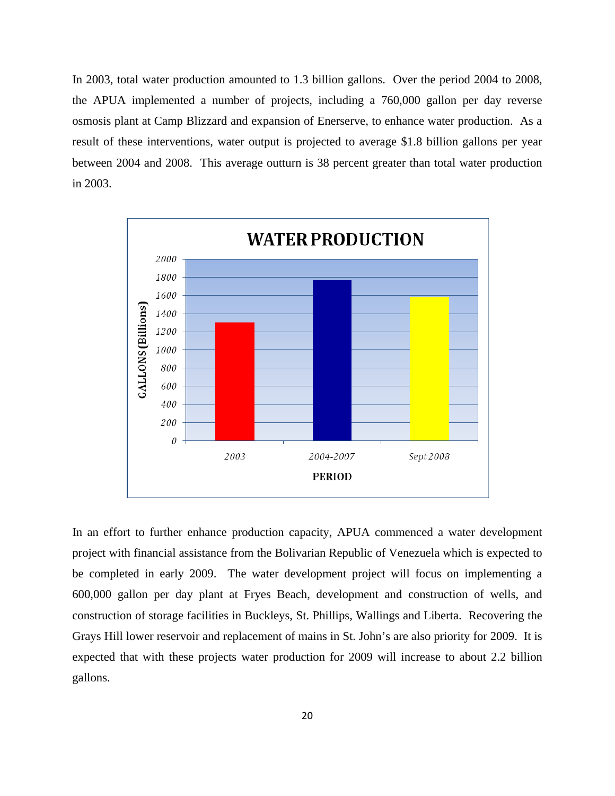In 2003, total water production amounted to 1.3 billion gallons. Over the period 2004 to 2008, the APUA implemented a number of projects, including a 760,000 gallon per day reverse osmosis plant at Camp Blizzard and expansion of Enerserve, to enhance water production. As a result of these interventions, water output is projected to average \$1.8 billion gallons per year between 2004 and 2008. This average outturn is 38 percent greater than total water production in 2003.



In an effort to further enhance production capacity, APUA commenced a water development project with financial assistance from the Bolivarian Republic of Venezuela which is expected to be completed in early 2009. The water development project will focus on implementing a 600,000 gallon per day plant at Fryes Beach, development and construction of wells, and construction of storage facilities in Buckleys, St. Phillips, Wallings and Liberta. Recovering the Grays Hill lower reservoir and replacement of mains in St. John's are also priority for 2009. It is expected that with these projects water production for 2009 will increase to about 2.2 billion gallons.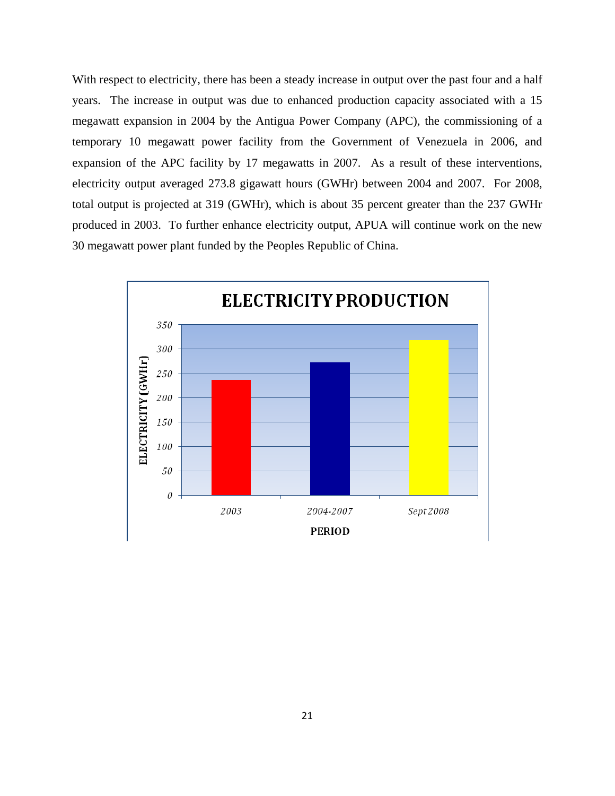With respect to electricity, there has been a steady increase in output over the past four and a half years. The increase in output was due to enhanced production capacity associated with a 15 megawatt expansion in 2004 by the Antigua Power Company (APC), the commissioning of a temporary 10 megawatt power facility from the Government of Venezuela in 2006, and expansion of the APC facility by 17 megawatts in 2007. As a result of these interventions, electricity output averaged 273.8 gigawatt hours (GWHr) between 2004 and 2007. For 2008, total output is projected at 319 (GWHr), which is about 35 percent greater than the 237 GWHr produced in 2003. To further enhance electricity output, APUA will continue work on the new 30 megawatt power plant funded by the Peoples Republic of China.

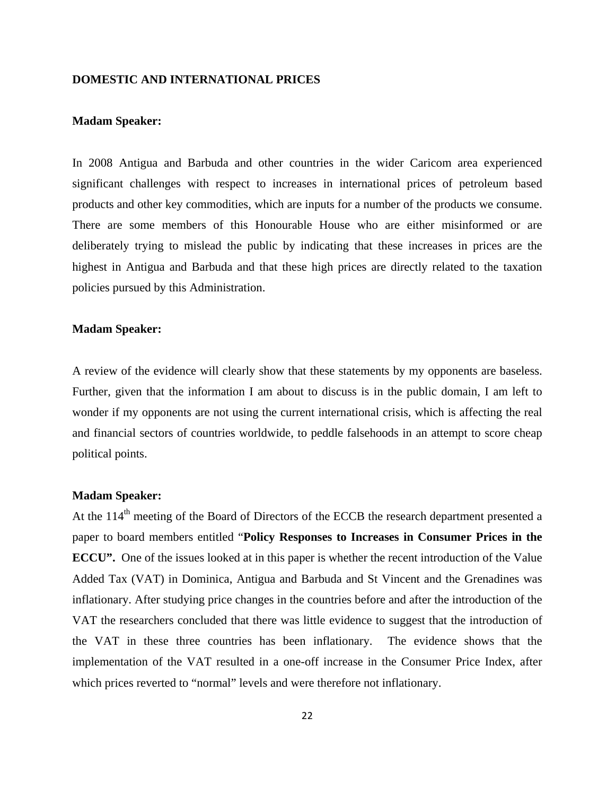# **DOMESTIC AND INTERNATIONAL PRICES**

# **Madam Speaker:**

In 2008 Antigua and Barbuda and other countries in the wider Caricom area experienced significant challenges with respect to increases in international prices of petroleum based products and other key commodities, which are inputs for a number of the products we consume. There are some members of this Honourable House who are either misinformed or are deliberately trying to mislead the public by indicating that these increases in prices are the highest in Antigua and Barbuda and that these high prices are directly related to the taxation policies pursued by this Administration.

#### **Madam Speaker:**

A review of the evidence will clearly show that these statements by my opponents are baseless. Further, given that the information I am about to discuss is in the public domain, I am left to wonder if my opponents are not using the current international crisis, which is affecting the real and financial sectors of countries worldwide, to peddle falsehoods in an attempt to score cheap political points.

#### **Madam Speaker:**

At the 114<sup>th</sup> meeting of the Board of Directors of the ECCB the research department presented a paper to board members entitled "**Policy Responses to Increases in Consumer Prices in the ECCU".** One of the issues looked at in this paper is whether the recent introduction of the Value Added Tax (VAT) in Dominica, Antigua and Barbuda and St Vincent and the Grenadines was inflationary. After studying price changes in the countries before and after the introduction of the VAT the researchers concluded that there was little evidence to suggest that the introduction of the VAT in these three countries has been inflationary. The evidence shows that the implementation of the VAT resulted in a one-off increase in the Consumer Price Index, after which prices reverted to "normal" levels and were therefore not inflationary.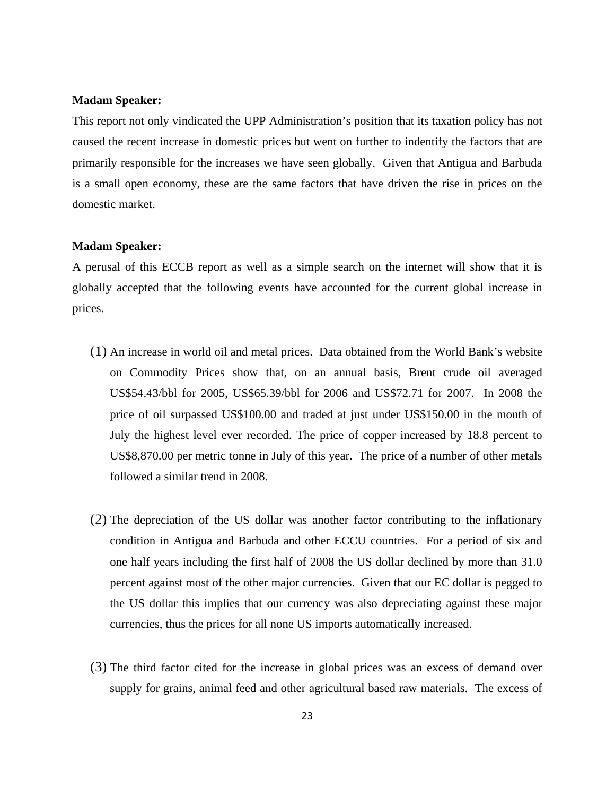#### **Madam Speaker:**

This report not only vindicated the UPP Administration's position that its taxation policy has not caused the recent increase in domestic prices but went on further to indentify the factors that are primarily responsible for the increases we have seen globally. Given that Antigua and Barbuda is a small open economy, these are the same factors that have driven the rise in prices on the domestic market.

### **Madam Speaker:**

A perusal of this ECCB report as well as a simple search on the internet will show that it is globally accepted that the following events have accounted for the current global increase in prices.

- (1) An increase in world oil and metal prices. Data obtained from the World Bank's website on Commodity Prices show that, on an annual basis, Brent crude oil averaged US\$54.43/bbl for 2005, US\$65.39/bbl for 2006 and US\$72.71 for 2007. In 2008 the price of oil surpassed US\$100.00 and traded at just under US\$150.00 in the month of July the highest level ever recorded. The price of copper increased by 18.8 percent to US\$8,870.00 per metric tonne in July of this year. The price of a number of other metals followed a similar trend in 2008.
- (2) The depreciation of the US dollar was another factor contributing to the inflationary condition in Antigua and Barbuda and other ECCU countries. For a period of six and one half years including the first half of 2008 the US dollar declined by more than 31.0 percent against most of the other major currencies. Given that our EC dollar is pegged to the US dollar this implies that our currency was also depreciating against these major currencies, thus the prices for all none US imports automatically increased.
- (3) The third factor cited for the increase in global prices was an excess of demand over supply for grains, animal feed and other agricultural based raw materials. The excess of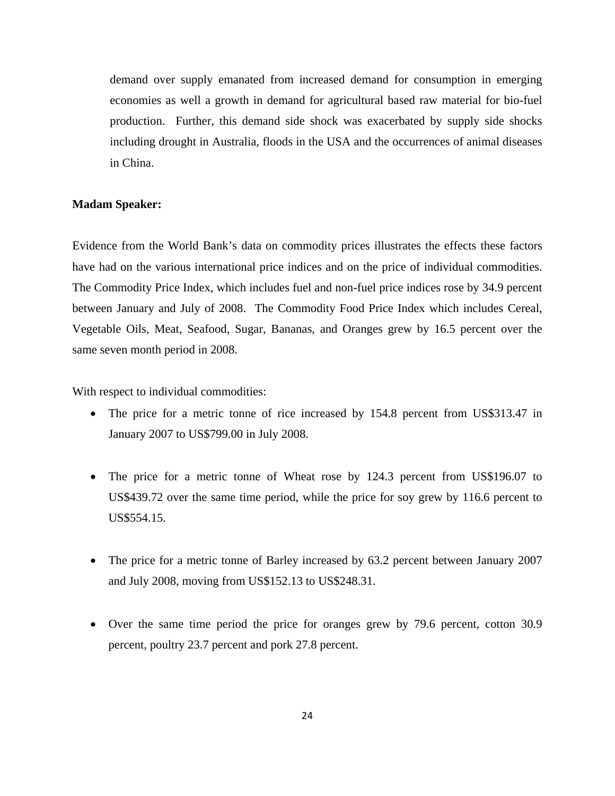demand over supply emanated from increased demand for consumption in emerging economies as well a growth in demand for agricultural based raw material for bio-fuel production. Further, this demand side shock was exacerbated by supply side shocks including drought in Australia, floods in the USA and the occurrences of animal diseases in China.

### **Madam Speaker:**

Evidence from the World Bank's data on commodity prices illustrates the effects these factors have had on the various international price indices and on the price of individual commodities. The Commodity Price Index, which includes fuel and non-fuel price indices rose by 34.9 percent between January and July of 2008. The Commodity Food Price Index which includes Cereal, Vegetable Oils, Meat, Seafood, Sugar, Bananas, and Oranges grew by 16.5 percent over the same seven month period in 2008.

With respect to individual commodities:

- The price for a metric tonne of rice increased by 154.8 percent from US\$313.47 in January 2007 to US\$799.00 in July 2008.
- The price for a metric tonne of Wheat rose by 124.3 percent from US\$196.07 to US\$439.72 over the same time period, while the price for soy grew by 116.6 percent to US\$554.15.
- The price for a metric tonne of Barley increased by 63.2 percent between January 2007 and July 2008, moving from US\$152.13 to US\$248.31.
- Over the same time period the price for oranges grew by 79.6 percent, cotton 30.9 percent, poultry 23.7 percent and pork 27.8 percent.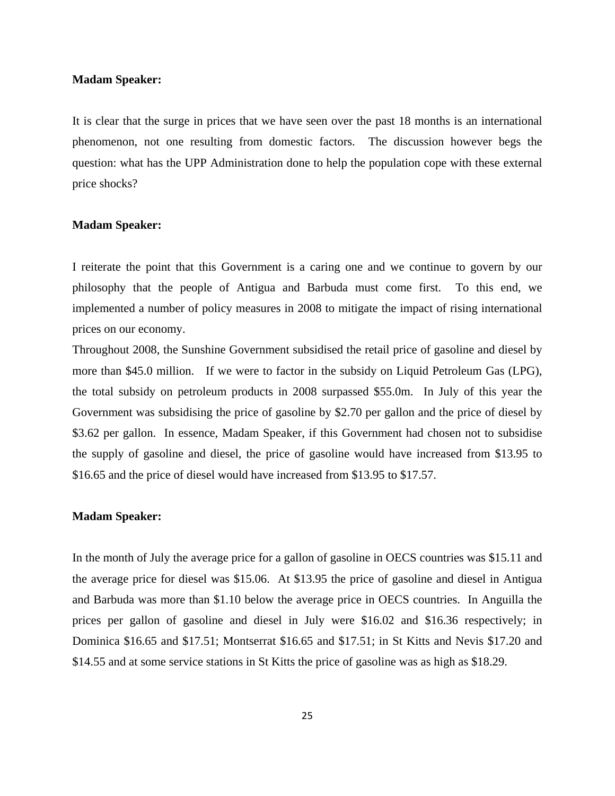#### **Madam Speaker:**

It is clear that the surge in prices that we have seen over the past 18 months is an international phenomenon, not one resulting from domestic factors. The discussion however begs the question: what has the UPP Administration done to help the population cope with these external price shocks?

#### **Madam Speaker:**

I reiterate the point that this Government is a caring one and we continue to govern by our philosophy that the people of Antigua and Barbuda must come first. To this end, we implemented a number of policy measures in 2008 to mitigate the impact of rising international prices on our economy.

Throughout 2008, the Sunshine Government subsidised the retail price of gasoline and diesel by more than \$45.0 million. If we were to factor in the subsidy on Liquid Petroleum Gas (LPG), the total subsidy on petroleum products in 2008 surpassed \$55.0m. In July of this year the Government was subsidising the price of gasoline by \$2.70 per gallon and the price of diesel by \$3.62 per gallon. In essence, Madam Speaker, if this Government had chosen not to subsidise the supply of gasoline and diesel, the price of gasoline would have increased from \$13.95 to \$16.65 and the price of diesel would have increased from \$13.95 to \$17.57.

#### **Madam Speaker:**

In the month of July the average price for a gallon of gasoline in OECS countries was \$15.11 and the average price for diesel was \$15.06. At \$13.95 the price of gasoline and diesel in Antigua and Barbuda was more than \$1.10 below the average price in OECS countries. In Anguilla the prices per gallon of gasoline and diesel in July were \$16.02 and \$16.36 respectively; in Dominica \$16.65 and \$17.51; Montserrat \$16.65 and \$17.51; in St Kitts and Nevis \$17.20 and \$14.55 and at some service stations in St Kitts the price of gasoline was as high as \$18.29.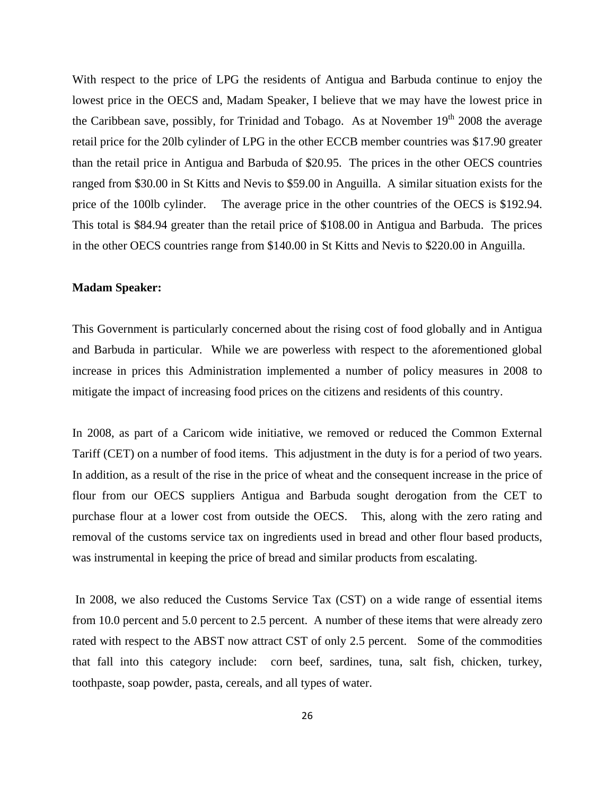With respect to the price of LPG the residents of Antigua and Barbuda continue to enjoy the lowest price in the OECS and, Madam Speaker, I believe that we may have the lowest price in the Caribbean save, possibly, for Trinidad and Tobago. As at November  $19<sup>th</sup>$  2008 the average retail price for the 20lb cylinder of LPG in the other ECCB member countries was \$17.90 greater than the retail price in Antigua and Barbuda of \$20.95. The prices in the other OECS countries ranged from \$30.00 in St Kitts and Nevis to \$59.00 in Anguilla. A similar situation exists for the price of the 100lb cylinder. The average price in the other countries of the OECS is \$192.94. This total is \$84.94 greater than the retail price of \$108.00 in Antigua and Barbuda. The prices in the other OECS countries range from \$140.00 in St Kitts and Nevis to \$220.00 in Anguilla.

### **Madam Speaker:**

This Government is particularly concerned about the rising cost of food globally and in Antigua and Barbuda in particular. While we are powerless with respect to the aforementioned global increase in prices this Administration implemented a number of policy measures in 2008 to mitigate the impact of increasing food prices on the citizens and residents of this country.

In 2008, as part of a Caricom wide initiative, we removed or reduced the Common External Tariff (CET) on a number of food items. This adjustment in the duty is for a period of two years. In addition, as a result of the rise in the price of wheat and the consequent increase in the price of flour from our OECS suppliers Antigua and Barbuda sought derogation from the CET to purchase flour at a lower cost from outside the OECS. This, along with the zero rating and removal of the customs service tax on ingredients used in bread and other flour based products, was instrumental in keeping the price of bread and similar products from escalating.

 In 2008, we also reduced the Customs Service Tax (CST) on a wide range of essential items from 10.0 percent and 5.0 percent to 2.5 percent. A number of these items that were already zero rated with respect to the ABST now attract CST of only 2.5 percent. Some of the commodities that fall into this category include: corn beef, sardines, tuna, salt fish, chicken, turkey, toothpaste, soap powder, pasta, cereals, and all types of water.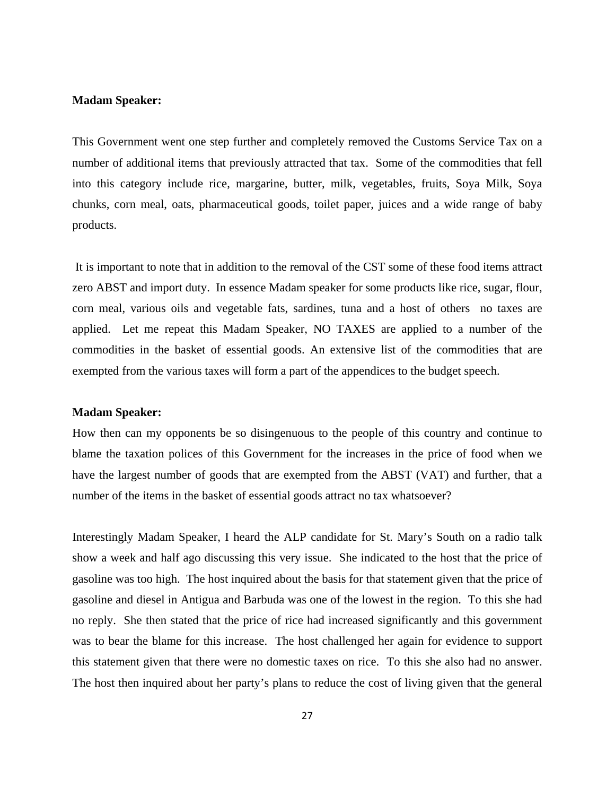#### **Madam Speaker:**

This Government went one step further and completely removed the Customs Service Tax on a number of additional items that previously attracted that tax. Some of the commodities that fell into this category include rice, margarine, butter, milk, vegetables, fruits, Soya Milk, Soya chunks, corn meal, oats, pharmaceutical goods, toilet paper, juices and a wide range of baby products.

 It is important to note that in addition to the removal of the CST some of these food items attract zero ABST and import duty. In essence Madam speaker for some products like rice, sugar, flour, corn meal, various oils and vegetable fats, sardines, tuna and a host of others no taxes are applied. Let me repeat this Madam Speaker, NO TAXES are applied to a number of the commodities in the basket of essential goods. An extensive list of the commodities that are exempted from the various taxes will form a part of the appendices to the budget speech.

#### **Madam Speaker:**

How then can my opponents be so disingenuous to the people of this country and continue to blame the taxation polices of this Government for the increases in the price of food when we have the largest number of goods that are exempted from the ABST (VAT) and further, that a number of the items in the basket of essential goods attract no tax whatsoever?

Interestingly Madam Speaker, I heard the ALP candidate for St. Mary's South on a radio talk show a week and half ago discussing this very issue. She indicated to the host that the price of gasoline was too high. The host inquired about the basis for that statement given that the price of gasoline and diesel in Antigua and Barbuda was one of the lowest in the region. To this she had no reply. She then stated that the price of rice had increased significantly and this government was to bear the blame for this increase. The host challenged her again for evidence to support this statement given that there were no domestic taxes on rice. To this she also had no answer. The host then inquired about her party's plans to reduce the cost of living given that the general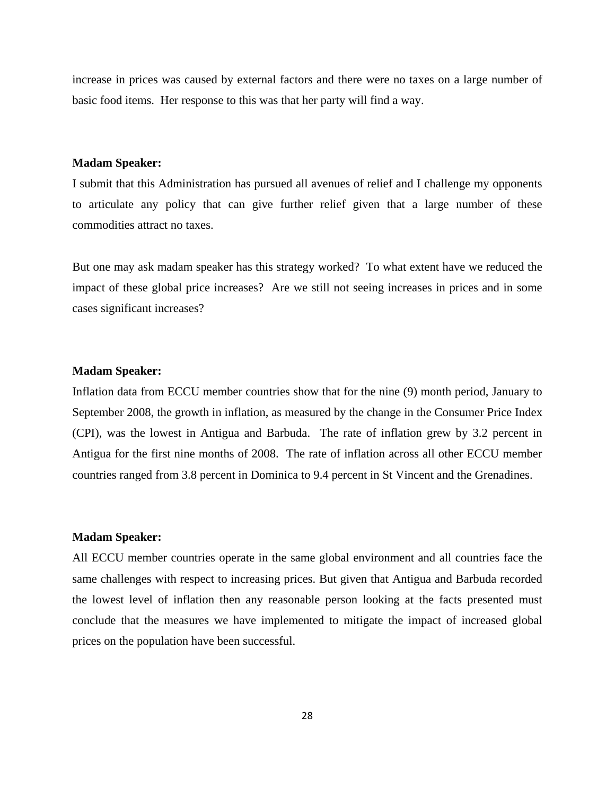increase in prices was caused by external factors and there were no taxes on a large number of basic food items. Her response to this was that her party will find a way.

### **Madam Speaker:**

I submit that this Administration has pursued all avenues of relief and I challenge my opponents to articulate any policy that can give further relief given that a large number of these commodities attract no taxes.

But one may ask madam speaker has this strategy worked? To what extent have we reduced the impact of these global price increases? Are we still not seeing increases in prices and in some cases significant increases?

### **Madam Speaker:**

Inflation data from ECCU member countries show that for the nine (9) month period, January to September 2008, the growth in inflation, as measured by the change in the Consumer Price Index (CPI), was the lowest in Antigua and Barbuda. The rate of inflation grew by 3.2 percent in Antigua for the first nine months of 2008. The rate of inflation across all other ECCU member countries ranged from 3.8 percent in Dominica to 9.4 percent in St Vincent and the Grenadines.

## **Madam Speaker:**

All ECCU member countries operate in the same global environment and all countries face the same challenges with respect to increasing prices. But given that Antigua and Barbuda recorded the lowest level of inflation then any reasonable person looking at the facts presented must conclude that the measures we have implemented to mitigate the impact of increased global prices on the population have been successful.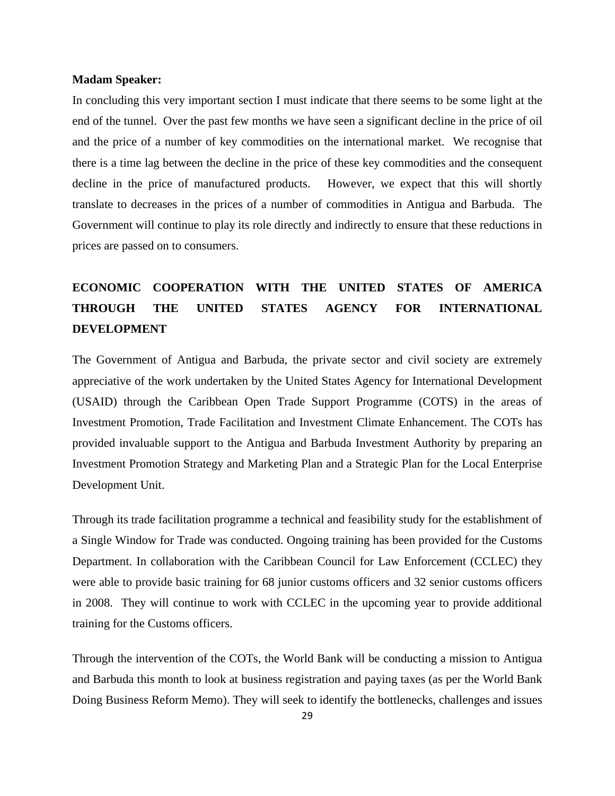#### **Madam Speaker:**

In concluding this very important section I must indicate that there seems to be some light at the end of the tunnel. Over the past few months we have seen a significant decline in the price of oil and the price of a number of key commodities on the international market. We recognise that there is a time lag between the decline in the price of these key commodities and the consequent decline in the price of manufactured products. However, we expect that this will shortly translate to decreases in the prices of a number of commodities in Antigua and Barbuda. The Government will continue to play its role directly and indirectly to ensure that these reductions in prices are passed on to consumers.

# **ECONOMIC COOPERATION WITH THE UNITED STATES OF AMERICA THROUGH THE UNITED STATES AGENCY FOR INTERNATIONAL DEVELOPMENT**

The Government of Antigua and Barbuda, the private sector and civil society are extremely appreciative of the work undertaken by the United States Agency for International Development (USAID) through the Caribbean Open Trade Support Programme (COTS) in the areas of Investment Promotion, Trade Facilitation and Investment Climate Enhancement. The COTs has provided invaluable support to the Antigua and Barbuda Investment Authority by preparing an Investment Promotion Strategy and Marketing Plan and a Strategic Plan for the Local Enterprise Development Unit.

Through its trade facilitation programme a technical and feasibility study for the establishment of a Single Window for Trade was conducted. Ongoing training has been provided for the Customs Department. In collaboration with the Caribbean Council for Law Enforcement (CCLEC) they were able to provide basic training for 68 junior customs officers and 32 senior customs officers in 2008. They will continue to work with CCLEC in the upcoming year to provide additional training for the Customs officers.

Through the intervention of the COTs, the World Bank will be conducting a mission to Antigua and Barbuda this month to look at business registration and paying taxes (as per the World Bank Doing Business Reform Memo). They will seek to identify the bottlenecks, challenges and issues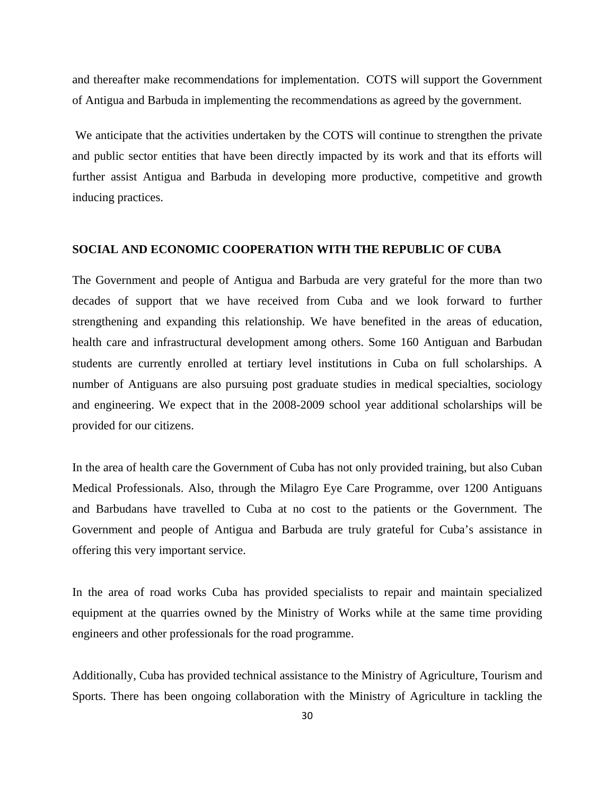and thereafter make recommendations for implementation. COTS will support the Government of Antigua and Barbuda in implementing the recommendations as agreed by the government.

 We anticipate that the activities undertaken by the COTS will continue to strengthen the private and public sector entities that have been directly impacted by its work and that its efforts will further assist Antigua and Barbuda in developing more productive, competitive and growth inducing practices.

#### **SOCIAL AND ECONOMIC COOPERATION WITH THE REPUBLIC OF CUBA**

The Government and people of Antigua and Barbuda are very grateful for the more than two decades of support that we have received from Cuba and we look forward to further strengthening and expanding this relationship. We have benefited in the areas of education, health care and infrastructural development among others. Some 160 Antiguan and Barbudan students are currently enrolled at tertiary level institutions in Cuba on full scholarships. A number of Antiguans are also pursuing post graduate studies in medical specialties, sociology and engineering. We expect that in the 2008-2009 school year additional scholarships will be provided for our citizens.

In the area of health care the Government of Cuba has not only provided training, but also Cuban Medical Professionals. Also, through the Milagro Eye Care Programme, over 1200 Antiguans and Barbudans have travelled to Cuba at no cost to the patients or the Government. The Government and people of Antigua and Barbuda are truly grateful for Cuba's assistance in offering this very important service.

In the area of road works Cuba has provided specialists to repair and maintain specialized equipment at the quarries owned by the Ministry of Works while at the same time providing engineers and other professionals for the road programme.

Additionally, Cuba has provided technical assistance to the Ministry of Agriculture, Tourism and Sports. There has been ongoing collaboration with the Ministry of Agriculture in tackling the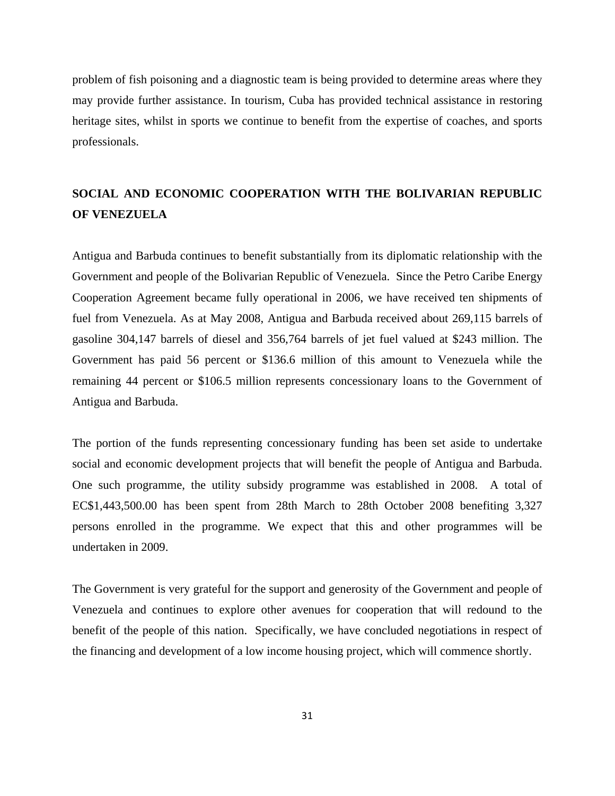problem of fish poisoning and a diagnostic team is being provided to determine areas where they may provide further assistance. In tourism, Cuba has provided technical assistance in restoring heritage sites, whilst in sports we continue to benefit from the expertise of coaches, and sports professionals.

# **SOCIAL AND ECONOMIC COOPERATION WITH THE BOLIVARIAN REPUBLIC OF VENEZUELA**

Antigua and Barbuda continues to benefit substantially from its diplomatic relationship with the Government and people of the Bolivarian Republic of Venezuela. Since the Petro Caribe Energy Cooperation Agreement became fully operational in 2006, we have received ten shipments of fuel from Venezuela. As at May 2008, Antigua and Barbuda received about 269,115 barrels of gasoline 304,147 barrels of diesel and 356,764 barrels of jet fuel valued at \$243 million. The Government has paid 56 percent or \$136.6 million of this amount to Venezuela while the remaining 44 percent or \$106.5 million represents concessionary loans to the Government of Antigua and Barbuda.

The portion of the funds representing concessionary funding has been set aside to undertake social and economic development projects that will benefit the people of Antigua and Barbuda. One such programme, the utility subsidy programme was established in 2008. A total of EC\$1,443,500.00 has been spent from 28th March to 28th October 2008 benefiting 3,327 persons enrolled in the programme. We expect that this and other programmes will be undertaken in 2009.

The Government is very grateful for the support and generosity of the Government and people of Venezuela and continues to explore other avenues for cooperation that will redound to the benefit of the people of this nation. Specifically, we have concluded negotiations in respect of the financing and development of a low income housing project, which will commence shortly.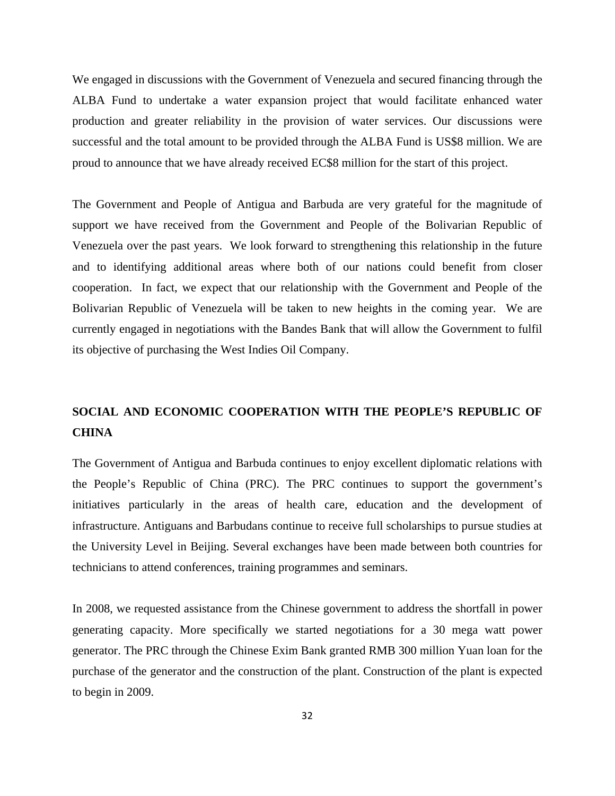We engaged in discussions with the Government of Venezuela and secured financing through the ALBA Fund to undertake a water expansion project that would facilitate enhanced water production and greater reliability in the provision of water services. Our discussions were successful and the total amount to be provided through the ALBA Fund is US\$8 million. We are proud to announce that we have already received EC\$8 million for the start of this project.

The Government and People of Antigua and Barbuda are very grateful for the magnitude of support we have received from the Government and People of the Bolivarian Republic of Venezuela over the past years. We look forward to strengthening this relationship in the future and to identifying additional areas where both of our nations could benefit from closer cooperation. In fact, we expect that our relationship with the Government and People of the Bolivarian Republic of Venezuela will be taken to new heights in the coming year. We are currently engaged in negotiations with the Bandes Bank that will allow the Government to fulfil its objective of purchasing the West Indies Oil Company.

# **SOCIAL AND ECONOMIC COOPERATION WITH THE PEOPLE'S REPUBLIC OF CHINA**

The Government of Antigua and Barbuda continues to enjoy excellent diplomatic relations with the People's Republic of China (PRC). The PRC continues to support the government's initiatives particularly in the areas of health care, education and the development of infrastructure. Antiguans and Barbudans continue to receive full scholarships to pursue studies at the University Level in Beijing. Several exchanges have been made between both countries for technicians to attend conferences, training programmes and seminars.

In 2008, we requested assistance from the Chinese government to address the shortfall in power generating capacity. More specifically we started negotiations for a 30 mega watt power generator. The PRC through the Chinese Exim Bank granted RMB 300 million Yuan loan for the purchase of the generator and the construction of the plant. Construction of the plant is expected to begin in 2009.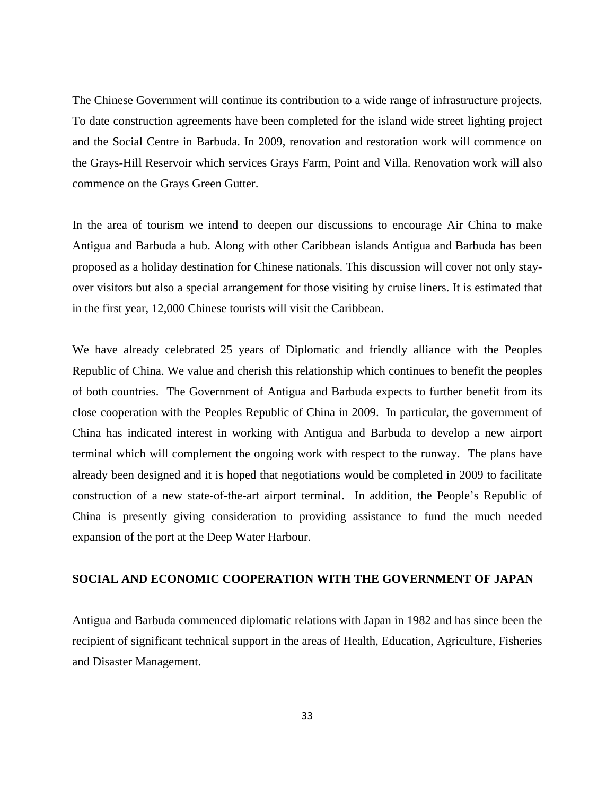The Chinese Government will continue its contribution to a wide range of infrastructure projects. To date construction agreements have been completed for the island wide street lighting project and the Social Centre in Barbuda. In 2009, renovation and restoration work will commence on the Grays-Hill Reservoir which services Grays Farm, Point and Villa. Renovation work will also commence on the Grays Green Gutter.

In the area of tourism we intend to deepen our discussions to encourage Air China to make Antigua and Barbuda a hub. Along with other Caribbean islands Antigua and Barbuda has been proposed as a holiday destination for Chinese nationals. This discussion will cover not only stayover visitors but also a special arrangement for those visiting by cruise liners. It is estimated that in the first year, 12,000 Chinese tourists will visit the Caribbean.

We have already celebrated 25 years of Diplomatic and friendly alliance with the Peoples Republic of China. We value and cherish this relationship which continues to benefit the peoples of both countries. The Government of Antigua and Barbuda expects to further benefit from its close cooperation with the Peoples Republic of China in 2009. In particular, the government of China has indicated interest in working with Antigua and Barbuda to develop a new airport terminal which will complement the ongoing work with respect to the runway. The plans have already been designed and it is hoped that negotiations would be completed in 2009 to facilitate construction of a new state-of-the-art airport terminal. In addition, the People's Republic of China is presently giving consideration to providing assistance to fund the much needed expansion of the port at the Deep Water Harbour.

# **SOCIAL AND ECONOMIC COOPERATION WITH THE GOVERNMENT OF JAPAN**

Antigua and Barbuda commenced diplomatic relations with Japan in 1982 and has since been the recipient of significant technical support in the areas of Health, Education, Agriculture, Fisheries and Disaster Management.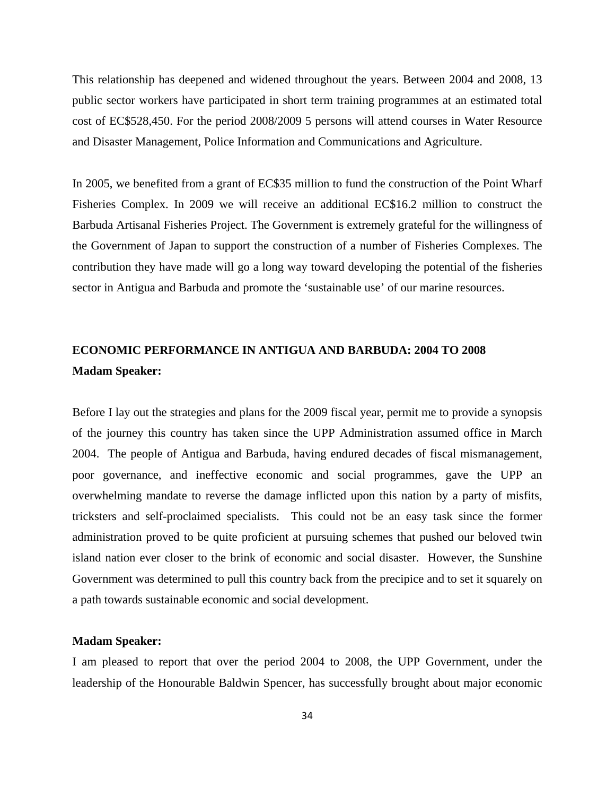This relationship has deepened and widened throughout the years. Between 2004 and 2008, 13 public sector workers have participated in short term training programmes at an estimated total cost of EC\$528,450. For the period 2008/2009 5 persons will attend courses in Water Resource and Disaster Management, Police Information and Communications and Agriculture.

In 2005, we benefited from a grant of EC\$35 million to fund the construction of the Point Wharf Fisheries Complex. In 2009 we will receive an additional EC\$16.2 million to construct the Barbuda Artisanal Fisheries Project. The Government is extremely grateful for the willingness of the Government of Japan to support the construction of a number of Fisheries Complexes. The contribution they have made will go a long way toward developing the potential of the fisheries sector in Antigua and Barbuda and promote the 'sustainable use' of our marine resources.

# **ECONOMIC PERFORMANCE IN ANTIGUA AND BARBUDA: 2004 TO 2008 Madam Speaker:**

Before I lay out the strategies and plans for the 2009 fiscal year, permit me to provide a synopsis of the journey this country has taken since the UPP Administration assumed office in March 2004. The people of Antigua and Barbuda, having endured decades of fiscal mismanagement, poor governance, and ineffective economic and social programmes, gave the UPP an overwhelming mandate to reverse the damage inflicted upon this nation by a party of misfits, tricksters and self-proclaimed specialists. This could not be an easy task since the former administration proved to be quite proficient at pursuing schemes that pushed our beloved twin island nation ever closer to the brink of economic and social disaster. However, the Sunshine Government was determined to pull this country back from the precipice and to set it squarely on a path towards sustainable economic and social development.

#### **Madam Speaker:**

I am pleased to report that over the period 2004 to 2008, the UPP Government, under the leadership of the Honourable Baldwin Spencer, has successfully brought about major economic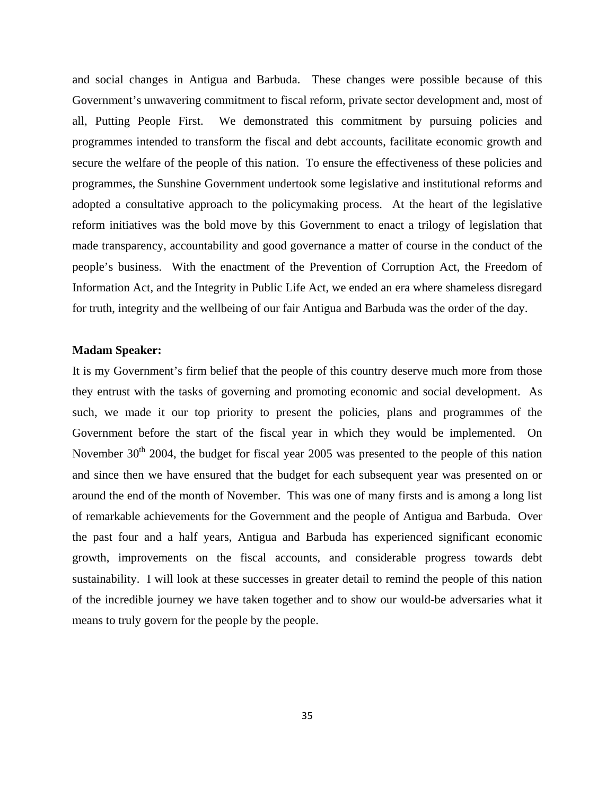and social changes in Antigua and Barbuda. These changes were possible because of this Government's unwavering commitment to fiscal reform, private sector development and, most of all, Putting People First. We demonstrated this commitment by pursuing policies and programmes intended to transform the fiscal and debt accounts, facilitate economic growth and secure the welfare of the people of this nation. To ensure the effectiveness of these policies and programmes, the Sunshine Government undertook some legislative and institutional reforms and adopted a consultative approach to the policymaking process. At the heart of the legislative reform initiatives was the bold move by this Government to enact a trilogy of legislation that made transparency, accountability and good governance a matter of course in the conduct of the people's business. With the enactment of the Prevention of Corruption Act, the Freedom of Information Act, and the Integrity in Public Life Act, we ended an era where shameless disregard for truth, integrity and the wellbeing of our fair Antigua and Barbuda was the order of the day.

# **Madam Speaker:**

It is my Government's firm belief that the people of this country deserve much more from those they entrust with the tasks of governing and promoting economic and social development. As such, we made it our top priority to present the policies, plans and programmes of the Government before the start of the fiscal year in which they would be implemented. On November  $30<sup>th</sup>$  2004, the budget for fiscal year 2005 was presented to the people of this nation and since then we have ensured that the budget for each subsequent year was presented on or around the end of the month of November. This was one of many firsts and is among a long list of remarkable achievements for the Government and the people of Antigua and Barbuda. Over the past four and a half years, Antigua and Barbuda has experienced significant economic growth, improvements on the fiscal accounts, and considerable progress towards debt sustainability. I will look at these successes in greater detail to remind the people of this nation of the incredible journey we have taken together and to show our would-be adversaries what it means to truly govern for the people by the people.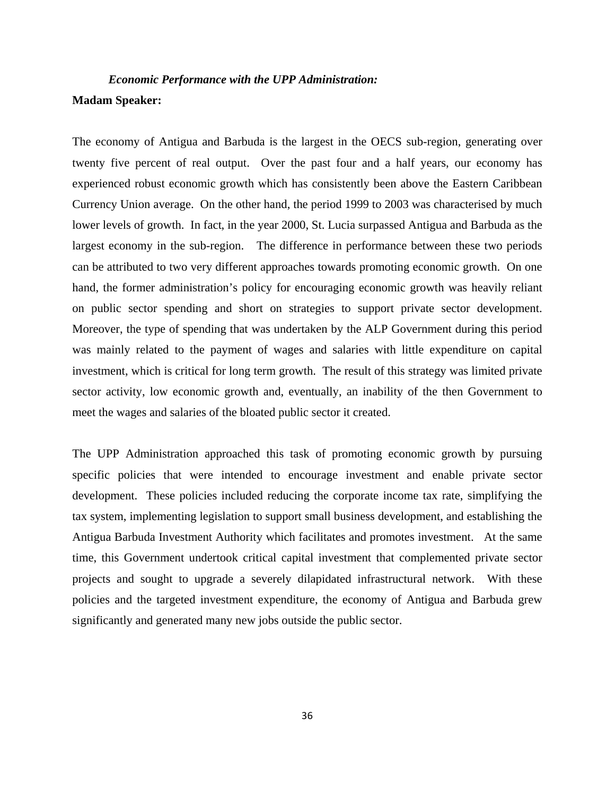# *Economic Performance with the UPP Administration:*  **Madam Speaker:**

The economy of Antigua and Barbuda is the largest in the OECS sub-region, generating over twenty five percent of real output. Over the past four and a half years, our economy has experienced robust economic growth which has consistently been above the Eastern Caribbean Currency Union average. On the other hand, the period 1999 to 2003 was characterised by much lower levels of growth. In fact, in the year 2000, St. Lucia surpassed Antigua and Barbuda as the largest economy in the sub-region. The difference in performance between these two periods can be attributed to two very different approaches towards promoting economic growth. On one hand, the former administration's policy for encouraging economic growth was heavily reliant on public sector spending and short on strategies to support private sector development. Moreover, the type of spending that was undertaken by the ALP Government during this period was mainly related to the payment of wages and salaries with little expenditure on capital investment, which is critical for long term growth. The result of this strategy was limited private sector activity, low economic growth and, eventually, an inability of the then Government to meet the wages and salaries of the bloated public sector it created.

The UPP Administration approached this task of promoting economic growth by pursuing specific policies that were intended to encourage investment and enable private sector development. These policies included reducing the corporate income tax rate, simplifying the tax system, implementing legislation to support small business development, and establishing the Antigua Barbuda Investment Authority which facilitates and promotes investment. At the same time, this Government undertook critical capital investment that complemented private sector projects and sought to upgrade a severely dilapidated infrastructural network. With these policies and the targeted investment expenditure, the economy of Antigua and Barbuda grew significantly and generated many new jobs outside the public sector.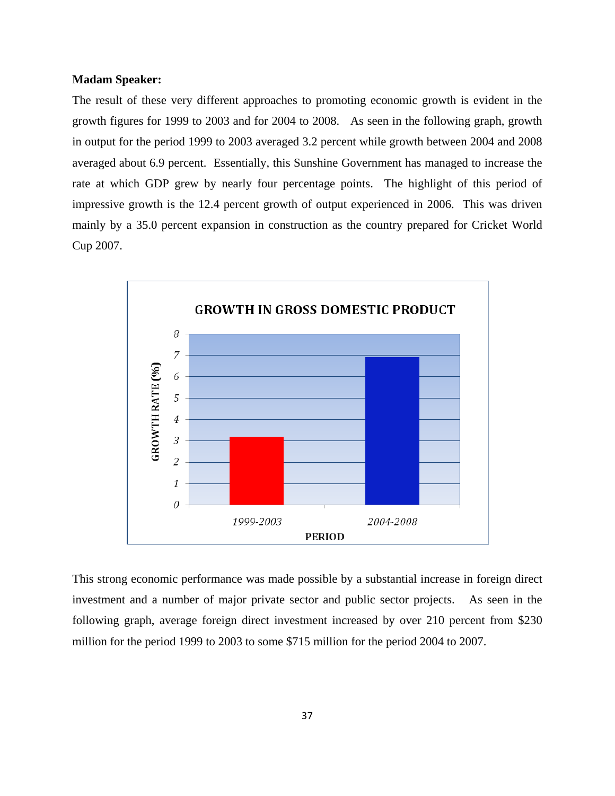# **Madam Speaker:**

The result of these very different approaches to promoting economic growth is evident in the growth figures for 1999 to 2003 and for 2004 to 2008. As seen in the following graph, growth in output for the period 1999 to 2003 averaged 3.2 percent while growth between 2004 and 2008 averaged about 6.9 percent. Essentially, this Sunshine Government has managed to increase the rate at which GDP grew by nearly four percentage points. The highlight of this period of impressive growth is the 12.4 percent growth of output experienced in 2006. This was driven mainly by a 35.0 percent expansion in construction as the country prepared for Cricket World Cup 2007.



This strong economic performance was made possible by a substantial increase in foreign direct investment and a number of major private sector and public sector projects. As seen in the following graph, average foreign direct investment increased by over 210 percent from \$230 million for the period 1999 to 2003 to some \$715 million for the period 2004 to 2007.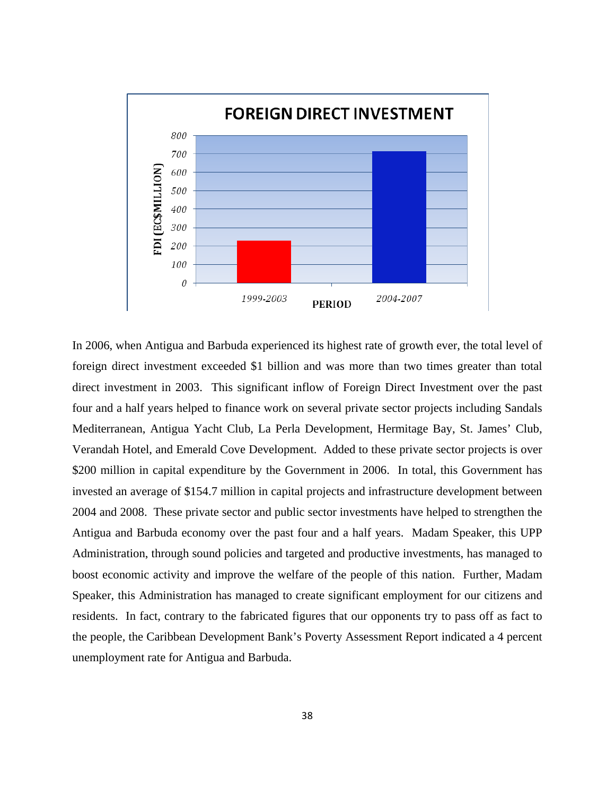

In 2006, when Antigua and Barbuda experienced its highest rate of growth ever, the total level of foreign direct investment exceeded \$1 billion and was more than two times greater than total direct investment in 2003. This significant inflow of Foreign Direct Investment over the past four and a half years helped to finance work on several private sector projects including Sandals Mediterranean, Antigua Yacht Club, La Perla Development, Hermitage Bay, St. James' Club, Verandah Hotel, and Emerald Cove Development. Added to these private sector projects is over \$200 million in capital expenditure by the Government in 2006. In total, this Government has invested an average of \$154.7 million in capital projects and infrastructure development between 2004 and 2008. These private sector and public sector investments have helped to strengthen the Antigua and Barbuda economy over the past four and a half years. Madam Speaker, this UPP Administration, through sound policies and targeted and productive investments, has managed to boost economic activity and improve the welfare of the people of this nation. Further, Madam Speaker, this Administration has managed to create significant employment for our citizens and residents. In fact, contrary to the fabricated figures that our opponents try to pass off as fact to the people, the Caribbean Development Bank's Poverty Assessment Report indicated a 4 percent unemployment rate for Antigua and Barbuda.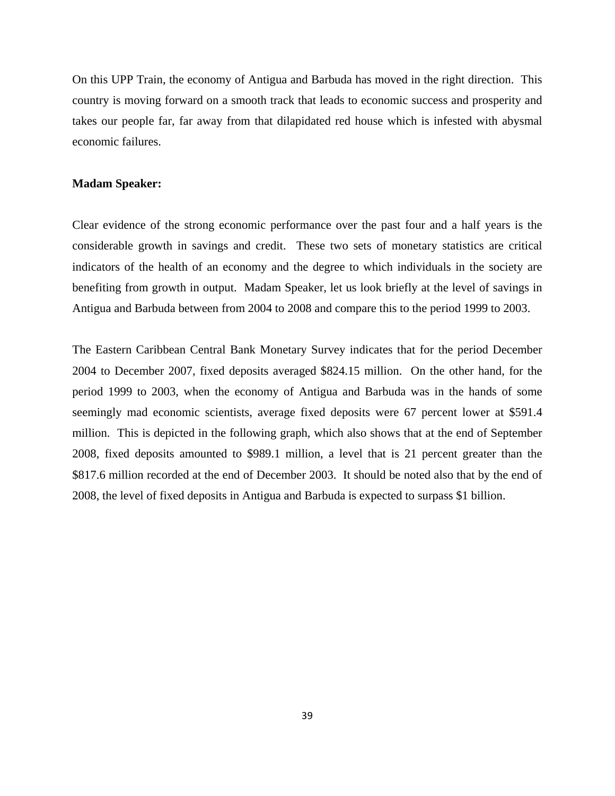On this UPP Train, the economy of Antigua and Barbuda has moved in the right direction. This country is moving forward on a smooth track that leads to economic success and prosperity and takes our people far, far away from that dilapidated red house which is infested with abysmal economic failures.

## **Madam Speaker:**

Clear evidence of the strong economic performance over the past four and a half years is the considerable growth in savings and credit. These two sets of monetary statistics are critical indicators of the health of an economy and the degree to which individuals in the society are benefiting from growth in output. Madam Speaker, let us look briefly at the level of savings in Antigua and Barbuda between from 2004 to 2008 and compare this to the period 1999 to 2003.

The Eastern Caribbean Central Bank Monetary Survey indicates that for the period December 2004 to December 2007, fixed deposits averaged \$824.15 million. On the other hand, for the period 1999 to 2003, when the economy of Antigua and Barbuda was in the hands of some seemingly mad economic scientists, average fixed deposits were 67 percent lower at \$591.4 million. This is depicted in the following graph, which also shows that at the end of September 2008, fixed deposits amounted to \$989.1 million, a level that is 21 percent greater than the \$817.6 million recorded at the end of December 2003. It should be noted also that by the end of 2008, the level of fixed deposits in Antigua and Barbuda is expected to surpass \$1 billion.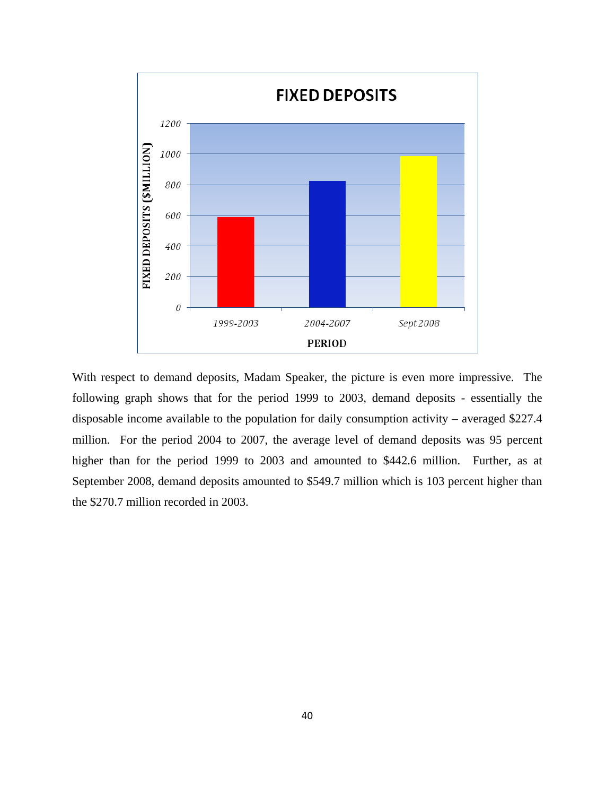

With respect to demand deposits, Madam Speaker, the picture is even more impressive. The following graph shows that for the period 1999 to 2003, demand deposits - essentially the disposable income available to the population for daily consumption activity – averaged \$227.4 million. For the period 2004 to 2007, the average level of demand deposits was 95 percent higher than for the period 1999 to 2003 and amounted to \$442.6 million. Further, as at September 2008, demand deposits amounted to \$549.7 million which is 103 percent higher than the \$270.7 million recorded in 2003.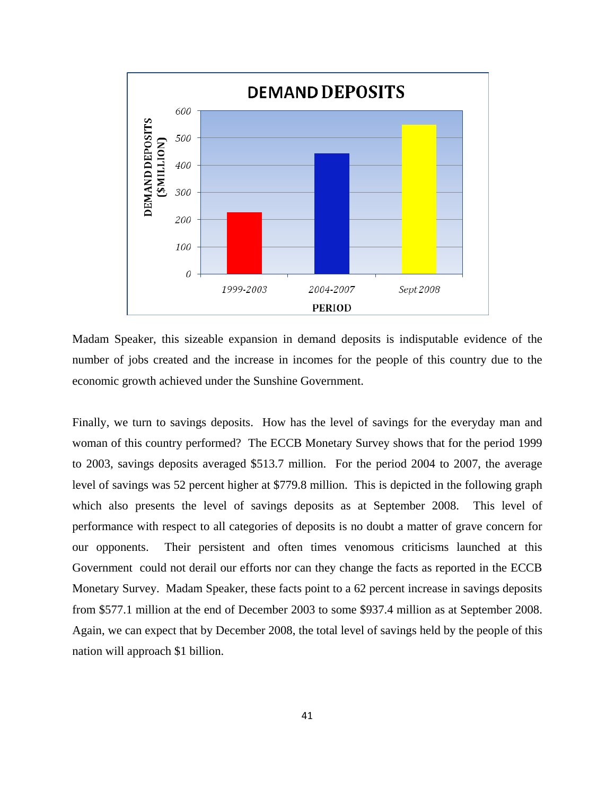

Madam Speaker, this sizeable expansion in demand deposits is indisputable evidence of the number of jobs created and the increase in incomes for the people of this country due to the economic growth achieved under the Sunshine Government.

Finally, we turn to savings deposits. How has the level of savings for the everyday man and woman of this country performed? The ECCB Monetary Survey shows that for the period 1999 to 2003, savings deposits averaged \$513.7 million. For the period 2004 to 2007, the average level of savings was 52 percent higher at \$779.8 million. This is depicted in the following graph which also presents the level of savings deposits as at September 2008. This level of performance with respect to all categories of deposits is no doubt a matter of grave concern for our opponents. Their persistent and often times venomous criticisms launched at this Government could not derail our efforts nor can they change the facts as reported in the ECCB Monetary Survey. Madam Speaker, these facts point to a 62 percent increase in savings deposits from \$577.1 million at the end of December 2003 to some \$937.4 million as at September 2008. Again, we can expect that by December 2008, the total level of savings held by the people of this nation will approach \$1 billion.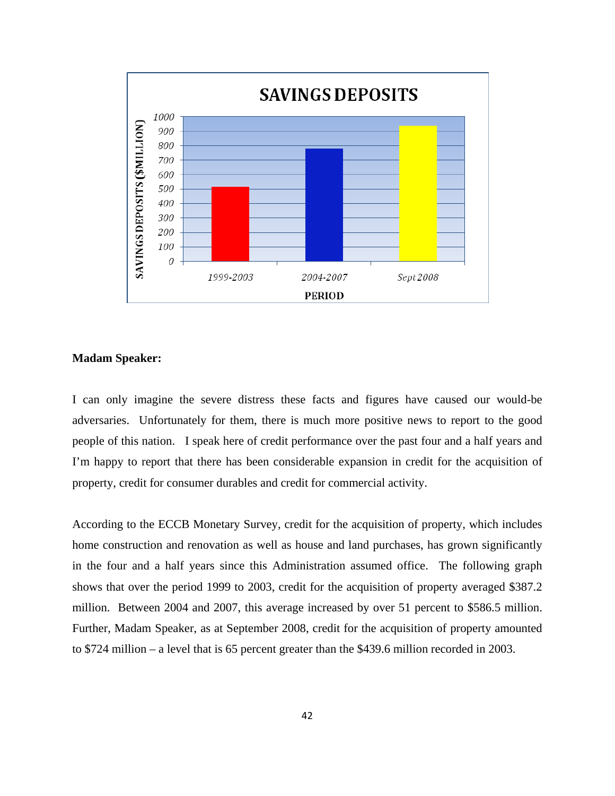

#### **Madam Speaker:**

I can only imagine the severe distress these facts and figures have caused our would-be adversaries. Unfortunately for them, there is much more positive news to report to the good people of this nation. I speak here of credit performance over the past four and a half years and I'm happy to report that there has been considerable expansion in credit for the acquisition of property, credit for consumer durables and credit for commercial activity.

According to the ECCB Monetary Survey, credit for the acquisition of property, which includes home construction and renovation as well as house and land purchases, has grown significantly in the four and a half years since this Administration assumed office. The following graph shows that over the period 1999 to 2003, credit for the acquisition of property averaged \$387.2 million. Between 2004 and 2007, this average increased by over 51 percent to \$586.5 million. Further, Madam Speaker, as at September 2008, credit for the acquisition of property amounted to \$724 million – a level that is 65 percent greater than the \$439.6 million recorded in 2003.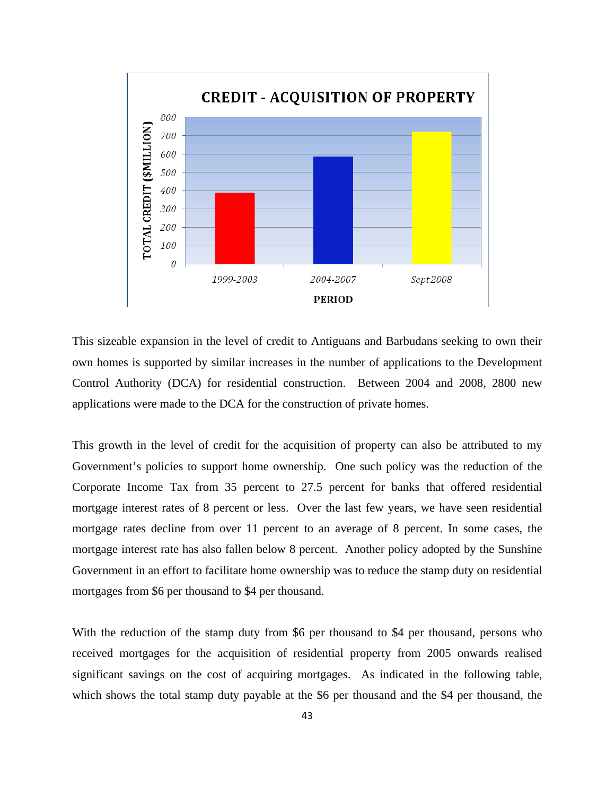

This sizeable expansion in the level of credit to Antiguans and Barbudans seeking to own their own homes is supported by similar increases in the number of applications to the Development Control Authority (DCA) for residential construction. Between 2004 and 2008, 2800 new applications were made to the DCA for the construction of private homes.

This growth in the level of credit for the acquisition of property can also be attributed to my Government's policies to support home ownership. One such policy was the reduction of the Corporate Income Tax from 35 percent to 27.5 percent for banks that offered residential mortgage interest rates of 8 percent or less. Over the last few years, we have seen residential mortgage rates decline from over 11 percent to an average of 8 percent. In some cases, the mortgage interest rate has also fallen below 8 percent. Another policy adopted by the Sunshine Government in an effort to facilitate home ownership was to reduce the stamp duty on residential mortgages from \$6 per thousand to \$4 per thousand.

With the reduction of the stamp duty from \$6 per thousand to \$4 per thousand, persons who received mortgages for the acquisition of residential property from 2005 onwards realised significant savings on the cost of acquiring mortgages. As indicated in the following table, which shows the total stamp duty payable at the \$6 per thousand and the \$4 per thousand, the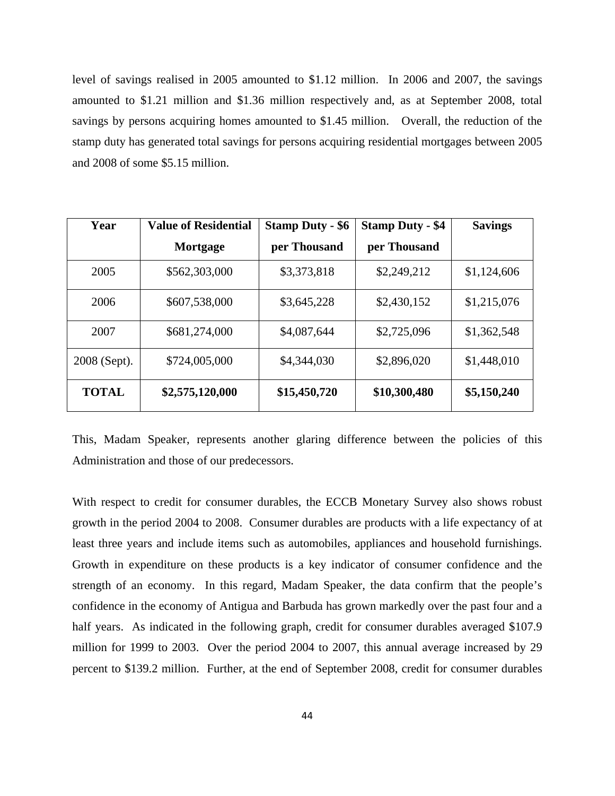level of savings realised in 2005 amounted to \$1.12 million. In 2006 and 2007, the savings amounted to \$1.21 million and \$1.36 million respectively and, as at September 2008, total savings by persons acquiring homes amounted to \$1.45 million. Overall, the reduction of the stamp duty has generated total savings for persons acquiring residential mortgages between 2005 and 2008 of some \$5.15 million.

| Year         | <b>Value of Residential</b> | <b>Stamp Duty - \$6</b> | <b>Stamp Duty - \$4</b> | <b>Savings</b> |
|--------------|-----------------------------|-------------------------|-------------------------|----------------|
|              | Mortgage                    | per Thousand            | per Thousand            |                |
| 2005         | \$562,303,000               | \$3,373,818             | \$2,249,212             | \$1,124,606    |
| 2006         | \$607,538,000               | \$3,645,228             | \$2,430,152             | \$1,215,076    |
| 2007         | \$681,274,000               | \$4,087,644             | \$2,725,096             | \$1,362,548    |
| 2008 (Sept). | \$724,005,000               | \$4,344,030             | \$2,896,020             | \$1,448,010    |
| <b>TOTAL</b> | \$2,575,120,000             | \$15,450,720            | \$10,300,480            | \$5,150,240    |

This, Madam Speaker, represents another glaring difference between the policies of this Administration and those of our predecessors.

With respect to credit for consumer durables, the ECCB Monetary Survey also shows robust growth in the period 2004 to 2008. Consumer durables are products with a life expectancy of at least three years and include items such as automobiles, appliances and household furnishings. Growth in expenditure on these products is a key indicator of consumer confidence and the strength of an economy. In this regard, Madam Speaker, the data confirm that the people's confidence in the economy of Antigua and Barbuda has grown markedly over the past four and a half years. As indicated in the following graph, credit for consumer durables averaged \$107.9 million for 1999 to 2003. Over the period 2004 to 2007, this annual average increased by 29 percent to \$139.2 million. Further, at the end of September 2008, credit for consumer durables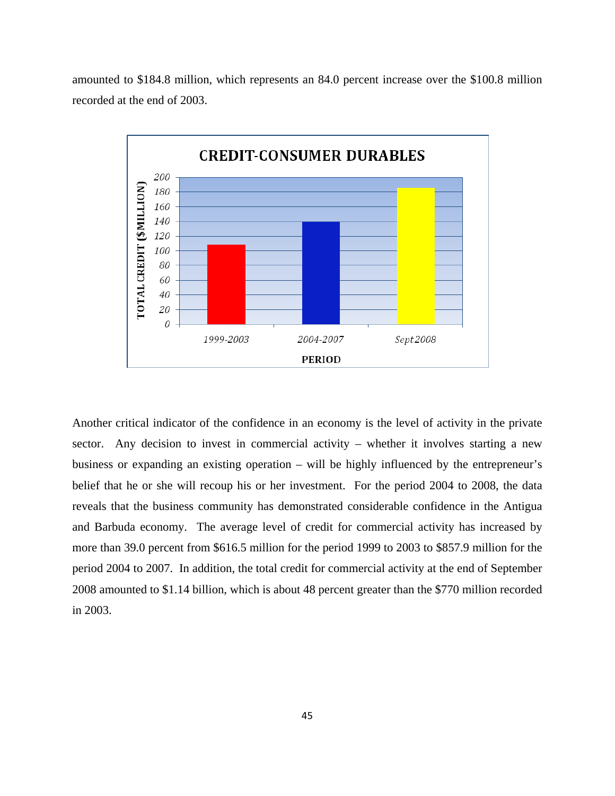



Another critical indicator of the confidence in an economy is the level of activity in the private sector. Any decision to invest in commercial activity – whether it involves starting a new business or expanding an existing operation – will be highly influenced by the entrepreneur's belief that he or she will recoup his or her investment. For the period 2004 to 2008, the data reveals that the business community has demonstrated considerable confidence in the Antigua and Barbuda economy. The average level of credit for commercial activity has increased by more than 39.0 percent from \$616.5 million for the period 1999 to 2003 to \$857.9 million for the period 2004 to 2007. In addition, the total credit for commercial activity at the end of September 2008 amounted to \$1.14 billion, which is about 48 percent greater than the \$770 million recorded in 2003.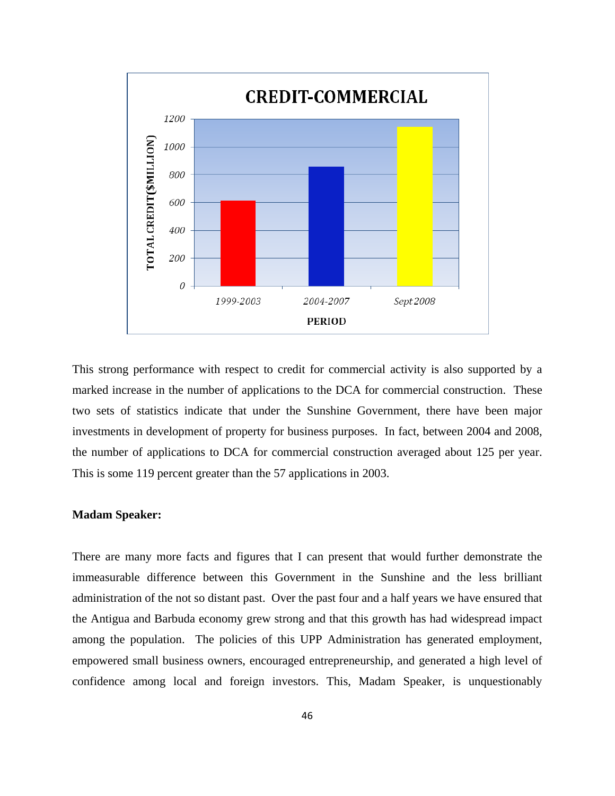

This strong performance with respect to credit for commercial activity is also supported by a marked increase in the number of applications to the DCA for commercial construction. These two sets of statistics indicate that under the Sunshine Government, there have been major investments in development of property for business purposes. In fact, between 2004 and 2008, the number of applications to DCA for commercial construction averaged about 125 per year. This is some 119 percent greater than the 57 applications in 2003.

## **Madam Speaker:**

There are many more facts and figures that I can present that would further demonstrate the immeasurable difference between this Government in the Sunshine and the less brilliant administration of the not so distant past. Over the past four and a half years we have ensured that the Antigua and Barbuda economy grew strong and that this growth has had widespread impact among the population. The policies of this UPP Administration has generated employment, empowered small business owners, encouraged entrepreneurship, and generated a high level of confidence among local and foreign investors. This, Madam Speaker, is unquestionably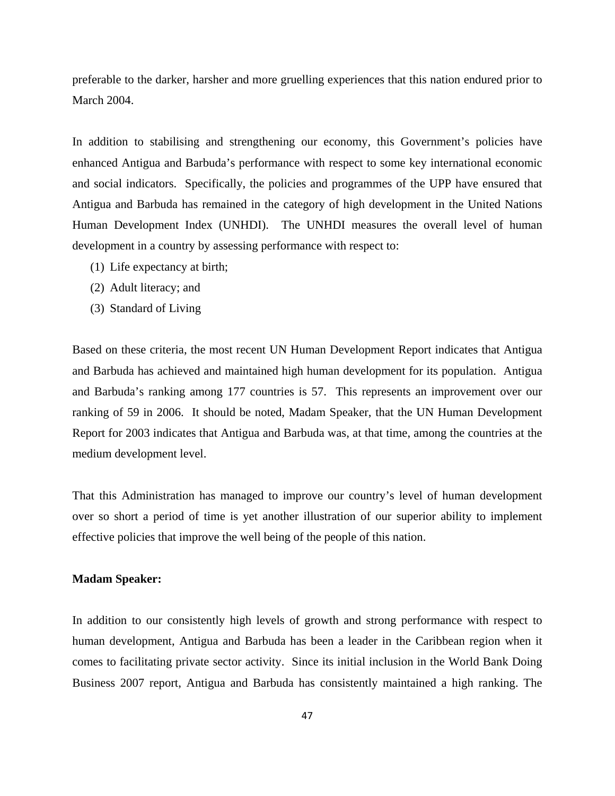preferable to the darker, harsher and more gruelling experiences that this nation endured prior to March 2004.

In addition to stabilising and strengthening our economy, this Government's policies have enhanced Antigua and Barbuda's performance with respect to some key international economic and social indicators. Specifically, the policies and programmes of the UPP have ensured that Antigua and Barbuda has remained in the category of high development in the United Nations Human Development Index (UNHDI). The UNHDI measures the overall level of human development in a country by assessing performance with respect to:

- (1) Life expectancy at birth;
- (2) Adult literacy; and
- (3) Standard of Living

Based on these criteria, the most recent UN Human Development Report indicates that Antigua and Barbuda has achieved and maintained high human development for its population. Antigua and Barbuda's ranking among 177 countries is 57. This represents an improvement over our ranking of 59 in 2006. It should be noted, Madam Speaker, that the UN Human Development Report for 2003 indicates that Antigua and Barbuda was, at that time, among the countries at the medium development level.

That this Administration has managed to improve our country's level of human development over so short a period of time is yet another illustration of our superior ability to implement effective policies that improve the well being of the people of this nation.

## **Madam Speaker:**

In addition to our consistently high levels of growth and strong performance with respect to human development, Antigua and Barbuda has been a leader in the Caribbean region when it comes to facilitating private sector activity. Since its initial inclusion in the World Bank Doing Business 2007 report, Antigua and Barbuda has consistently maintained a high ranking. The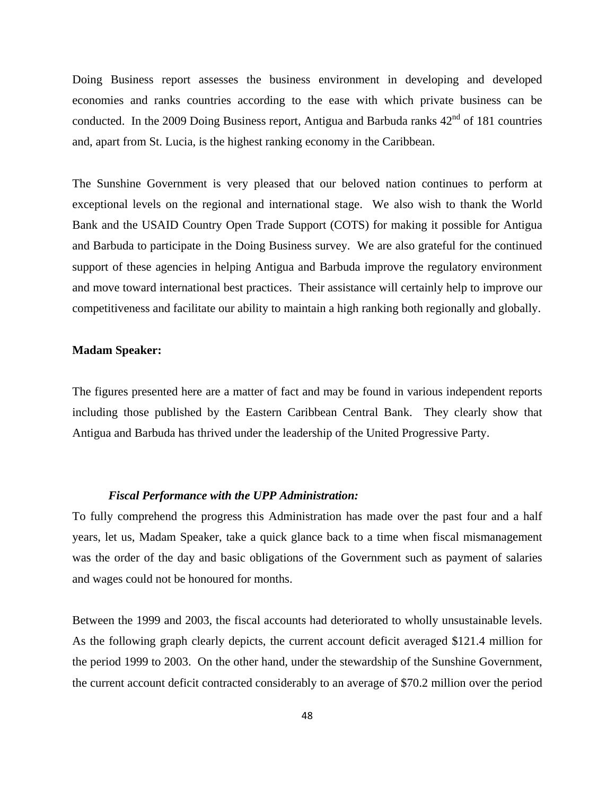Doing Business report assesses the business environment in developing and developed economies and ranks countries according to the ease with which private business can be conducted. In the 2009 Doing Business report, Antigua and Barbuda ranks  $42<sup>nd</sup>$  of 181 countries and, apart from St. Lucia, is the highest ranking economy in the Caribbean.

The Sunshine Government is very pleased that our beloved nation continues to perform at exceptional levels on the regional and international stage. We also wish to thank the World Bank and the USAID Country Open Trade Support (COTS) for making it possible for Antigua and Barbuda to participate in the Doing Business survey. We are also grateful for the continued support of these agencies in helping Antigua and Barbuda improve the regulatory environment and move toward international best practices. Their assistance will certainly help to improve our competitiveness and facilitate our ability to maintain a high ranking both regionally and globally.

# **Madam Speaker:**

The figures presented here are a matter of fact and may be found in various independent reports including those published by the Eastern Caribbean Central Bank. They clearly show that Antigua and Barbuda has thrived under the leadership of the United Progressive Party.

## *Fiscal Performance with the UPP Administration:*

To fully comprehend the progress this Administration has made over the past four and a half years, let us, Madam Speaker, take a quick glance back to a time when fiscal mismanagement was the order of the day and basic obligations of the Government such as payment of salaries and wages could not be honoured for months.

Between the 1999 and 2003, the fiscal accounts had deteriorated to wholly unsustainable levels. As the following graph clearly depicts, the current account deficit averaged \$121.4 million for the period 1999 to 2003. On the other hand, under the stewardship of the Sunshine Government, the current account deficit contracted considerably to an average of \$70.2 million over the period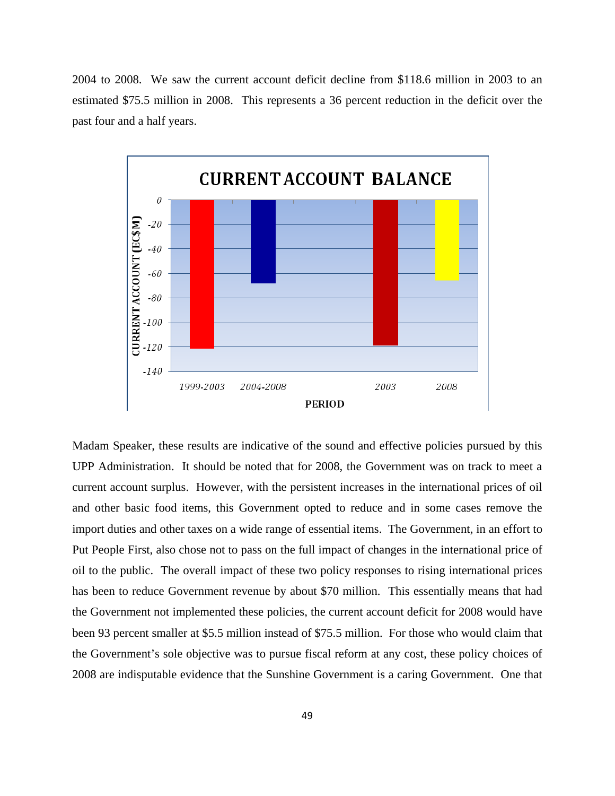2004 to 2008. We saw the current account deficit decline from \$118.6 million in 2003 to an estimated \$75.5 million in 2008. This represents a 36 percent reduction in the deficit over the past four and a half years.



Madam Speaker, these results are indicative of the sound and effective policies pursued by this UPP Administration. It should be noted that for 2008, the Government was on track to meet a current account surplus. However, with the persistent increases in the international prices of oil and other basic food items, this Government opted to reduce and in some cases remove the import duties and other taxes on a wide range of essential items. The Government, in an effort to Put People First, also chose not to pass on the full impact of changes in the international price of oil to the public. The overall impact of these two policy responses to rising international prices has been to reduce Government revenue by about \$70 million. This essentially means that had the Government not implemented these policies, the current account deficit for 2008 would have been 93 percent smaller at \$5.5 million instead of \$75.5 million. For those who would claim that the Government's sole objective was to pursue fiscal reform at any cost, these policy choices of 2008 are indisputable evidence that the Sunshine Government is a caring Government. One that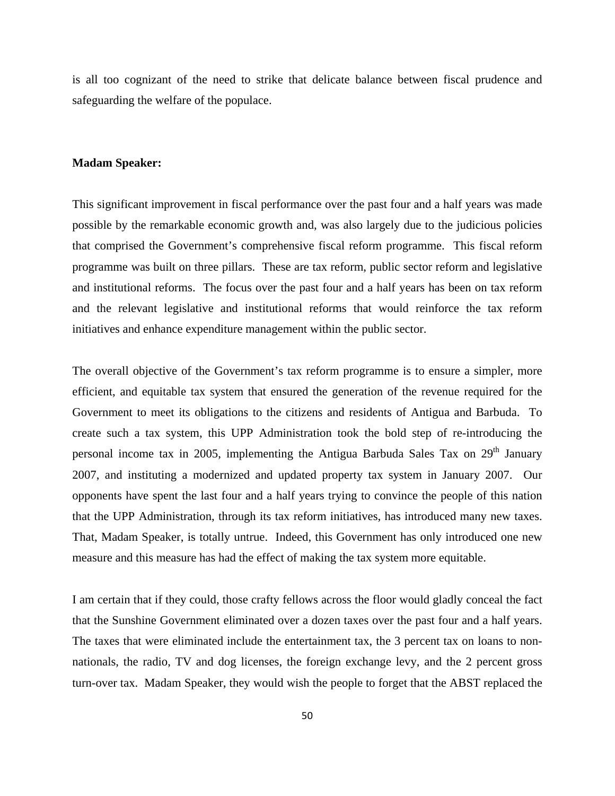is all too cognizant of the need to strike that delicate balance between fiscal prudence and safeguarding the welfare of the populace.

## **Madam Speaker:**

This significant improvement in fiscal performance over the past four and a half years was made possible by the remarkable economic growth and, was also largely due to the judicious policies that comprised the Government's comprehensive fiscal reform programme. This fiscal reform programme was built on three pillars. These are tax reform, public sector reform and legislative and institutional reforms. The focus over the past four and a half years has been on tax reform and the relevant legislative and institutional reforms that would reinforce the tax reform initiatives and enhance expenditure management within the public sector.

The overall objective of the Government's tax reform programme is to ensure a simpler, more efficient, and equitable tax system that ensured the generation of the revenue required for the Government to meet its obligations to the citizens and residents of Antigua and Barbuda. To create such a tax system, this UPP Administration took the bold step of re-introducing the personal income tax in 2005, implementing the Antigua Barbuda Sales Tax on 29<sup>th</sup> January 2007, and instituting a modernized and updated property tax system in January 2007. Our opponents have spent the last four and a half years trying to convince the people of this nation that the UPP Administration, through its tax reform initiatives, has introduced many new taxes. That, Madam Speaker, is totally untrue. Indeed, this Government has only introduced one new measure and this measure has had the effect of making the tax system more equitable.

I am certain that if they could, those crafty fellows across the floor would gladly conceal the fact that the Sunshine Government eliminated over a dozen taxes over the past four and a half years. The taxes that were eliminated include the entertainment tax, the 3 percent tax on loans to nonnationals, the radio, TV and dog licenses, the foreign exchange levy, and the 2 percent gross turn-over tax. Madam Speaker, they would wish the people to forget that the ABST replaced the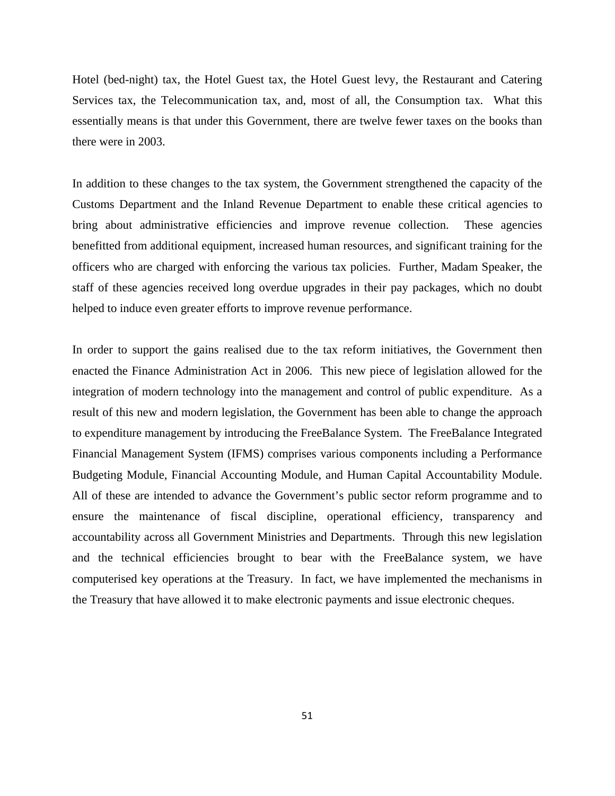Hotel (bed-night) tax, the Hotel Guest tax, the Hotel Guest levy, the Restaurant and Catering Services tax, the Telecommunication tax, and, most of all, the Consumption tax. What this essentially means is that under this Government, there are twelve fewer taxes on the books than there were in 2003.

In addition to these changes to the tax system, the Government strengthened the capacity of the Customs Department and the Inland Revenue Department to enable these critical agencies to bring about administrative efficiencies and improve revenue collection. These agencies benefitted from additional equipment, increased human resources, and significant training for the officers who are charged with enforcing the various tax policies. Further, Madam Speaker, the staff of these agencies received long overdue upgrades in their pay packages, which no doubt helped to induce even greater efforts to improve revenue performance.

In order to support the gains realised due to the tax reform initiatives, the Government then enacted the Finance Administration Act in 2006. This new piece of legislation allowed for the integration of modern technology into the management and control of public expenditure. As a result of this new and modern legislation, the Government has been able to change the approach to expenditure management by introducing the FreeBalance System. The FreeBalance Integrated Financial Management System (IFMS) comprises various components including a Performance Budgeting Module, Financial Accounting Module, and Human Capital Accountability Module. All of these are intended to advance the Government's public sector reform programme and to ensure the maintenance of fiscal discipline, operational efficiency, transparency and accountability across all Government Ministries and Departments. Through this new legislation and the technical efficiencies brought to bear with the FreeBalance system, we have computerised key operations at the Treasury. In fact, we have implemented the mechanisms in the Treasury that have allowed it to make electronic payments and issue electronic cheques.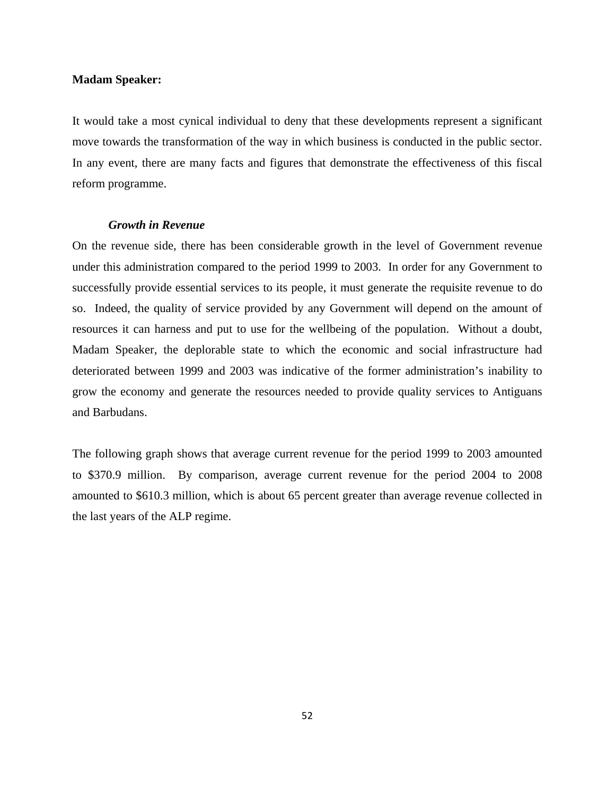#### **Madam Speaker:**

It would take a most cynical individual to deny that these developments represent a significant move towards the transformation of the way in which business is conducted in the public sector. In any event, there are many facts and figures that demonstrate the effectiveness of this fiscal reform programme.

#### *Growth in Revenue*

On the revenue side, there has been considerable growth in the level of Government revenue under this administration compared to the period 1999 to 2003. In order for any Government to successfully provide essential services to its people, it must generate the requisite revenue to do so. Indeed, the quality of service provided by any Government will depend on the amount of resources it can harness and put to use for the wellbeing of the population. Without a doubt, Madam Speaker, the deplorable state to which the economic and social infrastructure had deteriorated between 1999 and 2003 was indicative of the former administration's inability to grow the economy and generate the resources needed to provide quality services to Antiguans and Barbudans.

The following graph shows that average current revenue for the period 1999 to 2003 amounted to \$370.9 million. By comparison, average current revenue for the period 2004 to 2008 amounted to \$610.3 million, which is about 65 percent greater than average revenue collected in the last years of the ALP regime.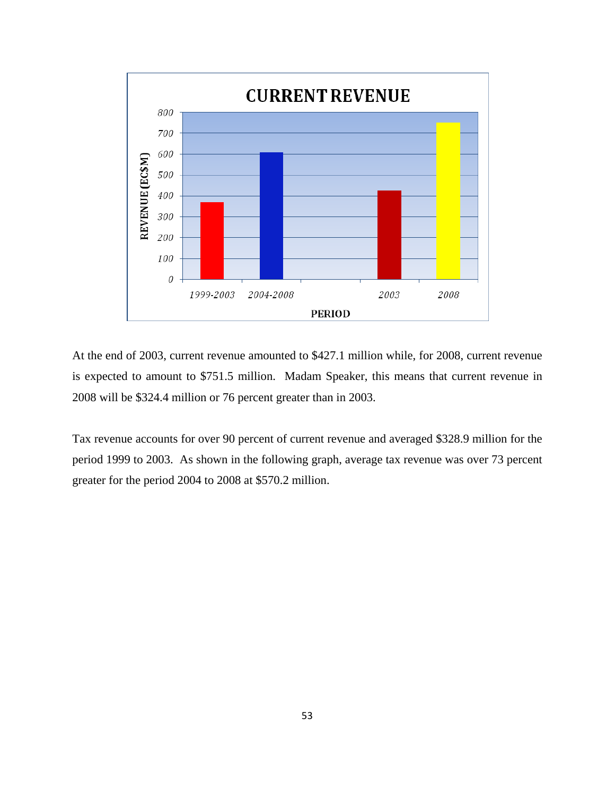

At the end of 2003, current revenue amounted to \$427.1 million while, for 2008, current revenue is expected to amount to \$751.5 million. Madam Speaker, this means that current revenue in 2008 will be \$324.4 million or 76 percent greater than in 2003.

Tax revenue accounts for over 90 percent of current revenue and averaged \$328.9 million for the period 1999 to 2003. As shown in the following graph, average tax revenue was over 73 percent greater for the period 2004 to 2008 at \$570.2 million.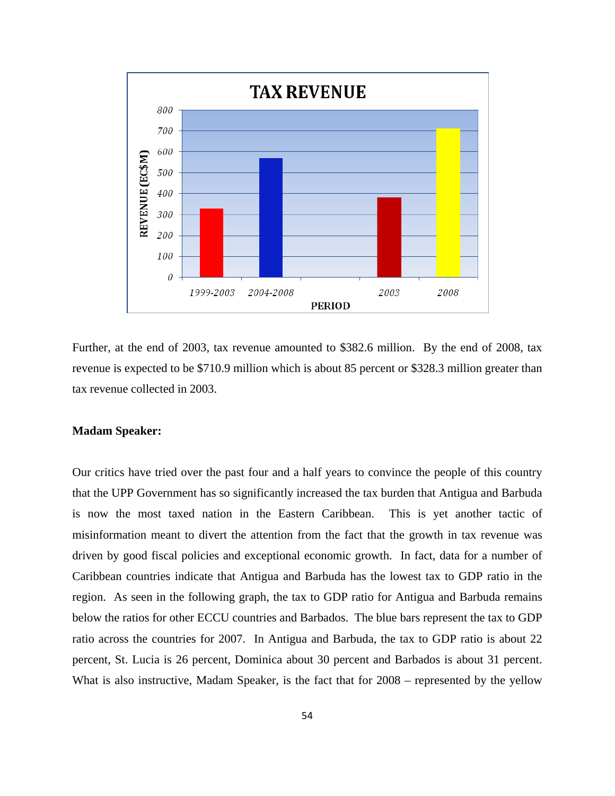

Further, at the end of 2003, tax revenue amounted to \$382.6 million. By the end of 2008, tax revenue is expected to be \$710.9 million which is about 85 percent or \$328.3 million greater than tax revenue collected in 2003.

## **Madam Speaker:**

Our critics have tried over the past four and a half years to convince the people of this country that the UPP Government has so significantly increased the tax burden that Antigua and Barbuda is now the most taxed nation in the Eastern Caribbean. This is yet another tactic of misinformation meant to divert the attention from the fact that the growth in tax revenue was driven by good fiscal policies and exceptional economic growth. In fact, data for a number of Caribbean countries indicate that Antigua and Barbuda has the lowest tax to GDP ratio in the region. As seen in the following graph, the tax to GDP ratio for Antigua and Barbuda remains below the ratios for other ECCU countries and Barbados. The blue bars represent the tax to GDP ratio across the countries for 2007. In Antigua and Barbuda, the tax to GDP ratio is about 22 percent, St. Lucia is 26 percent, Dominica about 30 percent and Barbados is about 31 percent. What is also instructive, Madam Speaker, is the fact that for 2008 – represented by the yellow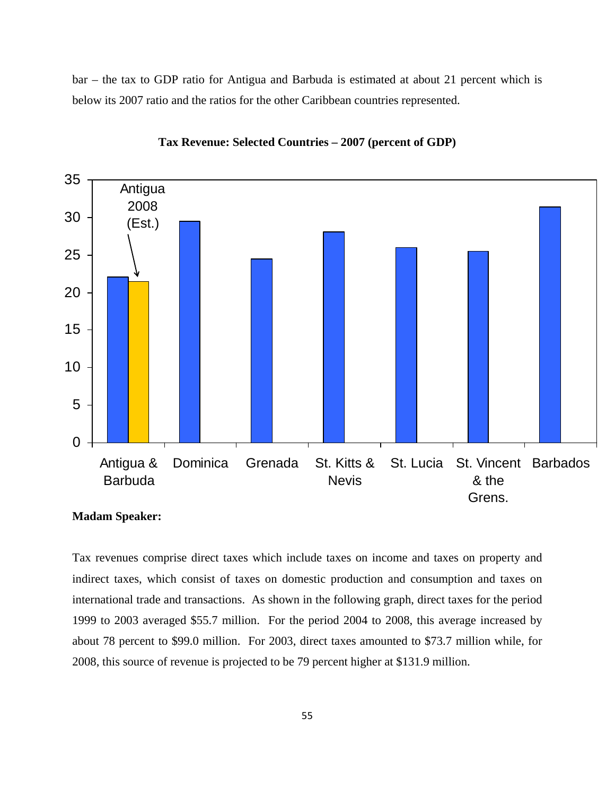bar – the tax to GDP ratio for Antigua and Barbuda is estimated at about 21 percent which is below its 2007 ratio and the ratios for the other Caribbean countries represented.





Tax revenues comprise direct taxes which include taxes on income and taxes on property and indirect taxes, which consist of taxes on domestic production and consumption and taxes on international trade and transactions. As shown in the following graph, direct taxes for the period 1999 to 2003 averaged \$55.7 million. For the period 2004 to 2008, this average increased by about 78 percent to \$99.0 million. For 2003, direct taxes amounted to \$73.7 million while, for 2008, this source of revenue is projected to be 79 percent higher at \$131.9 million.

**Madam Speaker:**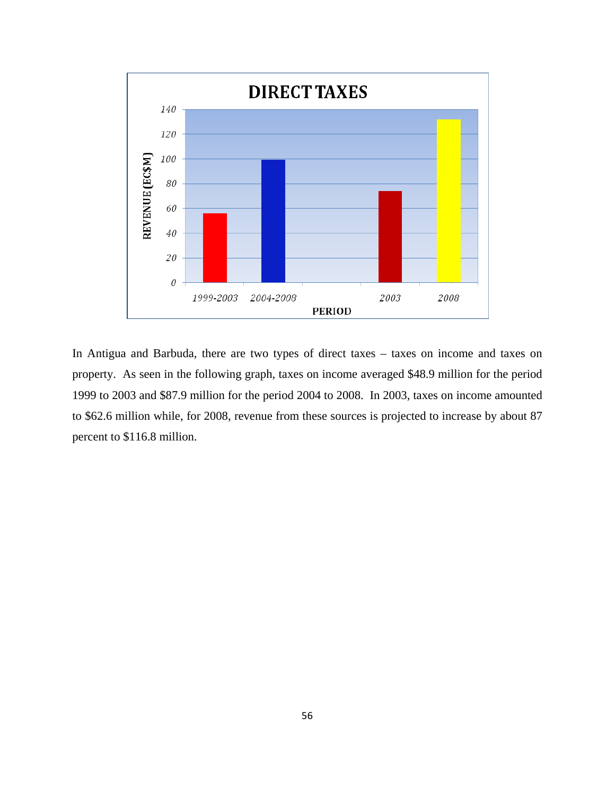

In Antigua and Barbuda, there are two types of direct taxes – taxes on income and taxes on property. As seen in the following graph, taxes on income averaged \$48.9 million for the period 1999 to 2003 and \$87.9 million for the period 2004 to 2008. In 2003, taxes on income amounted to \$62.6 million while, for 2008, revenue from these sources is projected to increase by about 87 percent to \$116.8 million.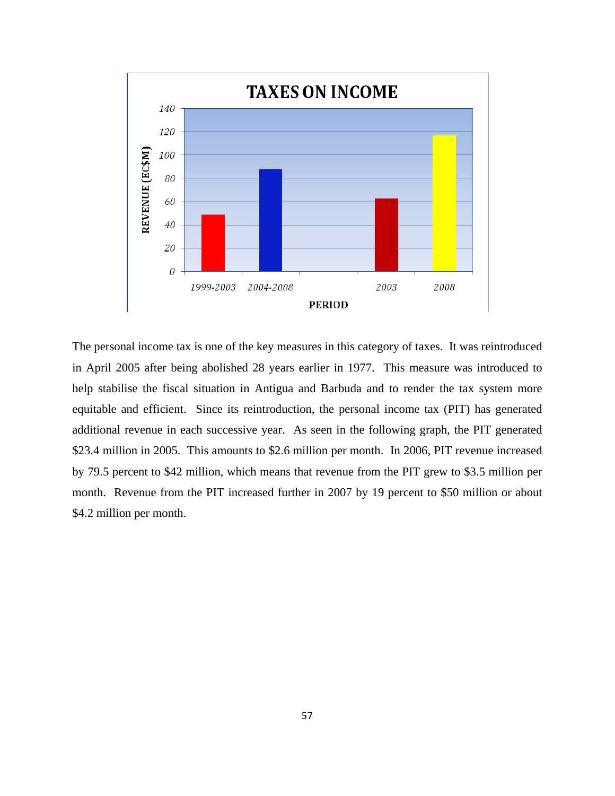

The personal income tax is one of the key measures in this category of taxes. It was reintroduced in April 2005 after being abolished 28 years earlier in 1977. This measure was introduced to help stabilise the fiscal situation in Antigua and Barbuda and to render the tax system more equitable and efficient. Since its reintroduction, the personal income tax (PIT) has generated additional revenue in each successive year. As seen in the following graph, the PIT generated \$23.4 million in 2005. This amounts to \$2.6 million per month. In 2006, PIT revenue increased by 79.5 percent to \$42 million, which means that revenue from the PIT grew to \$3.5 million per month. Revenue from the PIT increased further in 2007 by 19 percent to \$50 million or about \$4.2 million per month.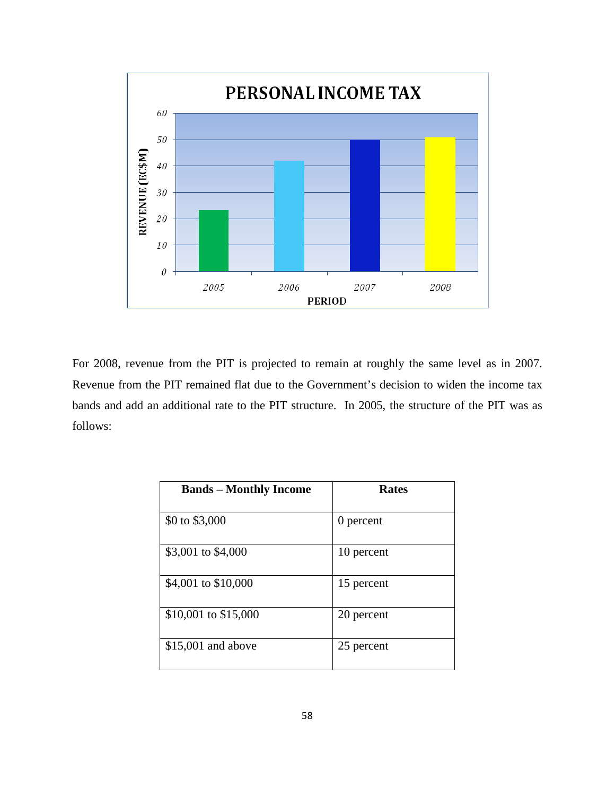

For 2008, revenue from the PIT is projected to remain at roughly the same level as in 2007. Revenue from the PIT remained flat due to the Government's decision to widen the income tax bands and add an additional rate to the PIT structure. In 2005, the structure of the PIT was as follows:

| <b>Bands – Monthly Income</b> | <b>Rates</b> |
|-------------------------------|--------------|
| \$0 to \$3,000                | 0 percent    |
| \$3,001 to \$4,000            | 10 percent   |
| \$4,001 to \$10,000           | 15 percent   |
| \$10,001 to \$15,000          | 20 percent   |
| $$15,001$ and above           | 25 percent   |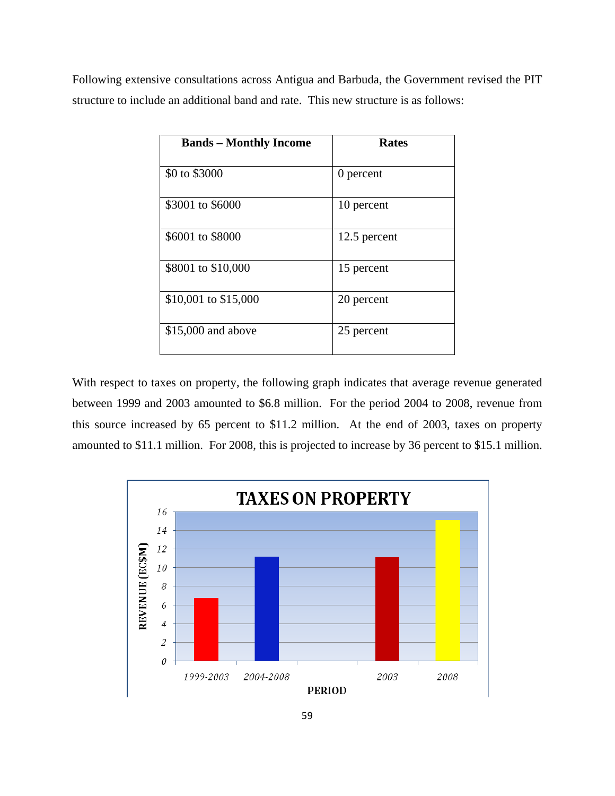Following extensive consultations across Antigua and Barbuda, the Government revised the PIT structure to include an additional band and rate. This new structure is as follows:

| <b>Bands – Monthly Income</b> | <b>Rates</b> |
|-------------------------------|--------------|
| \$0 to \$3000                 | 0 percent    |
| \$3001 to \$6000              | 10 percent   |
| \$6001 to \$8000              | 12.5 percent |
| \$8001 to \$10,000            | 15 percent   |
| \$10,001 to \$15,000          | 20 percent   |
| \$15,000 and above            | 25 percent   |

With respect to taxes on property, the following graph indicates that average revenue generated between 1999 and 2003 amounted to \$6.8 million. For the period 2004 to 2008, revenue from this source increased by 65 percent to \$11.2 million. At the end of 2003, taxes on property amounted to \$11.1 million. For 2008, this is projected to increase by 36 percent to \$15.1 million.

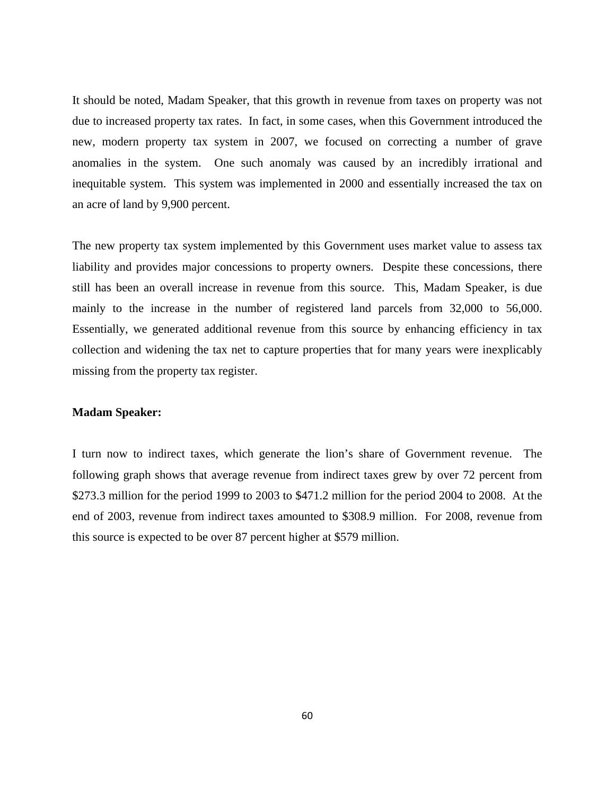It should be noted, Madam Speaker, that this growth in revenue from taxes on property was not due to increased property tax rates. In fact, in some cases, when this Government introduced the new, modern property tax system in 2007, we focused on correcting a number of grave anomalies in the system. One such anomaly was caused by an incredibly irrational and inequitable system. This system was implemented in 2000 and essentially increased the tax on an acre of land by 9,900 percent.

The new property tax system implemented by this Government uses market value to assess tax liability and provides major concessions to property owners. Despite these concessions, there still has been an overall increase in revenue from this source. This, Madam Speaker, is due mainly to the increase in the number of registered land parcels from 32,000 to 56,000. Essentially, we generated additional revenue from this source by enhancing efficiency in tax collection and widening the tax net to capture properties that for many years were inexplicably missing from the property tax register.

# **Madam Speaker:**

I turn now to indirect taxes, which generate the lion's share of Government revenue. The following graph shows that average revenue from indirect taxes grew by over 72 percent from \$273.3 million for the period 1999 to 2003 to \$471.2 million for the period 2004 to 2008. At the end of 2003, revenue from indirect taxes amounted to \$308.9 million. For 2008, revenue from this source is expected to be over 87 percent higher at \$579 million.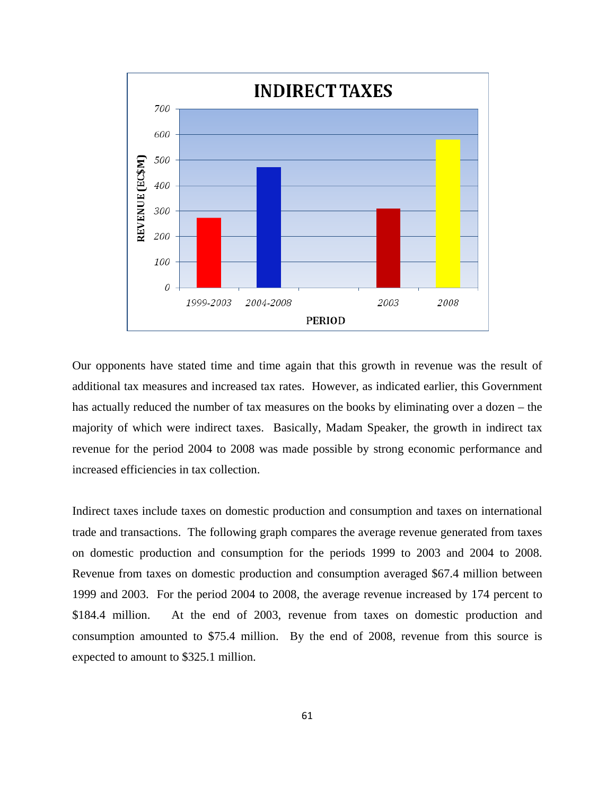

Our opponents have stated time and time again that this growth in revenue was the result of additional tax measures and increased tax rates. However, as indicated earlier, this Government has actually reduced the number of tax measures on the books by eliminating over a dozen – the majority of which were indirect taxes. Basically, Madam Speaker, the growth in indirect tax revenue for the period 2004 to 2008 was made possible by strong economic performance and increased efficiencies in tax collection.

Indirect taxes include taxes on domestic production and consumption and taxes on international trade and transactions. The following graph compares the average revenue generated from taxes on domestic production and consumption for the periods 1999 to 2003 and 2004 to 2008. Revenue from taxes on domestic production and consumption averaged \$67.4 million between 1999 and 2003. For the period 2004 to 2008, the average revenue increased by 174 percent to \$184.4 million. At the end of 2003, revenue from taxes on domestic production and consumption amounted to \$75.4 million. By the end of 2008, revenue from this source is expected to amount to \$325.1 million.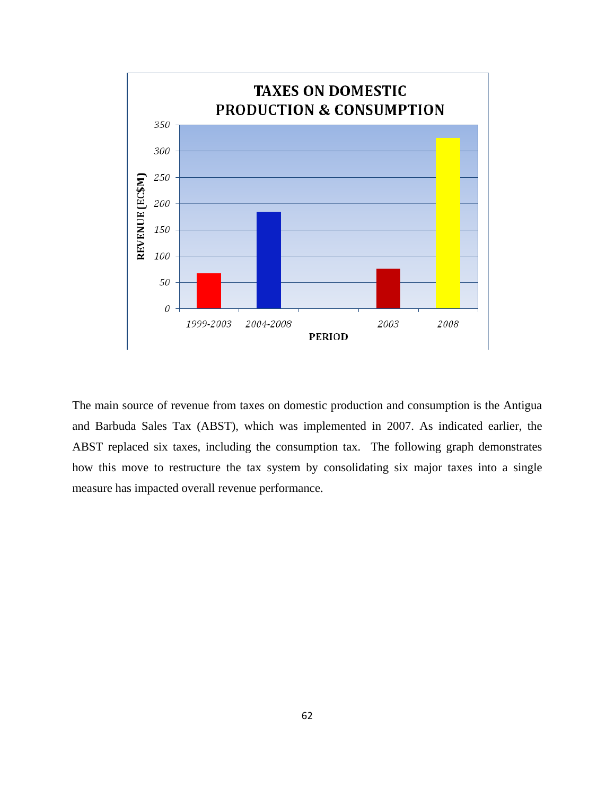

The main source of revenue from taxes on domestic production and consumption is the Antigua and Barbuda Sales Tax (ABST), which was implemented in 2007. As indicated earlier, the ABST replaced six taxes, including the consumption tax. The following graph demonstrates how this move to restructure the tax system by consolidating six major taxes into a single measure has impacted overall revenue performance.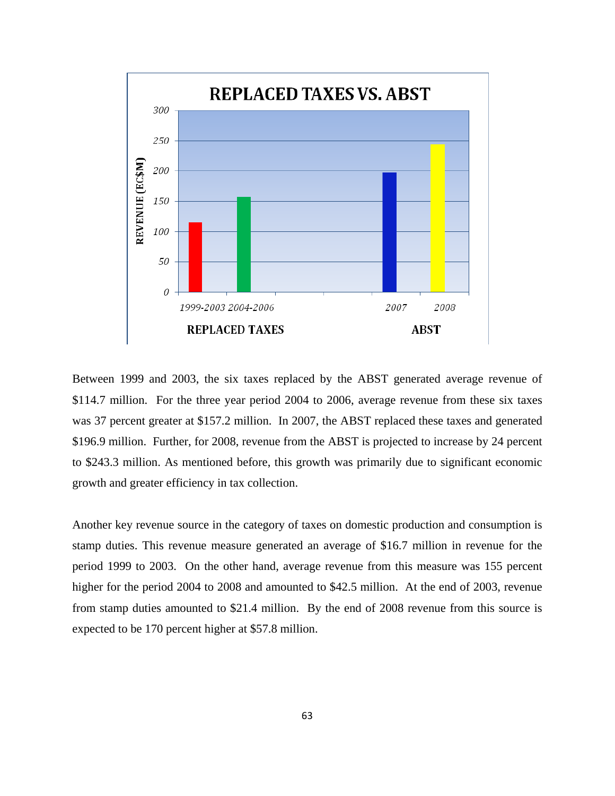

Between 1999 and 2003, the six taxes replaced by the ABST generated average revenue of \$114.7 million. For the three year period 2004 to 2006, average revenue from these six taxes was 37 percent greater at \$157.2 million. In 2007, the ABST replaced these taxes and generated \$196.9 million. Further, for 2008, revenue from the ABST is projected to increase by 24 percent to \$243.3 million. As mentioned before, this growth was primarily due to significant economic growth and greater efficiency in tax collection.

Another key revenue source in the category of taxes on domestic production and consumption is stamp duties. This revenue measure generated an average of \$16.7 million in revenue for the period 1999 to 2003. On the other hand, average revenue from this measure was 155 percent higher for the period 2004 to 2008 and amounted to \$42.5 million. At the end of 2003, revenue from stamp duties amounted to \$21.4 million. By the end of 2008 revenue from this source is expected to be 170 percent higher at \$57.8 million.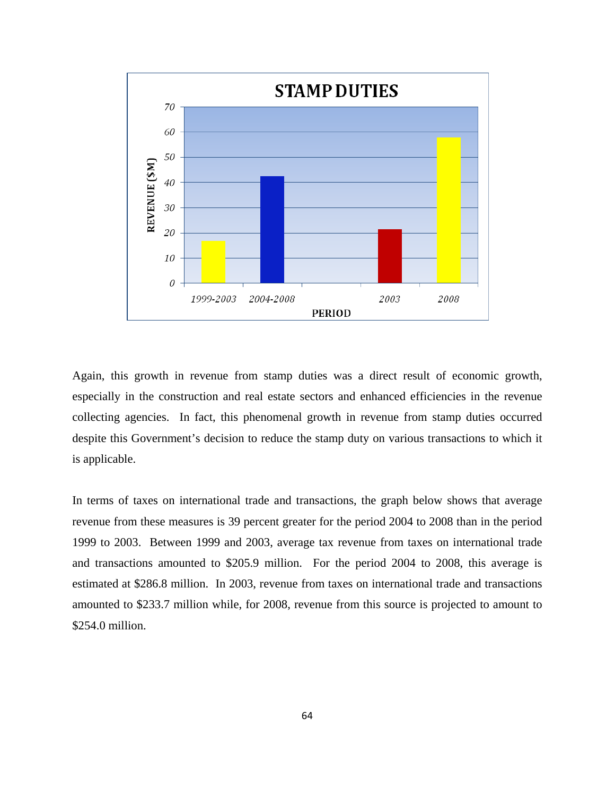

Again, this growth in revenue from stamp duties was a direct result of economic growth, especially in the construction and real estate sectors and enhanced efficiencies in the revenue collecting agencies. In fact, this phenomenal growth in revenue from stamp duties occurred despite this Government's decision to reduce the stamp duty on various transactions to which it is applicable.

In terms of taxes on international trade and transactions, the graph below shows that average revenue from these measures is 39 percent greater for the period 2004 to 2008 than in the period 1999 to 2003. Between 1999 and 2003, average tax revenue from taxes on international trade and transactions amounted to \$205.9 million. For the period 2004 to 2008, this average is estimated at \$286.8 million. In 2003, revenue from taxes on international trade and transactions amounted to \$233.7 million while, for 2008, revenue from this source is projected to amount to \$254.0 million.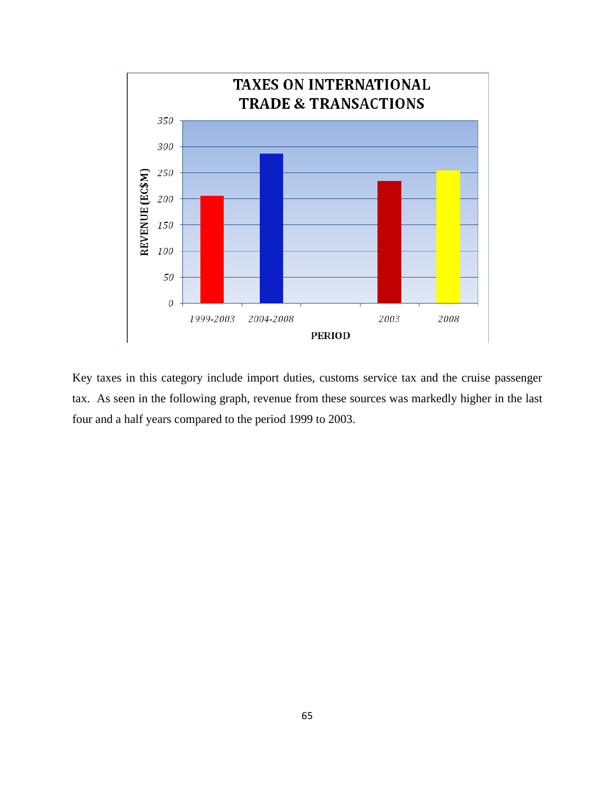

Key taxes in this category include import duties, customs service tax and the cruise passenger tax. As seen in the following graph, revenue from these sources was markedly higher in the last four and a half years compared to the period 1999 to 2003.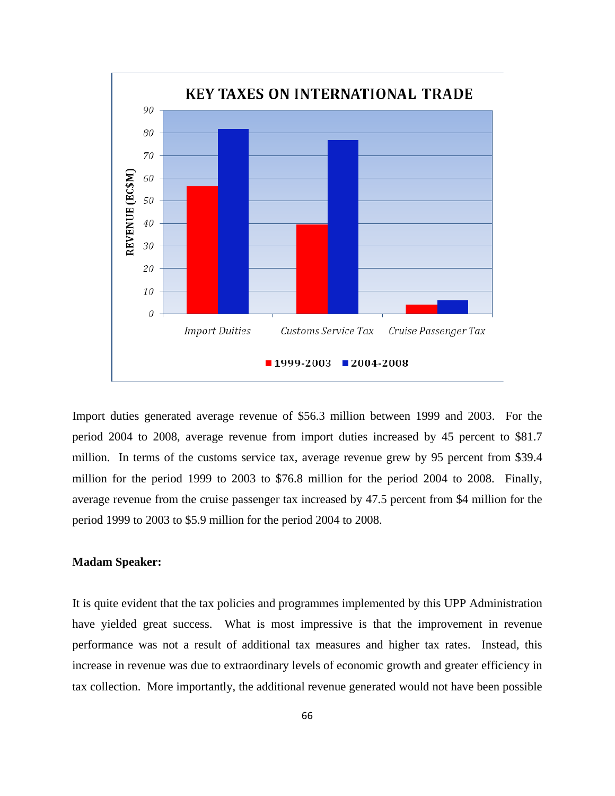

Import duties generated average revenue of \$56.3 million between 1999 and 2003. For the period 2004 to 2008, average revenue from import duties increased by 45 percent to \$81.7 million. In terms of the customs service tax, average revenue grew by 95 percent from \$39.4 million for the period 1999 to 2003 to \$76.8 million for the period 2004 to 2008. Finally, average revenue from the cruise passenger tax increased by 47.5 percent from \$4 million for the period 1999 to 2003 to \$5.9 million for the period 2004 to 2008.

# **Madam Speaker:**

It is quite evident that the tax policies and programmes implemented by this UPP Administration have yielded great success. What is most impressive is that the improvement in revenue performance was not a result of additional tax measures and higher tax rates. Instead, this increase in revenue was due to extraordinary levels of economic growth and greater efficiency in tax collection. More importantly, the additional revenue generated would not have been possible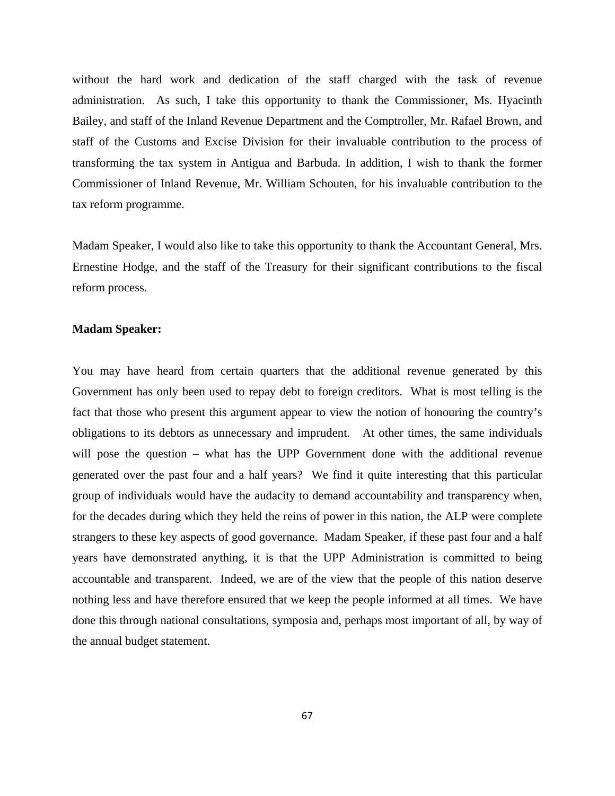without the hard work and dedication of the staff charged with the task of revenue administration. As such, I take this opportunity to thank the Commissioner, Ms. Hyacinth Bailey, and staff of the Inland Revenue Department and the Comptroller, Mr. Rafael Brown, and staff of the Customs and Excise Division for their invaluable contribution to the process of transforming the tax system in Antigua and Barbuda. In addition, I wish to thank the former Commissioner of Inland Revenue, Mr. William Schouten, for his invaluable contribution to the tax reform programme.

Madam Speaker, I would also like to take this opportunity to thank the Accountant General, Mrs. Ernestine Hodge, and the staff of the Treasury for their significant contributions to the fiscal reform process.

#### **Madam Speaker:**

You may have heard from certain quarters that the additional revenue generated by this Government has only been used to repay debt to foreign creditors. What is most telling is the fact that those who present this argument appear to view the notion of honouring the country's obligations to its debtors as unnecessary and imprudent. At other times, the same individuals will pose the question – what has the UPP Government done with the additional revenue generated over the past four and a half years? We find it quite interesting that this particular group of individuals would have the audacity to demand accountability and transparency when, for the decades during which they held the reins of power in this nation, the ALP were complete strangers to these key aspects of good governance. Madam Speaker, if these past four and a half years have demonstrated anything, it is that the UPP Administration is committed to being accountable and transparent. Indeed, we are of the view that the people of this nation deserve nothing less and have therefore ensured that we keep the people informed at all times. We have done this through national consultations, symposia and, perhaps most important of all, by way of the annual budget statement.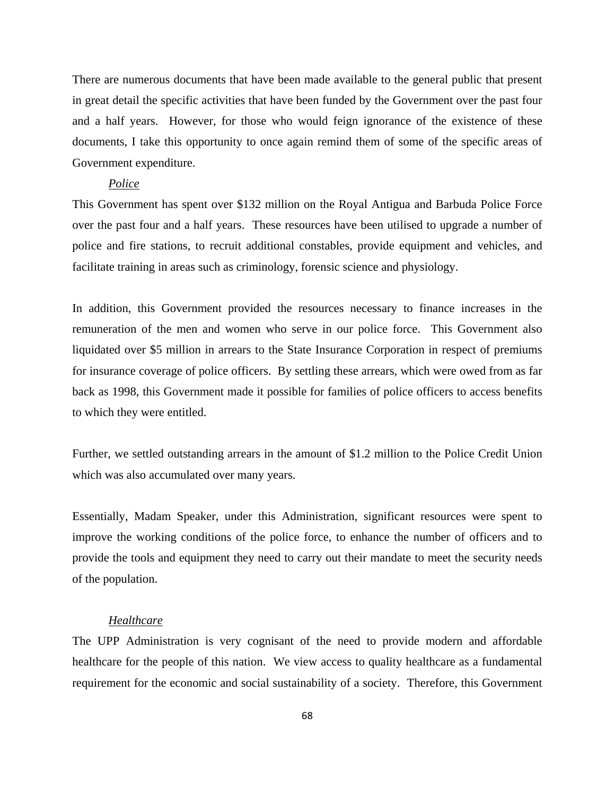There are numerous documents that have been made available to the general public that present in great detail the specific activities that have been funded by the Government over the past four and a half years. However, for those who would feign ignorance of the existence of these documents, I take this opportunity to once again remind them of some of the specific areas of Government expenditure.

# *Police*

This Government has spent over \$132 million on the Royal Antigua and Barbuda Police Force over the past four and a half years. These resources have been utilised to upgrade a number of police and fire stations, to recruit additional constables, provide equipment and vehicles, and facilitate training in areas such as criminology, forensic science and physiology.

In addition, this Government provided the resources necessary to finance increases in the remuneration of the men and women who serve in our police force. This Government also liquidated over \$5 million in arrears to the State Insurance Corporation in respect of premiums for insurance coverage of police officers. By settling these arrears, which were owed from as far back as 1998, this Government made it possible for families of police officers to access benefits to which they were entitled.

Further, we settled outstanding arrears in the amount of \$1.2 million to the Police Credit Union which was also accumulated over many years.

Essentially, Madam Speaker, under this Administration, significant resources were spent to improve the working conditions of the police force, to enhance the number of officers and to provide the tools and equipment they need to carry out their mandate to meet the security needs of the population.

## *Healthcare*

The UPP Administration is very cognisant of the need to provide modern and affordable healthcare for the people of this nation. We view access to quality healthcare as a fundamental requirement for the economic and social sustainability of a society. Therefore, this Government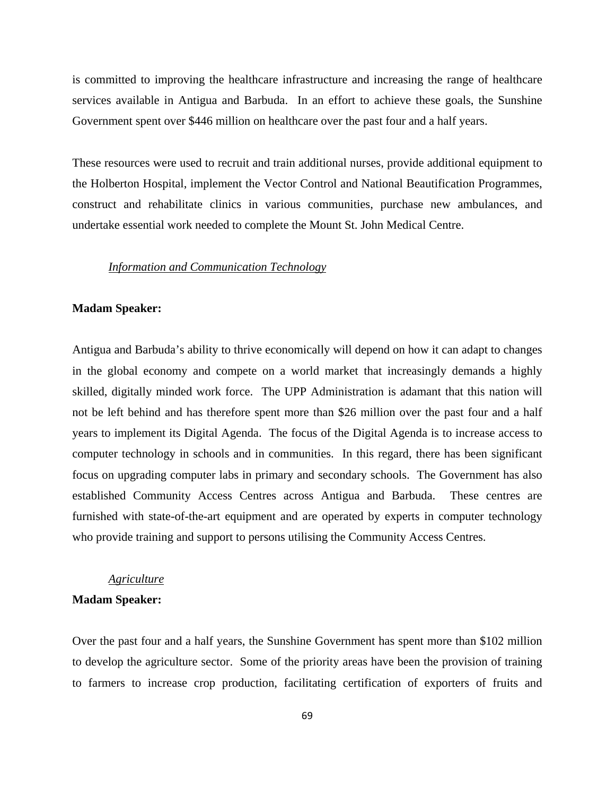is committed to improving the healthcare infrastructure and increasing the range of healthcare services available in Antigua and Barbuda. In an effort to achieve these goals, the Sunshine Government spent over \$446 million on healthcare over the past four and a half years.

These resources were used to recruit and train additional nurses, provide additional equipment to the Holberton Hospital, implement the Vector Control and National Beautification Programmes, construct and rehabilitate clinics in various communities, purchase new ambulances, and undertake essential work needed to complete the Mount St. John Medical Centre.

# *Information and Communication Technology*

#### **Madam Speaker:**

Antigua and Barbuda's ability to thrive economically will depend on how it can adapt to changes in the global economy and compete on a world market that increasingly demands a highly skilled, digitally minded work force. The UPP Administration is adamant that this nation will not be left behind and has therefore spent more than \$26 million over the past four and a half years to implement its Digital Agenda. The focus of the Digital Agenda is to increase access to computer technology in schools and in communities. In this regard, there has been significant focus on upgrading computer labs in primary and secondary schools. The Government has also established Community Access Centres across Antigua and Barbuda. These centres are furnished with state-of-the-art equipment and are operated by experts in computer technology who provide training and support to persons utilising the Community Access Centres.

#### *Agriculture*

# **Madam Speaker:**

Over the past four and a half years, the Sunshine Government has spent more than \$102 million to develop the agriculture sector. Some of the priority areas have been the provision of training to farmers to increase crop production, facilitating certification of exporters of fruits and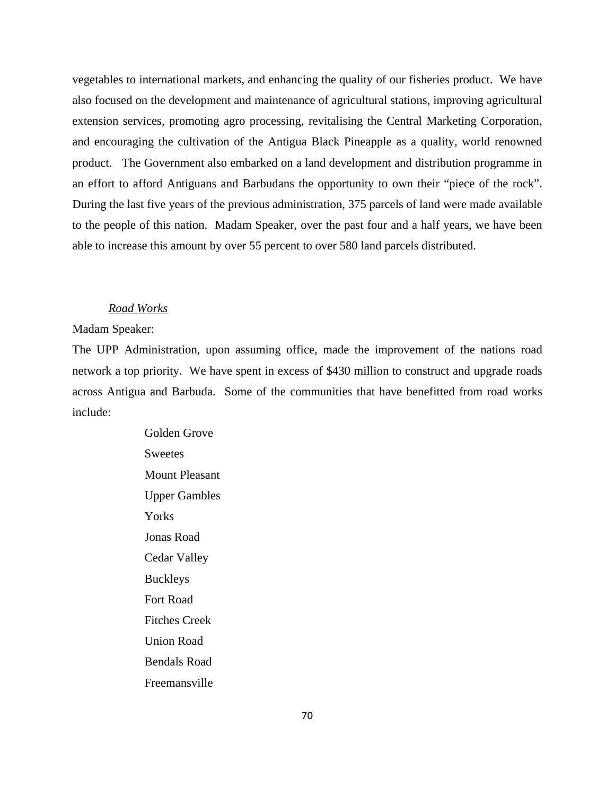vegetables to international markets, and enhancing the quality of our fisheries product. We have also focused on the development and maintenance of agricultural stations, improving agricultural extension services, promoting agro processing, revitalising the Central Marketing Corporation, and encouraging the cultivation of the Antigua Black Pineapple as a quality, world renowned product. The Government also embarked on a land development and distribution programme in an effort to afford Antiguans and Barbudans the opportunity to own their "piece of the rock". During the last five years of the previous administration, 375 parcels of land were made available to the people of this nation. Madam Speaker, over the past four and a half years, we have been able to increase this amount by over 55 percent to over 580 land parcels distributed.

#### *Road Works*

# Madam Speaker:

The UPP Administration, upon assuming office, made the improvement of the nations road network a top priority. We have spent in excess of \$430 million to construct and upgrade roads across Antigua and Barbuda. Some of the communities that have benefitted from road works include:

> Golden Grove **Sweetes** Mount Pleasant Upper Gambles Yorks Jonas Road Cedar Valley Buckleys Fort Road Fitches Creek Union Road Bendals Road Freemansville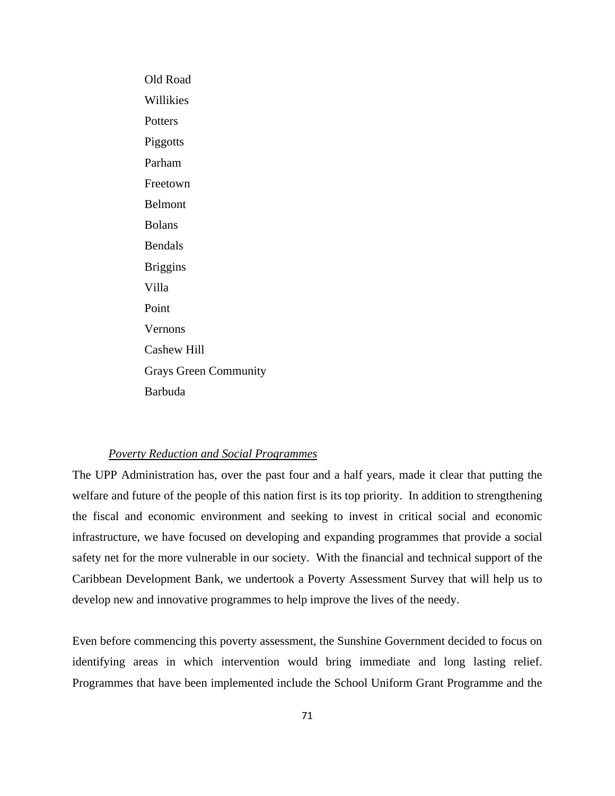Old Road Willikies **Potters** Piggotts Parham Freetown Belmont Bolans Bendals Briggins Villa Point Vernons Cashew Hill Grays Green Community Barbuda

# *Poverty Reduction and Social Programmes*

The UPP Administration has, over the past four and a half years, made it clear that putting the welfare and future of the people of this nation first is its top priority. In addition to strengthening the fiscal and economic environment and seeking to invest in critical social and economic infrastructure, we have focused on developing and expanding programmes that provide a social safety net for the more vulnerable in our society. With the financial and technical support of the Caribbean Development Bank, we undertook a Poverty Assessment Survey that will help us to develop new and innovative programmes to help improve the lives of the needy.

Even before commencing this poverty assessment, the Sunshine Government decided to focus on identifying areas in which intervention would bring immediate and long lasting relief. Programmes that have been implemented include the School Uniform Grant Programme and the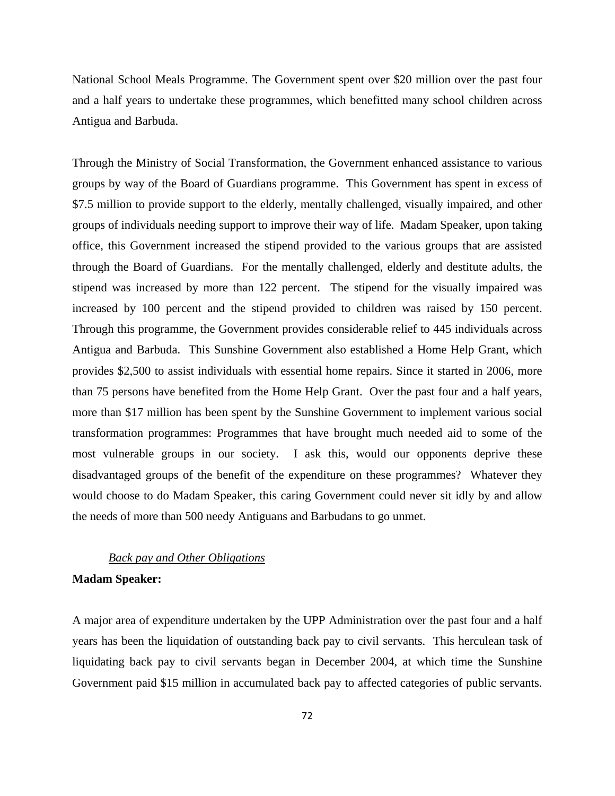National School Meals Programme. The Government spent over \$20 million over the past four and a half years to undertake these programmes, which benefitted many school children across Antigua and Barbuda.

Through the Ministry of Social Transformation, the Government enhanced assistance to various groups by way of the Board of Guardians programme. This Government has spent in excess of \$7.5 million to provide support to the elderly, mentally challenged, visually impaired, and other groups of individuals needing support to improve their way of life. Madam Speaker, upon taking office, this Government increased the stipend provided to the various groups that are assisted through the Board of Guardians. For the mentally challenged, elderly and destitute adults, the stipend was increased by more than 122 percent. The stipend for the visually impaired was increased by 100 percent and the stipend provided to children was raised by 150 percent. Through this programme, the Government provides considerable relief to 445 individuals across Antigua and Barbuda. This Sunshine Government also established a Home Help Grant, which provides \$2,500 to assist individuals with essential home repairs. Since it started in 2006, more than 75 persons have benefited from the Home Help Grant. Over the past four and a half years, more than \$17 million has been spent by the Sunshine Government to implement various social transformation programmes: Programmes that have brought much needed aid to some of the most vulnerable groups in our society. I ask this, would our opponents deprive these disadvantaged groups of the benefit of the expenditure on these programmes? Whatever they would choose to do Madam Speaker, this caring Government could never sit idly by and allow the needs of more than 500 needy Antiguans and Barbudans to go unmet.

# *Back pay and Other Obligations*

# **Madam Speaker:**

A major area of expenditure undertaken by the UPP Administration over the past four and a half years has been the liquidation of outstanding back pay to civil servants. This herculean task of liquidating back pay to civil servants began in December 2004, at which time the Sunshine Government paid \$15 million in accumulated back pay to affected categories of public servants.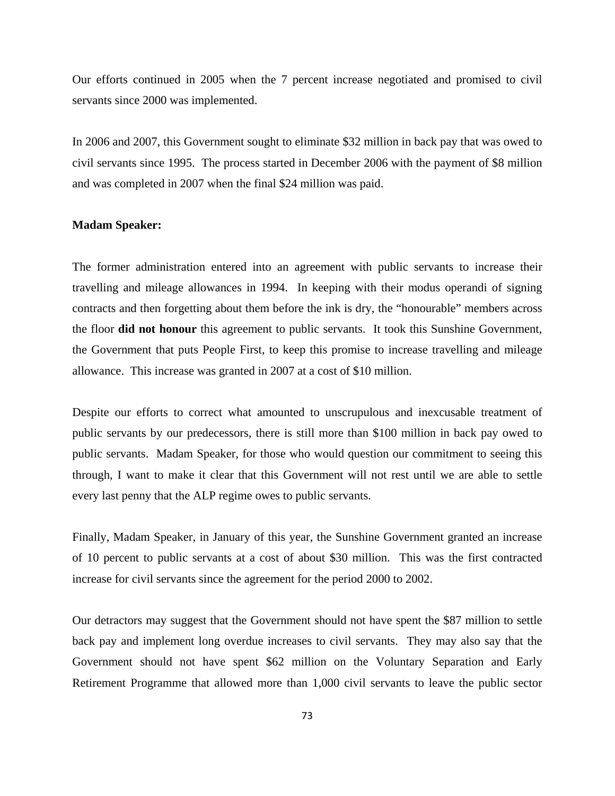Our efforts continued in 2005 when the 7 percent increase negotiated and promised to civil servants since 2000 was implemented.

In 2006 and 2007, this Government sought to eliminate \$32 million in back pay that was owed to civil servants since 1995. The process started in December 2006 with the payment of \$8 million and was completed in 2007 when the final \$24 million was paid.

#### **Madam Speaker:**

The former administration entered into an agreement with public servants to increase their travelling and mileage allowances in 1994. In keeping with their modus operandi of signing contracts and then forgetting about them before the ink is dry, the "honourable" members across the floor **did not honour** this agreement to public servants. It took this Sunshine Government, the Government that puts People First, to keep this promise to increase travelling and mileage allowance. This increase was granted in 2007 at a cost of \$10 million.

Despite our efforts to correct what amounted to unscrupulous and inexcusable treatment of public servants by our predecessors, there is still more than \$100 million in back pay owed to public servants. Madam Speaker, for those who would question our commitment to seeing this through, I want to make it clear that this Government will not rest until we are able to settle every last penny that the ALP regime owes to public servants.

Finally, Madam Speaker, in January of this year, the Sunshine Government granted an increase of 10 percent to public servants at a cost of about \$30 million. This was the first contracted increase for civil servants since the agreement for the period 2000 to 2002.

Our detractors may suggest that the Government should not have spent the \$87 million to settle back pay and implement long overdue increases to civil servants. They may also say that the Government should not have spent \$62 million on the Voluntary Separation and Early Retirement Programme that allowed more than 1,000 civil servants to leave the public sector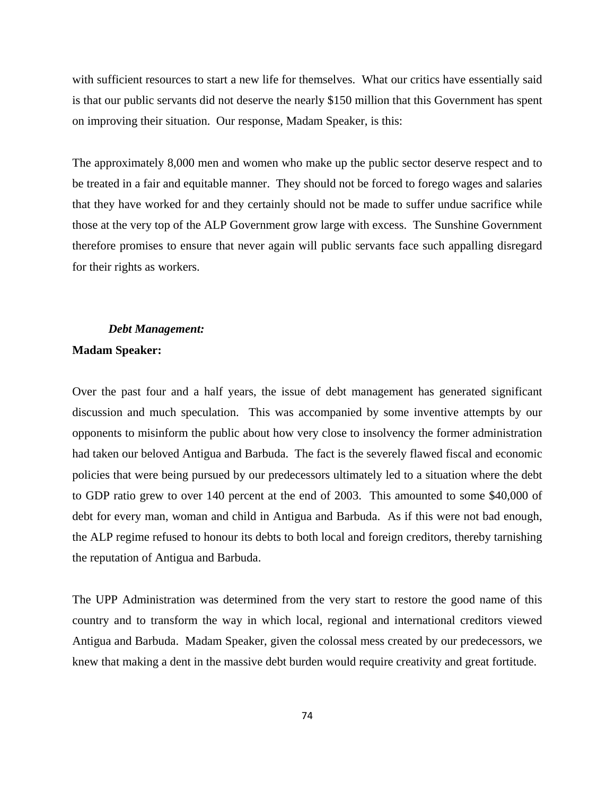with sufficient resources to start a new life for themselves. What our critics have essentially said is that our public servants did not deserve the nearly \$150 million that this Government has spent on improving their situation. Our response, Madam Speaker, is this:

The approximately 8,000 men and women who make up the public sector deserve respect and to be treated in a fair and equitable manner. They should not be forced to forego wages and salaries that they have worked for and they certainly should not be made to suffer undue sacrifice while those at the very top of the ALP Government grow large with excess. The Sunshine Government therefore promises to ensure that never again will public servants face such appalling disregard for their rights as workers.

# *Debt Management:*

# **Madam Speaker:**

Over the past four and a half years, the issue of debt management has generated significant discussion and much speculation. This was accompanied by some inventive attempts by our opponents to misinform the public about how very close to insolvency the former administration had taken our beloved Antigua and Barbuda. The fact is the severely flawed fiscal and economic policies that were being pursued by our predecessors ultimately led to a situation where the debt to GDP ratio grew to over 140 percent at the end of 2003. This amounted to some \$40,000 of debt for every man, woman and child in Antigua and Barbuda. As if this were not bad enough, the ALP regime refused to honour its debts to both local and foreign creditors, thereby tarnishing the reputation of Antigua and Barbuda.

The UPP Administration was determined from the very start to restore the good name of this country and to transform the way in which local, regional and international creditors viewed Antigua and Barbuda. Madam Speaker, given the colossal mess created by our predecessors, we knew that making a dent in the massive debt burden would require creativity and great fortitude.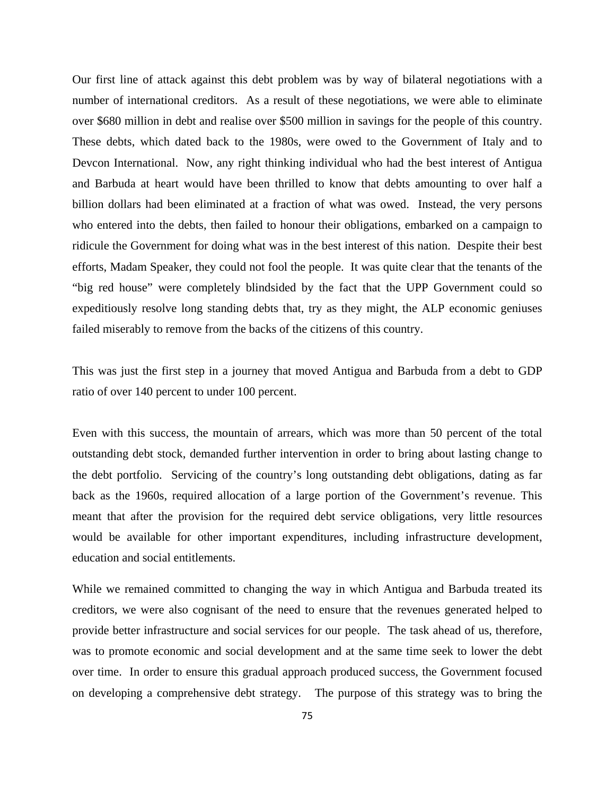Our first line of attack against this debt problem was by way of bilateral negotiations with a number of international creditors. As a result of these negotiations, we were able to eliminate over \$680 million in debt and realise over \$500 million in savings for the people of this country. These debts, which dated back to the 1980s, were owed to the Government of Italy and to Devcon International. Now, any right thinking individual who had the best interest of Antigua and Barbuda at heart would have been thrilled to know that debts amounting to over half a billion dollars had been eliminated at a fraction of what was owed. Instead, the very persons who entered into the debts, then failed to honour their obligations, embarked on a campaign to ridicule the Government for doing what was in the best interest of this nation. Despite their best efforts, Madam Speaker, they could not fool the people. It was quite clear that the tenants of the "big red house" were completely blindsided by the fact that the UPP Government could so expeditiously resolve long standing debts that, try as they might, the ALP economic geniuses failed miserably to remove from the backs of the citizens of this country.

This was just the first step in a journey that moved Antigua and Barbuda from a debt to GDP ratio of over 140 percent to under 100 percent.

Even with this success, the mountain of arrears, which was more than 50 percent of the total outstanding debt stock, demanded further intervention in order to bring about lasting change to the debt portfolio. Servicing of the country's long outstanding debt obligations, dating as far back as the 1960s, required allocation of a large portion of the Government's revenue. This meant that after the provision for the required debt service obligations, very little resources would be available for other important expenditures, including infrastructure development, education and social entitlements.

While we remained committed to changing the way in which Antigua and Barbuda treated its creditors, we were also cognisant of the need to ensure that the revenues generated helped to provide better infrastructure and social services for our people. The task ahead of us, therefore, was to promote economic and social development and at the same time seek to lower the debt over time. In order to ensure this gradual approach produced success, the Government focused on developing a comprehensive debt strategy. The purpose of this strategy was to bring the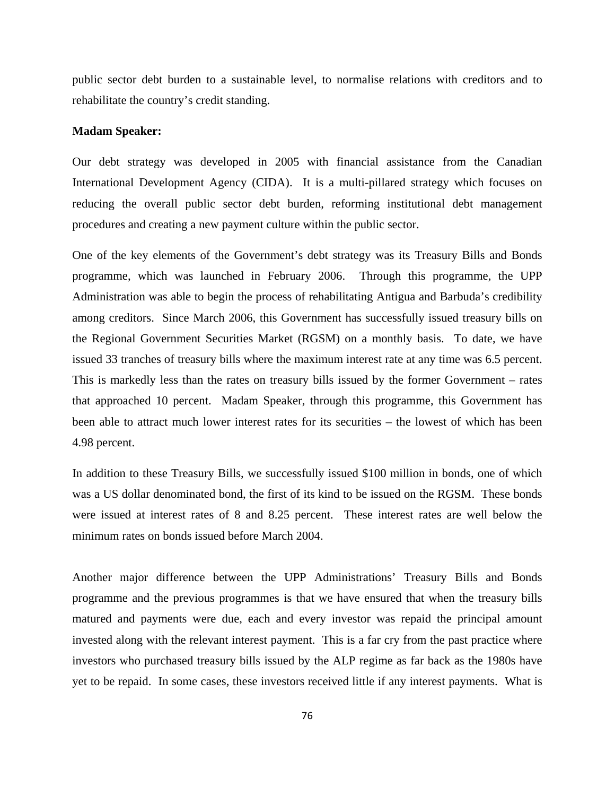public sector debt burden to a sustainable level, to normalise relations with creditors and to rehabilitate the country's credit standing.

#### **Madam Speaker:**

Our debt strategy was developed in 2005 with financial assistance from the Canadian International Development Agency (CIDA). It is a multi-pillared strategy which focuses on reducing the overall public sector debt burden, reforming institutional debt management procedures and creating a new payment culture within the public sector.

One of the key elements of the Government's debt strategy was its Treasury Bills and Bonds programme, which was launched in February 2006. Through this programme, the UPP Administration was able to begin the process of rehabilitating Antigua and Barbuda's credibility among creditors. Since March 2006, this Government has successfully issued treasury bills on the Regional Government Securities Market (RGSM) on a monthly basis. To date, we have issued 33 tranches of treasury bills where the maximum interest rate at any time was 6.5 percent. This is markedly less than the rates on treasury bills issued by the former Government – rates that approached 10 percent. Madam Speaker, through this programme, this Government has been able to attract much lower interest rates for its securities – the lowest of which has been 4.98 percent.

In addition to these Treasury Bills, we successfully issued \$100 million in bonds, one of which was a US dollar denominated bond, the first of its kind to be issued on the RGSM. These bonds were issued at interest rates of 8 and 8.25 percent. These interest rates are well below the minimum rates on bonds issued before March 2004.

Another major difference between the UPP Administrations' Treasury Bills and Bonds programme and the previous programmes is that we have ensured that when the treasury bills matured and payments were due, each and every investor was repaid the principal amount invested along with the relevant interest payment. This is a far cry from the past practice where investors who purchased treasury bills issued by the ALP regime as far back as the 1980s have yet to be repaid. In some cases, these investors received little if any interest payments. What is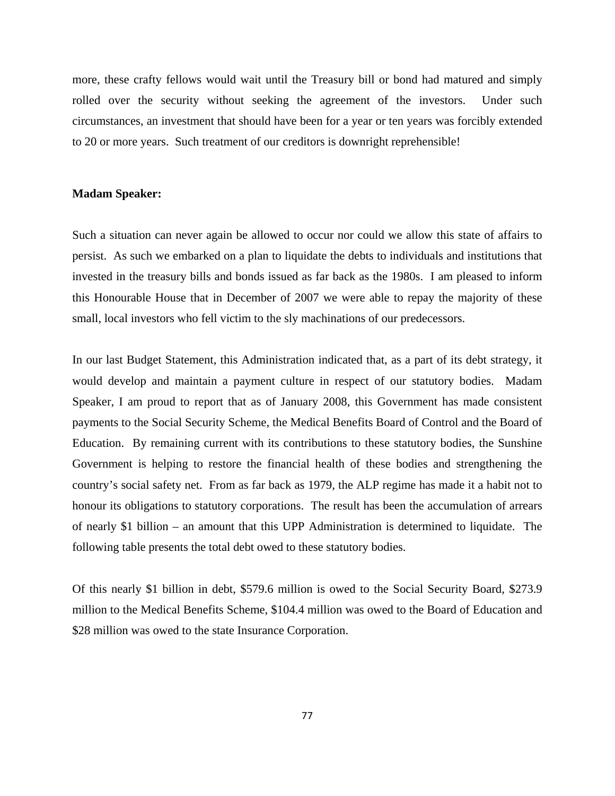more, these crafty fellows would wait until the Treasury bill or bond had matured and simply rolled over the security without seeking the agreement of the investors. Under such circumstances, an investment that should have been for a year or ten years was forcibly extended to 20 or more years. Such treatment of our creditors is downright reprehensible!

### **Madam Speaker:**

Such a situation can never again be allowed to occur nor could we allow this state of affairs to persist. As such we embarked on a plan to liquidate the debts to individuals and institutions that invested in the treasury bills and bonds issued as far back as the 1980s. I am pleased to inform this Honourable House that in December of 2007 we were able to repay the majority of these small, local investors who fell victim to the sly machinations of our predecessors.

In our last Budget Statement, this Administration indicated that, as a part of its debt strategy, it would develop and maintain a payment culture in respect of our statutory bodies. Madam Speaker, I am proud to report that as of January 2008, this Government has made consistent payments to the Social Security Scheme, the Medical Benefits Board of Control and the Board of Education. By remaining current with its contributions to these statutory bodies, the Sunshine Government is helping to restore the financial health of these bodies and strengthening the country's social safety net. From as far back as 1979, the ALP regime has made it a habit not to honour its obligations to statutory corporations. The result has been the accumulation of arrears of nearly \$1 billion – an amount that this UPP Administration is determined to liquidate. The following table presents the total debt owed to these statutory bodies.

Of this nearly \$1 billion in debt, \$579.6 million is owed to the Social Security Board, \$273.9 million to the Medical Benefits Scheme, \$104.4 million was owed to the Board of Education and \$28 million was owed to the state Insurance Corporation.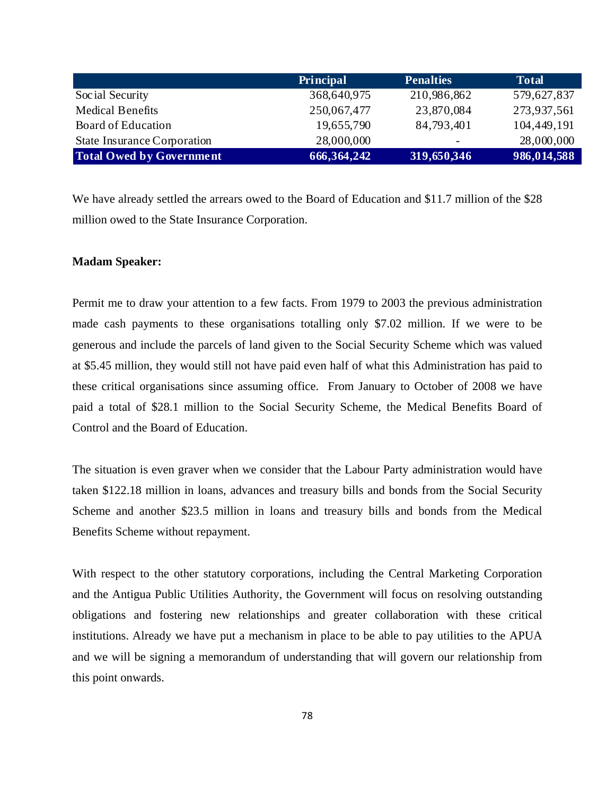|                                    | <b>Principal</b> | <b>Penalties</b>         | <b>Total</b> |
|------------------------------------|------------------|--------------------------|--------------|
| Social Security                    | 368,640,975      | 210,986,862              | 579,627,837  |
| <b>Medical Benefits</b>            | 250,067,477      | 23,870,084               | 273,937,561  |
| Board of Education                 | 19,655,790       | 84,793,401               | 104,449,191  |
| <b>State Insurance Corporation</b> | 28,000,000       | $\overline{\phantom{0}}$ | 28,000,000   |
| <b>Total Owed by Government</b>    | 666, 364, 242    | 319,650,346              | 986,014,588  |

We have already settled the arrears owed to the Board of Education and \$11.7 million of the \$28 million owed to the State Insurance Corporation.

# **Madam Speaker:**

Permit me to draw your attention to a few facts. From 1979 to 2003 the previous administration made cash payments to these organisations totalling only \$7.02 million. If we were to be generous and include the parcels of land given to the Social Security Scheme which was valued at \$5.45 million, they would still not have paid even half of what this Administration has paid to these critical organisations since assuming office. From January to October of 2008 we have paid a total of \$28.1 million to the Social Security Scheme, the Medical Benefits Board of Control and the Board of Education.

The situation is even graver when we consider that the Labour Party administration would have taken \$122.18 million in loans, advances and treasury bills and bonds from the Social Security Scheme and another \$23.5 million in loans and treasury bills and bonds from the Medical Benefits Scheme without repayment.

With respect to the other statutory corporations, including the Central Marketing Corporation and the Antigua Public Utilities Authority, the Government will focus on resolving outstanding obligations and fostering new relationships and greater collaboration with these critical institutions. Already we have put a mechanism in place to be able to pay utilities to the APUA and we will be signing a memorandum of understanding that will govern our relationship from this point onwards.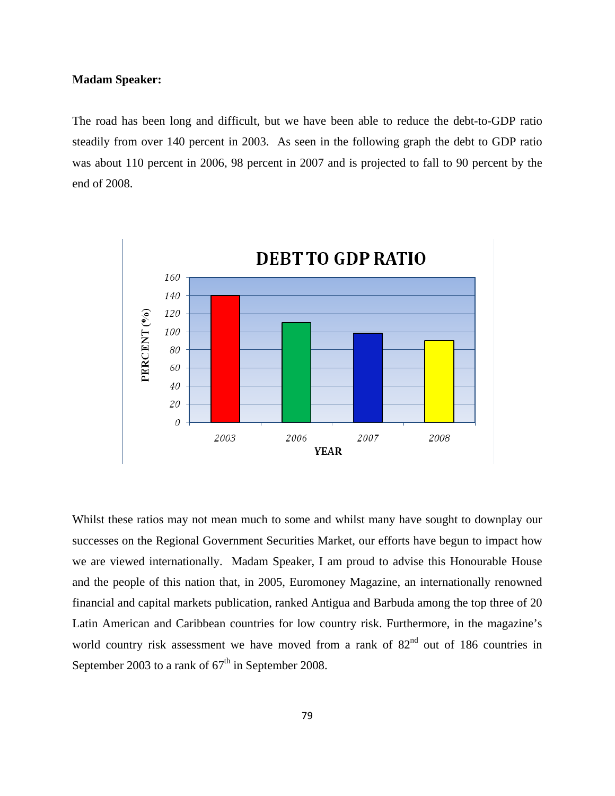# **Madam Speaker:**

The road has been long and difficult, but we have been able to reduce the debt-to-GDP ratio steadily from over 140 percent in 2003. As seen in the following graph the debt to GDP ratio was about 110 percent in 2006, 98 percent in 2007 and is projected to fall to 90 percent by the end of 2008.



Whilst these ratios may not mean much to some and whilst many have sought to downplay our successes on the Regional Government Securities Market, our efforts have begun to impact how we are viewed internationally. Madam Speaker, I am proud to advise this Honourable House and the people of this nation that, in 2005, Euromoney Magazine, an internationally renowned financial and capital markets publication, ranked Antigua and Barbuda among the top three of 20 Latin American and Caribbean countries for low country risk. Furthermore, in the magazine's world country risk assessment we have moved from a rank of 82<sup>nd</sup> out of 186 countries in September 2003 to a rank of  $67<sup>th</sup>$  in September 2008.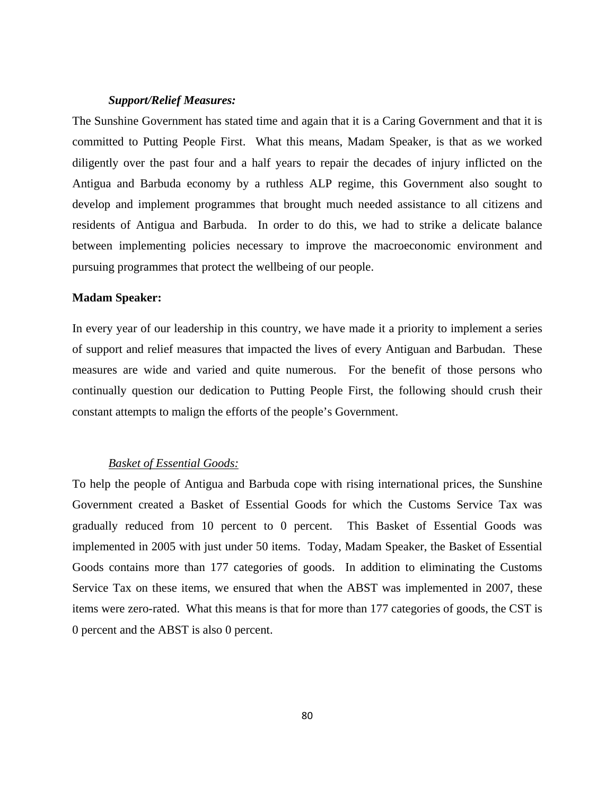# *Support/Relief Measures:*

The Sunshine Government has stated time and again that it is a Caring Government and that it is committed to Putting People First. What this means, Madam Speaker, is that as we worked diligently over the past four and a half years to repair the decades of injury inflicted on the Antigua and Barbuda economy by a ruthless ALP regime, this Government also sought to develop and implement programmes that brought much needed assistance to all citizens and residents of Antigua and Barbuda. In order to do this, we had to strike a delicate balance between implementing policies necessary to improve the macroeconomic environment and pursuing programmes that protect the wellbeing of our people.

# **Madam Speaker:**

In every year of our leadership in this country, we have made it a priority to implement a series of support and relief measures that impacted the lives of every Antiguan and Barbudan. These measures are wide and varied and quite numerous. For the benefit of those persons who continually question our dedication to Putting People First, the following should crush their constant attempts to malign the efforts of the people's Government.

# *Basket of Essential Goods:*

To help the people of Antigua and Barbuda cope with rising international prices, the Sunshine Government created a Basket of Essential Goods for which the Customs Service Tax was gradually reduced from 10 percent to 0 percent. This Basket of Essential Goods was implemented in 2005 with just under 50 items. Today, Madam Speaker, the Basket of Essential Goods contains more than 177 categories of goods. In addition to eliminating the Customs Service Tax on these items, we ensured that when the ABST was implemented in 2007, these items were zero-rated. What this means is that for more than 177 categories of goods, the CST is 0 percent and the ABST is also 0 percent.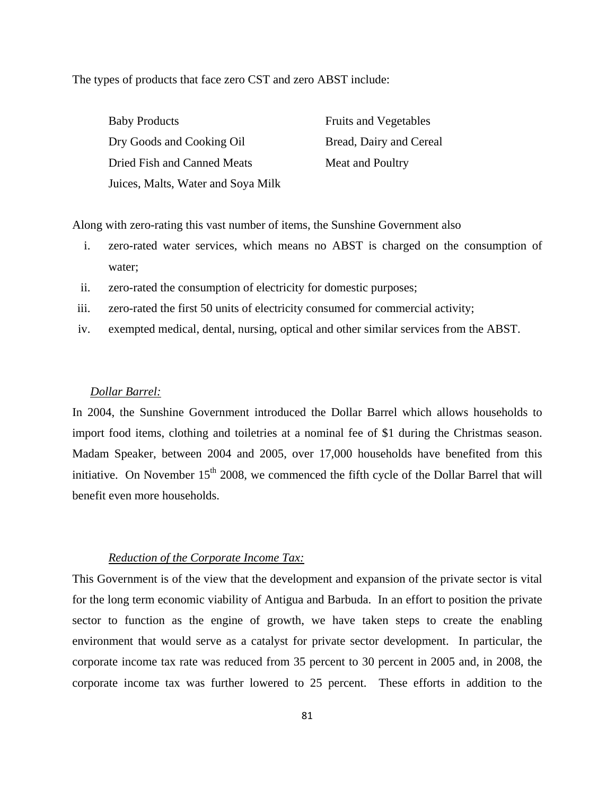The types of products that face zero CST and zero ABST include:

| <b>Baby Products</b>               | <b>Fruits and Vegetables</b> |
|------------------------------------|------------------------------|
| Dry Goods and Cooking Oil          | Bread, Dairy and Cereal      |
| Dried Fish and Canned Meats        | Meat and Poultry             |
| Juices, Malts, Water and Soya Milk |                              |

Along with zero-rating this vast number of items, the Sunshine Government also

- i. zero-rated water services, which means no ABST is charged on the consumption of water;
- ii. zero-rated the consumption of electricity for domestic purposes;
- iii. zero-rated the first 50 units of electricity consumed for commercial activity;
- iv. exempted medical, dental, nursing, optical and other similar services from the ABST.

# *Dollar Barrel:*

In 2004, the Sunshine Government introduced the Dollar Barrel which allows households to import food items, clothing and toiletries at a nominal fee of \$1 during the Christmas season. Madam Speaker, between 2004 and 2005, over 17,000 households have benefited from this initiative. On November  $15<sup>th</sup>$  2008, we commenced the fifth cycle of the Dollar Barrel that will benefit even more households.

# *Reduction of the Corporate Income Tax:*

This Government is of the view that the development and expansion of the private sector is vital for the long term economic viability of Antigua and Barbuda. In an effort to position the private sector to function as the engine of growth, we have taken steps to create the enabling environment that would serve as a catalyst for private sector development. In particular, the corporate income tax rate was reduced from 35 percent to 30 percent in 2005 and, in 2008, the corporate income tax was further lowered to 25 percent. These efforts in addition to the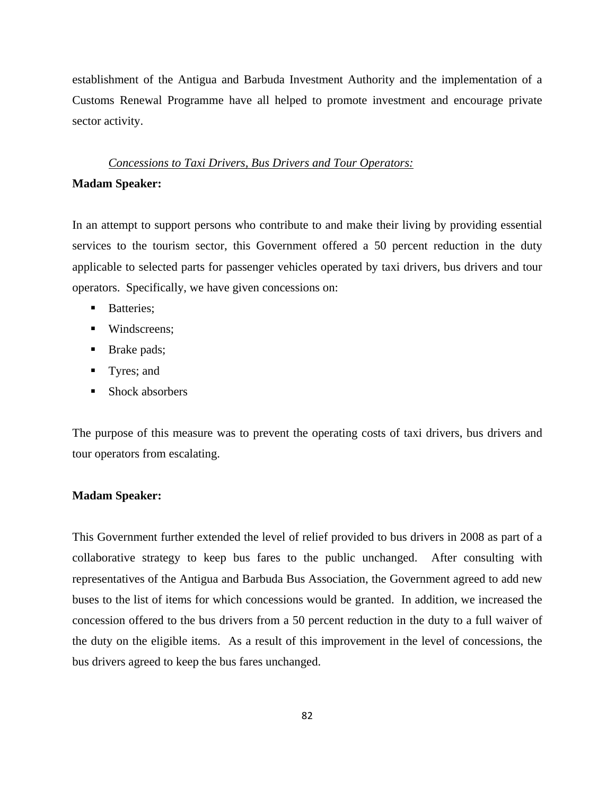establishment of the Antigua and Barbuda Investment Authority and the implementation of a Customs Renewal Programme have all helped to promote investment and encourage private sector activity.

# *Concessions to Taxi Drivers, Bus Drivers and Tour Operators:*

# **Madam Speaker:**

In an attempt to support persons who contribute to and make their living by providing essential services to the tourism sector, this Government offered a 50 percent reduction in the duty applicable to selected parts for passenger vehicles operated by taxi drivers, bus drivers and tour operators. Specifically, we have given concessions on:

- **Batteries:**
- **Windscreens:**
- Brake pads;
- Tyres; and
- Shock absorbers

The purpose of this measure was to prevent the operating costs of taxi drivers, bus drivers and tour operators from escalating.

#### **Madam Speaker:**

This Government further extended the level of relief provided to bus drivers in 2008 as part of a collaborative strategy to keep bus fares to the public unchanged. After consulting with representatives of the Antigua and Barbuda Bus Association, the Government agreed to add new buses to the list of items for which concessions would be granted. In addition, we increased the concession offered to the bus drivers from a 50 percent reduction in the duty to a full waiver of the duty on the eligible items. As a result of this improvement in the level of concessions, the bus drivers agreed to keep the bus fares unchanged.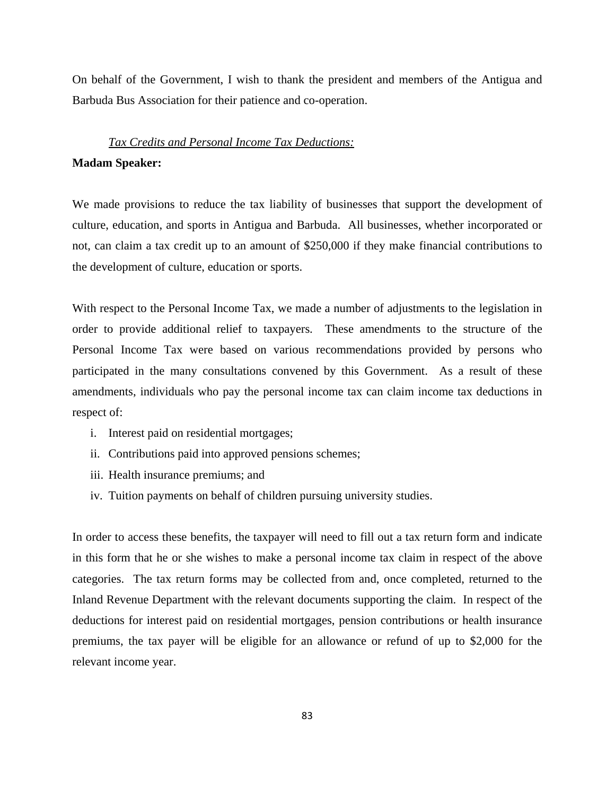On behalf of the Government, I wish to thank the president and members of the Antigua and Barbuda Bus Association for their patience and co-operation.

#### *Tax Credits and Personal Income Tax Deductions:*

#### **Madam Speaker:**

We made provisions to reduce the tax liability of businesses that support the development of culture, education, and sports in Antigua and Barbuda. All businesses, whether incorporated or not, can claim a tax credit up to an amount of \$250,000 if they make financial contributions to the development of culture, education or sports.

With respect to the Personal Income Tax, we made a number of adjustments to the legislation in order to provide additional relief to taxpayers. These amendments to the structure of the Personal Income Tax were based on various recommendations provided by persons who participated in the many consultations convened by this Government. As a result of these amendments, individuals who pay the personal income tax can claim income tax deductions in respect of:

- i. Interest paid on residential mortgages;
- ii. Contributions paid into approved pensions schemes;
- iii. Health insurance premiums; and
- iv. Tuition payments on behalf of children pursuing university studies.

In order to access these benefits, the taxpayer will need to fill out a tax return form and indicate in this form that he or she wishes to make a personal income tax claim in respect of the above categories. The tax return forms may be collected from and, once completed, returned to the Inland Revenue Department with the relevant documents supporting the claim. In respect of the deductions for interest paid on residential mortgages, pension contributions or health insurance premiums, the tax payer will be eligible for an allowance or refund of up to \$2,000 for the relevant income year.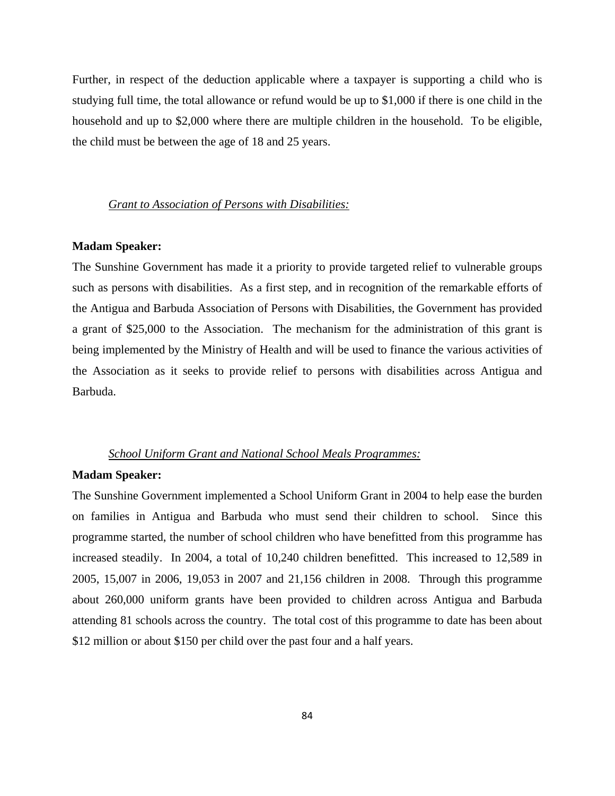Further, in respect of the deduction applicable where a taxpayer is supporting a child who is studying full time, the total allowance or refund would be up to \$1,000 if there is one child in the household and up to \$2,000 where there are multiple children in the household. To be eligible, the child must be between the age of 18 and 25 years.

#### *Grant to Association of Persons with Disabilities:*

# **Madam Speaker:**

The Sunshine Government has made it a priority to provide targeted relief to vulnerable groups such as persons with disabilities. As a first step, and in recognition of the remarkable efforts of the Antigua and Barbuda Association of Persons with Disabilities, the Government has provided a grant of \$25,000 to the Association. The mechanism for the administration of this grant is being implemented by the Ministry of Health and will be used to finance the various activities of the Association as it seeks to provide relief to persons with disabilities across Antigua and Barbuda.

### *School Uniform Grant and National School Meals Programmes:*

#### **Madam Speaker:**

The Sunshine Government implemented a School Uniform Grant in 2004 to help ease the burden on families in Antigua and Barbuda who must send their children to school. Since this programme started, the number of school children who have benefitted from this programme has increased steadily. In 2004, a total of 10,240 children benefitted. This increased to 12,589 in 2005, 15,007 in 2006, 19,053 in 2007 and 21,156 children in 2008. Through this programme about 260,000 uniform grants have been provided to children across Antigua and Barbuda attending 81 schools across the country. The total cost of this programme to date has been about \$12 million or about \$150 per child over the past four and a half years.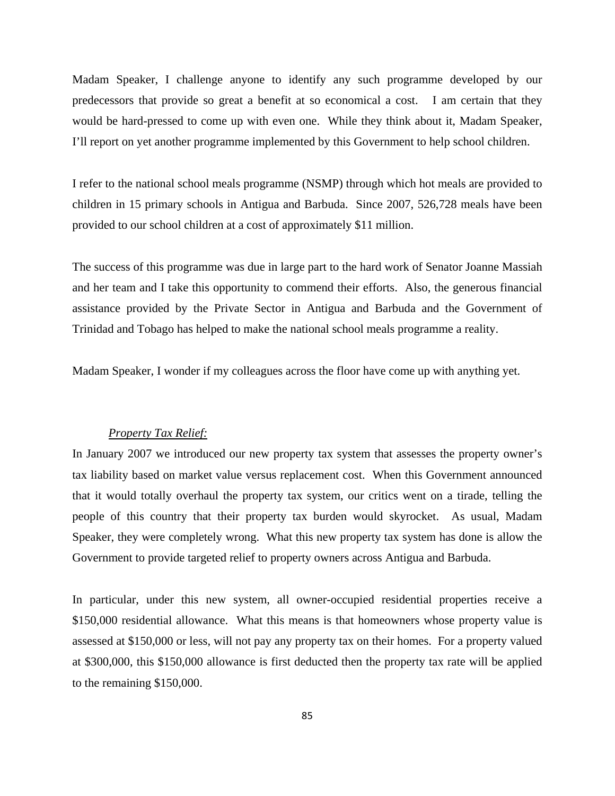Madam Speaker, I challenge anyone to identify any such programme developed by our predecessors that provide so great a benefit at so economical a cost. I am certain that they would be hard-pressed to come up with even one. While they think about it, Madam Speaker, I'll report on yet another programme implemented by this Government to help school children.

I refer to the national school meals programme (NSMP) through which hot meals are provided to children in 15 primary schools in Antigua and Barbuda. Since 2007, 526,728 meals have been provided to our school children at a cost of approximately \$11 million.

The success of this programme was due in large part to the hard work of Senator Joanne Massiah and her team and I take this opportunity to commend their efforts. Also, the generous financial assistance provided by the Private Sector in Antigua and Barbuda and the Government of Trinidad and Tobago has helped to make the national school meals programme a reality.

Madam Speaker, I wonder if my colleagues across the floor have come up with anything yet.

# *Property Tax Relief:*

In January 2007 we introduced our new property tax system that assesses the property owner's tax liability based on market value versus replacement cost. When this Government announced that it would totally overhaul the property tax system, our critics went on a tirade, telling the people of this country that their property tax burden would skyrocket. As usual, Madam Speaker, they were completely wrong. What this new property tax system has done is allow the Government to provide targeted relief to property owners across Antigua and Barbuda.

In particular, under this new system, all owner-occupied residential properties receive a \$150,000 residential allowance. What this means is that homeowners whose property value is assessed at \$150,000 or less, will not pay any property tax on their homes. For a property valued at \$300,000, this \$150,000 allowance is first deducted then the property tax rate will be applied to the remaining \$150,000.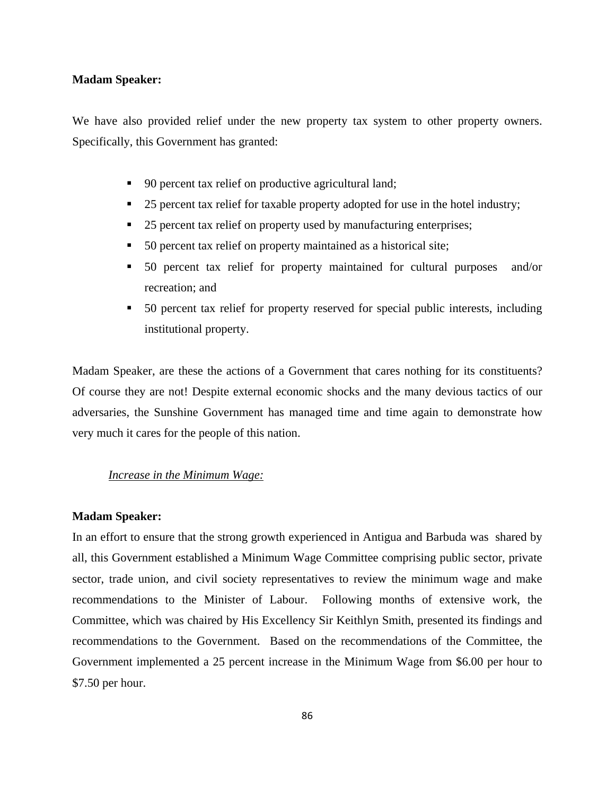# **Madam Speaker:**

We have also provided relief under the new property tax system to other property owners. Specifically, this Government has granted:

- 90 percent tax relief on productive agricultural land;
- 25 percent tax relief for taxable property adopted for use in the hotel industry;
- 25 percent tax relief on property used by manufacturing enterprises;
- 50 percent tax relief on property maintained as a historical site;
- 50 percent tax relief for property maintained for cultural purposes and/or recreation; and
- 50 percent tax relief for property reserved for special public interests, including institutional property.

Madam Speaker, are these the actions of a Government that cares nothing for its constituents? Of course they are not! Despite external economic shocks and the many devious tactics of our adversaries, the Sunshine Government has managed time and time again to demonstrate how very much it cares for the people of this nation.

# *Increase in the Minimum Wage:*

#### **Madam Speaker:**

In an effort to ensure that the strong growth experienced in Antigua and Barbuda was shared by all, this Government established a Minimum Wage Committee comprising public sector, private sector, trade union, and civil society representatives to review the minimum wage and make recommendations to the Minister of Labour. Following months of extensive work, the Committee, which was chaired by His Excellency Sir Keithlyn Smith, presented its findings and recommendations to the Government. Based on the recommendations of the Committee, the Government implemented a 25 percent increase in the Minimum Wage from \$6.00 per hour to \$7.50 per hour.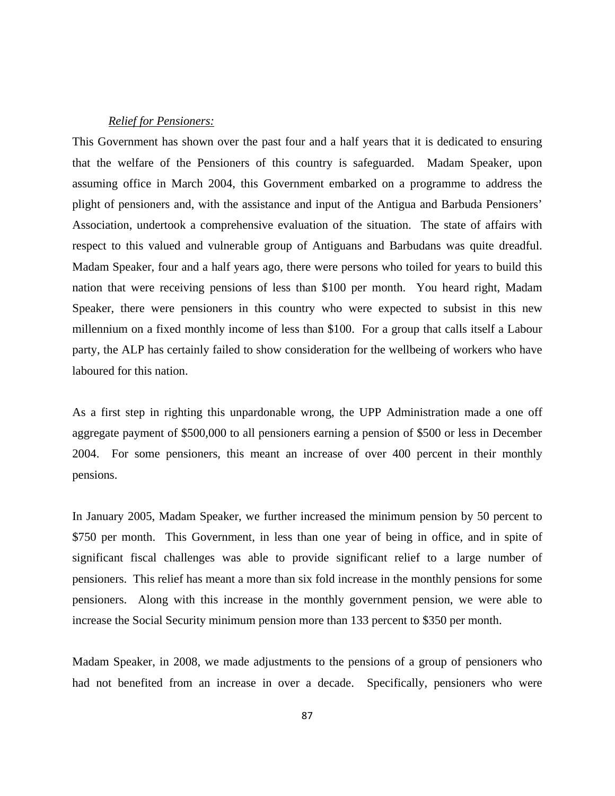# *Relief for Pensioners:*

This Government has shown over the past four and a half years that it is dedicated to ensuring that the welfare of the Pensioners of this country is safeguarded. Madam Speaker, upon assuming office in March 2004, this Government embarked on a programme to address the plight of pensioners and, with the assistance and input of the Antigua and Barbuda Pensioners' Association, undertook a comprehensive evaluation of the situation. The state of affairs with respect to this valued and vulnerable group of Antiguans and Barbudans was quite dreadful. Madam Speaker, four and a half years ago, there were persons who toiled for years to build this nation that were receiving pensions of less than \$100 per month. You heard right, Madam Speaker, there were pensioners in this country who were expected to subsist in this new millennium on a fixed monthly income of less than \$100. For a group that calls itself a Labour party, the ALP has certainly failed to show consideration for the wellbeing of workers who have laboured for this nation.

As a first step in righting this unpardonable wrong, the UPP Administration made a one off aggregate payment of \$500,000 to all pensioners earning a pension of \$500 or less in December 2004. For some pensioners, this meant an increase of over 400 percent in their monthly pensions.

In January 2005, Madam Speaker, we further increased the minimum pension by 50 percent to \$750 per month. This Government, in less than one year of being in office, and in spite of significant fiscal challenges was able to provide significant relief to a large number of pensioners. This relief has meant a more than six fold increase in the monthly pensions for some pensioners. Along with this increase in the monthly government pension, we were able to increase the Social Security minimum pension more than 133 percent to \$350 per month.

Madam Speaker, in 2008, we made adjustments to the pensions of a group of pensioners who had not benefited from an increase in over a decade. Specifically, pensioners who were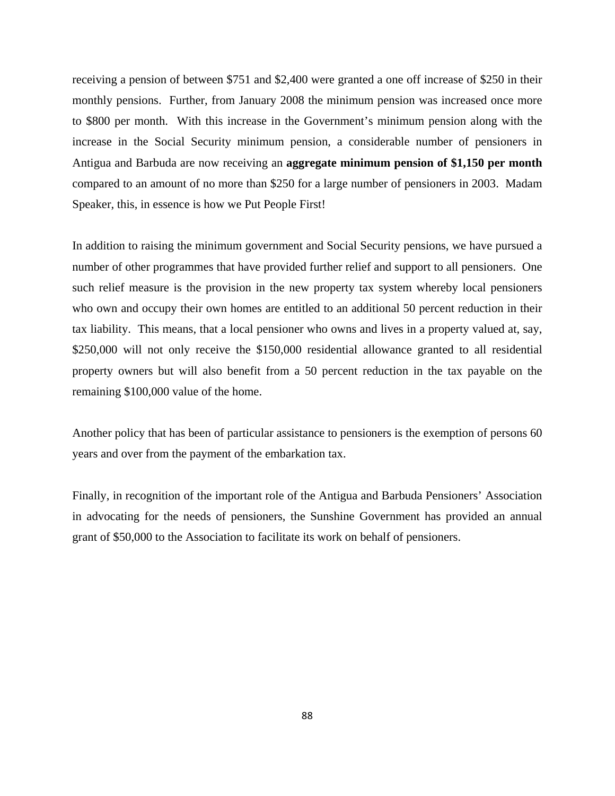receiving a pension of between \$751 and \$2,400 were granted a one off increase of \$250 in their monthly pensions. Further, from January 2008 the minimum pension was increased once more to \$800 per month. With this increase in the Government's minimum pension along with the increase in the Social Security minimum pension, a considerable number of pensioners in Antigua and Barbuda are now receiving an **aggregate minimum pension of \$1,150 per month**  compared to an amount of no more than \$250 for a large number of pensioners in 2003. Madam Speaker, this, in essence is how we Put People First!

In addition to raising the minimum government and Social Security pensions, we have pursued a number of other programmes that have provided further relief and support to all pensioners. One such relief measure is the provision in the new property tax system whereby local pensioners who own and occupy their own homes are entitled to an additional 50 percent reduction in their tax liability. This means, that a local pensioner who owns and lives in a property valued at, say, \$250,000 will not only receive the \$150,000 residential allowance granted to all residential property owners but will also benefit from a 50 percent reduction in the tax payable on the remaining \$100,000 value of the home.

Another policy that has been of particular assistance to pensioners is the exemption of persons 60 years and over from the payment of the embarkation tax.

Finally, in recognition of the important role of the Antigua and Barbuda Pensioners' Association in advocating for the needs of pensioners, the Sunshine Government has provided an annual grant of \$50,000 to the Association to facilitate its work on behalf of pensioners.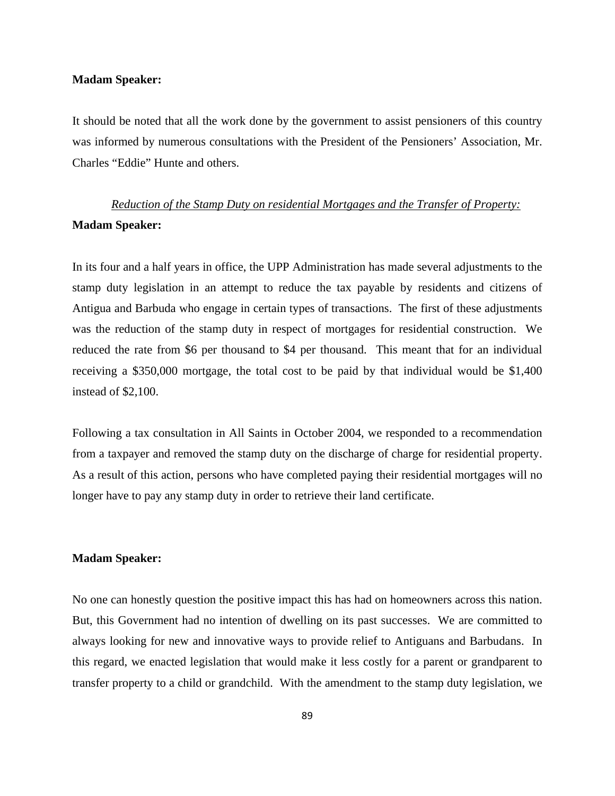# **Madam Speaker:**

It should be noted that all the work done by the government to assist pensioners of this country was informed by numerous consultations with the President of the Pensioners' Association, Mr. Charles "Eddie" Hunte and others.

# *Reduction of the Stamp Duty on residential Mortgages and the Transfer of Property:* **Madam Speaker:**

In its four and a half years in office, the UPP Administration has made several adjustments to the stamp duty legislation in an attempt to reduce the tax payable by residents and citizens of Antigua and Barbuda who engage in certain types of transactions. The first of these adjustments was the reduction of the stamp duty in respect of mortgages for residential construction. We reduced the rate from \$6 per thousand to \$4 per thousand. This meant that for an individual receiving a \$350,000 mortgage, the total cost to be paid by that individual would be \$1,400 instead of \$2,100.

Following a tax consultation in All Saints in October 2004, we responded to a recommendation from a taxpayer and removed the stamp duty on the discharge of charge for residential property. As a result of this action, persons who have completed paying their residential mortgages will no longer have to pay any stamp duty in order to retrieve their land certificate.

# **Madam Speaker:**

No one can honestly question the positive impact this has had on homeowners across this nation. But, this Government had no intention of dwelling on its past successes. We are committed to always looking for new and innovative ways to provide relief to Antiguans and Barbudans. In this regard, we enacted legislation that would make it less costly for a parent or grandparent to transfer property to a child or grandchild. With the amendment to the stamp duty legislation, we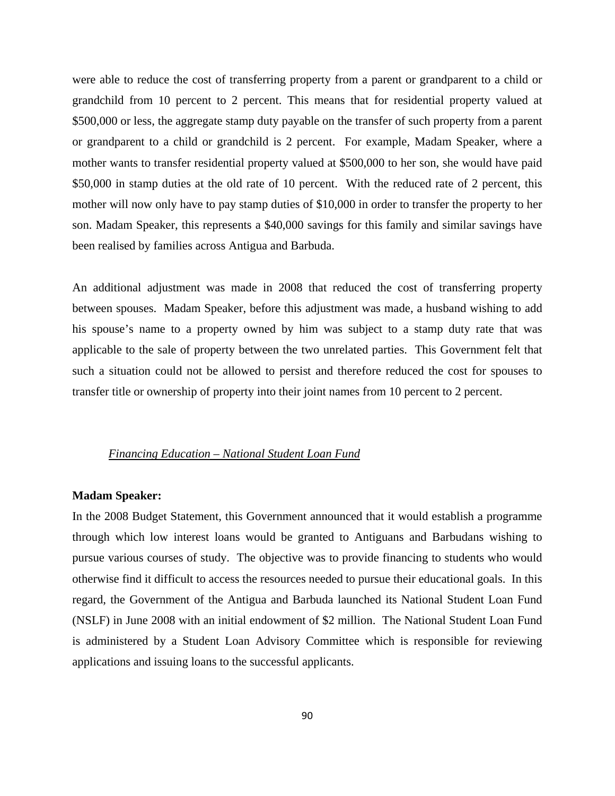were able to reduce the cost of transferring property from a parent or grandparent to a child or grandchild from 10 percent to 2 percent. This means that for residential property valued at \$500,000 or less, the aggregate stamp duty payable on the transfer of such property from a parent or grandparent to a child or grandchild is 2 percent. For example, Madam Speaker, where a mother wants to transfer residential property valued at \$500,000 to her son, she would have paid \$50,000 in stamp duties at the old rate of 10 percent. With the reduced rate of 2 percent, this mother will now only have to pay stamp duties of \$10,000 in order to transfer the property to her son. Madam Speaker, this represents a \$40,000 savings for this family and similar savings have been realised by families across Antigua and Barbuda.

An additional adjustment was made in 2008 that reduced the cost of transferring property between spouses. Madam Speaker, before this adjustment was made, a husband wishing to add his spouse's name to a property owned by him was subject to a stamp duty rate that was applicable to the sale of property between the two unrelated parties. This Government felt that such a situation could not be allowed to persist and therefore reduced the cost for spouses to transfer title or ownership of property into their joint names from 10 percent to 2 percent.

### *Financing Education – National Student Loan Fund*

#### **Madam Speaker:**

In the 2008 Budget Statement, this Government announced that it would establish a programme through which low interest loans would be granted to Antiguans and Barbudans wishing to pursue various courses of study. The objective was to provide financing to students who would otherwise find it difficult to access the resources needed to pursue their educational goals. In this regard, the Government of the Antigua and Barbuda launched its National Student Loan Fund (NSLF) in June 2008 with an initial endowment of \$2 million. The National Student Loan Fund is administered by a Student Loan Advisory Committee which is responsible for reviewing applications and issuing loans to the successful applicants.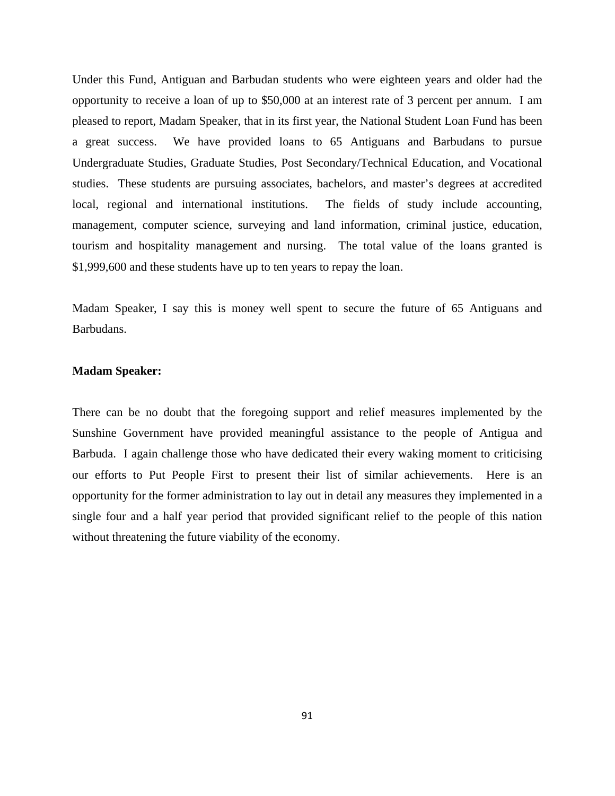Under this Fund, Antiguan and Barbudan students who were eighteen years and older had the opportunity to receive a loan of up to \$50,000 at an interest rate of 3 percent per annum. I am pleased to report, Madam Speaker, that in its first year, the National Student Loan Fund has been a great success. We have provided loans to 65 Antiguans and Barbudans to pursue Undergraduate Studies, Graduate Studies, Post Secondary/Technical Education, and Vocational studies. These students are pursuing associates, bachelors, and master's degrees at accredited local, regional and international institutions. The fields of study include accounting, management, computer science, surveying and land information, criminal justice, education, tourism and hospitality management and nursing. The total value of the loans granted is \$1,999,600 and these students have up to ten years to repay the loan.

Madam Speaker, I say this is money well spent to secure the future of 65 Antiguans and Barbudans.

# **Madam Speaker:**

There can be no doubt that the foregoing support and relief measures implemented by the Sunshine Government have provided meaningful assistance to the people of Antigua and Barbuda. I again challenge those who have dedicated their every waking moment to criticising our efforts to Put People First to present their list of similar achievements. Here is an opportunity for the former administration to lay out in detail any measures they implemented in a single four and a half year period that provided significant relief to the people of this nation without threatening the future viability of the economy.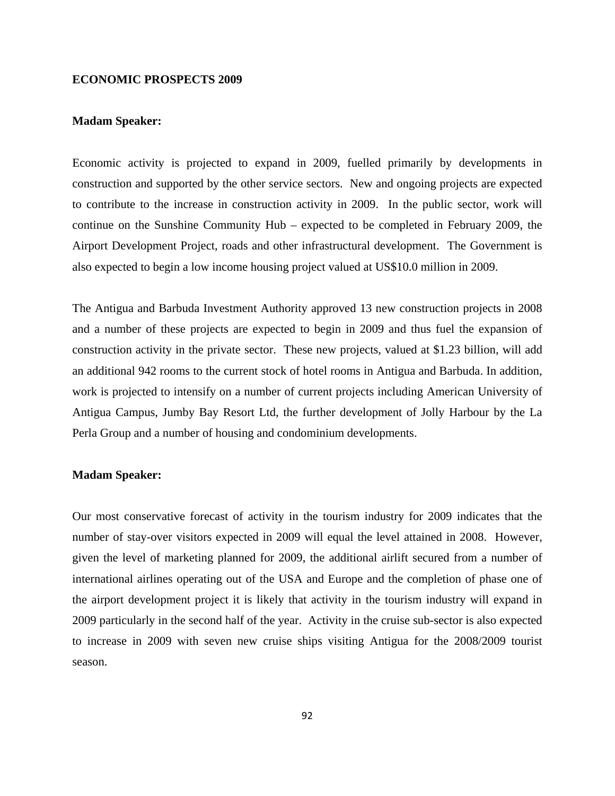# **ECONOMIC PROSPECTS 2009**

# **Madam Speaker:**

Economic activity is projected to expand in 2009, fuelled primarily by developments in construction and supported by the other service sectors. New and ongoing projects are expected to contribute to the increase in construction activity in 2009. In the public sector, work will continue on the Sunshine Community Hub – expected to be completed in February 2009, the Airport Development Project, roads and other infrastructural development. The Government is also expected to begin a low income housing project valued at US\$10.0 million in 2009.

The Antigua and Barbuda Investment Authority approved 13 new construction projects in 2008 and a number of these projects are expected to begin in 2009 and thus fuel the expansion of construction activity in the private sector. These new projects, valued at \$1.23 billion, will add an additional 942 rooms to the current stock of hotel rooms in Antigua and Barbuda. In addition, work is projected to intensify on a number of current projects including American University of Antigua Campus, Jumby Bay Resort Ltd, the further development of Jolly Harbour by the La Perla Group and a number of housing and condominium developments.

#### **Madam Speaker:**

Our most conservative forecast of activity in the tourism industry for 2009 indicates that the number of stay-over visitors expected in 2009 will equal the level attained in 2008. However, given the level of marketing planned for 2009, the additional airlift secured from a number of international airlines operating out of the USA and Europe and the completion of phase one of the airport development project it is likely that activity in the tourism industry will expand in 2009 particularly in the second half of the year. Activity in the cruise sub-sector is also expected to increase in 2009 with seven new cruise ships visiting Antigua for the 2008/2009 tourist season.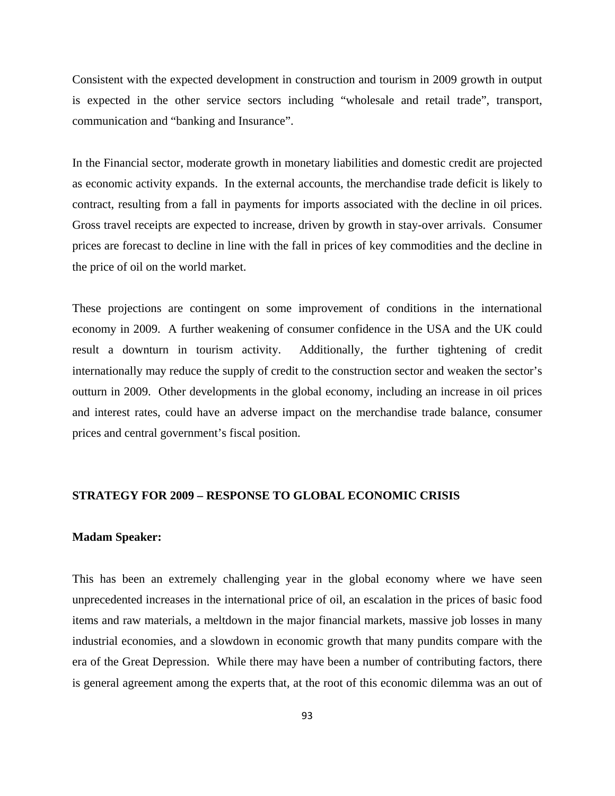Consistent with the expected development in construction and tourism in 2009 growth in output is expected in the other service sectors including "wholesale and retail trade", transport, communication and "banking and Insurance".

In the Financial sector, moderate growth in monetary liabilities and domestic credit are projected as economic activity expands. In the external accounts, the merchandise trade deficit is likely to contract, resulting from a fall in payments for imports associated with the decline in oil prices. Gross travel receipts are expected to increase, driven by growth in stay-over arrivals. Consumer prices are forecast to decline in line with the fall in prices of key commodities and the decline in the price of oil on the world market.

These projections are contingent on some improvement of conditions in the international economy in 2009. A further weakening of consumer confidence in the USA and the UK could result a downturn in tourism activity. Additionally, the further tightening of credit internationally may reduce the supply of credit to the construction sector and weaken the sector's outturn in 2009. Other developments in the global economy, including an increase in oil prices and interest rates, could have an adverse impact on the merchandise trade balance, consumer prices and central government's fiscal position.

# **STRATEGY FOR 2009 – RESPONSE TO GLOBAL ECONOMIC CRISIS**

#### **Madam Speaker:**

This has been an extremely challenging year in the global economy where we have seen unprecedented increases in the international price of oil, an escalation in the prices of basic food items and raw materials, a meltdown in the major financial markets, massive job losses in many industrial economies, and a slowdown in economic growth that many pundits compare with the era of the Great Depression. While there may have been a number of contributing factors, there is general agreement among the experts that, at the root of this economic dilemma was an out of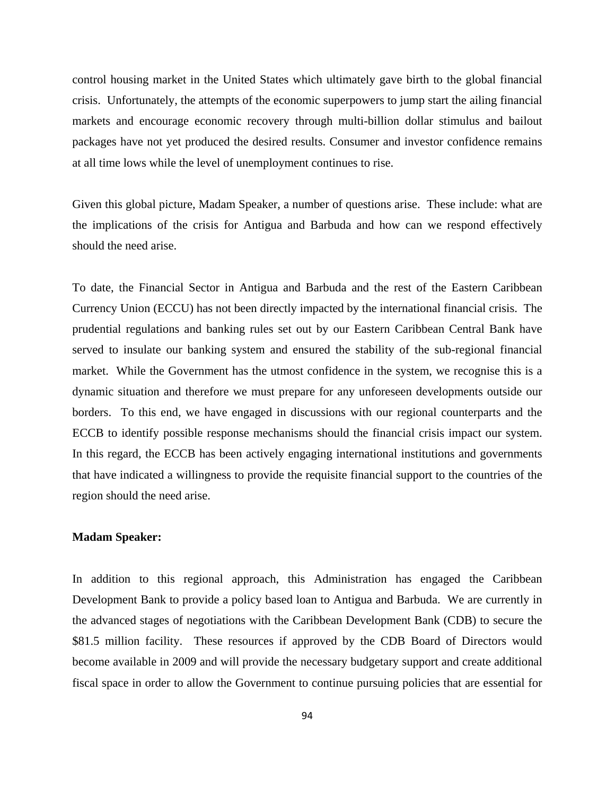control housing market in the United States which ultimately gave birth to the global financial crisis. Unfortunately, the attempts of the economic superpowers to jump start the ailing financial markets and encourage economic recovery through multi-billion dollar stimulus and bailout packages have not yet produced the desired results. Consumer and investor confidence remains at all time lows while the level of unemployment continues to rise.

Given this global picture, Madam Speaker, a number of questions arise. These include: what are the implications of the crisis for Antigua and Barbuda and how can we respond effectively should the need arise.

To date, the Financial Sector in Antigua and Barbuda and the rest of the Eastern Caribbean Currency Union (ECCU) has not been directly impacted by the international financial crisis. The prudential regulations and banking rules set out by our Eastern Caribbean Central Bank have served to insulate our banking system and ensured the stability of the sub-regional financial market. While the Government has the utmost confidence in the system, we recognise this is a dynamic situation and therefore we must prepare for any unforeseen developments outside our borders. To this end, we have engaged in discussions with our regional counterparts and the ECCB to identify possible response mechanisms should the financial crisis impact our system. In this regard, the ECCB has been actively engaging international institutions and governments that have indicated a willingness to provide the requisite financial support to the countries of the region should the need arise.

# **Madam Speaker:**

In addition to this regional approach, this Administration has engaged the Caribbean Development Bank to provide a policy based loan to Antigua and Barbuda. We are currently in the advanced stages of negotiations with the Caribbean Development Bank (CDB) to secure the \$81.5 million facility. These resources if approved by the CDB Board of Directors would become available in 2009 and will provide the necessary budgetary support and create additional fiscal space in order to allow the Government to continue pursuing policies that are essential for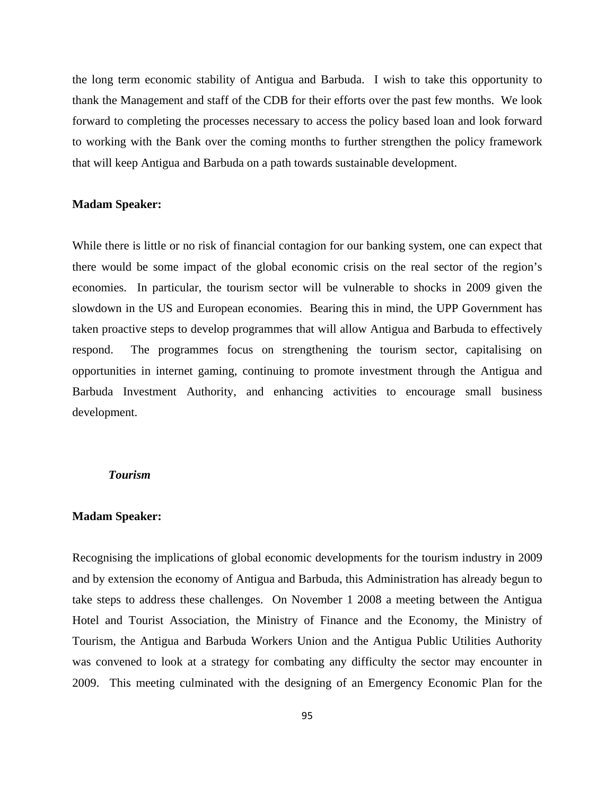the long term economic stability of Antigua and Barbuda. I wish to take this opportunity to thank the Management and staff of the CDB for their efforts over the past few months. We look forward to completing the processes necessary to access the policy based loan and look forward to working with the Bank over the coming months to further strengthen the policy framework that will keep Antigua and Barbuda on a path towards sustainable development.

#### **Madam Speaker:**

While there is little or no risk of financial contagion for our banking system, one can expect that there would be some impact of the global economic crisis on the real sector of the region's economies. In particular, the tourism sector will be vulnerable to shocks in 2009 given the slowdown in the US and European economies. Bearing this in mind, the UPP Government has taken proactive steps to develop programmes that will allow Antigua and Barbuda to effectively respond. The programmes focus on strengthening the tourism sector, capitalising on opportunities in internet gaming, continuing to promote investment through the Antigua and Barbuda Investment Authority, and enhancing activities to encourage small business development.

#### *Tourism*

#### **Madam Speaker:**

Recognising the implications of global economic developments for the tourism industry in 2009 and by extension the economy of Antigua and Barbuda, this Administration has already begun to take steps to address these challenges. On November 1 2008 a meeting between the Antigua Hotel and Tourist Association, the Ministry of Finance and the Economy, the Ministry of Tourism, the Antigua and Barbuda Workers Union and the Antigua Public Utilities Authority was convened to look at a strategy for combating any difficulty the sector may encounter in 2009. This meeting culminated with the designing of an Emergency Economic Plan for the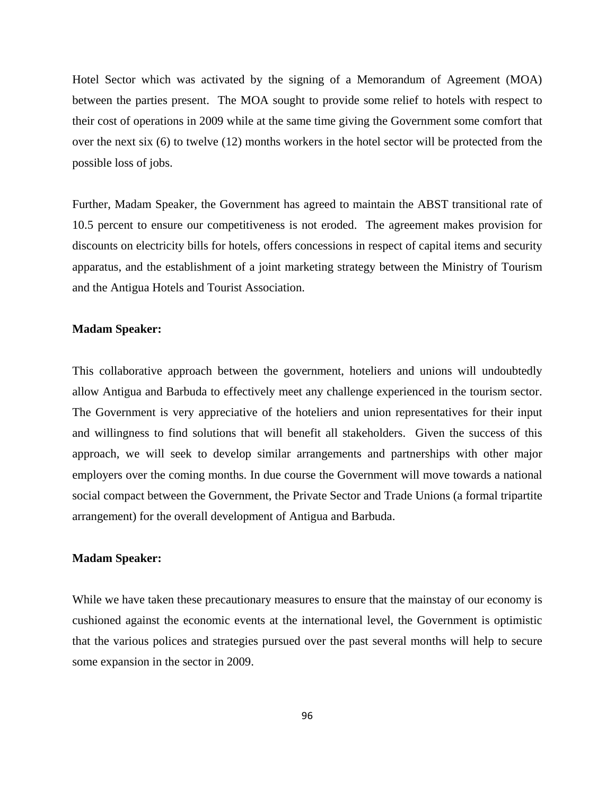Hotel Sector which was activated by the signing of a Memorandum of Agreement (MOA) between the parties present. The MOA sought to provide some relief to hotels with respect to their cost of operations in 2009 while at the same time giving the Government some comfort that over the next six (6) to twelve (12) months workers in the hotel sector will be protected from the possible loss of jobs.

Further, Madam Speaker, the Government has agreed to maintain the ABST transitional rate of 10.5 percent to ensure our competitiveness is not eroded. The agreement makes provision for discounts on electricity bills for hotels, offers concessions in respect of capital items and security apparatus, and the establishment of a joint marketing strategy between the Ministry of Tourism and the Antigua Hotels and Tourist Association.

#### **Madam Speaker:**

This collaborative approach between the government, hoteliers and unions will undoubtedly allow Antigua and Barbuda to effectively meet any challenge experienced in the tourism sector. The Government is very appreciative of the hoteliers and union representatives for their input and willingness to find solutions that will benefit all stakeholders. Given the success of this approach, we will seek to develop similar arrangements and partnerships with other major employers over the coming months. In due course the Government will move towards a national social compact between the Government, the Private Sector and Trade Unions (a formal tripartite arrangement) for the overall development of Antigua and Barbuda.

# **Madam Speaker:**

While we have taken these precautionary measures to ensure that the mainstay of our economy is cushioned against the economic events at the international level, the Government is optimistic that the various polices and strategies pursued over the past several months will help to secure some expansion in the sector in 2009.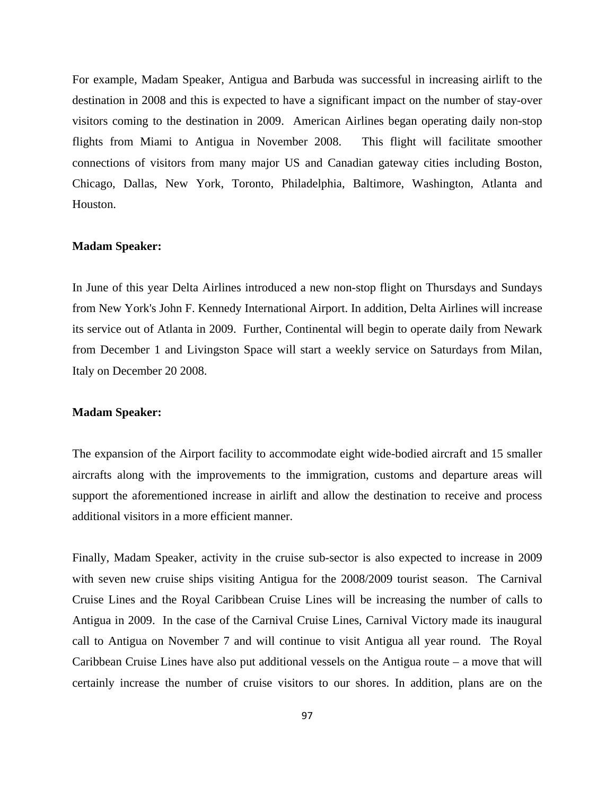For example, Madam Speaker, Antigua and Barbuda was successful in increasing airlift to the destination in 2008 and this is expected to have a significant impact on the number of stay-over visitors coming to the destination in 2009. American Airlines began operating daily non-stop flights from Miami to Antigua in November 2008. This flight will facilitate smoother connections of visitors from many major US and Canadian gateway cities including Boston, Chicago, Dallas, New York, Toronto, Philadelphia, Baltimore, Washington, Atlanta and Houston.

#### **Madam Speaker:**

In June of this year Delta Airlines introduced a new non-stop flight on Thursdays and Sundays from New York's John F. Kennedy International Airport. In addition, Delta Airlines will increase its service out of Atlanta in 2009. Further, Continental will begin to operate daily from Newark from December 1 and Livingston Space will start a weekly service on Saturdays from Milan, Italy on December 20 2008.

#### **Madam Speaker:**

The expansion of the Airport facility to accommodate eight wide-bodied aircraft and 15 smaller aircrafts along with the improvements to the immigration, customs and departure areas will support the aforementioned increase in airlift and allow the destination to receive and process additional visitors in a more efficient manner.

Finally, Madam Speaker, activity in the cruise sub-sector is also expected to increase in 2009 with seven new cruise ships visiting Antigua for the 2008/2009 tourist season. The Carnival Cruise Lines and the Royal Caribbean Cruise Lines will be increasing the number of calls to Antigua in 2009. In the case of the Carnival Cruise Lines, Carnival Victory made its inaugural call to Antigua on November 7 and will continue to visit Antigua all year round. The Royal Caribbean Cruise Lines have also put additional vessels on the Antigua route – a move that will certainly increase the number of cruise visitors to our shores. In addition, plans are on the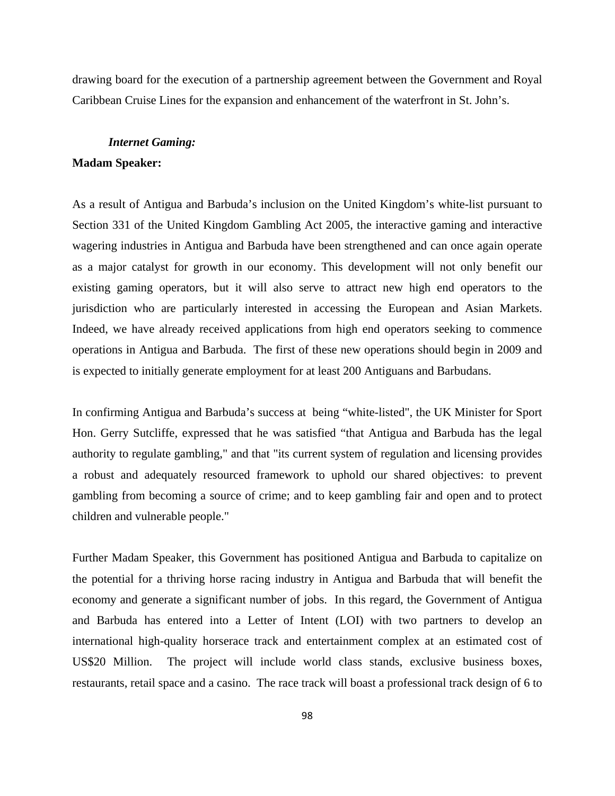drawing board for the execution of a partnership agreement between the Government and Royal Caribbean Cruise Lines for the expansion and enhancement of the waterfront in St. John's.

#### *Internet Gaming:*

# **Madam Speaker:**

As a result of Antigua and Barbuda's inclusion on the United Kingdom's white-list pursuant to Section 331 of the United Kingdom Gambling Act 2005, the interactive gaming and interactive wagering industries in Antigua and Barbuda have been strengthened and can once again operate as a major catalyst for growth in our economy. This development will not only benefit our existing gaming operators, but it will also serve to attract new high end operators to the jurisdiction who are particularly interested in accessing the European and Asian Markets. Indeed, we have already received applications from high end operators seeking to commence operations in Antigua and Barbuda. The first of these new operations should begin in 2009 and is expected to initially generate employment for at least 200 Antiguans and Barbudans.

In confirming Antigua and Barbuda's success at being "white-listed", the UK Minister for Sport Hon. Gerry Sutcliffe, expressed that he was satisfied "that Antigua and Barbuda has the legal authority to regulate gambling," and that "its current system of regulation and licensing provides a robust and adequately resourced framework to uphold our shared objectives: to prevent gambling from becoming a source of crime; and to keep gambling fair and open and to protect children and vulnerable people."

Further Madam Speaker, this Government has positioned Antigua and Barbuda to capitalize on the potential for a thriving horse racing industry in Antigua and Barbuda that will benefit the economy and generate a significant number of jobs. In this regard, the Government of Antigua and Barbuda has entered into a Letter of Intent (LOI) with two partners to develop an international high-quality horserace track and entertainment complex at an estimated cost of US\$20 Million. The project will include world class stands, exclusive business boxes, restaurants, retail space and a casino. The race track will boast a professional track design of 6 to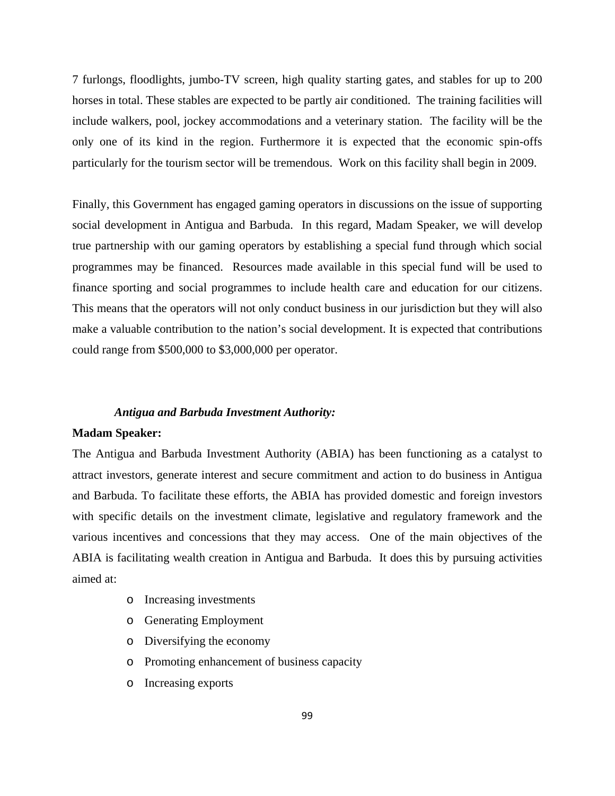7 furlongs, floodlights, jumbo-TV screen, high quality starting gates, and stables for up to 200 horses in total. These stables are expected to be partly air conditioned. The training facilities will include walkers, pool, jockey accommodations and a veterinary station. The facility will be the only one of its kind in the region. Furthermore it is expected that the economic spin-offs particularly for the tourism sector will be tremendous. Work on this facility shall begin in 2009.

Finally, this Government has engaged gaming operators in discussions on the issue of supporting social development in Antigua and Barbuda. In this regard, Madam Speaker, we will develop true partnership with our gaming operators by establishing a special fund through which social programmes may be financed. Resources made available in this special fund will be used to finance sporting and social programmes to include health care and education for our citizens. This means that the operators will not only conduct business in our jurisdiction but they will also make a valuable contribution to the nation's social development. It is expected that contributions could range from \$500,000 to \$3,000,000 per operator.

#### *Antigua and Barbuda Investment Authority:*

# **Madam Speaker:**

The Antigua and Barbuda Investment Authority (ABIA) has been functioning as a catalyst to attract investors, generate interest and secure commitment and action to do business in Antigua and Barbuda. To facilitate these efforts, the ABIA has provided domestic and foreign investors with specific details on the investment climate, legislative and regulatory framework and the various incentives and concessions that they may access. One of the main objectives of the ABIA is facilitating wealth creation in Antigua and Barbuda. It does this by pursuing activities aimed at:

- o Increasing investments
- o Generating Employment
- o Diversifying the economy
- o Promoting enhancement of business capacity
- o Increasing exports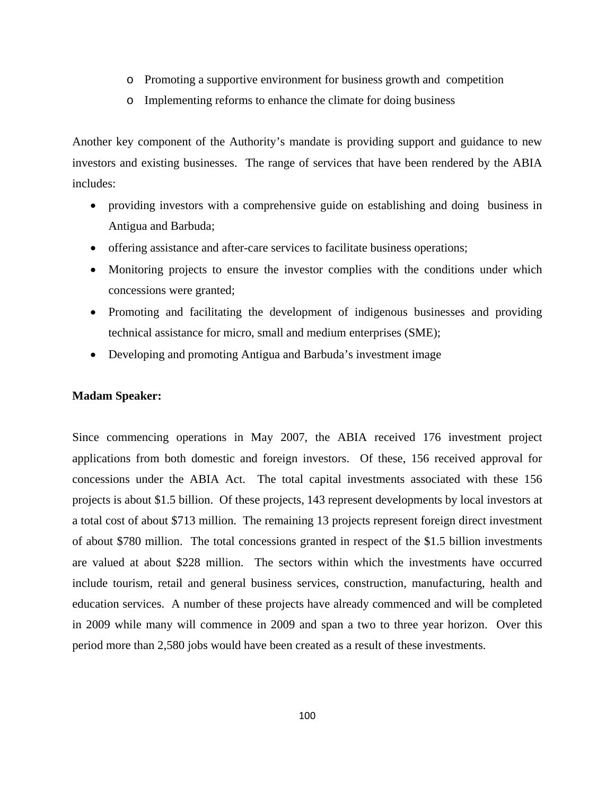- o Promoting a supportive environment for business growth and competition
- o Implementing reforms to enhance the climate for doing business

Another key component of the Authority's mandate is providing support and guidance to new investors and existing businesses. The range of services that have been rendered by the ABIA includes:

- providing investors with a comprehensive guide on establishing and doing business in Antigua and Barbuda;
- offering assistance and after-care services to facilitate business operations;
- Monitoring projects to ensure the investor complies with the conditions under which concessions were granted;
- Promoting and facilitating the development of indigenous businesses and providing technical assistance for micro, small and medium enterprises (SME);
- Developing and promoting Antigua and Barbuda's investment image

#### **Madam Speaker:**

Since commencing operations in May 2007, the ABIA received 176 investment project applications from both domestic and foreign investors. Of these, 156 received approval for concessions under the ABIA Act. The total capital investments associated with these 156 projects is about \$1.5 billion. Of these projects, 143 represent developments by local investors at a total cost of about \$713 million. The remaining 13 projects represent foreign direct investment of about \$780 million. The total concessions granted in respect of the \$1.5 billion investments are valued at about \$228 million. The sectors within which the investments have occurred include tourism, retail and general business services, construction, manufacturing, health and education services. A number of these projects have already commenced and will be completed in 2009 while many will commence in 2009 and span a two to three year horizon. Over this period more than 2,580 jobs would have been created as a result of these investments.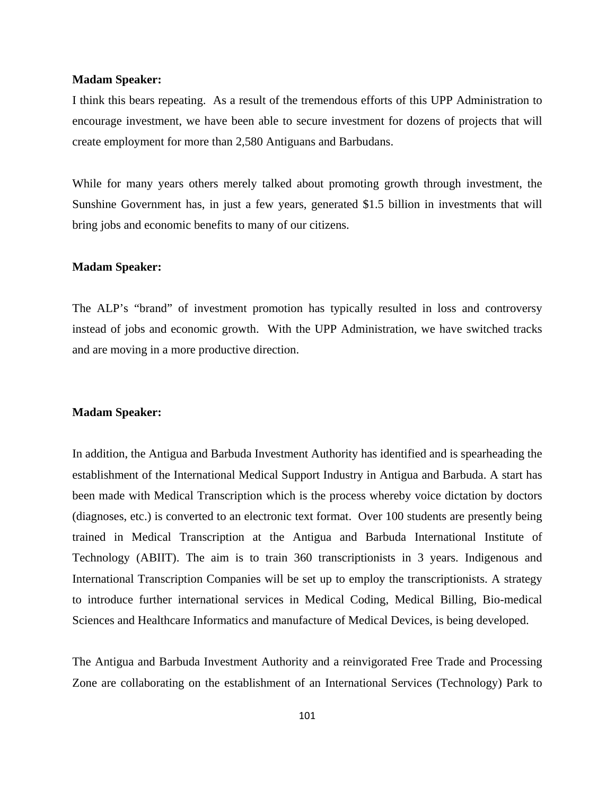#### **Madam Speaker:**

I think this bears repeating. As a result of the tremendous efforts of this UPP Administration to encourage investment, we have been able to secure investment for dozens of projects that will create employment for more than 2,580 Antiguans and Barbudans.

While for many years others merely talked about promoting growth through investment, the Sunshine Government has, in just a few years, generated \$1.5 billion in investments that will bring jobs and economic benefits to many of our citizens.

#### **Madam Speaker:**

The ALP's "brand" of investment promotion has typically resulted in loss and controversy instead of jobs and economic growth. With the UPP Administration, we have switched tracks and are moving in a more productive direction.

#### **Madam Speaker:**

In addition, the Antigua and Barbuda Investment Authority has identified and is spearheading the establishment of the International Medical Support Industry in Antigua and Barbuda. A start has been made with Medical Transcription which is the process whereby voice dictation by doctors (diagnoses, etc.) is converted to an electronic text format. Over 100 students are presently being trained in Medical Transcription at the Antigua and Barbuda International Institute of Technology (ABIIT). The aim is to train 360 transcriptionists in 3 years. Indigenous and International Transcription Companies will be set up to employ the transcriptionists. A strategy to introduce further international services in Medical Coding, Medical Billing, Bio-medical Sciences and Healthcare Informatics and manufacture of Medical Devices, is being developed.

The Antigua and Barbuda Investment Authority and a reinvigorated Free Trade and Processing Zone are collaborating on the establishment of an International Services (Technology) Park to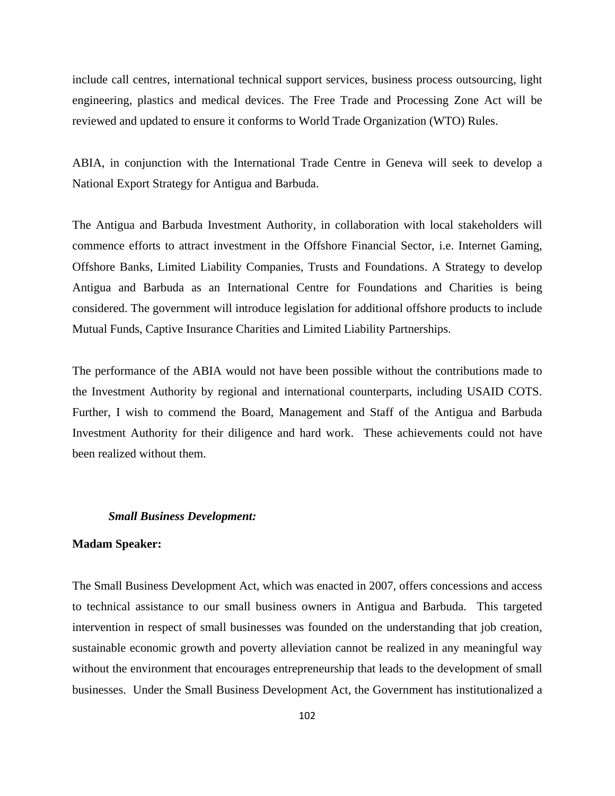include call centres, international technical support services, business process outsourcing, light engineering, plastics and medical devices. The Free Trade and Processing Zone Act will be reviewed and updated to ensure it conforms to World Trade Organization (WTO) Rules.

ABIA, in conjunction with the International Trade Centre in Geneva will seek to develop a National Export Strategy for Antigua and Barbuda.

The Antigua and Barbuda Investment Authority, in collaboration with local stakeholders will commence efforts to attract investment in the Offshore Financial Sector, i.e. Internet Gaming, Offshore Banks, Limited Liability Companies, Trusts and Foundations. A Strategy to develop Antigua and Barbuda as an International Centre for Foundations and Charities is being considered. The government will introduce legislation for additional offshore products to include Mutual Funds, Captive Insurance Charities and Limited Liability Partnerships.

The performance of the ABIA would not have been possible without the contributions made to the Investment Authority by regional and international counterparts, including USAID COTS. Further, I wish to commend the Board, Management and Staff of the Antigua and Barbuda Investment Authority for their diligence and hard work. These achievements could not have been realized without them.

#### *Small Business Development:*

#### **Madam Speaker:**

The Small Business Development Act, which was enacted in 2007, offers concessions and access to technical assistance to our small business owners in Antigua and Barbuda. This targeted intervention in respect of small businesses was founded on the understanding that job creation, sustainable economic growth and poverty alleviation cannot be realized in any meaningful way without the environment that encourages entrepreneurship that leads to the development of small businesses. Under the Small Business Development Act, the Government has institutionalized a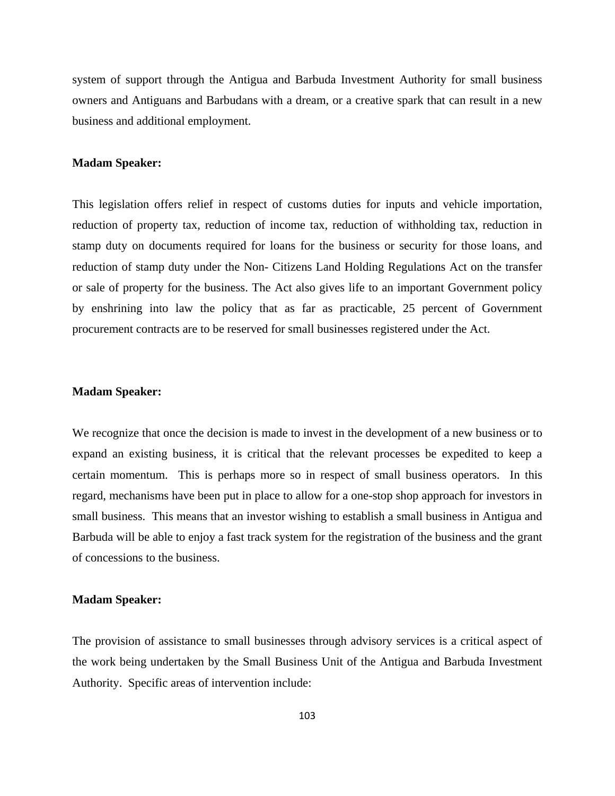system of support through the Antigua and Barbuda Investment Authority for small business owners and Antiguans and Barbudans with a dream, or a creative spark that can result in a new business and additional employment.

#### **Madam Speaker:**

This legislation offers relief in respect of customs duties for inputs and vehicle importation, reduction of property tax, reduction of income tax, reduction of withholding tax, reduction in stamp duty on documents required for loans for the business or security for those loans, and reduction of stamp duty under the Non- Citizens Land Holding Regulations Act on the transfer or sale of property for the business. The Act also gives life to an important Government policy by enshrining into law the policy that as far as practicable, 25 percent of Government procurement contracts are to be reserved for small businesses registered under the Act.

# **Madam Speaker:**

We recognize that once the decision is made to invest in the development of a new business or to expand an existing business, it is critical that the relevant processes be expedited to keep a certain momentum. This is perhaps more so in respect of small business operators. In this regard, mechanisms have been put in place to allow for a one-stop shop approach for investors in small business. This means that an investor wishing to establish a small business in Antigua and Barbuda will be able to enjoy a fast track system for the registration of the business and the grant of concessions to the business.

#### **Madam Speaker:**

The provision of assistance to small businesses through advisory services is a critical aspect of the work being undertaken by the Small Business Unit of the Antigua and Barbuda Investment Authority. Specific areas of intervention include: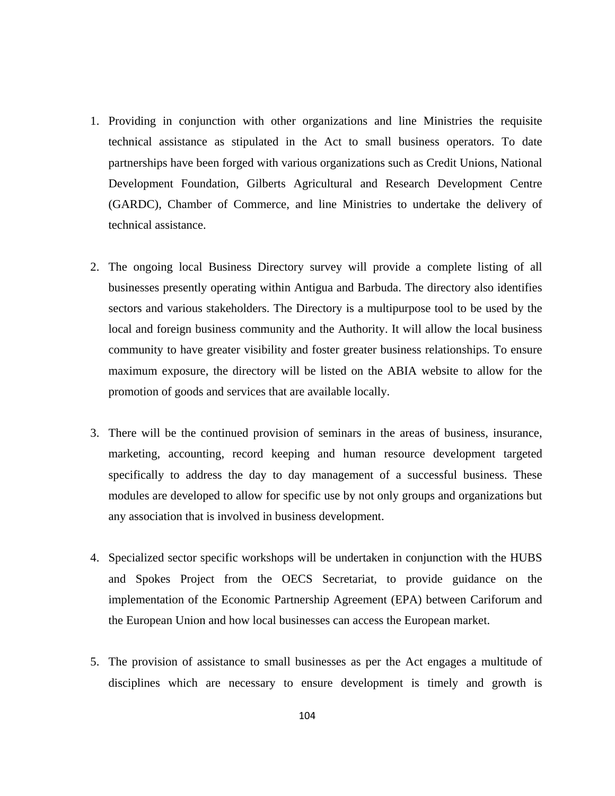- 1. Providing in conjunction with other organizations and line Ministries the requisite technical assistance as stipulated in the Act to small business operators. To date partnerships have been forged with various organizations such as Credit Unions, National Development Foundation, Gilberts Agricultural and Research Development Centre (GARDC), Chamber of Commerce, and line Ministries to undertake the delivery of technical assistance.
- 2. The ongoing local Business Directory survey will provide a complete listing of all businesses presently operating within Antigua and Barbuda. The directory also identifies sectors and various stakeholders. The Directory is a multipurpose tool to be used by the local and foreign business community and the Authority. It will allow the local business community to have greater visibility and foster greater business relationships. To ensure maximum exposure, the directory will be listed on the ABIA website to allow for the promotion of goods and services that are available locally.
- 3. There will be the continued provision of seminars in the areas of business, insurance, marketing, accounting, record keeping and human resource development targeted specifically to address the day to day management of a successful business. These modules are developed to allow for specific use by not only groups and organizations but any association that is involved in business development.
- 4. Specialized sector specific workshops will be undertaken in conjunction with the HUBS and Spokes Project from the OECS Secretariat, to provide guidance on the implementation of the Economic Partnership Agreement (EPA) between Cariforum and the European Union and how local businesses can access the European market.
- 5. The provision of assistance to small businesses as per the Act engages a multitude of disciplines which are necessary to ensure development is timely and growth is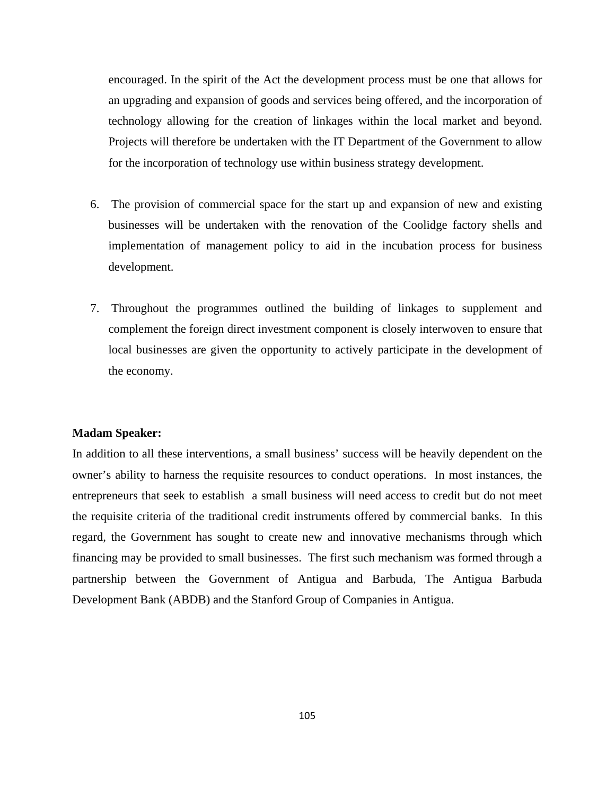encouraged. In the spirit of the Act the development process must be one that allows for an upgrading and expansion of goods and services being offered, and the incorporation of technology allowing for the creation of linkages within the local market and beyond. Projects will therefore be undertaken with the IT Department of the Government to allow for the incorporation of technology use within business strategy development.

- 6. The provision of commercial space for the start up and expansion of new and existing businesses will be undertaken with the renovation of the Coolidge factory shells and implementation of management policy to aid in the incubation process for business development.
- 7. Throughout the programmes outlined the building of linkages to supplement and complement the foreign direct investment component is closely interwoven to ensure that local businesses are given the opportunity to actively participate in the development of the economy.

# **Madam Speaker:**

In addition to all these interventions, a small business' success will be heavily dependent on the owner's ability to harness the requisite resources to conduct operations. In most instances, the entrepreneurs that seek to establish a small business will need access to credit but do not meet the requisite criteria of the traditional credit instruments offered by commercial banks. In this regard, the Government has sought to create new and innovative mechanisms through which financing may be provided to small businesses. The first such mechanism was formed through a partnership between the Government of Antigua and Barbuda, The Antigua Barbuda Development Bank (ABDB) and the Stanford Group of Companies in Antigua.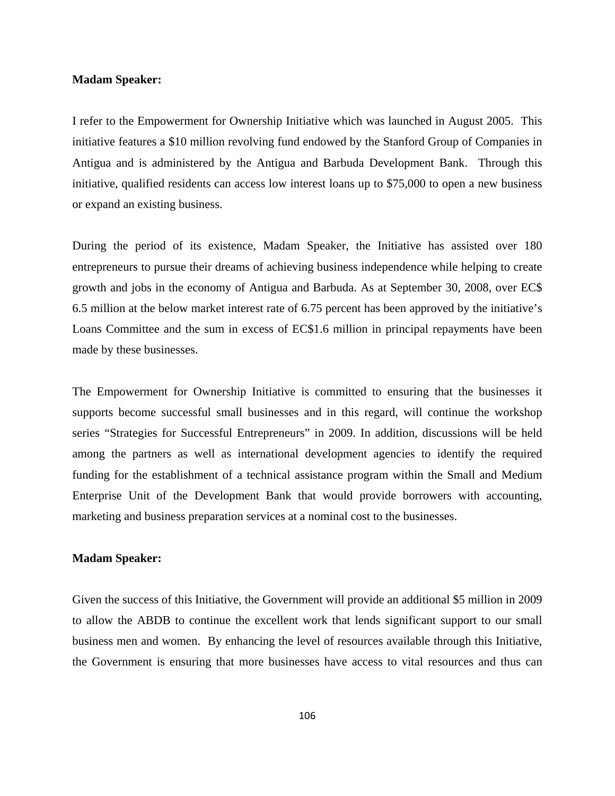#### **Madam Speaker:**

I refer to the Empowerment for Ownership Initiative which was launched in August 2005. This initiative features a \$10 million revolving fund endowed by the Stanford Group of Companies in Antigua and is administered by the Antigua and Barbuda Development Bank. Through this initiative, qualified residents can access low interest loans up to \$75,000 to open a new business or expand an existing business.

During the period of its existence, Madam Speaker, the Initiative has assisted over 180 entrepreneurs to pursue their dreams of achieving business independence while helping to create growth and jobs in the economy of Antigua and Barbuda. As at September 30, 2008, over EC\$ 6.5 million at the below market interest rate of 6.75 percent has been approved by the initiative's Loans Committee and the sum in excess of EC\$1.6 million in principal repayments have been made by these businesses.

The Empowerment for Ownership Initiative is committed to ensuring that the businesses it supports become successful small businesses and in this regard, will continue the workshop series "Strategies for Successful Entrepreneurs" in 2009. In addition, discussions will be held among the partners as well as international development agencies to identify the required funding for the establishment of a technical assistance program within the Small and Medium Enterprise Unit of the Development Bank that would provide borrowers with accounting, marketing and business preparation services at a nominal cost to the businesses.

# **Madam Speaker:**

Given the success of this Initiative, the Government will provide an additional \$5 million in 2009 to allow the ABDB to continue the excellent work that lends significant support to our small business men and women. By enhancing the level of resources available through this Initiative, the Government is ensuring that more businesses have access to vital resources and thus can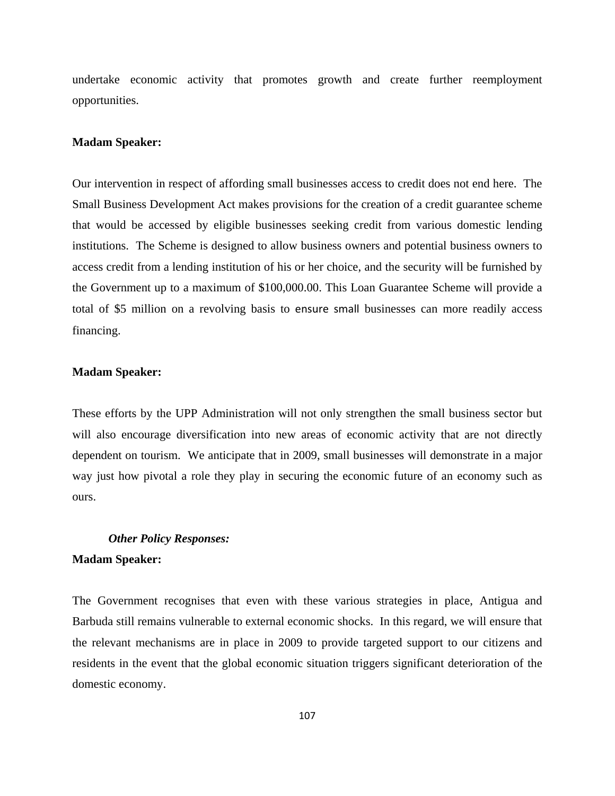undertake economic activity that promotes growth and create further reemployment opportunities.

#### **Madam Speaker:**

Our intervention in respect of affording small businesses access to credit does not end here. The Small Business Development Act makes provisions for the creation of a credit guarantee scheme that would be accessed by eligible businesses seeking credit from various domestic lending institutions. The Scheme is designed to allow business owners and potential business owners to access credit from a lending institution of his or her choice, and the security will be furnished by the Government up to a maximum of \$100,000.00. This Loan Guarantee Scheme will provide a total of \$5 million on a revolving basis to ensure small businesses can more readily access financing.

# **Madam Speaker:**

These efforts by the UPP Administration will not only strengthen the small business sector but will also encourage diversification into new areas of economic activity that are not directly dependent on tourism. We anticipate that in 2009, small businesses will demonstrate in a major way just how pivotal a role they play in securing the economic future of an economy such as ours.

#### *Other Policy Responses:*

#### **Madam Speaker:**

The Government recognises that even with these various strategies in place, Antigua and Barbuda still remains vulnerable to external economic shocks. In this regard, we will ensure that the relevant mechanisms are in place in 2009 to provide targeted support to our citizens and residents in the event that the global economic situation triggers significant deterioration of the domestic economy.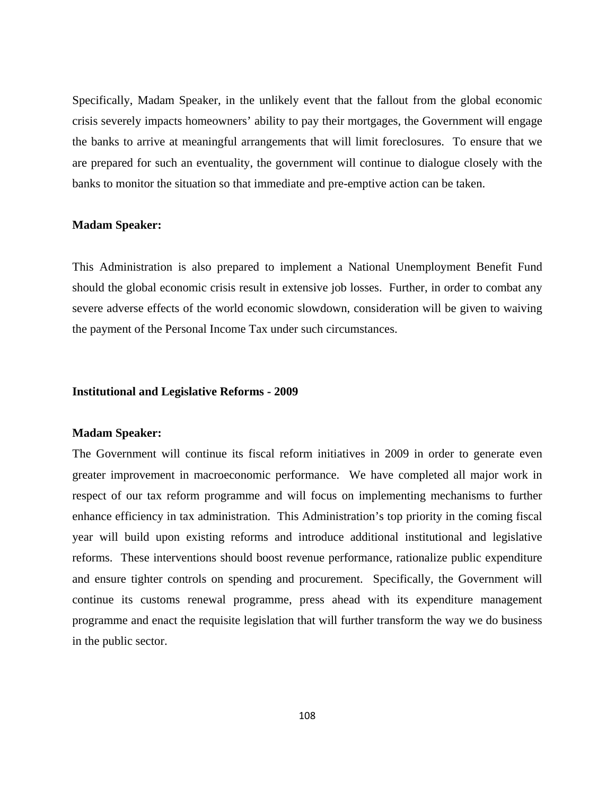Specifically, Madam Speaker, in the unlikely event that the fallout from the global economic crisis severely impacts homeowners' ability to pay their mortgages, the Government will engage the banks to arrive at meaningful arrangements that will limit foreclosures. To ensure that we are prepared for such an eventuality, the government will continue to dialogue closely with the banks to monitor the situation so that immediate and pre-emptive action can be taken.

#### **Madam Speaker:**

This Administration is also prepared to implement a National Unemployment Benefit Fund should the global economic crisis result in extensive job losses. Further, in order to combat any severe adverse effects of the world economic slowdown, consideration will be given to waiving the payment of the Personal Income Tax under such circumstances.

#### **Institutional and Legislative Reforms - 2009**

# **Madam Speaker:**

The Government will continue its fiscal reform initiatives in 2009 in order to generate even greater improvement in macroeconomic performance. We have completed all major work in respect of our tax reform programme and will focus on implementing mechanisms to further enhance efficiency in tax administration. This Administration's top priority in the coming fiscal year will build upon existing reforms and introduce additional institutional and legislative reforms. These interventions should boost revenue performance, rationalize public expenditure and ensure tighter controls on spending and procurement. Specifically, the Government will continue its customs renewal programme, press ahead with its expenditure management programme and enact the requisite legislation that will further transform the way we do business in the public sector.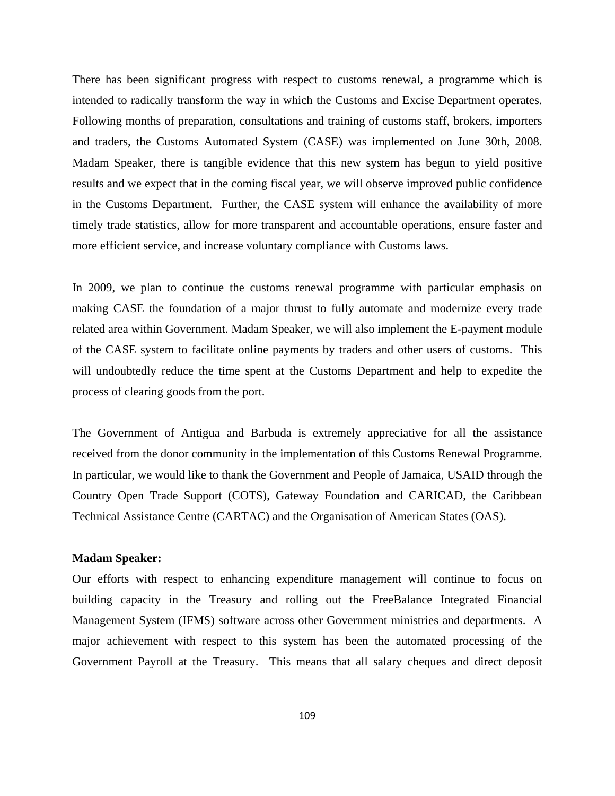There has been significant progress with respect to customs renewal, a programme which is intended to radically transform the way in which the Customs and Excise Department operates. Following months of preparation, consultations and training of customs staff, brokers, importers and traders, the Customs Automated System (CASE) was implemented on June 30th, 2008. Madam Speaker, there is tangible evidence that this new system has begun to yield positive results and we expect that in the coming fiscal year, we will observe improved public confidence in the Customs Department. Further, the CASE system will enhance the availability of more timely trade statistics, allow for more transparent and accountable operations, ensure faster and more efficient service, and increase voluntary compliance with Customs laws.

In 2009, we plan to continue the customs renewal programme with particular emphasis on making CASE the foundation of a major thrust to fully automate and modernize every trade related area within Government. Madam Speaker, we will also implement the E-payment module of the CASE system to facilitate online payments by traders and other users of customs. This will undoubtedly reduce the time spent at the Customs Department and help to expedite the process of clearing goods from the port.

The Government of Antigua and Barbuda is extremely appreciative for all the assistance received from the donor community in the implementation of this Customs Renewal Programme. In particular, we would like to thank the Government and People of Jamaica, USAID through the Country Open Trade Support (COTS), Gateway Foundation and CARICAD, the Caribbean Technical Assistance Centre (CARTAC) and the Organisation of American States (OAS).

# **Madam Speaker:**

Our efforts with respect to enhancing expenditure management will continue to focus on building capacity in the Treasury and rolling out the FreeBalance Integrated Financial Management System (IFMS) software across other Government ministries and departments. A major achievement with respect to this system has been the automated processing of the Government Payroll at the Treasury. This means that all salary cheques and direct deposit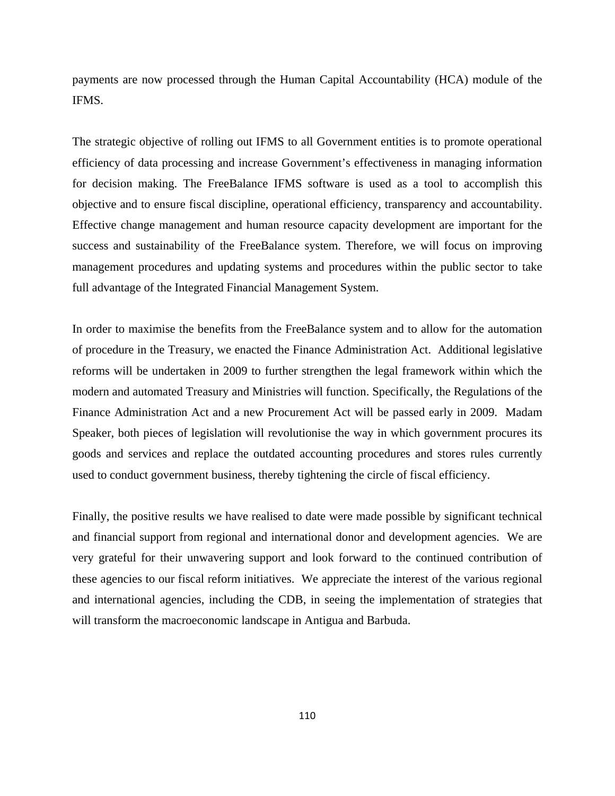payments are now processed through the Human Capital Accountability (HCA) module of the IFMS.

The strategic objective of rolling out IFMS to all Government entities is to promote operational efficiency of data processing and increase Government's effectiveness in managing information for decision making. The FreeBalance IFMS software is used as a tool to accomplish this objective and to ensure fiscal discipline, operational efficiency, transparency and accountability. Effective change management and human resource capacity development are important for the success and sustainability of the FreeBalance system. Therefore, we will focus on improving management procedures and updating systems and procedures within the public sector to take full advantage of the Integrated Financial Management System.

In order to maximise the benefits from the FreeBalance system and to allow for the automation of procedure in the Treasury, we enacted the Finance Administration Act. Additional legislative reforms will be undertaken in 2009 to further strengthen the legal framework within which the modern and automated Treasury and Ministries will function. Specifically, the Regulations of the Finance Administration Act and a new Procurement Act will be passed early in 2009. Madam Speaker, both pieces of legislation will revolutionise the way in which government procures its goods and services and replace the outdated accounting procedures and stores rules currently used to conduct government business, thereby tightening the circle of fiscal efficiency.

Finally, the positive results we have realised to date were made possible by significant technical and financial support from regional and international donor and development agencies. We are very grateful for their unwavering support and look forward to the continued contribution of these agencies to our fiscal reform initiatives. We appreciate the interest of the various regional and international agencies, including the CDB, in seeing the implementation of strategies that will transform the macroeconomic landscape in Antigua and Barbuda.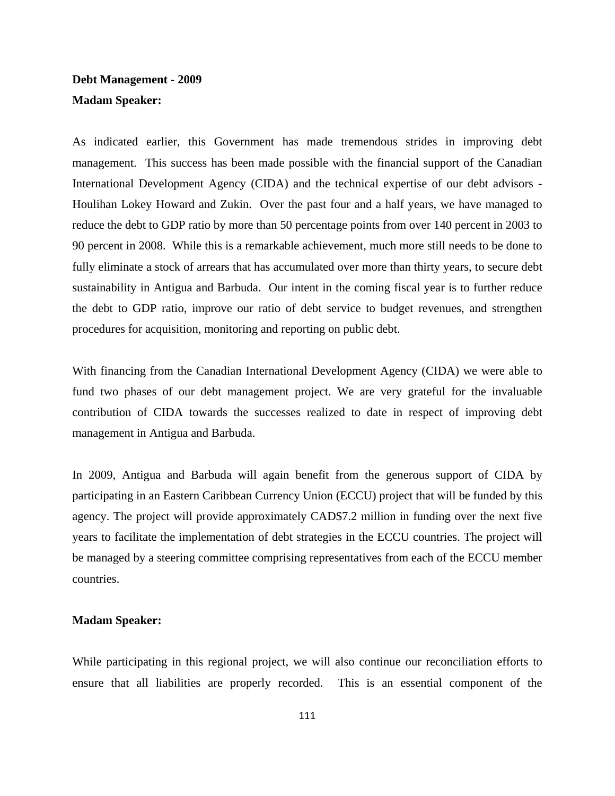# **Debt Management - 2009 Madam Speaker:**

As indicated earlier, this Government has made tremendous strides in improving debt management. This success has been made possible with the financial support of the Canadian International Development Agency (CIDA) and the technical expertise of our debt advisors - Houlihan Lokey Howard and Zukin. Over the past four and a half years, we have managed to reduce the debt to GDP ratio by more than 50 percentage points from over 140 percent in 2003 to 90 percent in 2008. While this is a remarkable achievement, much more still needs to be done to fully eliminate a stock of arrears that has accumulated over more than thirty years, to secure debt sustainability in Antigua and Barbuda. Our intent in the coming fiscal year is to further reduce the debt to GDP ratio, improve our ratio of debt service to budget revenues, and strengthen procedures for acquisition, monitoring and reporting on public debt.

With financing from the Canadian International Development Agency (CIDA) we were able to fund two phases of our debt management project. We are very grateful for the invaluable contribution of CIDA towards the successes realized to date in respect of improving debt management in Antigua and Barbuda.

In 2009, Antigua and Barbuda will again benefit from the generous support of CIDA by participating in an Eastern Caribbean Currency Union (ECCU) project that will be funded by this agency. The project will provide approximately CAD\$7.2 million in funding over the next five years to facilitate the implementation of debt strategies in the ECCU countries. The project will be managed by a steering committee comprising representatives from each of the ECCU member countries.

# **Madam Speaker:**

While participating in this regional project, we will also continue our reconciliation efforts to ensure that all liabilities are properly recorded. This is an essential component of the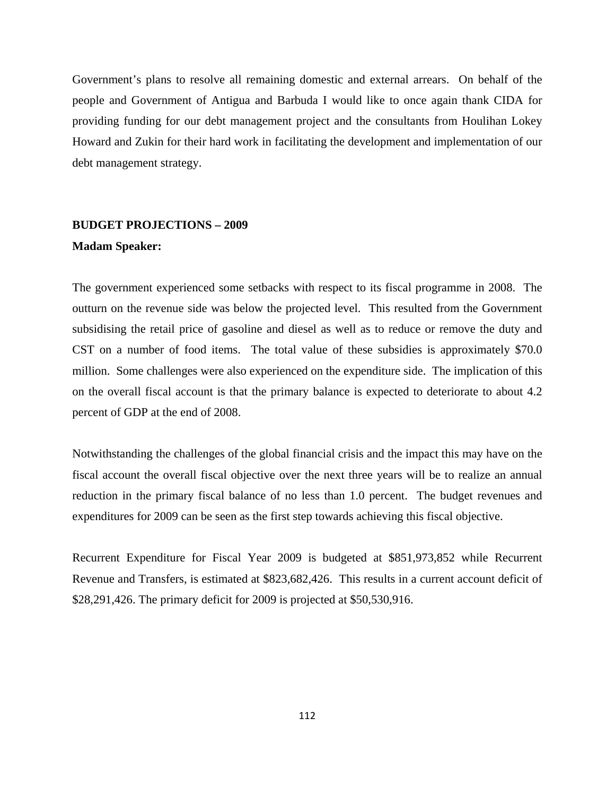Government's plans to resolve all remaining domestic and external arrears. On behalf of the people and Government of Antigua and Barbuda I would like to once again thank CIDA for providing funding for our debt management project and the consultants from Houlihan Lokey Howard and Zukin for their hard work in facilitating the development and implementation of our debt management strategy.

# **BUDGET PROJECTIONS – 2009**

## **Madam Speaker:**

The government experienced some setbacks with respect to its fiscal programme in 2008. The outturn on the revenue side was below the projected level. This resulted from the Government subsidising the retail price of gasoline and diesel as well as to reduce or remove the duty and CST on a number of food items. The total value of these subsidies is approximately \$70.0 million. Some challenges were also experienced on the expenditure side. The implication of this on the overall fiscal account is that the primary balance is expected to deteriorate to about 4.2 percent of GDP at the end of 2008.

Notwithstanding the challenges of the global financial crisis and the impact this may have on the fiscal account the overall fiscal objective over the next three years will be to realize an annual reduction in the primary fiscal balance of no less than 1.0 percent. The budget revenues and expenditures for 2009 can be seen as the first step towards achieving this fiscal objective.

Recurrent Expenditure for Fiscal Year 2009 is budgeted at \$851,973,852 while Recurrent Revenue and Transfers, is estimated at \$823,682,426. This results in a current account deficit of \$28,291,426. The primary deficit for 2009 is projected at \$50,530,916.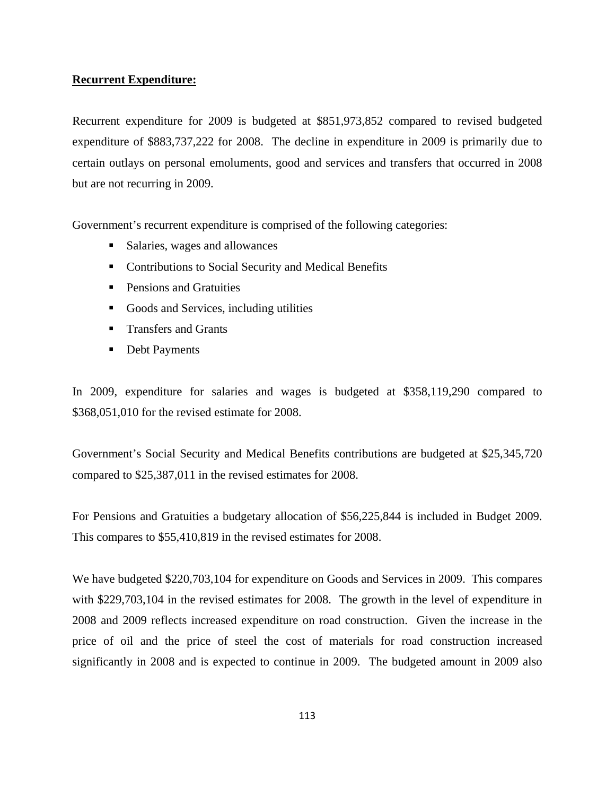# **Recurrent Expenditure:**

Recurrent expenditure for 2009 is budgeted at \$851,973,852 compared to revised budgeted expenditure of \$883,737,222 for 2008. The decline in expenditure in 2009 is primarily due to certain outlays on personal emoluments, good and services and transfers that occurred in 2008 but are not recurring in 2009.

Government's recurrent expenditure is comprised of the following categories:

- Salaries, wages and allowances
- **•** Contributions to Social Security and Medical Benefits
- **Pensions and Gratuities**
- Goods and Services, including utilities
- **Transfers and Grants**
- Debt Payments

In 2009, expenditure for salaries and wages is budgeted at \$358,119,290 compared to \$368,051,010 for the revised estimate for 2008.

Government's Social Security and Medical Benefits contributions are budgeted at \$25,345,720 compared to \$25,387,011 in the revised estimates for 2008.

For Pensions and Gratuities a budgetary allocation of \$56,225,844 is included in Budget 2009. This compares to \$55,410,819 in the revised estimates for 2008.

We have budgeted \$220,703,104 for expenditure on Goods and Services in 2009. This compares with \$229,703,104 in the revised estimates for 2008. The growth in the level of expenditure in 2008 and 2009 reflects increased expenditure on road construction. Given the increase in the price of oil and the price of steel the cost of materials for road construction increased significantly in 2008 and is expected to continue in 2009. The budgeted amount in 2009 also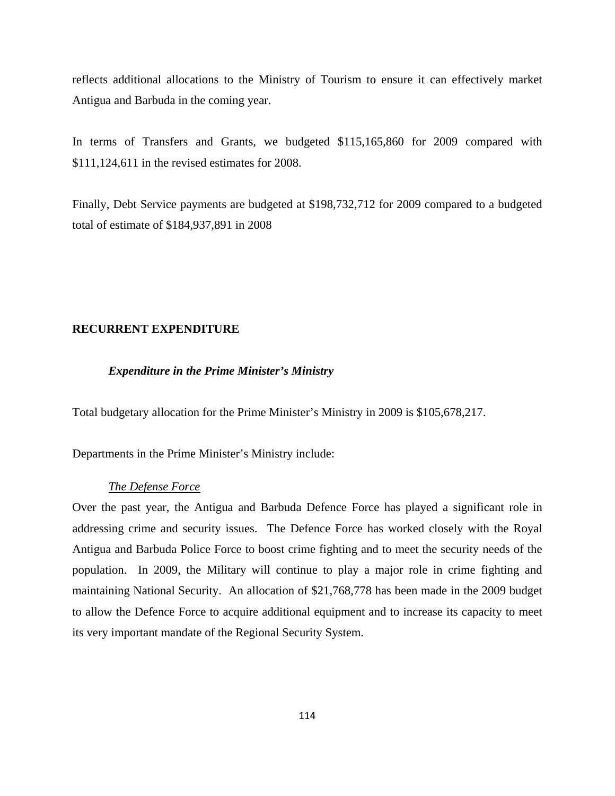reflects additional allocations to the Ministry of Tourism to ensure it can effectively market Antigua and Barbuda in the coming year.

In terms of Transfers and Grants, we budgeted \$115,165,860 for 2009 compared with \$111,124,611 in the revised estimates for 2008.

Finally, Debt Service payments are budgeted at \$198,732,712 for 2009 compared to a budgeted total of estimate of \$184,937,891 in 2008

# **RECURRENT EXPENDITURE**

# *Expenditure in the Prime Minister's Ministry*

Total budgetary allocation for the Prime Minister's Ministry in 2009 is \$105,678,217.

Departments in the Prime Minister's Ministry include:

# *The Defense Force*

Over the past year, the Antigua and Barbuda Defence Force has played a significant role in addressing crime and security issues. The Defence Force has worked closely with the Royal Antigua and Barbuda Police Force to boost crime fighting and to meet the security needs of the population. In 2009, the Military will continue to play a major role in crime fighting and maintaining National Security. An allocation of \$21,768,778 has been made in the 2009 budget to allow the Defence Force to acquire additional equipment and to increase its capacity to meet its very important mandate of the Regional Security System.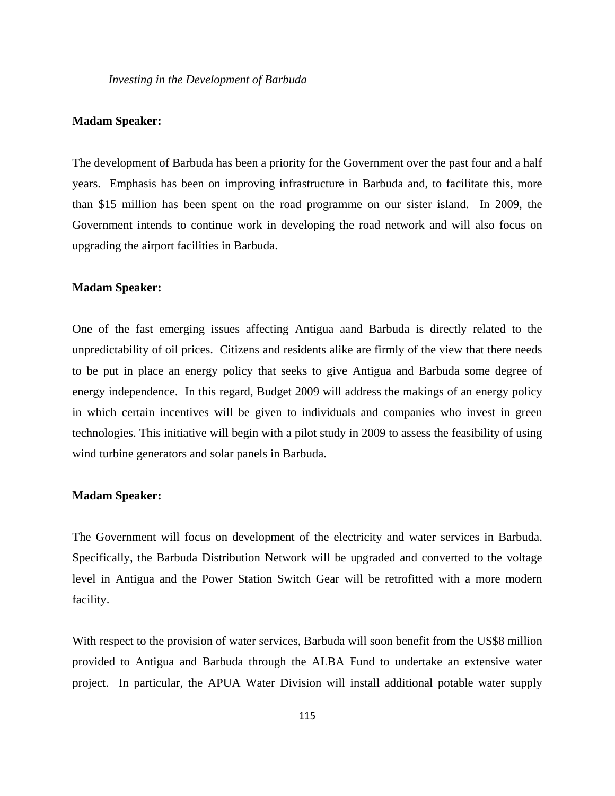# **Madam Speaker:**

The development of Barbuda has been a priority for the Government over the past four and a half years. Emphasis has been on improving infrastructure in Barbuda and, to facilitate this, more than \$15 million has been spent on the road programme on our sister island. In 2009, the Government intends to continue work in developing the road network and will also focus on upgrading the airport facilities in Barbuda.

# **Madam Speaker:**

One of the fast emerging issues affecting Antigua aand Barbuda is directly related to the unpredictability of oil prices. Citizens and residents alike are firmly of the view that there needs to be put in place an energy policy that seeks to give Antigua and Barbuda some degree of energy independence. In this regard, Budget 2009 will address the makings of an energy policy in which certain incentives will be given to individuals and companies who invest in green technologies. This initiative will begin with a pilot study in 2009 to assess the feasibility of using wind turbine generators and solar panels in Barbuda.

#### **Madam Speaker:**

The Government will focus on development of the electricity and water services in Barbuda. Specifically, the Barbuda Distribution Network will be upgraded and converted to the voltage level in Antigua and the Power Station Switch Gear will be retrofitted with a more modern facility.

With respect to the provision of water services, Barbuda will soon benefit from the US\$8 million provided to Antigua and Barbuda through the ALBA Fund to undertake an extensive water project. In particular, the APUA Water Division will install additional potable water supply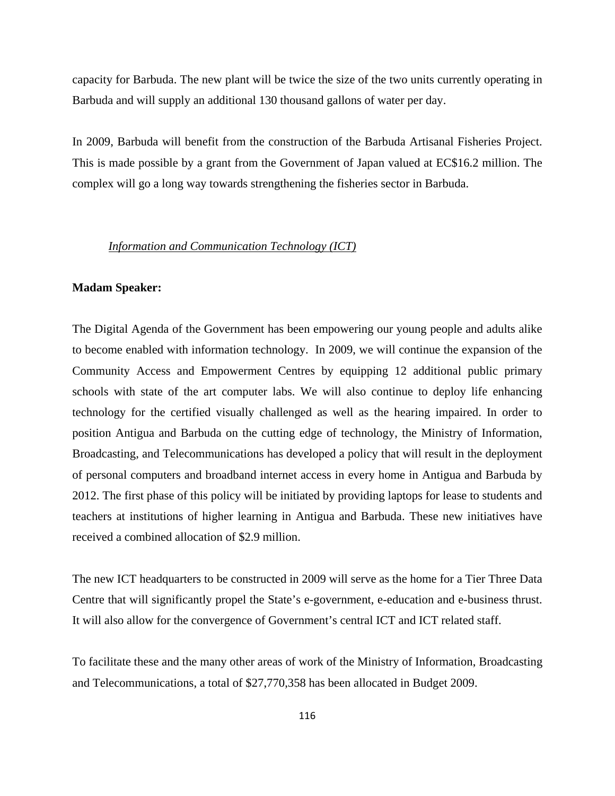capacity for Barbuda. The new plant will be twice the size of the two units currently operating in Barbuda and will supply an additional 130 thousand gallons of water per day.

In 2009, Barbuda will benefit from the construction of the Barbuda Artisanal Fisheries Project. This is made possible by a grant from the Government of Japan valued at EC\$16.2 million. The complex will go a long way towards strengthening the fisheries sector in Barbuda.

#### *Information and Communication Technology (ICT)*

# **Madam Speaker:**

The Digital Agenda of the Government has been empowering our young people and adults alike to become enabled with information technology. In 2009, we will continue the expansion of the Community Access and Empowerment Centres by equipping 12 additional public primary schools with state of the art computer labs. We will also continue to deploy life enhancing technology for the certified visually challenged as well as the hearing impaired. In order to position Antigua and Barbuda on the cutting edge of technology, the Ministry of Information, Broadcasting, and Telecommunications has developed a policy that will result in the deployment of personal computers and broadband internet access in every home in Antigua and Barbuda by 2012. The first phase of this policy will be initiated by providing laptops for lease to students and teachers at institutions of higher learning in Antigua and Barbuda. These new initiatives have received a combined allocation of \$2.9 million.

The new ICT headquarters to be constructed in 2009 will serve as the home for a Tier Three Data Centre that will significantly propel the State's e-government, e-education and e-business thrust. It will also allow for the convergence of Government's central ICT and ICT related staff.

To facilitate these and the many other areas of work of the Ministry of Information, Broadcasting and Telecommunications, a total of \$27,770,358 has been allocated in Budget 2009.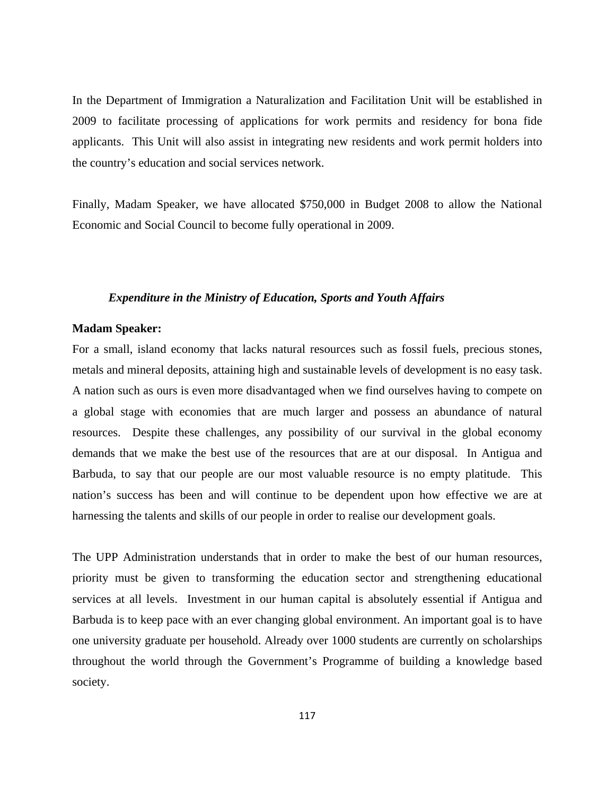In the Department of Immigration a Naturalization and Facilitation Unit will be established in 2009 to facilitate processing of applications for work permits and residency for bona fide applicants. This Unit will also assist in integrating new residents and work permit holders into the country's education and social services network.

Finally, Madam Speaker, we have allocated \$750,000 in Budget 2008 to allow the National Economic and Social Council to become fully operational in 2009.

## *Expenditure in the Ministry of Education, Sports and Youth Affairs*

# **Madam Speaker:**

For a small, island economy that lacks natural resources such as fossil fuels, precious stones, metals and mineral deposits, attaining high and sustainable levels of development is no easy task. A nation such as ours is even more disadvantaged when we find ourselves having to compete on a global stage with economies that are much larger and possess an abundance of natural resources. Despite these challenges, any possibility of our survival in the global economy demands that we make the best use of the resources that are at our disposal. In Antigua and Barbuda, to say that our people are our most valuable resource is no empty platitude. This nation's success has been and will continue to be dependent upon how effective we are at harnessing the talents and skills of our people in order to realise our development goals.

The UPP Administration understands that in order to make the best of our human resources, priority must be given to transforming the education sector and strengthening educational services at all levels. Investment in our human capital is absolutely essential if Antigua and Barbuda is to keep pace with an ever changing global environment. An important goal is to have one university graduate per household. Already over 1000 students are currently on scholarships throughout the world through the Government's Programme of building a knowledge based society.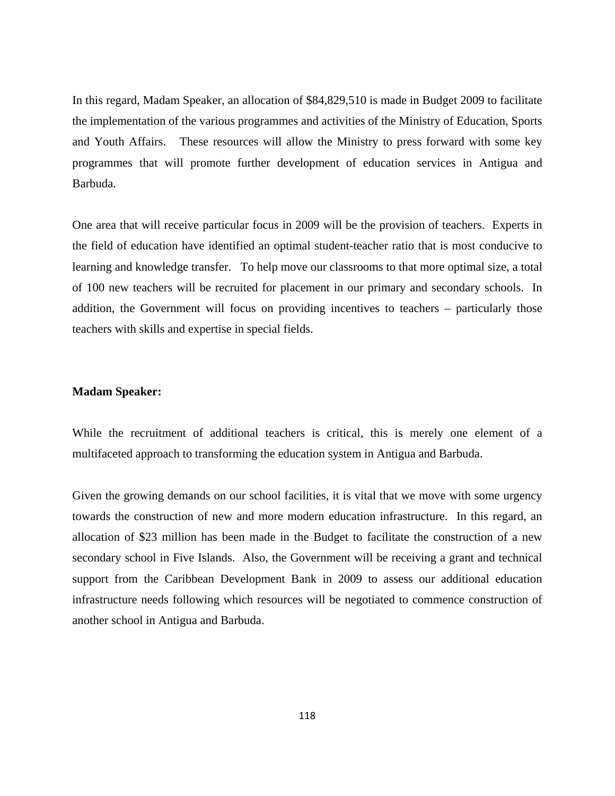In this regard, Madam Speaker, an allocation of \$84,829,510 is made in Budget 2009 to facilitate the implementation of the various programmes and activities of the Ministry of Education, Sports and Youth Affairs. These resources will allow the Ministry to press forward with some key programmes that will promote further development of education services in Antigua and Barbuda.

One area that will receive particular focus in 2009 will be the provision of teachers. Experts in the field of education have identified an optimal student-teacher ratio that is most conducive to learning and knowledge transfer. To help move our classrooms to that more optimal size, a total of 100 new teachers will be recruited for placement in our primary and secondary schools. In addition, the Government will focus on providing incentives to teachers – particularly those teachers with skills and expertise in special fields.

# **Madam Speaker:**

While the recruitment of additional teachers is critical, this is merely one element of a multifaceted approach to transforming the education system in Antigua and Barbuda.

Given the growing demands on our school facilities, it is vital that we move with some urgency towards the construction of new and more modern education infrastructure. In this regard, an allocation of \$23 million has been made in the Budget to facilitate the construction of a new secondary school in Five Islands. Also, the Government will be receiving a grant and technical support from the Caribbean Development Bank in 2009 to assess our additional education infrastructure needs following which resources will be negotiated to commence construction of another school in Antigua and Barbuda.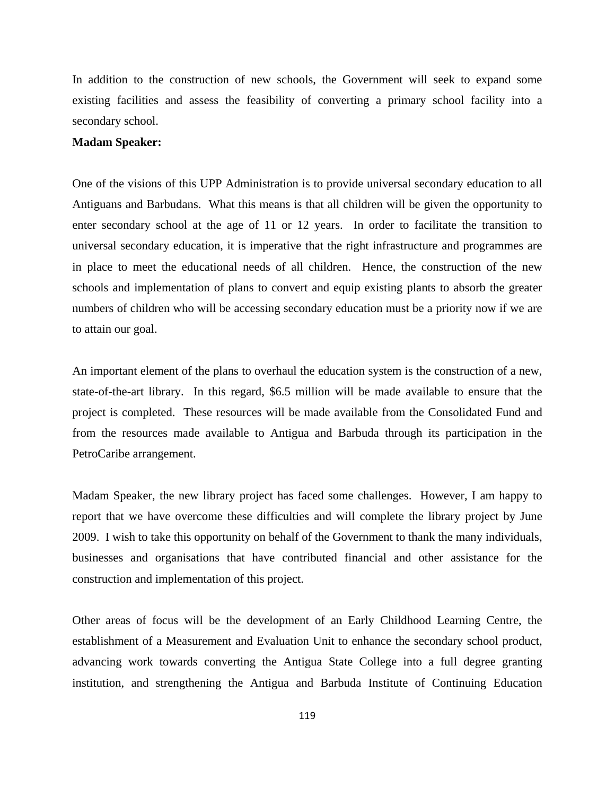In addition to the construction of new schools, the Government will seek to expand some existing facilities and assess the feasibility of converting a primary school facility into a secondary school.

# **Madam Speaker:**

One of the visions of this UPP Administration is to provide universal secondary education to all Antiguans and Barbudans. What this means is that all children will be given the opportunity to enter secondary school at the age of 11 or 12 years. In order to facilitate the transition to universal secondary education, it is imperative that the right infrastructure and programmes are in place to meet the educational needs of all children. Hence, the construction of the new schools and implementation of plans to convert and equip existing plants to absorb the greater numbers of children who will be accessing secondary education must be a priority now if we are to attain our goal.

An important element of the plans to overhaul the education system is the construction of a new, state-of-the-art library. In this regard, \$6.5 million will be made available to ensure that the project is completed. These resources will be made available from the Consolidated Fund and from the resources made available to Antigua and Barbuda through its participation in the PetroCaribe arrangement.

Madam Speaker, the new library project has faced some challenges. However, I am happy to report that we have overcome these difficulties and will complete the library project by June 2009. I wish to take this opportunity on behalf of the Government to thank the many individuals, businesses and organisations that have contributed financial and other assistance for the construction and implementation of this project.

Other areas of focus will be the development of an Early Childhood Learning Centre, the establishment of a Measurement and Evaluation Unit to enhance the secondary school product, advancing work towards converting the Antigua State College into a full degree granting institution, and strengthening the Antigua and Barbuda Institute of Continuing Education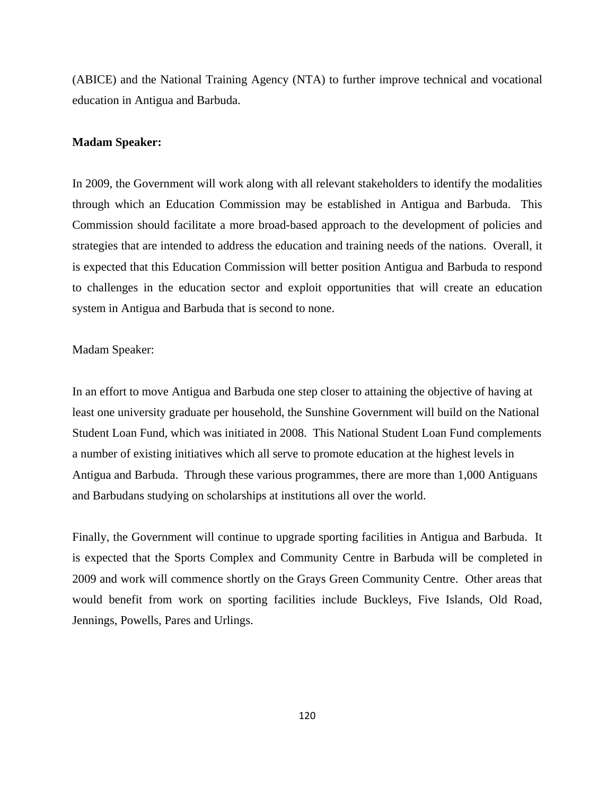(ABICE) and the National Training Agency (NTA) to further improve technical and vocational education in Antigua and Barbuda.

#### **Madam Speaker:**

In 2009, the Government will work along with all relevant stakeholders to identify the modalities through which an Education Commission may be established in Antigua and Barbuda. This Commission should facilitate a more broad-based approach to the development of policies and strategies that are intended to address the education and training needs of the nations. Overall, it is expected that this Education Commission will better position Antigua and Barbuda to respond to challenges in the education sector and exploit opportunities that will create an education system in Antigua and Barbuda that is second to none.

Madam Speaker:

In an effort to move Antigua and Barbuda one step closer to attaining the objective of having at least one university graduate per household, the Sunshine Government will build on the National Student Loan Fund, which was initiated in 2008. This National Student Loan Fund complements a number of existing initiatives which all serve to promote education at the highest levels in Antigua and Barbuda. Through these various programmes, there are more than 1,000 Antiguans and Barbudans studying on scholarships at institutions all over the world.

Finally, the Government will continue to upgrade sporting facilities in Antigua and Barbuda. It is expected that the Sports Complex and Community Centre in Barbuda will be completed in 2009 and work will commence shortly on the Grays Green Community Centre. Other areas that would benefit from work on sporting facilities include Buckleys, Five Islands, Old Road, Jennings, Powells, Pares and Urlings.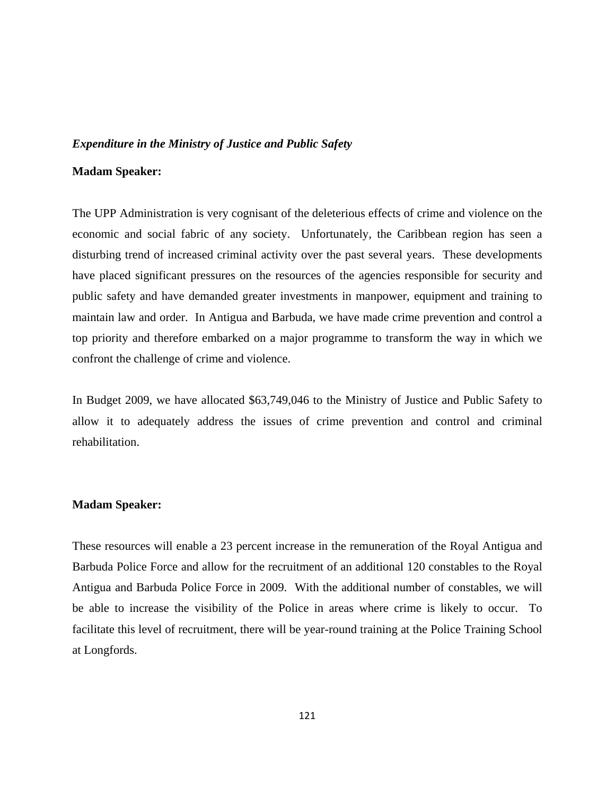## *Expenditure in the Ministry of Justice and Public Safety*

# **Madam Speaker:**

The UPP Administration is very cognisant of the deleterious effects of crime and violence on the economic and social fabric of any society. Unfortunately, the Caribbean region has seen a disturbing trend of increased criminal activity over the past several years. These developments have placed significant pressures on the resources of the agencies responsible for security and public safety and have demanded greater investments in manpower, equipment and training to maintain law and order. In Antigua and Barbuda, we have made crime prevention and control a top priority and therefore embarked on a major programme to transform the way in which we confront the challenge of crime and violence.

In Budget 2009, we have allocated \$63,749,046 to the Ministry of Justice and Public Safety to allow it to adequately address the issues of crime prevention and control and criminal rehabilitation.

# **Madam Speaker:**

These resources will enable a 23 percent increase in the remuneration of the Royal Antigua and Barbuda Police Force and allow for the recruitment of an additional 120 constables to the Royal Antigua and Barbuda Police Force in 2009. With the additional number of constables, we will be able to increase the visibility of the Police in areas where crime is likely to occur. To facilitate this level of recruitment, there will be year-round training at the Police Training School at Longfords.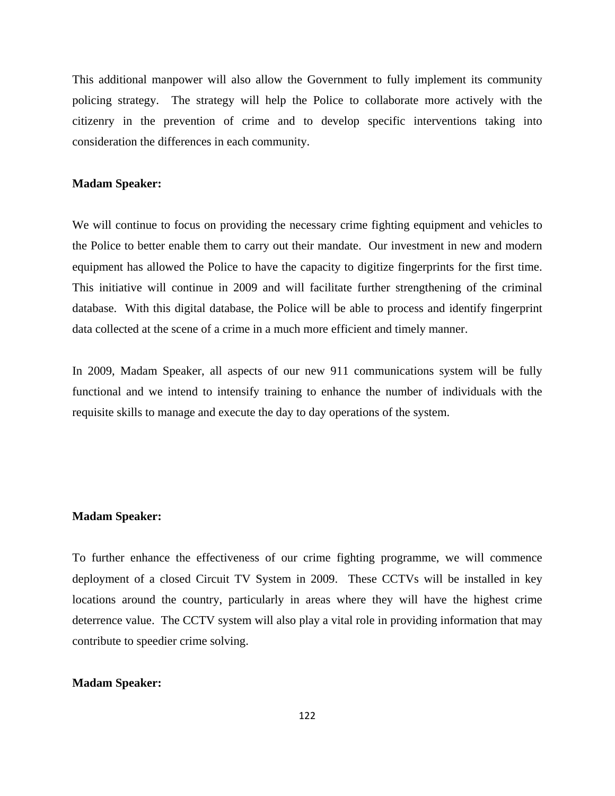This additional manpower will also allow the Government to fully implement its community policing strategy. The strategy will help the Police to collaborate more actively with the citizenry in the prevention of crime and to develop specific interventions taking into consideration the differences in each community.

# **Madam Speaker:**

We will continue to focus on providing the necessary crime fighting equipment and vehicles to the Police to better enable them to carry out their mandate. Our investment in new and modern equipment has allowed the Police to have the capacity to digitize fingerprints for the first time. This initiative will continue in 2009 and will facilitate further strengthening of the criminal database. With this digital database, the Police will be able to process and identify fingerprint data collected at the scene of a crime in a much more efficient and timely manner.

In 2009, Madam Speaker, all aspects of our new 911 communications system will be fully functional and we intend to intensify training to enhance the number of individuals with the requisite skills to manage and execute the day to day operations of the system.

# **Madam Speaker:**

To further enhance the effectiveness of our crime fighting programme, we will commence deployment of a closed Circuit TV System in 2009. These CCTVs will be installed in key locations around the country, particularly in areas where they will have the highest crime deterrence value. The CCTV system will also play a vital role in providing information that may contribute to speedier crime solving.

# **Madam Speaker:**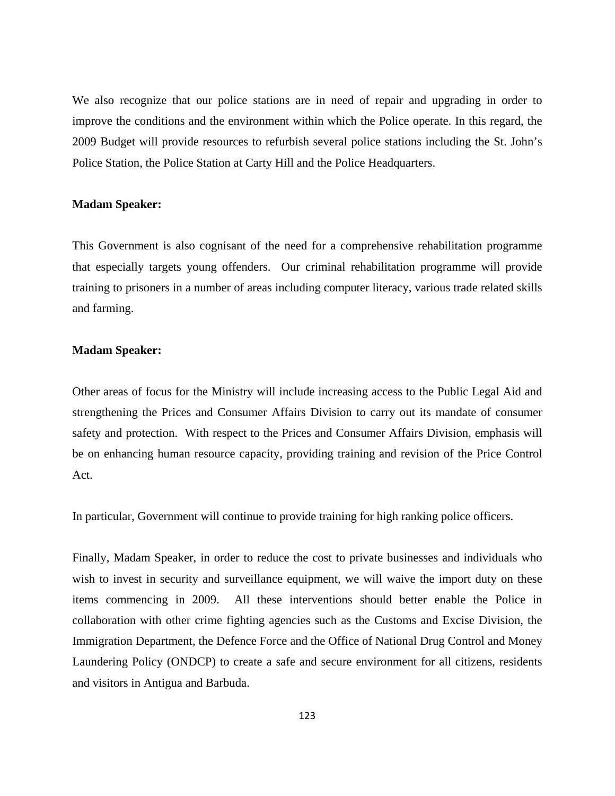We also recognize that our police stations are in need of repair and upgrading in order to improve the conditions and the environment within which the Police operate. In this regard, the 2009 Budget will provide resources to refurbish several police stations including the St. John's Police Station, the Police Station at Carty Hill and the Police Headquarters.

# **Madam Speaker:**

This Government is also cognisant of the need for a comprehensive rehabilitation programme that especially targets young offenders. Our criminal rehabilitation programme will provide training to prisoners in a number of areas including computer literacy, various trade related skills and farming.

## **Madam Speaker:**

Other areas of focus for the Ministry will include increasing access to the Public Legal Aid and strengthening the Prices and Consumer Affairs Division to carry out its mandate of consumer safety and protection. With respect to the Prices and Consumer Affairs Division, emphasis will be on enhancing human resource capacity, providing training and revision of the Price Control Act.

In particular, Government will continue to provide training for high ranking police officers.

Finally, Madam Speaker, in order to reduce the cost to private businesses and individuals who wish to invest in security and surveillance equipment, we will waive the import duty on these items commencing in 2009. All these interventions should better enable the Police in collaboration with other crime fighting agencies such as the Customs and Excise Division, the Immigration Department, the Defence Force and the Office of National Drug Control and Money Laundering Policy (ONDCP) to create a safe and secure environment for all citizens, residents and visitors in Antigua and Barbuda.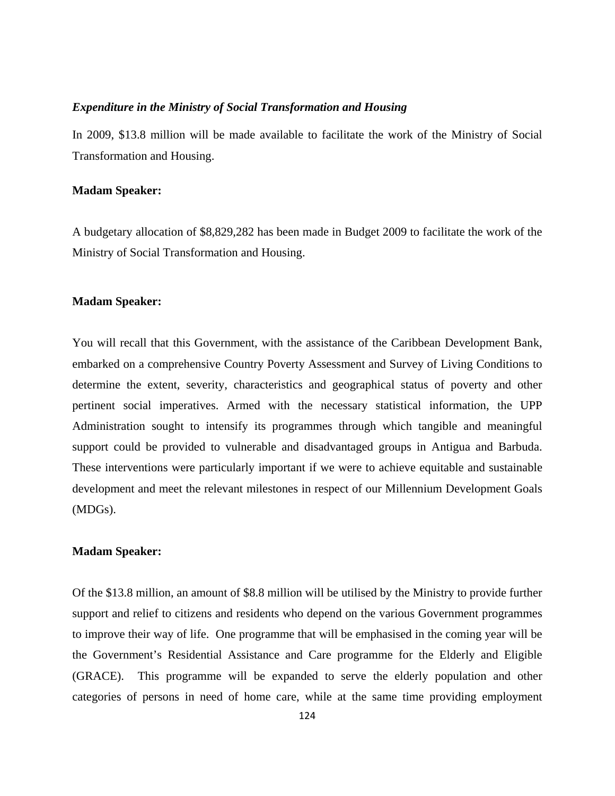## *Expenditure in the Ministry of Social Transformation and Housing*

In 2009, \$13.8 million will be made available to facilitate the work of the Ministry of Social Transformation and Housing.

## **Madam Speaker:**

A budgetary allocation of \$8,829,282 has been made in Budget 2009 to facilitate the work of the Ministry of Social Transformation and Housing.

## **Madam Speaker:**

You will recall that this Government, with the assistance of the Caribbean Development Bank, embarked on a comprehensive Country Poverty Assessment and Survey of Living Conditions to determine the extent, severity, characteristics and geographical status of poverty and other pertinent social imperatives. Armed with the necessary statistical information, the UPP Administration sought to intensify its programmes through which tangible and meaningful support could be provided to vulnerable and disadvantaged groups in Antigua and Barbuda. These interventions were particularly important if we were to achieve equitable and sustainable development and meet the relevant milestones in respect of our Millennium Development Goals (MDGs).

#### **Madam Speaker:**

Of the \$13.8 million, an amount of \$8.8 million will be utilised by the Ministry to provide further support and relief to citizens and residents who depend on the various Government programmes to improve their way of life. One programme that will be emphasised in the coming year will be the Government's Residential Assistance and Care programme for the Elderly and Eligible (GRACE). This programme will be expanded to serve the elderly population and other categories of persons in need of home care, while at the same time providing employment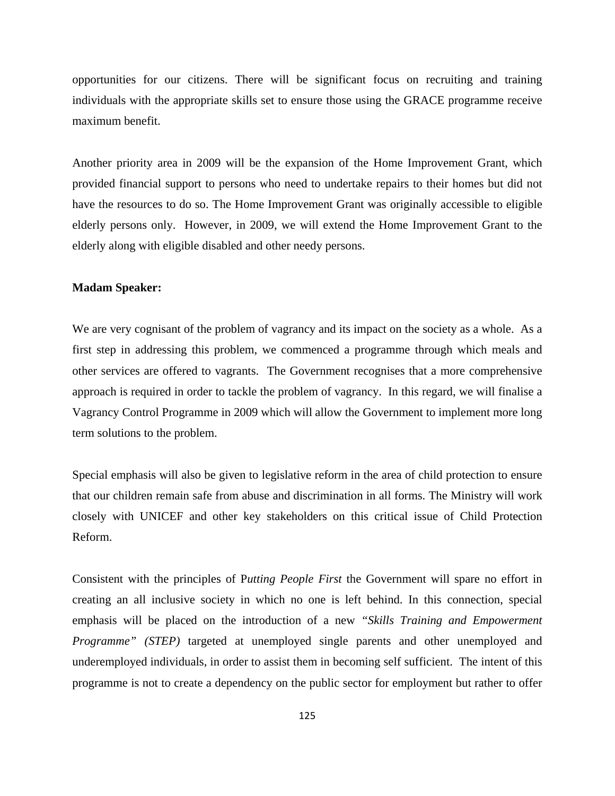opportunities for our citizens. There will be significant focus on recruiting and training individuals with the appropriate skills set to ensure those using the GRACE programme receive maximum benefit.

Another priority area in 2009 will be the expansion of the Home Improvement Grant, which provided financial support to persons who need to undertake repairs to their homes but did not have the resources to do so. The Home Improvement Grant was originally accessible to eligible elderly persons only. However, in 2009, we will extend the Home Improvement Grant to the elderly along with eligible disabled and other needy persons.

# **Madam Speaker:**

We are very cognisant of the problem of vagrancy and its impact on the society as a whole. As a first step in addressing this problem, we commenced a programme through which meals and other services are offered to vagrants. The Government recognises that a more comprehensive approach is required in order to tackle the problem of vagrancy. In this regard, we will finalise a Vagrancy Control Programme in 2009 which will allow the Government to implement more long term solutions to the problem.

Special emphasis will also be given to legislative reform in the area of child protection to ensure that our children remain safe from abuse and discrimination in all forms. The Ministry will work closely with UNICEF and other key stakeholders on this critical issue of Child Protection Reform.

Consistent with the principles of P*utting People First* the Government will spare no effort in creating an all inclusive society in which no one is left behind. In this connection, special emphasis will be placed on the introduction of a new *"Skills Training and Empowerment Programme" (STEP)* targeted at unemployed single parents and other unemployed and underemployed individuals, in order to assist them in becoming self sufficient. The intent of this programme is not to create a dependency on the public sector for employment but rather to offer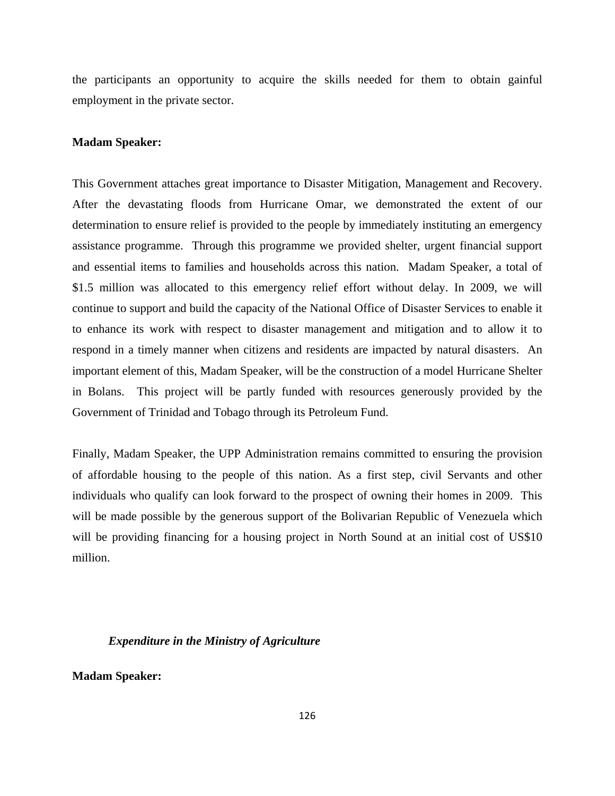the participants an opportunity to acquire the skills needed for them to obtain gainful employment in the private sector.

#### **Madam Speaker:**

This Government attaches great importance to Disaster Mitigation, Management and Recovery. After the devastating floods from Hurricane Omar, we demonstrated the extent of our determination to ensure relief is provided to the people by immediately instituting an emergency assistance programme. Through this programme we provided shelter, urgent financial support and essential items to families and households across this nation. Madam Speaker, a total of \$1.5 million was allocated to this emergency relief effort without delay. In 2009, we will continue to support and build the capacity of the National Office of Disaster Services to enable it to enhance its work with respect to disaster management and mitigation and to allow it to respond in a timely manner when citizens and residents are impacted by natural disasters. An important element of this, Madam Speaker, will be the construction of a model Hurricane Shelter in Bolans. This project will be partly funded with resources generously provided by the Government of Trinidad and Tobago through its Petroleum Fund.

Finally, Madam Speaker, the UPP Administration remains committed to ensuring the provision of affordable housing to the people of this nation. As a first step, civil Servants and other individuals who qualify can look forward to the prospect of owning their homes in 2009. This will be made possible by the generous support of the Bolivarian Republic of Venezuela which will be providing financing for a housing project in North Sound at an initial cost of US\$10 million.

# *Expenditure in the Ministry of Agriculture*

**Madam Speaker:**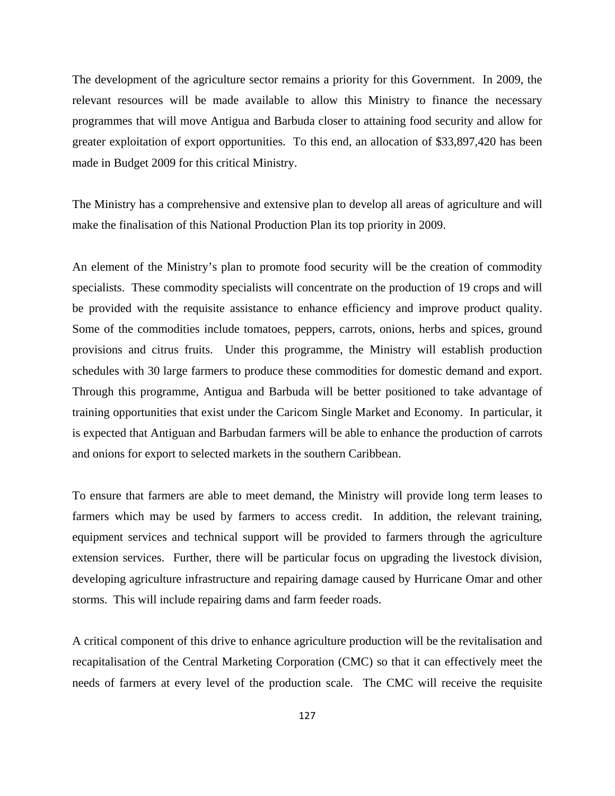The development of the agriculture sector remains a priority for this Government. In 2009, the relevant resources will be made available to allow this Ministry to finance the necessary programmes that will move Antigua and Barbuda closer to attaining food security and allow for greater exploitation of export opportunities. To this end, an allocation of \$33,897,420 has been made in Budget 2009 for this critical Ministry.

The Ministry has a comprehensive and extensive plan to develop all areas of agriculture and will make the finalisation of this National Production Plan its top priority in 2009.

An element of the Ministry's plan to promote food security will be the creation of commodity specialists. These commodity specialists will concentrate on the production of 19 crops and will be provided with the requisite assistance to enhance efficiency and improve product quality. Some of the commodities include tomatoes, peppers, carrots, onions, herbs and spices, ground provisions and citrus fruits. Under this programme, the Ministry will establish production schedules with 30 large farmers to produce these commodities for domestic demand and export. Through this programme, Antigua and Barbuda will be better positioned to take advantage of training opportunities that exist under the Caricom Single Market and Economy. In particular, it is expected that Antiguan and Barbudan farmers will be able to enhance the production of carrots and onions for export to selected markets in the southern Caribbean.

To ensure that farmers are able to meet demand, the Ministry will provide long term leases to farmers which may be used by farmers to access credit. In addition, the relevant training, equipment services and technical support will be provided to farmers through the agriculture extension services. Further, there will be particular focus on upgrading the livestock division, developing agriculture infrastructure and repairing damage caused by Hurricane Omar and other storms. This will include repairing dams and farm feeder roads.

A critical component of this drive to enhance agriculture production will be the revitalisation and recapitalisation of the Central Marketing Corporation (CMC) so that it can effectively meet the needs of farmers at every level of the production scale. The CMC will receive the requisite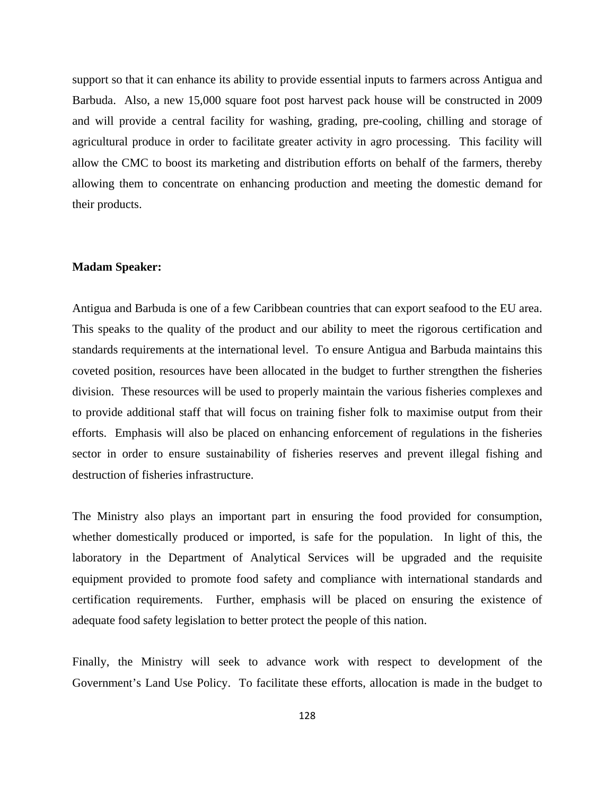support so that it can enhance its ability to provide essential inputs to farmers across Antigua and Barbuda. Also, a new 15,000 square foot post harvest pack house will be constructed in 2009 and will provide a central facility for washing, grading, pre-cooling, chilling and storage of agricultural produce in order to facilitate greater activity in agro processing. This facility will allow the CMC to boost its marketing and distribution efforts on behalf of the farmers, thereby allowing them to concentrate on enhancing production and meeting the domestic demand for their products.

# **Madam Speaker:**

Antigua and Barbuda is one of a few Caribbean countries that can export seafood to the EU area. This speaks to the quality of the product and our ability to meet the rigorous certification and standards requirements at the international level. To ensure Antigua and Barbuda maintains this coveted position, resources have been allocated in the budget to further strengthen the fisheries division. These resources will be used to properly maintain the various fisheries complexes and to provide additional staff that will focus on training fisher folk to maximise output from their efforts. Emphasis will also be placed on enhancing enforcement of regulations in the fisheries sector in order to ensure sustainability of fisheries reserves and prevent illegal fishing and destruction of fisheries infrastructure.

The Ministry also plays an important part in ensuring the food provided for consumption, whether domestically produced or imported, is safe for the population. In light of this, the laboratory in the Department of Analytical Services will be upgraded and the requisite equipment provided to promote food safety and compliance with international standards and certification requirements. Further, emphasis will be placed on ensuring the existence of adequate food safety legislation to better protect the people of this nation.

Finally, the Ministry will seek to advance work with respect to development of the Government's Land Use Policy. To facilitate these efforts, allocation is made in the budget to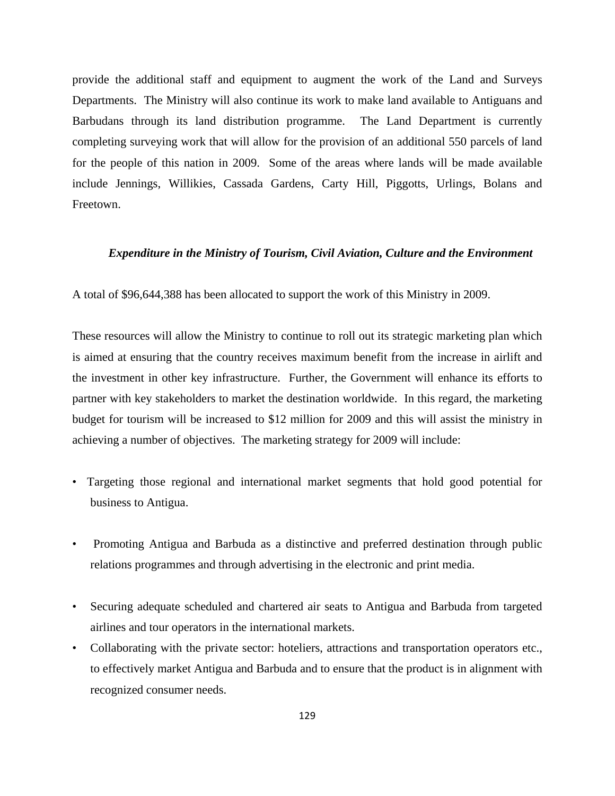provide the additional staff and equipment to augment the work of the Land and Surveys Departments. The Ministry will also continue its work to make land available to Antiguans and Barbudans through its land distribution programme. The Land Department is currently completing surveying work that will allow for the provision of an additional 550 parcels of land for the people of this nation in 2009. Some of the areas where lands will be made available include Jennings, Willikies, Cassada Gardens, Carty Hill, Piggotts, Urlings, Bolans and Freetown.

# *Expenditure in the Ministry of Tourism, Civil Aviation, Culture and the Environment*

A total of \$96,644,388 has been allocated to support the work of this Ministry in 2009.

These resources will allow the Ministry to continue to roll out its strategic marketing plan which is aimed at ensuring that the country receives maximum benefit from the increase in airlift and the investment in other key infrastructure. Further, the Government will enhance its efforts to partner with key stakeholders to market the destination worldwide. In this regard, the marketing budget for tourism will be increased to \$12 million for 2009 and this will assist the ministry in achieving a number of objectives. The marketing strategy for 2009 will include:

- Targeting those regional and international market segments that hold good potential for business to Antigua.
- Promoting Antigua and Barbuda as a distinctive and preferred destination through public relations programmes and through advertising in the electronic and print media.
- Securing adequate scheduled and chartered air seats to Antigua and Barbuda from targeted airlines and tour operators in the international markets.
- Collaborating with the private sector: hoteliers, attractions and transportation operators etc., to effectively market Antigua and Barbuda and to ensure that the product is in alignment with recognized consumer needs.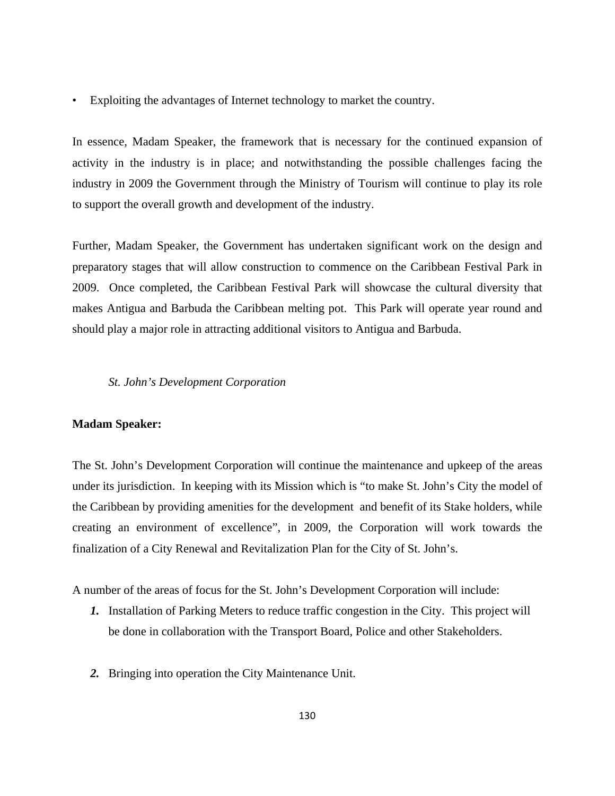• Exploiting the advantages of Internet technology to market the country.

In essence, Madam Speaker, the framework that is necessary for the continued expansion of activity in the industry is in place; and notwithstanding the possible challenges facing the industry in 2009 the Government through the Ministry of Tourism will continue to play its role to support the overall growth and development of the industry.

Further, Madam Speaker, the Government has undertaken significant work on the design and preparatory stages that will allow construction to commence on the Caribbean Festival Park in 2009. Once completed, the Caribbean Festival Park will showcase the cultural diversity that makes Antigua and Barbuda the Caribbean melting pot. This Park will operate year round and should play a major role in attracting additional visitors to Antigua and Barbuda.

# *St. John's Development Corporation*

### **Madam Speaker:**

The St. John's Development Corporation will continue the maintenance and upkeep of the areas under its jurisdiction. In keeping with its Mission which is "to make St. John's City the model of the Caribbean by providing amenities for the development and benefit of its Stake holders, while creating an environment of excellence", in 2009, the Corporation will work towards the finalization of a City Renewal and Revitalization Plan for the City of St. John's.

A number of the areas of focus for the St. John's Development Corporation will include:

- *1.* Installation of Parking Meters to reduce traffic congestion in the City. This project will be done in collaboration with the Transport Board, Police and other Stakeholders.
- *2.* Bringing into operation the City Maintenance Unit.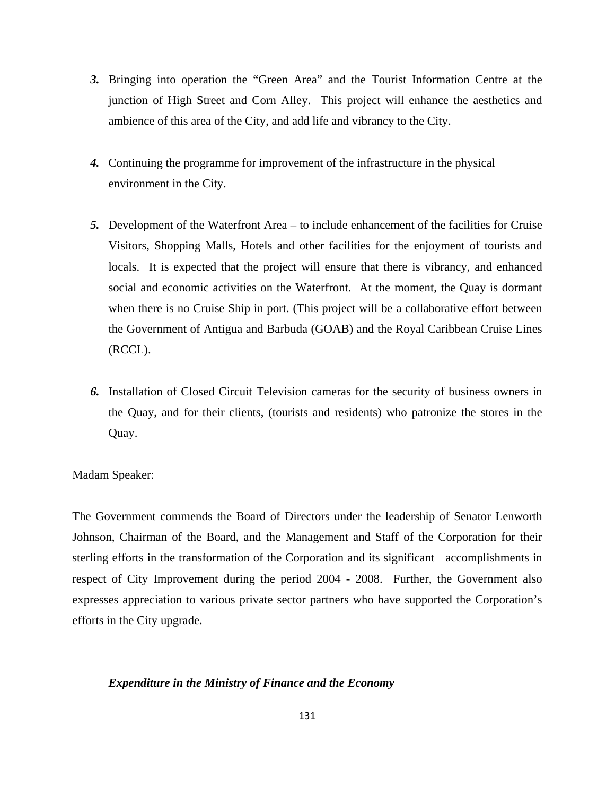- *3.* Bringing into operation the "Green Area" and the Tourist Information Centre at the junction of High Street and Corn Alley. This project will enhance the aesthetics and ambience of this area of the City, and add life and vibrancy to the City.
- *4.* Continuing the programme for improvement of the infrastructure in the physical environment in the City.
- *5.* Development of the Waterfront Area to include enhancement of the facilities for Cruise Visitors, Shopping Malls, Hotels and other facilities for the enjoyment of tourists and locals. It is expected that the project will ensure that there is vibrancy, and enhanced social and economic activities on the Waterfront. At the moment, the Quay is dormant when there is no Cruise Ship in port. (This project will be a collaborative effort between the Government of Antigua and Barbuda (GOAB) and the Royal Caribbean Cruise Lines (RCCL).
- *6.* Installation of Closed Circuit Television cameras for the security of business owners in the Quay, and for their clients, (tourists and residents) who patronize the stores in the Quay.

## Madam Speaker:

The Government commends the Board of Directors under the leadership of Senator Lenworth Johnson, Chairman of the Board, and the Management and Staff of the Corporation for their sterling efforts in the transformation of the Corporation and its significant accomplishments in respect of City Improvement during the period 2004 - 2008. Further, the Government also expresses appreciation to various private sector partners who have supported the Corporation's efforts in the City upgrade.

## *Expenditure in the Ministry of Finance and the Economy*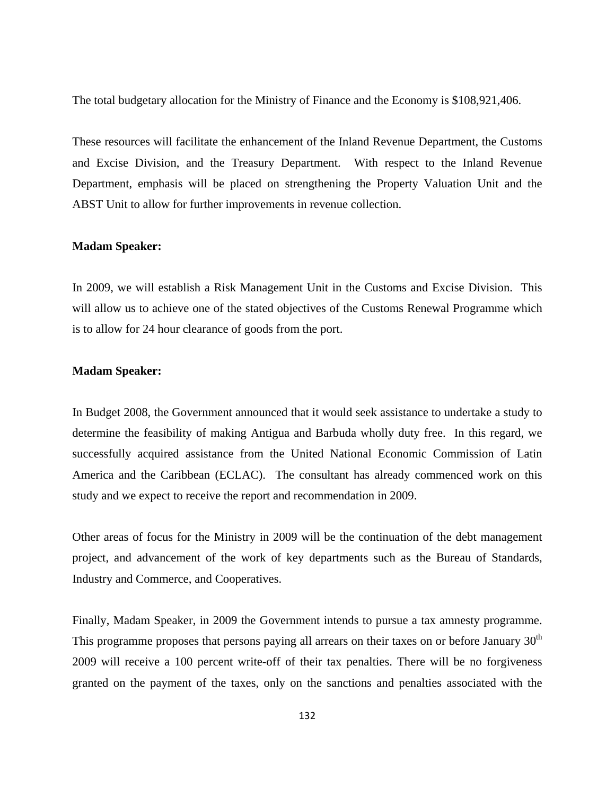The total budgetary allocation for the Ministry of Finance and the Economy is \$108,921,406.

These resources will facilitate the enhancement of the Inland Revenue Department, the Customs and Excise Division, and the Treasury Department. With respect to the Inland Revenue Department, emphasis will be placed on strengthening the Property Valuation Unit and the ABST Unit to allow for further improvements in revenue collection.

### **Madam Speaker:**

In 2009, we will establish a Risk Management Unit in the Customs and Excise Division. This will allow us to achieve one of the stated objectives of the Customs Renewal Programme which is to allow for 24 hour clearance of goods from the port.

#### **Madam Speaker:**

In Budget 2008, the Government announced that it would seek assistance to undertake a study to determine the feasibility of making Antigua and Barbuda wholly duty free. In this regard, we successfully acquired assistance from the United National Economic Commission of Latin America and the Caribbean (ECLAC). The consultant has already commenced work on this study and we expect to receive the report and recommendation in 2009.

Other areas of focus for the Ministry in 2009 will be the continuation of the debt management project, and advancement of the work of key departments such as the Bureau of Standards, Industry and Commerce, and Cooperatives.

Finally, Madam Speaker, in 2009 the Government intends to pursue a tax amnesty programme. This programme proposes that persons paying all arrears on their taxes on or before January  $30<sup>th</sup>$ 2009 will receive a 100 percent write-off of their tax penalties. There will be no forgiveness granted on the payment of the taxes, only on the sanctions and penalties associated with the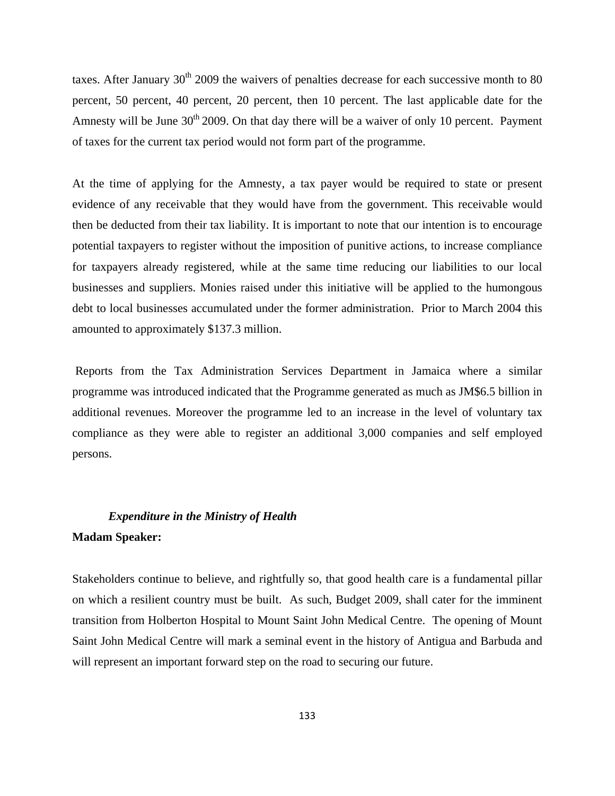taxes. After January  $30<sup>th</sup> 2009$  the waivers of penalties decrease for each successive month to 80 percent, 50 percent, 40 percent, 20 percent, then 10 percent. The last applicable date for the Amnesty will be June  $30<sup>th</sup> 2009$ . On that day there will be a waiver of only 10 percent. Payment of taxes for the current tax period would not form part of the programme.

At the time of applying for the Amnesty, a tax payer would be required to state or present evidence of any receivable that they would have from the government. This receivable would then be deducted from their tax liability. It is important to note that our intention is to encourage potential taxpayers to register without the imposition of punitive actions, to increase compliance for taxpayers already registered, while at the same time reducing our liabilities to our local businesses and suppliers. Monies raised under this initiative will be applied to the humongous debt to local businesses accumulated under the former administration. Prior to March 2004 this amounted to approximately \$137.3 million.

 Reports from the Tax Administration Services Department in Jamaica where a similar programme was introduced indicated that the Programme generated as much as JM\$6.5 billion in additional revenues. Moreover the programme led to an increase in the level of voluntary tax compliance as they were able to register an additional 3,000 companies and self employed persons.

# *Expenditure in the Ministry of Health*  **Madam Speaker:**

Stakeholders continue to believe, and rightfully so, that good health care is a fundamental pillar on which a resilient country must be built. As such, Budget 2009, shall cater for the imminent transition from Holberton Hospital to Mount Saint John Medical Centre. The opening of Mount Saint John Medical Centre will mark a seminal event in the history of Antigua and Barbuda and will represent an important forward step on the road to securing our future.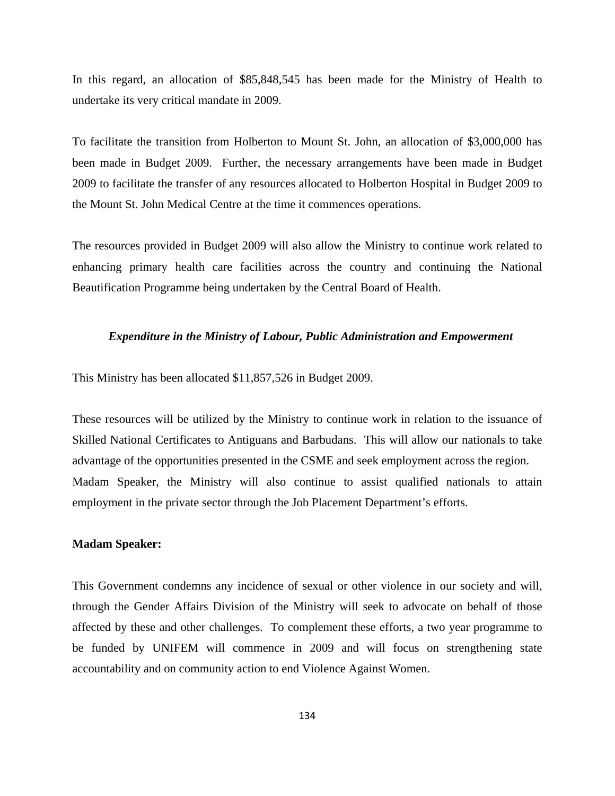In this regard, an allocation of \$85,848,545 has been made for the Ministry of Health to undertake its very critical mandate in 2009.

To facilitate the transition from Holberton to Mount St. John, an allocation of \$3,000,000 has been made in Budget 2009. Further, the necessary arrangements have been made in Budget 2009 to facilitate the transfer of any resources allocated to Holberton Hospital in Budget 2009 to the Mount St. John Medical Centre at the time it commences operations.

The resources provided in Budget 2009 will also allow the Ministry to continue work related to enhancing primary health care facilities across the country and continuing the National Beautification Programme being undertaken by the Central Board of Health.

#### *Expenditure in the Ministry of Labour, Public Administration and Empowerment*

This Ministry has been allocated \$11,857,526 in Budget 2009.

These resources will be utilized by the Ministry to continue work in relation to the issuance of Skilled National Certificates to Antiguans and Barbudans. This will allow our nationals to take advantage of the opportunities presented in the CSME and seek employment across the region. Madam Speaker, the Ministry will also continue to assist qualified nationals to attain employment in the private sector through the Job Placement Department's efforts.

#### **Madam Speaker:**

This Government condemns any incidence of sexual or other violence in our society and will, through the Gender Affairs Division of the Ministry will seek to advocate on behalf of those affected by these and other challenges. To complement these efforts, a two year programme to be funded by UNIFEM will commence in 2009 and will focus on strengthening state accountability and on community action to end Violence Against Women.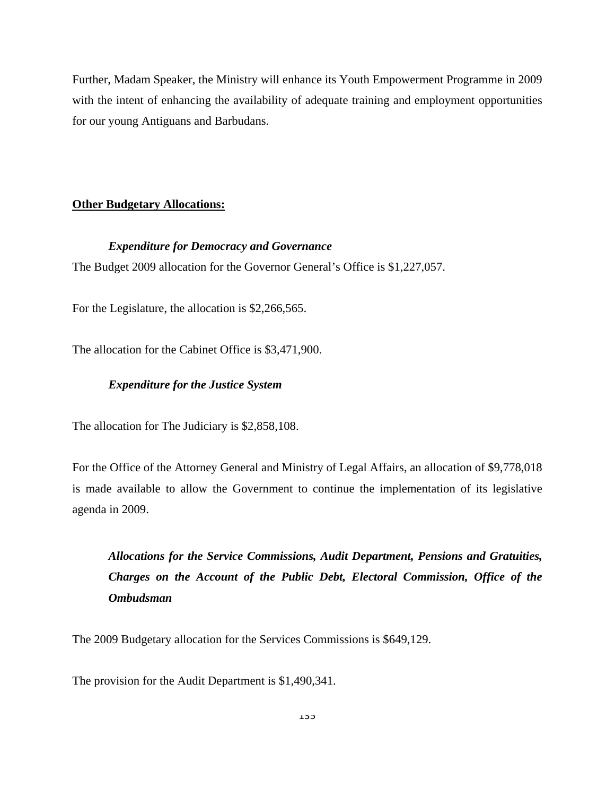Further, Madam Speaker, the Ministry will enhance its Youth Empowerment Programme in 2009 with the intent of enhancing the availability of adequate training and employment opportunities for our young Antiguans and Barbudans.

# **Other Budgetary Allocations:**

# *Expenditure for Democracy and Governance*

The Budget 2009 allocation for the Governor General's Office is \$1,227,057.

For the Legislature, the allocation is \$2,266,565.

The allocation for the Cabinet Office is \$3,471,900.

# *Expenditure for the Justice System*

The allocation for The Judiciary is \$2,858,108.

For the Office of the Attorney General and Ministry of Legal Affairs, an allocation of \$9,778,018 is made available to allow the Government to continue the implementation of its legislative agenda in 2009.

*Allocations for the Service Commissions, Audit Department, Pensions and Gratuities, Charges on the Account of the Public Debt, Electoral Commission, Office of the Ombudsman* 

The 2009 Budgetary allocation for the Services Commissions is \$649,129.

The provision for the Audit Department is \$1,490,341.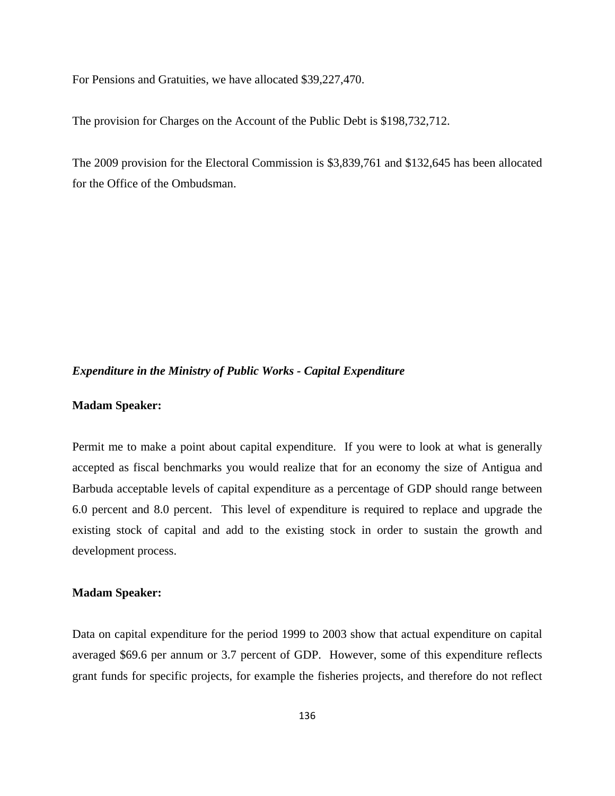For Pensions and Gratuities, we have allocated \$39,227,470.

The provision for Charges on the Account of the Public Debt is \$198,732,712.

The 2009 provision for the Electoral Commission is \$3,839,761 and \$132,645 has been allocated for the Office of the Ombudsman.

# *Expenditure in the Ministry of Public Works - Capital Expenditure*

# **Madam Speaker:**

Permit me to make a point about capital expenditure. If you were to look at what is generally accepted as fiscal benchmarks you would realize that for an economy the size of Antigua and Barbuda acceptable levels of capital expenditure as a percentage of GDP should range between 6.0 percent and 8.0 percent. This level of expenditure is required to replace and upgrade the existing stock of capital and add to the existing stock in order to sustain the growth and development process.

# **Madam Speaker:**

Data on capital expenditure for the period 1999 to 2003 show that actual expenditure on capital averaged \$69.6 per annum or 3.7 percent of GDP. However, some of this expenditure reflects grant funds for specific projects, for example the fisheries projects, and therefore do not reflect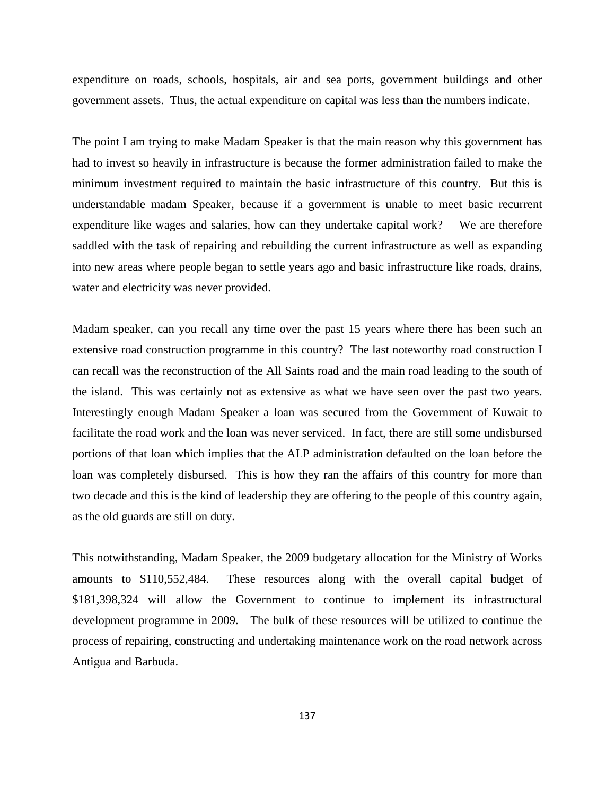expenditure on roads, schools, hospitals, air and sea ports, government buildings and other government assets. Thus, the actual expenditure on capital was less than the numbers indicate.

The point I am trying to make Madam Speaker is that the main reason why this government has had to invest so heavily in infrastructure is because the former administration failed to make the minimum investment required to maintain the basic infrastructure of this country. But this is understandable madam Speaker, because if a government is unable to meet basic recurrent expenditure like wages and salaries, how can they undertake capital work? We are therefore saddled with the task of repairing and rebuilding the current infrastructure as well as expanding into new areas where people began to settle years ago and basic infrastructure like roads, drains, water and electricity was never provided.

Madam speaker, can you recall any time over the past 15 years where there has been such an extensive road construction programme in this country? The last noteworthy road construction I can recall was the reconstruction of the All Saints road and the main road leading to the south of the island. This was certainly not as extensive as what we have seen over the past two years. Interestingly enough Madam Speaker a loan was secured from the Government of Kuwait to facilitate the road work and the loan was never serviced. In fact, there are still some undisbursed portions of that loan which implies that the ALP administration defaulted on the loan before the loan was completely disbursed. This is how they ran the affairs of this country for more than two decade and this is the kind of leadership they are offering to the people of this country again, as the old guards are still on duty.

This notwithstanding, Madam Speaker, the 2009 budgetary allocation for the Ministry of Works amounts to \$110,552,484. These resources along with the overall capital budget of \$181,398,324 will allow the Government to continue to implement its infrastructural development programme in 2009. The bulk of these resources will be utilized to continue the process of repairing, constructing and undertaking maintenance work on the road network across Antigua and Barbuda.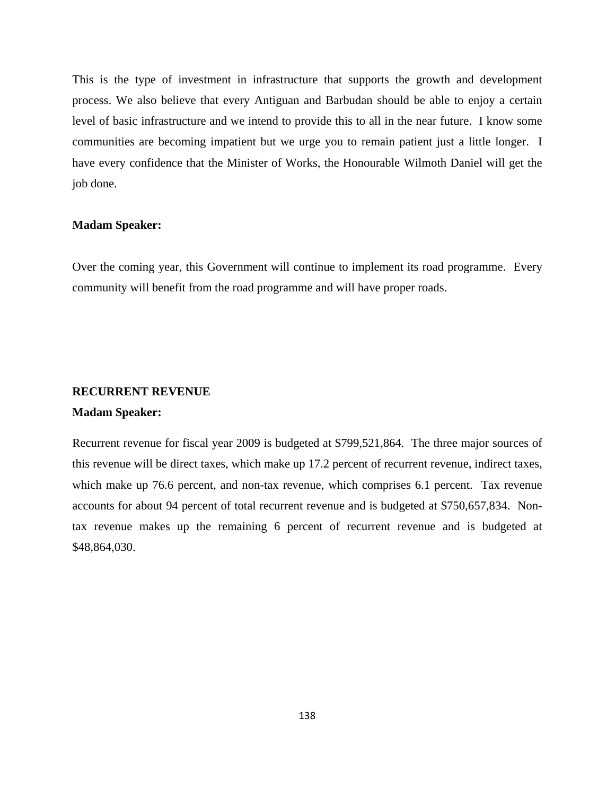This is the type of investment in infrastructure that supports the growth and development process. We also believe that every Antiguan and Barbudan should be able to enjoy a certain level of basic infrastructure and we intend to provide this to all in the near future. I know some communities are becoming impatient but we urge you to remain patient just a little longer. I have every confidence that the Minister of Works, the Honourable Wilmoth Daniel will get the job done.

#### **Madam Speaker:**

Over the coming year, this Government will continue to implement its road programme. Every community will benefit from the road programme and will have proper roads.

# **RECURRENT REVENUE**

# **Madam Speaker:**

Recurrent revenue for fiscal year 2009 is budgeted at \$799,521,864. The three major sources of this revenue will be direct taxes, which make up 17.2 percent of recurrent revenue, indirect taxes, which make up 76.6 percent, and non-tax revenue, which comprises 6.1 percent. Tax revenue accounts for about 94 percent of total recurrent revenue and is budgeted at \$750,657,834. Nontax revenue makes up the remaining 6 percent of recurrent revenue and is budgeted at \$48,864,030.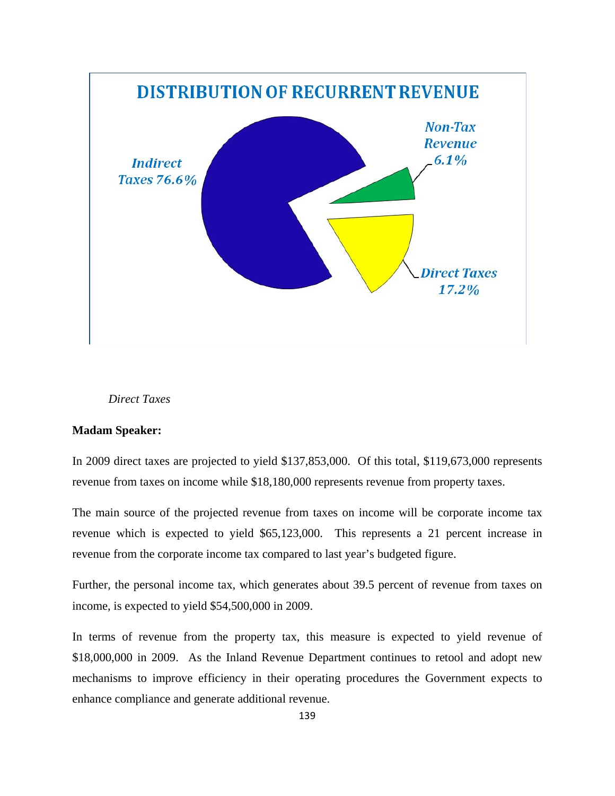

# *Direct Taxes*

# **Madam Speaker:**

In 2009 direct taxes are projected to yield \$137,853,000. Of this total, \$119,673,000 represents revenue from taxes on income while \$18,180,000 represents revenue from property taxes.

The main source of the projected revenue from taxes on income will be corporate income tax revenue which is expected to yield \$65,123,000. This represents a 21 percent increase in revenue from the corporate income tax compared to last year's budgeted figure.

Further, the personal income tax, which generates about 39.5 percent of revenue from taxes on income, is expected to yield \$54,500,000 in 2009.

In terms of revenue from the property tax, this measure is expected to yield revenue of \$18,000,000 in 2009. As the Inland Revenue Department continues to retool and adopt new mechanisms to improve efficiency in their operating procedures the Government expects to enhance compliance and generate additional revenue.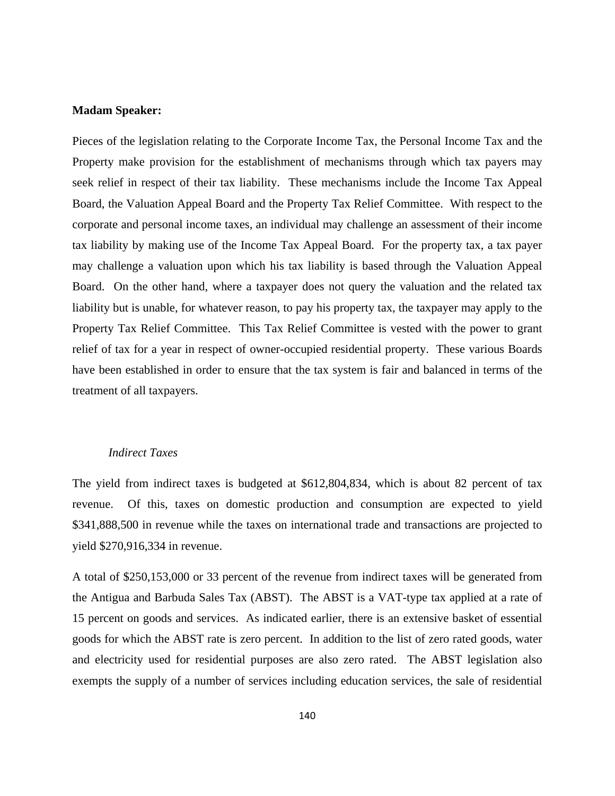# **Madam Speaker:**

Pieces of the legislation relating to the Corporate Income Tax, the Personal Income Tax and the Property make provision for the establishment of mechanisms through which tax payers may seek relief in respect of their tax liability. These mechanisms include the Income Tax Appeal Board, the Valuation Appeal Board and the Property Tax Relief Committee. With respect to the corporate and personal income taxes, an individual may challenge an assessment of their income tax liability by making use of the Income Tax Appeal Board. For the property tax, a tax payer may challenge a valuation upon which his tax liability is based through the Valuation Appeal Board. On the other hand, where a taxpayer does not query the valuation and the related tax liability but is unable, for whatever reason, to pay his property tax, the taxpayer may apply to the Property Tax Relief Committee. This Tax Relief Committee is vested with the power to grant relief of tax for a year in respect of owner-occupied residential property. These various Boards have been established in order to ensure that the tax system is fair and balanced in terms of the treatment of all taxpayers.

# *Indirect Taxes*

The yield from indirect taxes is budgeted at \$612,804,834, which is about 82 percent of tax revenue. Of this, taxes on domestic production and consumption are expected to yield \$341,888,500 in revenue while the taxes on international trade and transactions are projected to yield \$270,916,334 in revenue.

A total of \$250,153,000 or 33 percent of the revenue from indirect taxes will be generated from the Antigua and Barbuda Sales Tax (ABST). The ABST is a VAT-type tax applied at a rate of 15 percent on goods and services. As indicated earlier, there is an extensive basket of essential goods for which the ABST rate is zero percent. In addition to the list of zero rated goods, water and electricity used for residential purposes are also zero rated. The ABST legislation also exempts the supply of a number of services including education services, the sale of residential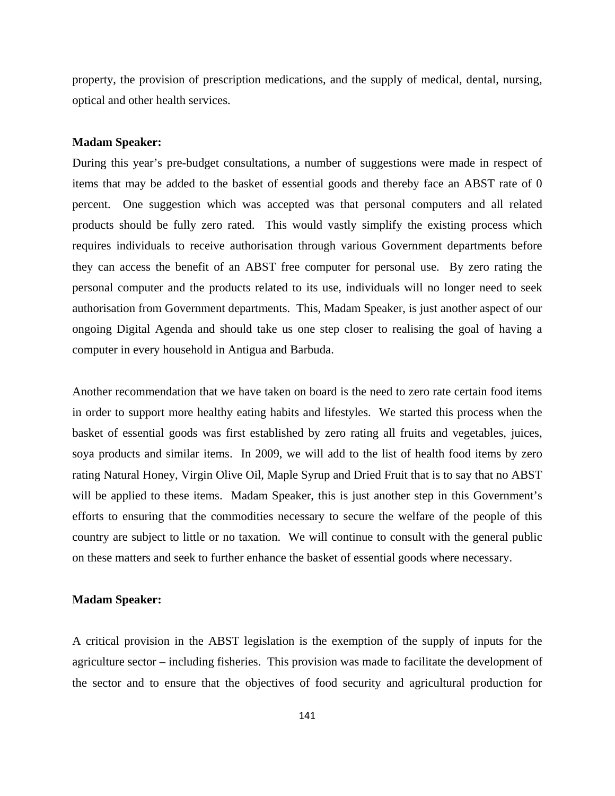property, the provision of prescription medications, and the supply of medical, dental, nursing, optical and other health services.

#### **Madam Speaker:**

During this year's pre-budget consultations, a number of suggestions were made in respect of items that may be added to the basket of essential goods and thereby face an ABST rate of 0 percent. One suggestion which was accepted was that personal computers and all related products should be fully zero rated. This would vastly simplify the existing process which requires individuals to receive authorisation through various Government departments before they can access the benefit of an ABST free computer for personal use. By zero rating the personal computer and the products related to its use, individuals will no longer need to seek authorisation from Government departments. This, Madam Speaker, is just another aspect of our ongoing Digital Agenda and should take us one step closer to realising the goal of having a computer in every household in Antigua and Barbuda.

Another recommendation that we have taken on board is the need to zero rate certain food items in order to support more healthy eating habits and lifestyles. We started this process when the basket of essential goods was first established by zero rating all fruits and vegetables, juices, soya products and similar items. In 2009, we will add to the list of health food items by zero rating Natural Honey, Virgin Olive Oil, Maple Syrup and Dried Fruit that is to say that no ABST will be applied to these items. Madam Speaker, this is just another step in this Government's efforts to ensuring that the commodities necessary to secure the welfare of the people of this country are subject to little or no taxation. We will continue to consult with the general public on these matters and seek to further enhance the basket of essential goods where necessary.

#### **Madam Speaker:**

A critical provision in the ABST legislation is the exemption of the supply of inputs for the agriculture sector – including fisheries. This provision was made to facilitate the development of the sector and to ensure that the objectives of food security and agricultural production for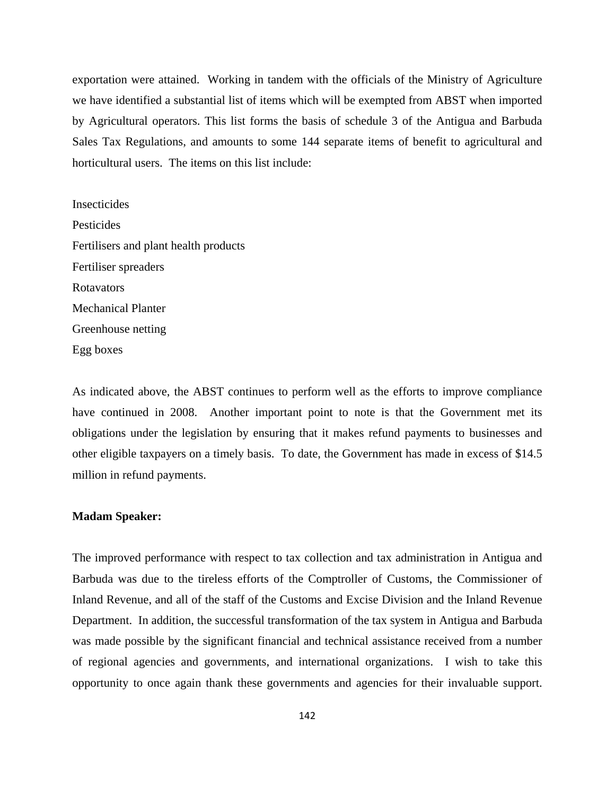exportation were attained. Working in tandem with the officials of the Ministry of Agriculture we have identified a substantial list of items which will be exempted from ABST when imported by Agricultural operators. This list forms the basis of schedule 3 of the Antigua and Barbuda Sales Tax Regulations, and amounts to some 144 separate items of benefit to agricultural and horticultural users. The items on this list include:

Insecticides Pesticides Fertilisers and plant health products Fertiliser spreaders Rotavators Mechanical Planter Greenhouse netting Egg boxes

As indicated above, the ABST continues to perform well as the efforts to improve compliance have continued in 2008. Another important point to note is that the Government met its obligations under the legislation by ensuring that it makes refund payments to businesses and other eligible taxpayers on a timely basis. To date, the Government has made in excess of \$14.5 million in refund payments.

# **Madam Speaker:**

The improved performance with respect to tax collection and tax administration in Antigua and Barbuda was due to the tireless efforts of the Comptroller of Customs, the Commissioner of Inland Revenue, and all of the staff of the Customs and Excise Division and the Inland Revenue Department. In addition, the successful transformation of the tax system in Antigua and Barbuda was made possible by the significant financial and technical assistance received from a number of regional agencies and governments, and international organizations. I wish to take this opportunity to once again thank these governments and agencies for their invaluable support.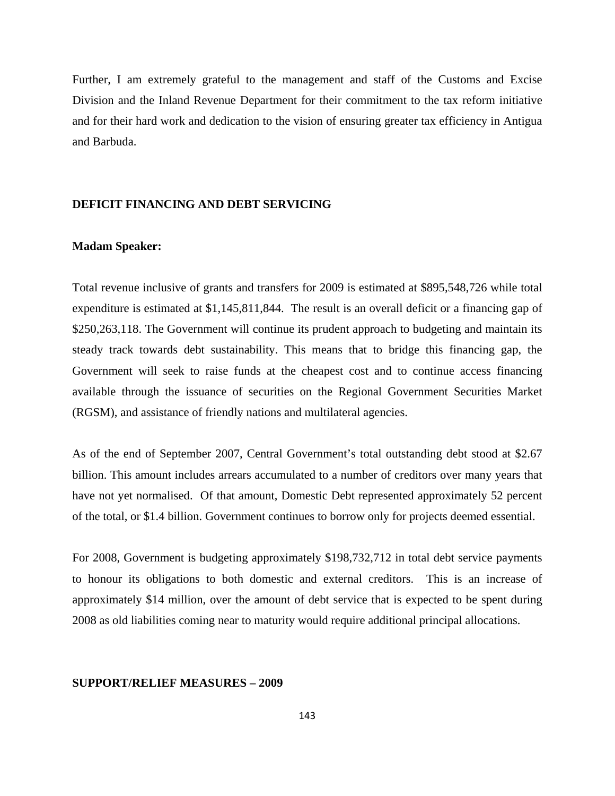Further, I am extremely grateful to the management and staff of the Customs and Excise Division and the Inland Revenue Department for their commitment to the tax reform initiative and for their hard work and dedication to the vision of ensuring greater tax efficiency in Antigua and Barbuda.

# **DEFICIT FINANCING AND DEBT SERVICING**

#### **Madam Speaker:**

Total revenue inclusive of grants and transfers for 2009 is estimated at \$895,548,726 while total expenditure is estimated at \$1,145,811,844. The result is an overall deficit or a financing gap of \$250,263,118. The Government will continue its prudent approach to budgeting and maintain its steady track towards debt sustainability. This means that to bridge this financing gap, the Government will seek to raise funds at the cheapest cost and to continue access financing available through the issuance of securities on the Regional Government Securities Market (RGSM), and assistance of friendly nations and multilateral agencies.

As of the end of September 2007, Central Government's total outstanding debt stood at \$2.67 billion. This amount includes arrears accumulated to a number of creditors over many years that have not yet normalised. Of that amount, Domestic Debt represented approximately 52 percent of the total, or \$1.4 billion. Government continues to borrow only for projects deemed essential.

For 2008, Government is budgeting approximately \$198,732,712 in total debt service payments to honour its obligations to both domestic and external creditors. This is an increase of approximately \$14 million, over the amount of debt service that is expected to be spent during 2008 as old liabilities coming near to maturity would require additional principal allocations.

## **SUPPORT/RELIEF MEASURES – 2009**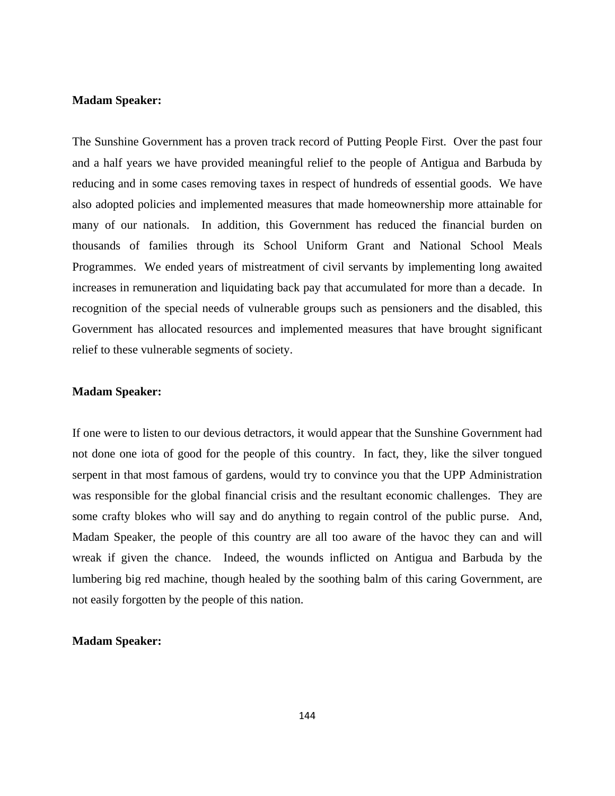# **Madam Speaker:**

The Sunshine Government has a proven track record of Putting People First. Over the past four and a half years we have provided meaningful relief to the people of Antigua and Barbuda by reducing and in some cases removing taxes in respect of hundreds of essential goods. We have also adopted policies and implemented measures that made homeownership more attainable for many of our nationals. In addition, this Government has reduced the financial burden on thousands of families through its School Uniform Grant and National School Meals Programmes. We ended years of mistreatment of civil servants by implementing long awaited increases in remuneration and liquidating back pay that accumulated for more than a decade. In recognition of the special needs of vulnerable groups such as pensioners and the disabled, this Government has allocated resources and implemented measures that have brought significant relief to these vulnerable segments of society.

# **Madam Speaker:**

If one were to listen to our devious detractors, it would appear that the Sunshine Government had not done one iota of good for the people of this country. In fact, they, like the silver tongued serpent in that most famous of gardens, would try to convince you that the UPP Administration was responsible for the global financial crisis and the resultant economic challenges. They are some crafty blokes who will say and do anything to regain control of the public purse. And, Madam Speaker, the people of this country are all too aware of the havoc they can and will wreak if given the chance. Indeed, the wounds inflicted on Antigua and Barbuda by the lumbering big red machine, though healed by the soothing balm of this caring Government, are not easily forgotten by the people of this nation.

# **Madam Speaker:**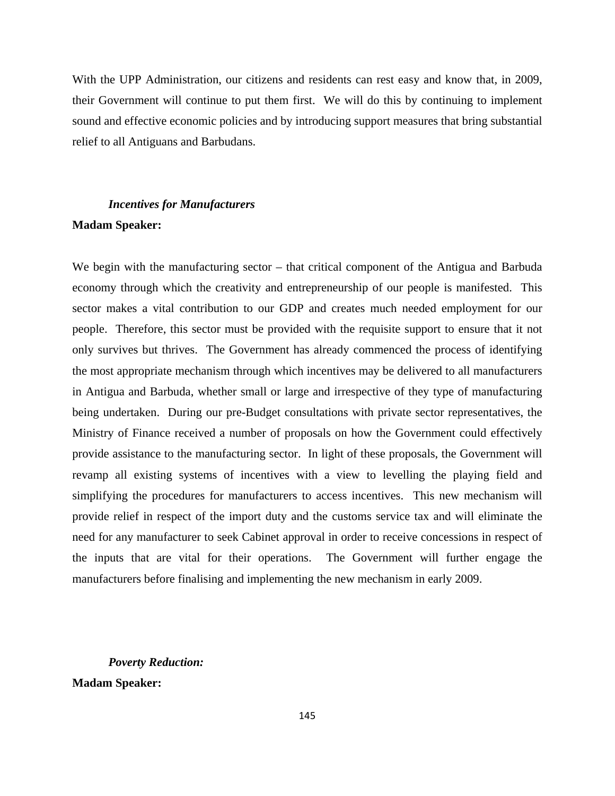With the UPP Administration, our citizens and residents can rest easy and know that, in 2009, their Government will continue to put them first. We will do this by continuing to implement sound and effective economic policies and by introducing support measures that bring substantial relief to all Antiguans and Barbudans.

# *Incentives for Manufacturers*  **Madam Speaker:**

We begin with the manufacturing sector – that critical component of the Antigua and Barbuda economy through which the creativity and entrepreneurship of our people is manifested. This sector makes a vital contribution to our GDP and creates much needed employment for our people. Therefore, this sector must be provided with the requisite support to ensure that it not only survives but thrives. The Government has already commenced the process of identifying the most appropriate mechanism through which incentives may be delivered to all manufacturers in Antigua and Barbuda, whether small or large and irrespective of they type of manufacturing being undertaken. During our pre-Budget consultations with private sector representatives, the Ministry of Finance received a number of proposals on how the Government could effectively provide assistance to the manufacturing sector. In light of these proposals, the Government will revamp all existing systems of incentives with a view to levelling the playing field and simplifying the procedures for manufacturers to access incentives. This new mechanism will provide relief in respect of the import duty and the customs service tax and will eliminate the need for any manufacturer to seek Cabinet approval in order to receive concessions in respect of the inputs that are vital for their operations. The Government will further engage the manufacturers before finalising and implementing the new mechanism in early 2009.

# *Poverty Reduction:*

**Madam Speaker:**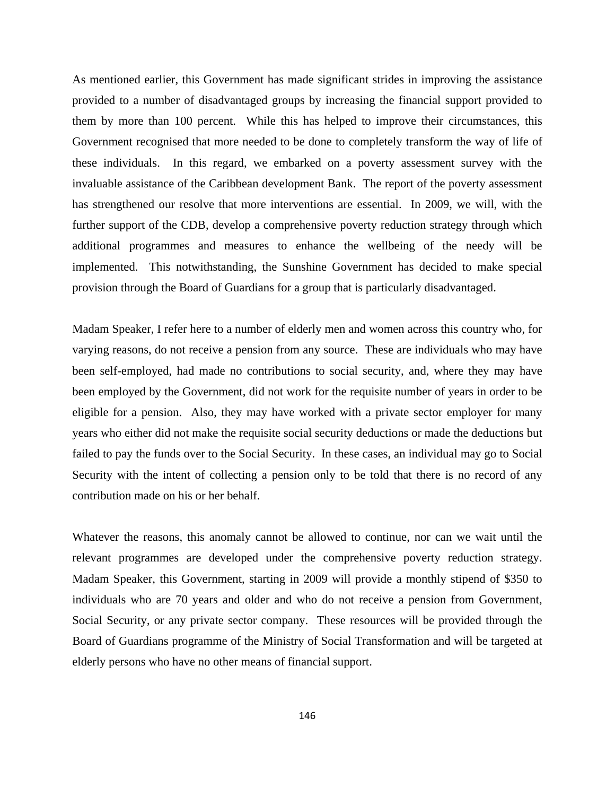As mentioned earlier, this Government has made significant strides in improving the assistance provided to a number of disadvantaged groups by increasing the financial support provided to them by more than 100 percent. While this has helped to improve their circumstances, this Government recognised that more needed to be done to completely transform the way of life of these individuals. In this regard, we embarked on a poverty assessment survey with the invaluable assistance of the Caribbean development Bank. The report of the poverty assessment has strengthened our resolve that more interventions are essential. In 2009, we will, with the further support of the CDB, develop a comprehensive poverty reduction strategy through which additional programmes and measures to enhance the wellbeing of the needy will be implemented. This notwithstanding, the Sunshine Government has decided to make special provision through the Board of Guardians for a group that is particularly disadvantaged.

Madam Speaker, I refer here to a number of elderly men and women across this country who, for varying reasons, do not receive a pension from any source. These are individuals who may have been self-employed, had made no contributions to social security, and, where they may have been employed by the Government, did not work for the requisite number of years in order to be eligible for a pension. Also, they may have worked with a private sector employer for many years who either did not make the requisite social security deductions or made the deductions but failed to pay the funds over to the Social Security. In these cases, an individual may go to Social Security with the intent of collecting a pension only to be told that there is no record of any contribution made on his or her behalf.

Whatever the reasons, this anomaly cannot be allowed to continue, nor can we wait until the relevant programmes are developed under the comprehensive poverty reduction strategy. Madam Speaker, this Government, starting in 2009 will provide a monthly stipend of \$350 to individuals who are 70 years and older and who do not receive a pension from Government, Social Security, or any private sector company. These resources will be provided through the Board of Guardians programme of the Ministry of Social Transformation and will be targeted at elderly persons who have no other means of financial support.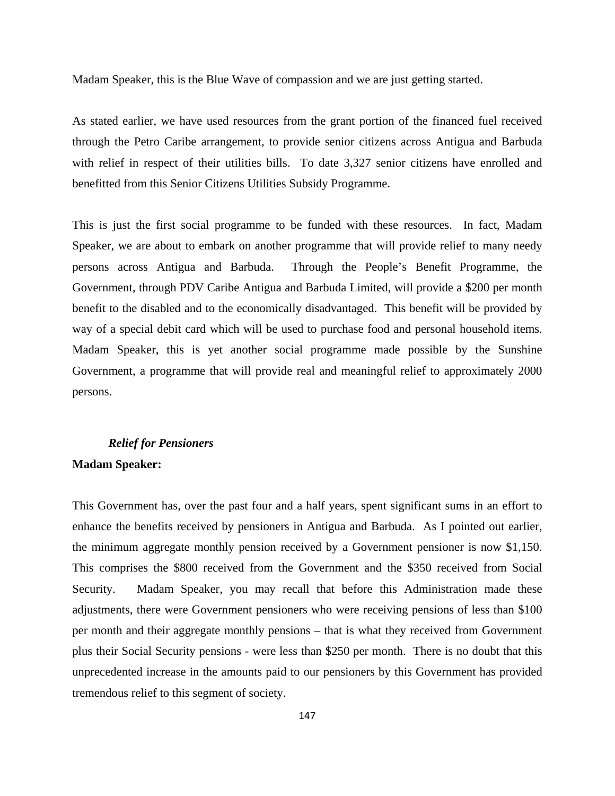Madam Speaker, this is the Blue Wave of compassion and we are just getting started.

As stated earlier, we have used resources from the grant portion of the financed fuel received through the Petro Caribe arrangement, to provide senior citizens across Antigua and Barbuda with relief in respect of their utilities bills. To date 3,327 senior citizens have enrolled and benefitted from this Senior Citizens Utilities Subsidy Programme.

This is just the first social programme to be funded with these resources. In fact, Madam Speaker, we are about to embark on another programme that will provide relief to many needy persons across Antigua and Barbuda. Through the People's Benefit Programme, the Government, through PDV Caribe Antigua and Barbuda Limited, will provide a \$200 per month benefit to the disabled and to the economically disadvantaged. This benefit will be provided by way of a special debit card which will be used to purchase food and personal household items. Madam Speaker, this is yet another social programme made possible by the Sunshine Government, a programme that will provide real and meaningful relief to approximately 2000 persons.

# *Relief for Pensioners*

# **Madam Speaker:**

This Government has, over the past four and a half years, spent significant sums in an effort to enhance the benefits received by pensioners in Antigua and Barbuda. As I pointed out earlier, the minimum aggregate monthly pension received by a Government pensioner is now \$1,150. This comprises the \$800 received from the Government and the \$350 received from Social Security. Madam Speaker, you may recall that before this Administration made these adjustments, there were Government pensioners who were receiving pensions of less than \$100 per month and their aggregate monthly pensions – that is what they received from Government plus their Social Security pensions - were less than \$250 per month. There is no doubt that this unprecedented increase in the amounts paid to our pensioners by this Government has provided tremendous relief to this segment of society.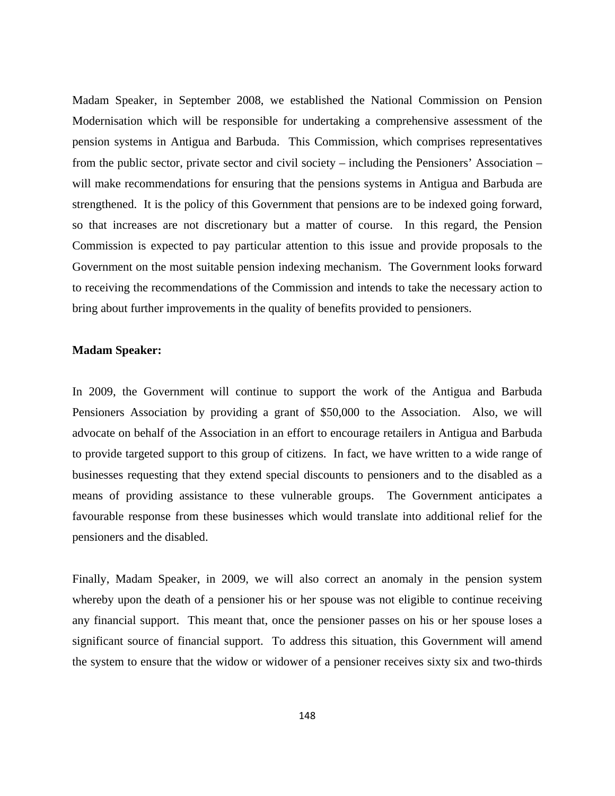Madam Speaker, in September 2008, we established the National Commission on Pension Modernisation which will be responsible for undertaking a comprehensive assessment of the pension systems in Antigua and Barbuda. This Commission, which comprises representatives from the public sector, private sector and civil society – including the Pensioners' Association – will make recommendations for ensuring that the pensions systems in Antigua and Barbuda are strengthened. It is the policy of this Government that pensions are to be indexed going forward, so that increases are not discretionary but a matter of course. In this regard, the Pension Commission is expected to pay particular attention to this issue and provide proposals to the Government on the most suitable pension indexing mechanism. The Government looks forward to receiving the recommendations of the Commission and intends to take the necessary action to bring about further improvements in the quality of benefits provided to pensioners.

#### **Madam Speaker:**

In 2009, the Government will continue to support the work of the Antigua and Barbuda Pensioners Association by providing a grant of \$50,000 to the Association. Also, we will advocate on behalf of the Association in an effort to encourage retailers in Antigua and Barbuda to provide targeted support to this group of citizens. In fact, we have written to a wide range of businesses requesting that they extend special discounts to pensioners and to the disabled as a means of providing assistance to these vulnerable groups. The Government anticipates a favourable response from these businesses which would translate into additional relief for the pensioners and the disabled.

Finally, Madam Speaker, in 2009, we will also correct an anomaly in the pension system whereby upon the death of a pensioner his or her spouse was not eligible to continue receiving any financial support. This meant that, once the pensioner passes on his or her spouse loses a significant source of financial support. To address this situation, this Government will amend the system to ensure that the widow or widower of a pensioner receives sixty six and two-thirds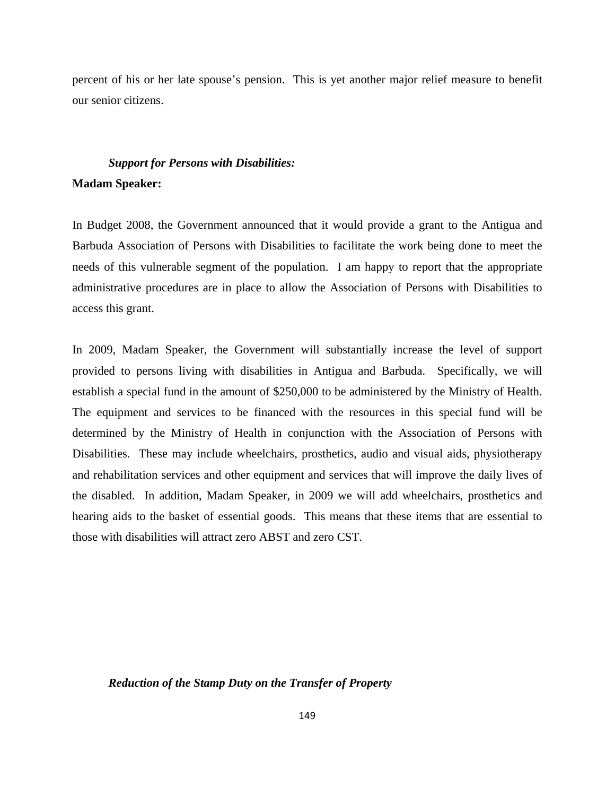percent of his or her late spouse's pension. This is yet another major relief measure to benefit our senior citizens.

# *Support for Persons with Disabilities:*  **Madam Speaker:**

In Budget 2008, the Government announced that it would provide a grant to the Antigua and Barbuda Association of Persons with Disabilities to facilitate the work being done to meet the needs of this vulnerable segment of the population. I am happy to report that the appropriate administrative procedures are in place to allow the Association of Persons with Disabilities to access this grant.

In 2009, Madam Speaker, the Government will substantially increase the level of support provided to persons living with disabilities in Antigua and Barbuda. Specifically, we will establish a special fund in the amount of \$250,000 to be administered by the Ministry of Health. The equipment and services to be financed with the resources in this special fund will be determined by the Ministry of Health in conjunction with the Association of Persons with Disabilities. These may include wheelchairs, prosthetics, audio and visual aids, physiotherapy and rehabilitation services and other equipment and services that will improve the daily lives of the disabled. In addition, Madam Speaker, in 2009 we will add wheelchairs, prosthetics and hearing aids to the basket of essential goods. This means that these items that are essential to those with disabilities will attract zero ABST and zero CST.

# *Reduction of the Stamp Duty on the Transfer of Property*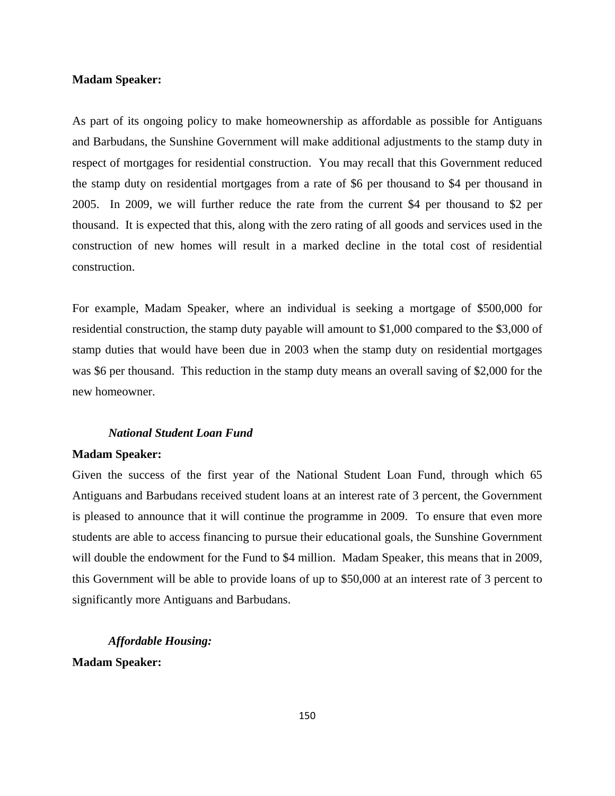#### **Madam Speaker:**

As part of its ongoing policy to make homeownership as affordable as possible for Antiguans and Barbudans, the Sunshine Government will make additional adjustments to the stamp duty in respect of mortgages for residential construction. You may recall that this Government reduced the stamp duty on residential mortgages from a rate of \$6 per thousand to \$4 per thousand in 2005. In 2009, we will further reduce the rate from the current \$4 per thousand to \$2 per thousand. It is expected that this, along with the zero rating of all goods and services used in the construction of new homes will result in a marked decline in the total cost of residential construction.

For example, Madam Speaker, where an individual is seeking a mortgage of \$500,000 for residential construction, the stamp duty payable will amount to \$1,000 compared to the \$3,000 of stamp duties that would have been due in 2003 when the stamp duty on residential mortgages was \$6 per thousand. This reduction in the stamp duty means an overall saving of \$2,000 for the new homeowner.

### *National Student Loan Fund*

#### **Madam Speaker:**

Given the success of the first year of the National Student Loan Fund, through which 65 Antiguans and Barbudans received student loans at an interest rate of 3 percent, the Government is pleased to announce that it will continue the programme in 2009. To ensure that even more students are able to access financing to pursue their educational goals, the Sunshine Government will double the endowment for the Fund to \$4 million. Madam Speaker, this means that in 2009, this Government will be able to provide loans of up to \$50,000 at an interest rate of 3 percent to significantly more Antiguans and Barbudans.

*Affordable Housing:*  **Madam Speaker:**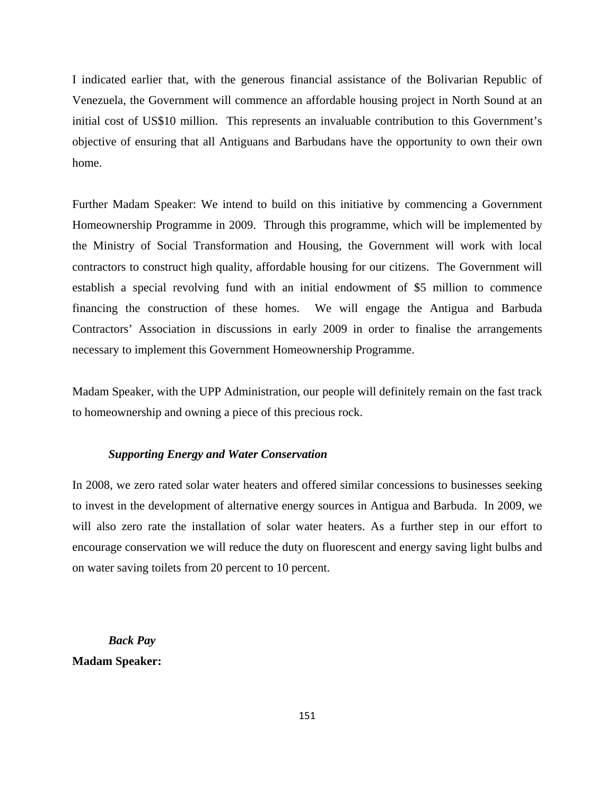I indicated earlier that, with the generous financial assistance of the Bolivarian Republic of Venezuela, the Government will commence an affordable housing project in North Sound at an initial cost of US\$10 million. This represents an invaluable contribution to this Government's objective of ensuring that all Antiguans and Barbudans have the opportunity to own their own home.

Further Madam Speaker: We intend to build on this initiative by commencing a Government Homeownership Programme in 2009. Through this programme, which will be implemented by the Ministry of Social Transformation and Housing, the Government will work with local contractors to construct high quality, affordable housing for our citizens. The Government will establish a special revolving fund with an initial endowment of \$5 million to commence financing the construction of these homes. We will engage the Antigua and Barbuda Contractors' Association in discussions in early 2009 in order to finalise the arrangements necessary to implement this Government Homeownership Programme.

Madam Speaker, with the UPP Administration, our people will definitely remain on the fast track to homeownership and owning a piece of this precious rock.

## *Supporting Energy and Water Conservation*

In 2008, we zero rated solar water heaters and offered similar concessions to businesses seeking to invest in the development of alternative energy sources in Antigua and Barbuda. In 2009, we will also zero rate the installation of solar water heaters. As a further step in our effort to encourage conservation we will reduce the duty on fluorescent and energy saving light bulbs and on water saving toilets from 20 percent to 10 percent.

*Back Pay*  **Madam Speaker:**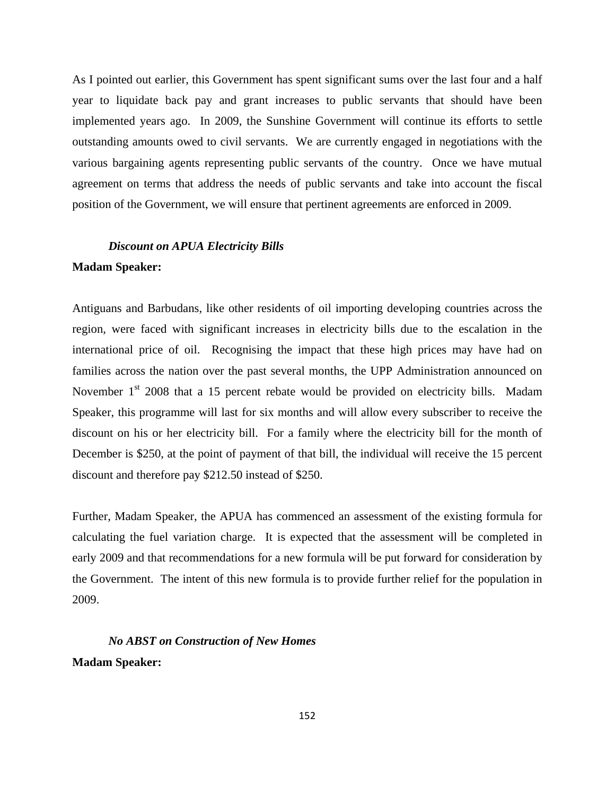As I pointed out earlier, this Government has spent significant sums over the last four and a half year to liquidate back pay and grant increases to public servants that should have been implemented years ago. In 2009, the Sunshine Government will continue its efforts to settle outstanding amounts owed to civil servants. We are currently engaged in negotiations with the various bargaining agents representing public servants of the country. Once we have mutual agreement on terms that address the needs of public servants and take into account the fiscal position of the Government, we will ensure that pertinent agreements are enforced in 2009.

# *Discount on APUA Electricity Bills*

# **Madam Speaker:**

Antiguans and Barbudans, like other residents of oil importing developing countries across the region, were faced with significant increases in electricity bills due to the escalation in the international price of oil. Recognising the impact that these high prices may have had on families across the nation over the past several months, the UPP Administration announced on November 1<sup>st</sup> 2008 that a 15 percent rebate would be provided on electricity bills. Madam Speaker, this programme will last for six months and will allow every subscriber to receive the discount on his or her electricity bill. For a family where the electricity bill for the month of December is \$250, at the point of payment of that bill, the individual will receive the 15 percent discount and therefore pay \$212.50 instead of \$250.

Further, Madam Speaker, the APUA has commenced an assessment of the existing formula for calculating the fuel variation charge. It is expected that the assessment will be completed in early 2009 and that recommendations for a new formula will be put forward for consideration by the Government. The intent of this new formula is to provide further relief for the population in 2009.

*No ABST on Construction of New Homes*  **Madam Speaker:**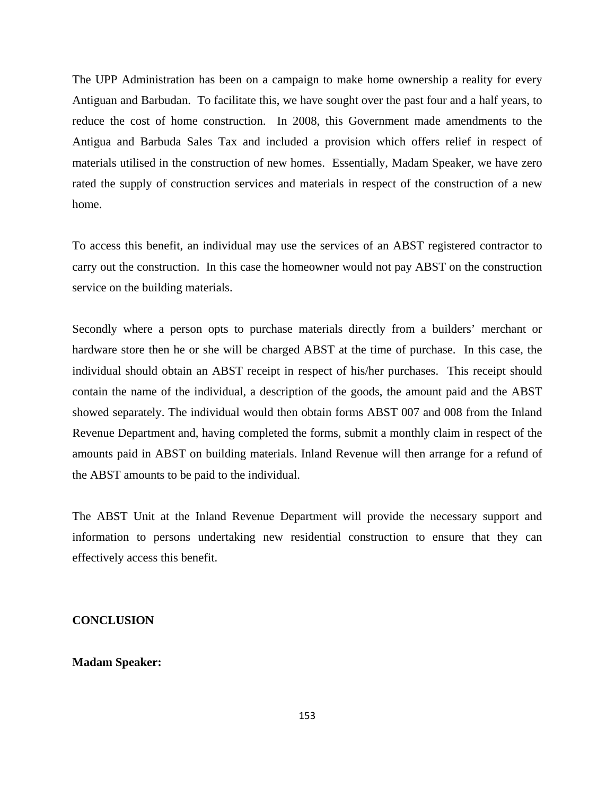The UPP Administration has been on a campaign to make home ownership a reality for every Antiguan and Barbudan. To facilitate this, we have sought over the past four and a half years, to reduce the cost of home construction. In 2008, this Government made amendments to the Antigua and Barbuda Sales Tax and included a provision which offers relief in respect of materials utilised in the construction of new homes. Essentially, Madam Speaker, we have zero rated the supply of construction services and materials in respect of the construction of a new home.

To access this benefit, an individual may use the services of an ABST registered contractor to carry out the construction. In this case the homeowner would not pay ABST on the construction service on the building materials.

Secondly where a person opts to purchase materials directly from a builders' merchant or hardware store then he or she will be charged ABST at the time of purchase. In this case, the individual should obtain an ABST receipt in respect of his/her purchases. This receipt should contain the name of the individual, a description of the goods, the amount paid and the ABST showed separately. The individual would then obtain forms ABST 007 and 008 from the Inland Revenue Department and, having completed the forms, submit a monthly claim in respect of the amounts paid in ABST on building materials. Inland Revenue will then arrange for a refund of the ABST amounts to be paid to the individual.

The ABST Unit at the Inland Revenue Department will provide the necessary support and information to persons undertaking new residential construction to ensure that they can effectively access this benefit.

#### **CONCLUSION**

## **Madam Speaker:**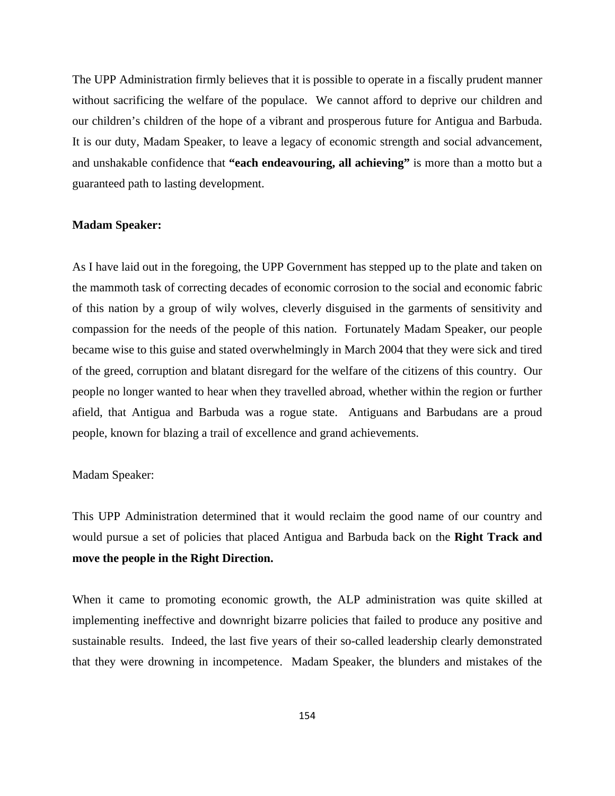The UPP Administration firmly believes that it is possible to operate in a fiscally prudent manner without sacrificing the welfare of the populace. We cannot afford to deprive our children and our children's children of the hope of a vibrant and prosperous future for Antigua and Barbuda. It is our duty, Madam Speaker, to leave a legacy of economic strength and social advancement, and unshakable confidence that **"each endeavouring, all achieving"** is more than a motto but a guaranteed path to lasting development.

#### **Madam Speaker:**

As I have laid out in the foregoing, the UPP Government has stepped up to the plate and taken on the mammoth task of correcting decades of economic corrosion to the social and economic fabric of this nation by a group of wily wolves, cleverly disguised in the garments of sensitivity and compassion for the needs of the people of this nation. Fortunately Madam Speaker, our people became wise to this guise and stated overwhelmingly in March 2004 that they were sick and tired of the greed, corruption and blatant disregard for the welfare of the citizens of this country. Our people no longer wanted to hear when they travelled abroad, whether within the region or further afield, that Antigua and Barbuda was a rogue state. Antiguans and Barbudans are a proud people, known for blazing a trail of excellence and grand achievements.

## Madam Speaker:

This UPP Administration determined that it would reclaim the good name of our country and would pursue a set of policies that placed Antigua and Barbuda back on the **Right Track and move the people in the Right Direction.** 

When it came to promoting economic growth, the ALP administration was quite skilled at implementing ineffective and downright bizarre policies that failed to produce any positive and sustainable results. Indeed, the last five years of their so-called leadership clearly demonstrated that they were drowning in incompetence. Madam Speaker, the blunders and mistakes of the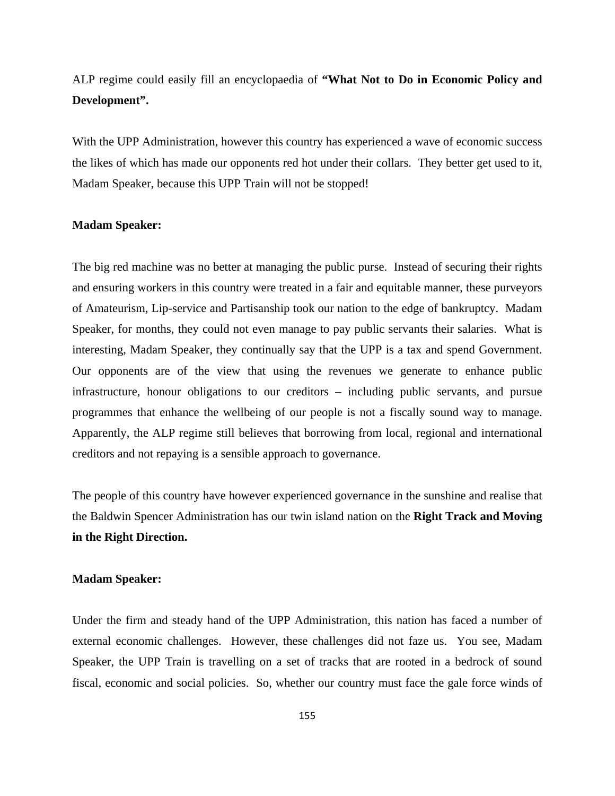ALP regime could easily fill an encyclopaedia of **"What Not to Do in Economic Policy and Development".** 

With the UPP Administration, however this country has experienced a wave of economic success the likes of which has made our opponents red hot under their collars. They better get used to it, Madam Speaker, because this UPP Train will not be stopped!

#### **Madam Speaker:**

The big red machine was no better at managing the public purse. Instead of securing their rights and ensuring workers in this country were treated in a fair and equitable manner, these purveyors of Amateurism, Lip-service and Partisanship took our nation to the edge of bankruptcy. Madam Speaker, for months, they could not even manage to pay public servants their salaries. What is interesting, Madam Speaker, they continually say that the UPP is a tax and spend Government. Our opponents are of the view that using the revenues we generate to enhance public infrastructure, honour obligations to our creditors – including public servants, and pursue programmes that enhance the wellbeing of our people is not a fiscally sound way to manage. Apparently, the ALP regime still believes that borrowing from local, regional and international creditors and not repaying is a sensible approach to governance.

The people of this country have however experienced governance in the sunshine and realise that the Baldwin Spencer Administration has our twin island nation on the **Right Track and Moving in the Right Direction.**

#### **Madam Speaker:**

Under the firm and steady hand of the UPP Administration, this nation has faced a number of external economic challenges. However, these challenges did not faze us. You see, Madam Speaker, the UPP Train is travelling on a set of tracks that are rooted in a bedrock of sound fiscal, economic and social policies. So, whether our country must face the gale force winds of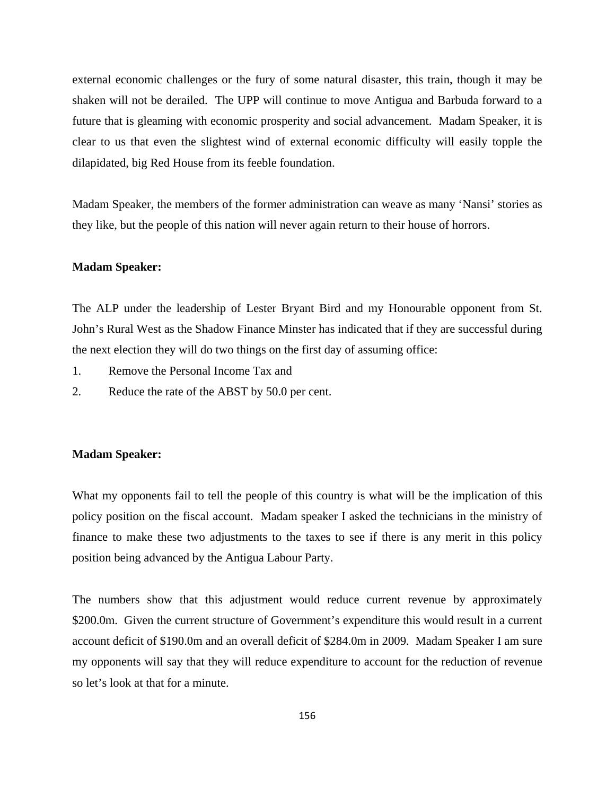external economic challenges or the fury of some natural disaster, this train, though it may be shaken will not be derailed. The UPP will continue to move Antigua and Barbuda forward to a future that is gleaming with economic prosperity and social advancement. Madam Speaker, it is clear to us that even the slightest wind of external economic difficulty will easily topple the dilapidated, big Red House from its feeble foundation.

Madam Speaker, the members of the former administration can weave as many 'Nansi' stories as they like, but the people of this nation will never again return to their house of horrors.

#### **Madam Speaker:**

The ALP under the leadership of Lester Bryant Bird and my Honourable opponent from St. John's Rural West as the Shadow Finance Minster has indicated that if they are successful during the next election they will do two things on the first day of assuming office:

- 1. Remove the Personal Income Tax and
- 2. Reduce the rate of the ABST by 50.0 per cent.

### **Madam Speaker:**

What my opponents fail to tell the people of this country is what will be the implication of this policy position on the fiscal account. Madam speaker I asked the technicians in the ministry of finance to make these two adjustments to the taxes to see if there is any merit in this policy position being advanced by the Antigua Labour Party.

The numbers show that this adjustment would reduce current revenue by approximately \$200.0m. Given the current structure of Government's expenditure this would result in a current account deficit of \$190.0m and an overall deficit of \$284.0m in 2009. Madam Speaker I am sure my opponents will say that they will reduce expenditure to account for the reduction of revenue so let's look at that for a minute.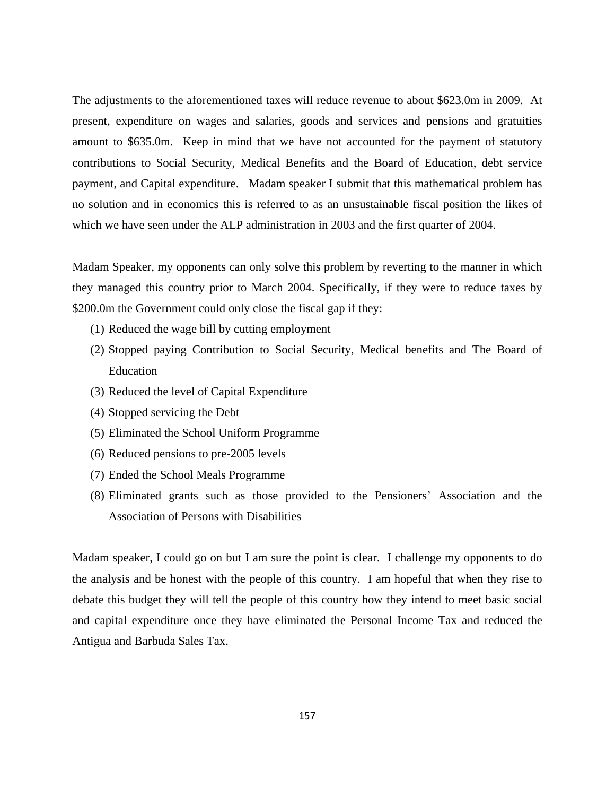The adjustments to the aforementioned taxes will reduce revenue to about \$623.0m in 2009. At present, expenditure on wages and salaries, goods and services and pensions and gratuities amount to \$635.0m. Keep in mind that we have not accounted for the payment of statutory contributions to Social Security, Medical Benefits and the Board of Education, debt service payment, and Capital expenditure. Madam speaker I submit that this mathematical problem has no solution and in economics this is referred to as an unsustainable fiscal position the likes of which we have seen under the ALP administration in 2003 and the first quarter of 2004.

Madam Speaker, my opponents can only solve this problem by reverting to the manner in which they managed this country prior to March 2004. Specifically, if they were to reduce taxes by \$200.0m the Government could only close the fiscal gap if they:

- (1) Reduced the wage bill by cutting employment
- (2) Stopped paying Contribution to Social Security, Medical benefits and The Board of Education
- (3) Reduced the level of Capital Expenditure
- (4) Stopped servicing the Debt
- (5) Eliminated the School Uniform Programme
- (6) Reduced pensions to pre-2005 levels
- (7) Ended the School Meals Programme
- (8) Eliminated grants such as those provided to the Pensioners' Association and the Association of Persons with Disabilities

Madam speaker, I could go on but I am sure the point is clear. I challenge my opponents to do the analysis and be honest with the people of this country. I am hopeful that when they rise to debate this budget they will tell the people of this country how they intend to meet basic social and capital expenditure once they have eliminated the Personal Income Tax and reduced the Antigua and Barbuda Sales Tax.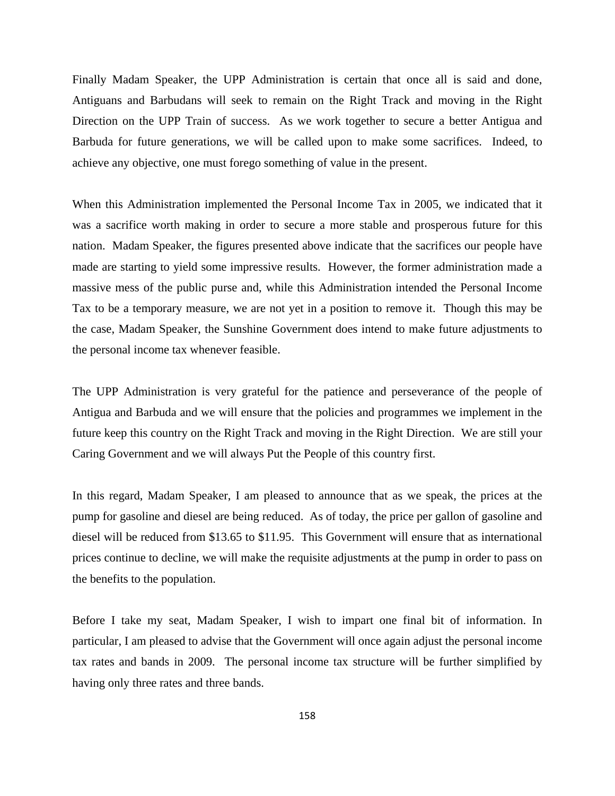Finally Madam Speaker, the UPP Administration is certain that once all is said and done, Antiguans and Barbudans will seek to remain on the Right Track and moving in the Right Direction on the UPP Train of success. As we work together to secure a better Antigua and Barbuda for future generations, we will be called upon to make some sacrifices. Indeed, to achieve any objective, one must forego something of value in the present.

When this Administration implemented the Personal Income Tax in 2005, we indicated that it was a sacrifice worth making in order to secure a more stable and prosperous future for this nation. Madam Speaker, the figures presented above indicate that the sacrifices our people have made are starting to yield some impressive results. However, the former administration made a massive mess of the public purse and, while this Administration intended the Personal Income Tax to be a temporary measure, we are not yet in a position to remove it. Though this may be the case, Madam Speaker, the Sunshine Government does intend to make future adjustments to the personal income tax whenever feasible.

The UPP Administration is very grateful for the patience and perseverance of the people of Antigua and Barbuda and we will ensure that the policies and programmes we implement in the future keep this country on the Right Track and moving in the Right Direction. We are still your Caring Government and we will always Put the People of this country first.

In this regard, Madam Speaker, I am pleased to announce that as we speak, the prices at the pump for gasoline and diesel are being reduced. As of today, the price per gallon of gasoline and diesel will be reduced from \$13.65 to \$11.95. This Government will ensure that as international prices continue to decline, we will make the requisite adjustments at the pump in order to pass on the benefits to the population.

Before I take my seat, Madam Speaker, I wish to impart one final bit of information. In particular, I am pleased to advise that the Government will once again adjust the personal income tax rates and bands in 2009. The personal income tax structure will be further simplified by having only three rates and three bands.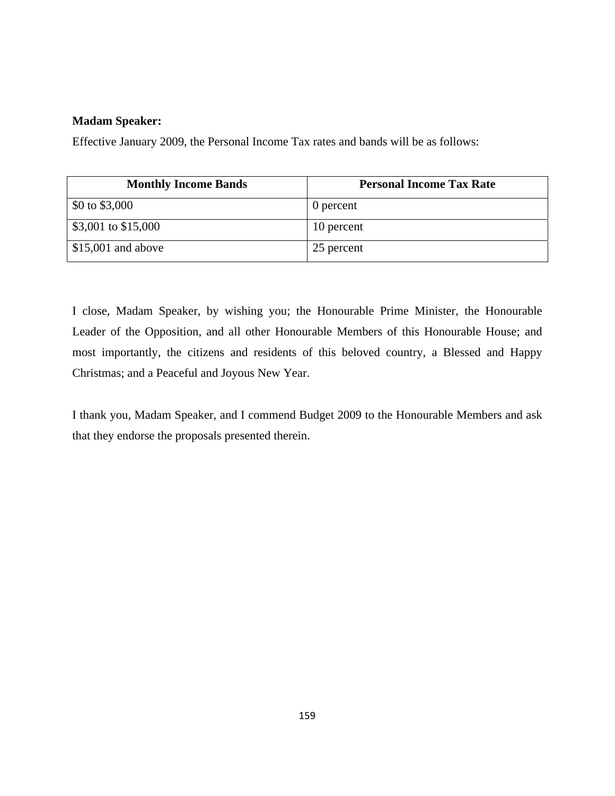# **Madam Speaker:**

Effective January 2009, the Personal Income Tax rates and bands will be as follows:

| <b>Monthly Income Bands</b> | <b>Personal Income Tax Rate</b> |
|-----------------------------|---------------------------------|
| \$0 to $$3,000$             | 0 percent                       |
| \$3,001 to \$15,000         | 10 percent                      |
| $$15,001$ and above         | 25 percent                      |

I close, Madam Speaker, by wishing you; the Honourable Prime Minister, the Honourable Leader of the Opposition, and all other Honourable Members of this Honourable House; and most importantly, the citizens and residents of this beloved country, a Blessed and Happy Christmas; and a Peaceful and Joyous New Year.

I thank you, Madam Speaker, and I commend Budget 2009 to the Honourable Members and ask that they endorse the proposals presented therein.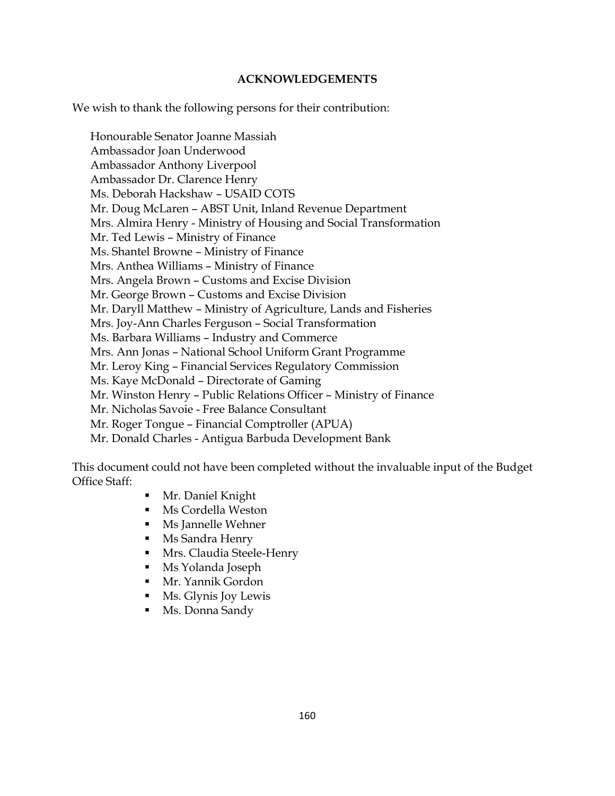# **ACKNOWLEDGEMENTS**

We wish to thank the following persons for their contribution:

Honourable Senator Joanne Massiah Ambassador Joan Underwood Ambassador Anthony Liverpool Ambassador Dr. Clarence Henry Ms. Deborah Hackshaw – USAID COTS Mr. Doug McLaren – ABST Unit, Inland Revenue Department Mrs. Almira Henry - Ministry of Housing and Social Transformation Mr. Ted Lewis – Ministry of Finance Ms. Shantel Browne – Ministry of Finance Mrs. Anthea Williams – Ministry of Finance Mrs. Angela Brown – Customs and Excise Division Mr. George Brown – Customs and Excise Division Mr. Daryll Matthew – Ministry of Agriculture, Lands and Fisheries Mrs. Joy-Ann Charles Ferguson – Social Transformation Ms. Barbara Williams – Industry and Commerce Mrs. Ann Jonas – National School Uniform Grant Programme Mr. Leroy King – Financial Services Regulatory Commission Ms. Kaye McDonald – Directorate of Gaming Mr. Winston Henry – Public Relations Officer – Ministry of Finance Mr. Nicholas Savoie - Free Balance Consultant Mr. Roger Tongue – Financial Comptroller (APUA) Mr. Donald Charles - Antigua Barbuda Development Bank

This document could not have been completed without the invaluable input of the Budget Office Staff:

- Mr. Daniel Knight
- Ms Cordella Weston
- Ms Jannelle Wehner
- Ms Sandra Henry
- Mrs. Claudia Steele-Henry
- Ms Yolanda Joseph
- Mr. Yannik Gordon
- Ms. Glynis Joy Lewis
- Ms. Donna Sandy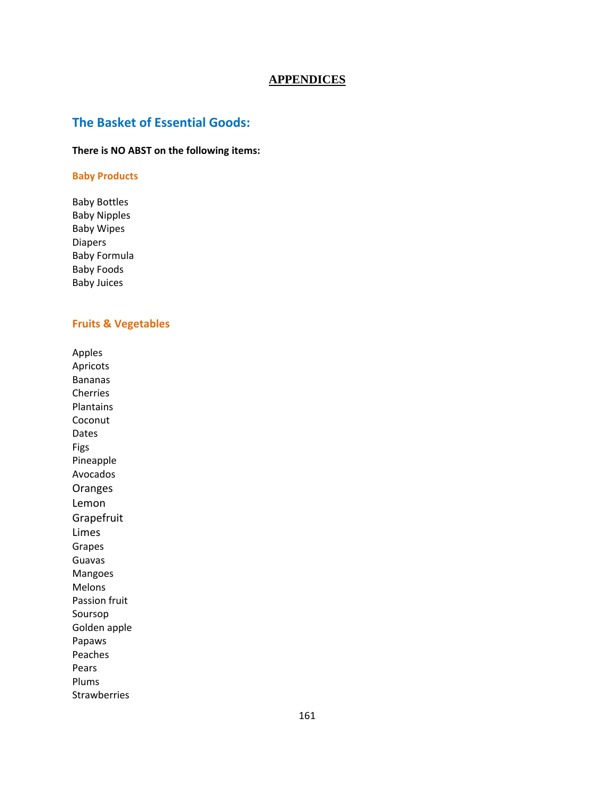#### **APPENDICES**

# **The Basket of Essential Goods:**

# **There is NO ABST on the following items:**

#### **Baby Products**

Baby Bottles Baby Nipples Baby Wipes Diapers Baby Formula Baby Foods Baby Juices

### **Fruits & Vegetables**

Apples Apricots Bananas Cherries Plantains Coconut Dates Figs Pineapple Avocados Oranges Lemon Grapefruit Limes Grapes Guavas Mangoes Melons Passion fruit Soursop Golden apple Papaws Peaches Pears Plums Strawberries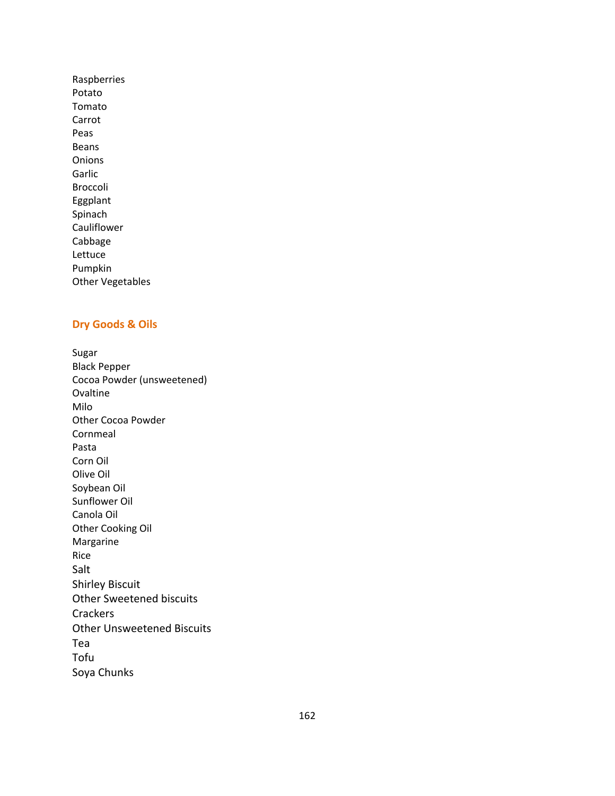Raspberries Potato Tomato Carrot Peas Beans Onions Garlic Broccoli Eggplant Spinach Cauliflower Cabbage Lettuce Pumpkin Other Vegetables

# **Dry Goods & Oils**

Sugar Black Pepper Cocoa Powder (unsweetened) **Ovaltine** Milo Other Cocoa Powder Cornmeal Pasta Corn Oil Olive Oil Soybean Oil Sunflower Oil Canola Oil Other Cooking Oil Margarine Rice Salt Shirley Biscuit Other Sweetened biscuits **Crackers** Other Unsweetened Biscuits Tea Tofu Soya Chunks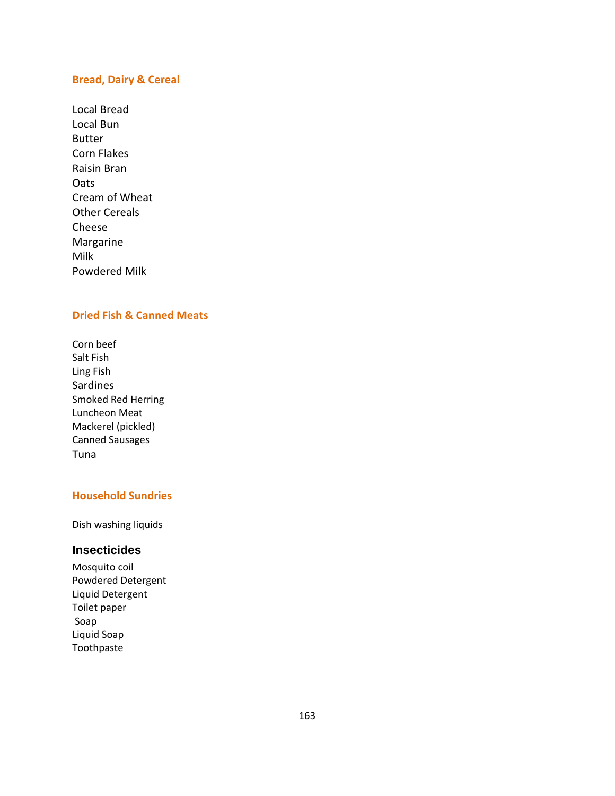### **Bread, Dairy & Cereal**

Local Bread Local Bun Butter Corn Flakes Raisin Bran **Oats** Cream of Wheat Other Cereals Cheese Margarine Milk Powdered Milk

# **Dried Fish & Canned Meats**

Corn beef Salt Fish Ling Fish Sardines Smoked Red Herring Luncheon Meat Mackerel (pickled) Canned Sausages Tuna

# **Household Sundries**

Dish washing liquids

## **Insecticides**

Mosquito coil Powdered Detergent Liquid Detergent Toilet paper Soap Liquid Soap Toothpaste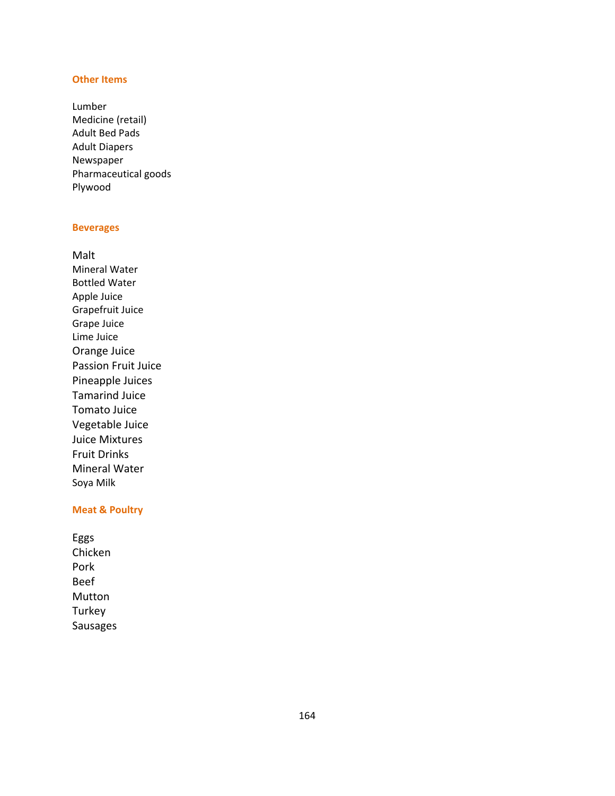### **Other Items**

Lumber Medicine (retail) Adult Bed Pads Adult Diapers Newspaper Pharmaceutical goods Plywood

#### **Beverages**

Malt Mineral Water Bottled Water Apple Juice Grapefruit Juice Grape Juice Lime Juice Orange Juice Passion Fruit Juice Pineapple Juices Tamarind Juice Tomato Juice Vegetable Juice Juice Mixtures Fruit Drinks Mineral Water Soya Milk

## **Meat & Poultry**

Eggs Chicken Pork Beef Mutton Turkey Sausages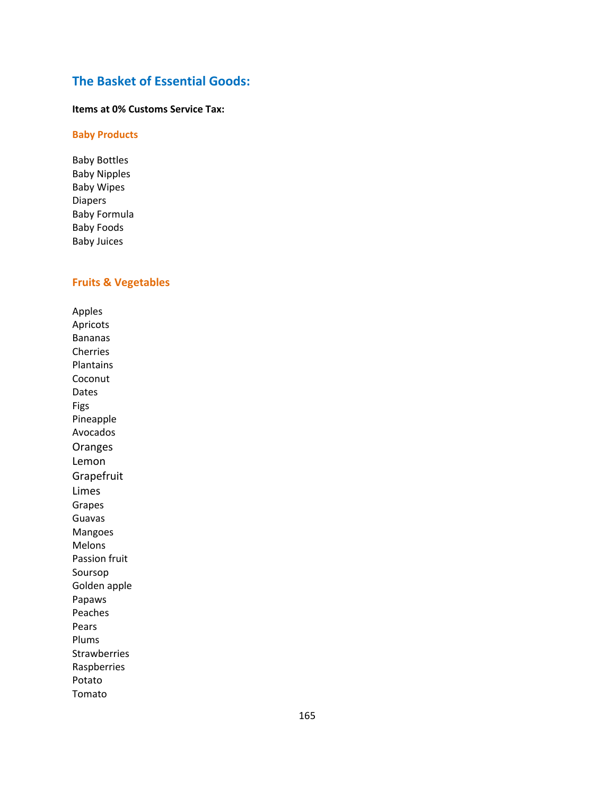# **The Basket of Essential Goods:**

#### **Items at 0% Customs Service Tax:**

### **Baby Products**

Baby Bottles Baby Nipples Baby Wipes Diapers Baby Formula Baby Foods Baby Juices

# **Fruits & Vegetables**

Apples Apricots Bananas Cherries Plantains Coconut Dates Figs Pineapple Avocados Oranges Lemon **Grapefruit** Limes Grapes Guavas Mangoes Melons Passion fruit Soursop Golden apple Papaws Peaches Pears Plums Strawberries Raspberries Potato Tomato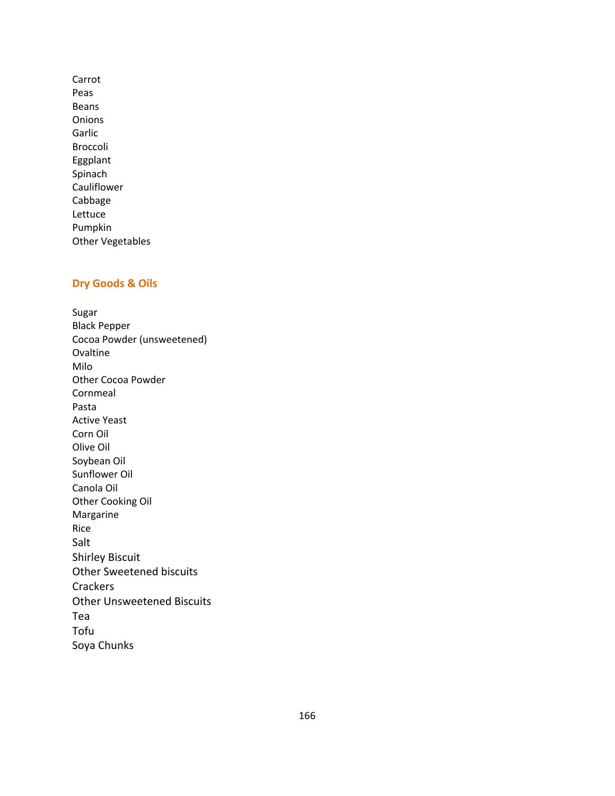Carrot Peas Beans **Onions** Garlic Broccoli Eggplant Spinach Cauliflower Cabbage Lettuce Pumpkin Other Vegetables

# **Dry Goods & Oils**

Sugar Black Pepper Cocoa Powder (unsweetened) Ovaltine Milo Other Cocoa Powder Cornmeal Pasta Active Yeast Corn Oil Olive Oil Soybean Oil Sunflower Oil Canola Oil Other Cooking Oil Margarine Rice Salt Shirley Biscuit Other Sweetened biscuits **Crackers** Other Unsweetened Biscuits Tea Tofu Soya Chunks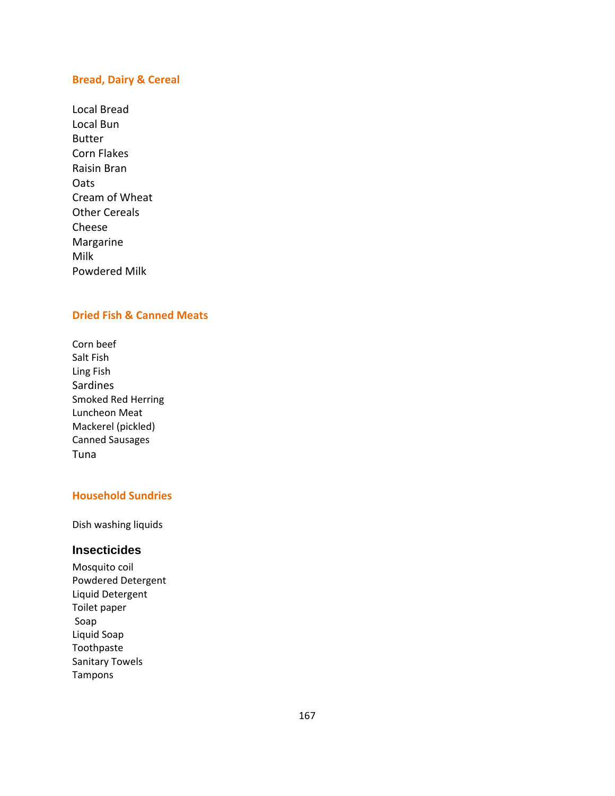### **Bread, Dairy & Cereal**

Local Bread Local Bun Butter Corn Flakes Raisin Bran **Oats** Cream of Wheat Other Cereals Cheese Margarine Milk Powdered Milk

# **Dried Fish & Canned Meats**

Corn beef Salt Fish Ling Fish Sardines Smoked Red Herring Luncheon Meat Mackerel (pickled) Canned Sausages Tuna

# **Household Sundries**

Dish washing liquids

## **Insecticides**

Mosquito coil Powdered Detergent Liquid Detergent Toilet paper Soap Liquid Soap Toothpaste Sanitary Towels Tampons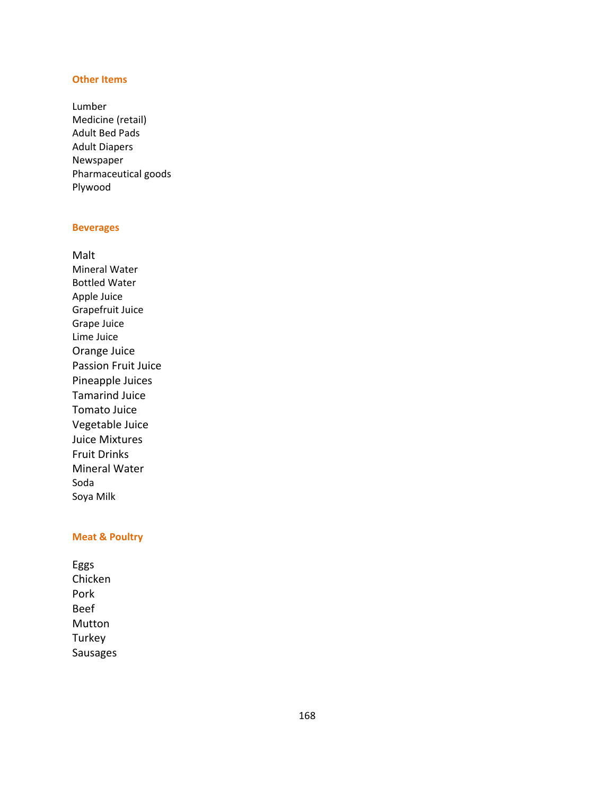#### **Other Items**

Lumber Medicine (retail) Adult Bed Pads Adult Diapers Newspaper Pharmaceutical goods Plywood

#### **Beverages**

Malt Mineral Water Bottled Water Apple Juice Grapefruit Juice Grape Juice Lime Juice Orange Juice Passion Fruit Juice Pineapple Juices Tamarind Juice Tomato Juice Vegetable Juice Juice Mixtures Fruit Drinks Mineral Water Soda Soya Milk

#### **Meat & Poultry**

Eggs Chicken Pork Beef Mutton Turkey Sausages